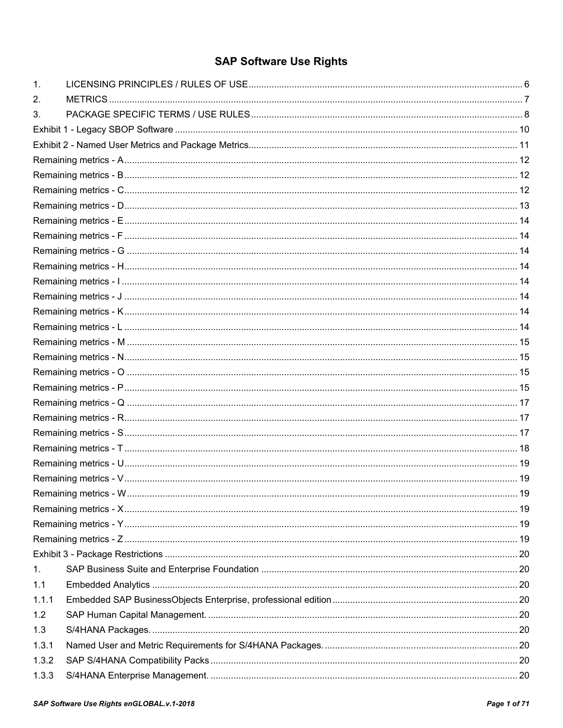# **SAP Software Use Rights**

| 1 <sub>1</sub> |  |
|----------------|--|
| 2.             |  |
| 3.             |  |
|                |  |
|                |  |
|                |  |
|                |  |
|                |  |
|                |  |
|                |  |
|                |  |
|                |  |
|                |  |
|                |  |
|                |  |
|                |  |
|                |  |
|                |  |
|                |  |
|                |  |
|                |  |
|                |  |
|                |  |
|                |  |
|                |  |
|                |  |
|                |  |
|                |  |
|                |  |
|                |  |
|                |  |
|                |  |
| 1.             |  |
| 1.1            |  |
| 1.1.1          |  |
| 1.2            |  |
| 1.3            |  |
| 1.3.1          |  |
| 1.3.2          |  |
| 1.3.3          |  |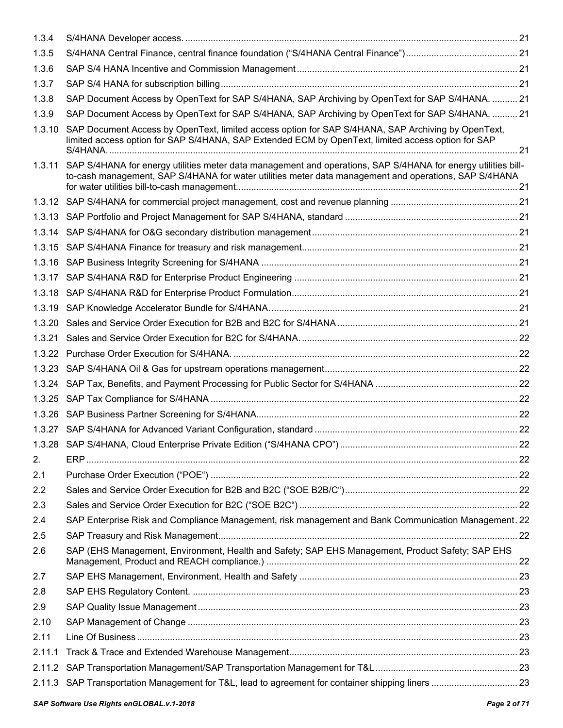| 1.3.4  |                                                                                                                                                                                                                               |  |
|--------|-------------------------------------------------------------------------------------------------------------------------------------------------------------------------------------------------------------------------------|--|
| 1.3.5  |                                                                                                                                                                                                                               |  |
| 1.3.6  |                                                                                                                                                                                                                               |  |
| 1.3.7  |                                                                                                                                                                                                                               |  |
| 1.3.8  | SAP Document Access by OpenText for SAP S/4HANA, SAP Archiving by OpenText for SAP S/4HANA.  21                                                                                                                               |  |
| 1.3.9  | SAP Document Access by OpenText for SAP S/4HANA, SAP Archiving by OpenText for SAP S/4HANA.  21                                                                                                                               |  |
| 1.3.10 | SAP Document Access by OpenText, limited access option for SAP S/4HANA, SAP Archiving by OpenText,<br>limited access option for SAP S/4HANA, SAP Extended ECM by OpenText, limited access option for SAP                      |  |
|        | 1.3.11 SAP S/4HANA for energy utilities meter data management and operations, SAP S/4HANA for energy utilities bill-<br>to-cash management, SAP S/4HANA for water utilities meter data management and operations, SAP S/4HANA |  |
|        |                                                                                                                                                                                                                               |  |
|        |                                                                                                                                                                                                                               |  |
|        |                                                                                                                                                                                                                               |  |
|        |                                                                                                                                                                                                                               |  |
|        |                                                                                                                                                                                                                               |  |
|        |                                                                                                                                                                                                                               |  |
|        |                                                                                                                                                                                                                               |  |
|        |                                                                                                                                                                                                                               |  |
|        |                                                                                                                                                                                                                               |  |
| 1.3.21 |                                                                                                                                                                                                                               |  |
|        |                                                                                                                                                                                                                               |  |
|        |                                                                                                                                                                                                                               |  |
|        |                                                                                                                                                                                                                               |  |
|        |                                                                                                                                                                                                                               |  |
|        |                                                                                                                                                                                                                               |  |
|        |                                                                                                                                                                                                                               |  |
|        |                                                                                                                                                                                                                               |  |
| 2.     |                                                                                                                                                                                                                               |  |
| 2.1    |                                                                                                                                                                                                                               |  |
| 2.2    |                                                                                                                                                                                                                               |  |
| 2.3    |                                                                                                                                                                                                                               |  |
| 2.4    | SAP Enterprise Risk and Compliance Management, risk management and Bank Communication Management. 22                                                                                                                          |  |
| 2.5    |                                                                                                                                                                                                                               |  |
| 2.6    | SAP (EHS Management, Environment, Health and Safety; SAP EHS Management, Product Safety; SAP EHS                                                                                                                              |  |
| 2.7    |                                                                                                                                                                                                                               |  |
| 2.8    |                                                                                                                                                                                                                               |  |
| 2.9    |                                                                                                                                                                                                                               |  |
| 2.10   |                                                                                                                                                                                                                               |  |
| 2.11   |                                                                                                                                                                                                                               |  |
| 2.11.1 |                                                                                                                                                                                                                               |  |
| 2.11.2 |                                                                                                                                                                                                                               |  |
| 2.11.3 |                                                                                                                                                                                                                               |  |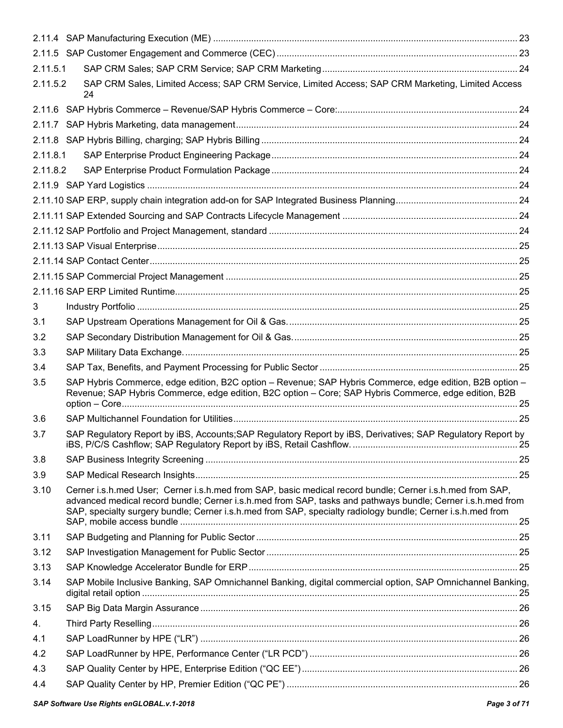| 2.11.5.1 |                                                                                                                                                                                                                                                                                                                                         |  |
|----------|-----------------------------------------------------------------------------------------------------------------------------------------------------------------------------------------------------------------------------------------------------------------------------------------------------------------------------------------|--|
| 2.11.5.2 | SAP CRM Sales, Limited Access; SAP CRM Service, Limited Access; SAP CRM Marketing, Limited Access<br>24                                                                                                                                                                                                                                 |  |
|          |                                                                                                                                                                                                                                                                                                                                         |  |
| 2.11.7   |                                                                                                                                                                                                                                                                                                                                         |  |
|          |                                                                                                                                                                                                                                                                                                                                         |  |
| 2.11.8.1 |                                                                                                                                                                                                                                                                                                                                         |  |
| 2.11.8.2 |                                                                                                                                                                                                                                                                                                                                         |  |
|          |                                                                                                                                                                                                                                                                                                                                         |  |
|          |                                                                                                                                                                                                                                                                                                                                         |  |
|          |                                                                                                                                                                                                                                                                                                                                         |  |
|          |                                                                                                                                                                                                                                                                                                                                         |  |
|          |                                                                                                                                                                                                                                                                                                                                         |  |
|          |                                                                                                                                                                                                                                                                                                                                         |  |
|          |                                                                                                                                                                                                                                                                                                                                         |  |
|          |                                                                                                                                                                                                                                                                                                                                         |  |
| 3        |                                                                                                                                                                                                                                                                                                                                         |  |
| 3.1      |                                                                                                                                                                                                                                                                                                                                         |  |
| 3.2      |                                                                                                                                                                                                                                                                                                                                         |  |
| 3.3      |                                                                                                                                                                                                                                                                                                                                         |  |
| 3.4      |                                                                                                                                                                                                                                                                                                                                         |  |
| 3.5      | SAP Hybris Commerce, edge edition, B2C option - Revenue; SAP Hybris Commerce, edge edition, B2B option -<br>Revenue; SAP Hybris Commerce, edge edition, B2C option - Core; SAP Hybris Commerce, edge edition, B2B                                                                                                                       |  |
| 3.6      |                                                                                                                                                                                                                                                                                                                                         |  |
| 3.7      | SAP Regulatory Report by iBS, Accounts; SAP Regulatory Report by iBS, Derivatives; SAP Regulatory Report by                                                                                                                                                                                                                             |  |
| 3.8      |                                                                                                                                                                                                                                                                                                                                         |  |
| 3.9      |                                                                                                                                                                                                                                                                                                                                         |  |
| 3.10     | Cerner i.s.h.med User; Cerner i.s.h.med from SAP, basic medical record bundle; Cerner i.s.h.med from SAP,<br>advanced medical record bundle; Cerner i.s.h.med from SAP, tasks and pathways bundle; Cerner i.s.h.med from<br>SAP, specialty surgery bundle; Cerner i.s.h.med from SAP, specialty radiology bundle; Cerner i.s.h.med from |  |
| 3.11     |                                                                                                                                                                                                                                                                                                                                         |  |
| 3.12     |                                                                                                                                                                                                                                                                                                                                         |  |
| 3.13     |                                                                                                                                                                                                                                                                                                                                         |  |
| 3.14     | SAP Mobile Inclusive Banking, SAP Omnichannel Banking, digital commercial option, SAP Omnichannel Banking,                                                                                                                                                                                                                              |  |
| 3.15     |                                                                                                                                                                                                                                                                                                                                         |  |
| 4.       |                                                                                                                                                                                                                                                                                                                                         |  |
| 4.1      |                                                                                                                                                                                                                                                                                                                                         |  |
| 4.2      |                                                                                                                                                                                                                                                                                                                                         |  |
| 4.3      |                                                                                                                                                                                                                                                                                                                                         |  |
| 4.4      |                                                                                                                                                                                                                                                                                                                                         |  |
|          |                                                                                                                                                                                                                                                                                                                                         |  |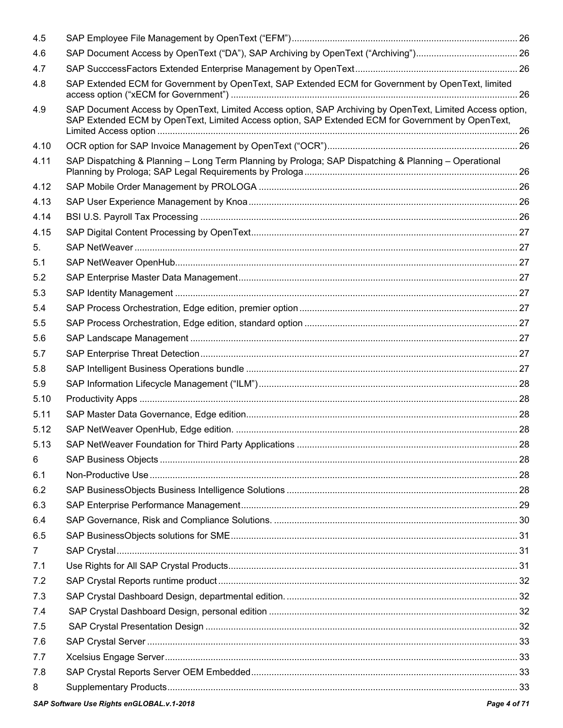| 4.5            |                                                                                                                                                                                                                |  |
|----------------|----------------------------------------------------------------------------------------------------------------------------------------------------------------------------------------------------------------|--|
| 4.6            |                                                                                                                                                                                                                |  |
| 4.7            |                                                                                                                                                                                                                |  |
| 4.8            | SAP Extended ECM for Government by OpenText, SAP Extended ECM for Government by OpenText, limited                                                                                                              |  |
| 4.9            | SAP Document Access by OpenText, Limited Access option, SAP Archiving by OpenText, Limited Access option,<br>SAP Extended ECM by OpenText, Limited Access option, SAP Extended ECM for Government by OpenText, |  |
| 4.10           |                                                                                                                                                                                                                |  |
| 4.11           | SAP Dispatching & Planning - Long Term Planning by Prologa; SAP Dispatching & Planning - Operational                                                                                                           |  |
| 4.12           |                                                                                                                                                                                                                |  |
| 4.13           |                                                                                                                                                                                                                |  |
| 4.14           |                                                                                                                                                                                                                |  |
| 4.15           |                                                                                                                                                                                                                |  |
| 5.             |                                                                                                                                                                                                                |  |
| 5.1            |                                                                                                                                                                                                                |  |
| 5.2            |                                                                                                                                                                                                                |  |
| 5.3            |                                                                                                                                                                                                                |  |
| 5.4            |                                                                                                                                                                                                                |  |
| 5.5            |                                                                                                                                                                                                                |  |
| 5.6            |                                                                                                                                                                                                                |  |
| 5.7            |                                                                                                                                                                                                                |  |
| 5.8            |                                                                                                                                                                                                                |  |
| 5.9            |                                                                                                                                                                                                                |  |
| 5.10           |                                                                                                                                                                                                                |  |
| 5.11           |                                                                                                                                                                                                                |  |
| 5.12           |                                                                                                                                                                                                                |  |
| 5.13           |                                                                                                                                                                                                                |  |
| 6              |                                                                                                                                                                                                                |  |
| 6.1            |                                                                                                                                                                                                                |  |
| 6.2            |                                                                                                                                                                                                                |  |
| 6.3            |                                                                                                                                                                                                                |  |
| 6.4            |                                                                                                                                                                                                                |  |
| 6.5            |                                                                                                                                                                                                                |  |
| $\overline{7}$ |                                                                                                                                                                                                                |  |
| 7.1            |                                                                                                                                                                                                                |  |
| 7.2            |                                                                                                                                                                                                                |  |
| 7.3            |                                                                                                                                                                                                                |  |
| 7.4            |                                                                                                                                                                                                                |  |
| 7.5            |                                                                                                                                                                                                                |  |
| 7.6            |                                                                                                                                                                                                                |  |
| 7.7            |                                                                                                                                                                                                                |  |
| 7.8            |                                                                                                                                                                                                                |  |
| 8              |                                                                                                                                                                                                                |  |
|                |                                                                                                                                                                                                                |  |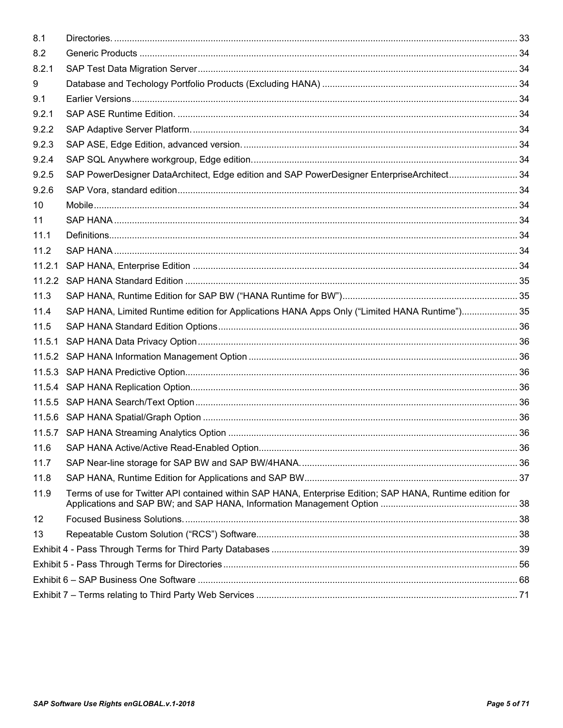| 8.2<br>8.2.1<br>9<br>9.1<br>9.2.1<br>9.2.2<br>9.2.3<br>9.2.4<br>SAP PowerDesigner DataArchitect, Edge edition and SAP PowerDesigner EnterpriseArchitect 34<br>9.2.5<br>9.2.6<br>10<br>11<br>11.1<br>11.2<br>11.2.1<br>11.2.2<br>11.3<br>SAP HANA, Limited Runtime edition for Applications HANA Apps Only ("Limited HANA Runtime")35<br>11.4<br>11.5<br>11.5.1<br>11.6<br>11.7<br>11.8<br>Terms of use for Twitter API contained within SAP HANA, Enterprise Edition; SAP HANA, Runtime edition for<br>11.9<br>12<br>13 | 8.1 |  |  |
|-------------------------------------------------------------------------------------------------------------------------------------------------------------------------------------------------------------------------------------------------------------------------------------------------------------------------------------------------------------------------------------------------------------------------------------------------------------------------------------------------------------------------|-----|--|--|
|                                                                                                                                                                                                                                                                                                                                                                                                                                                                                                                         |     |  |  |
|                                                                                                                                                                                                                                                                                                                                                                                                                                                                                                                         |     |  |  |
|                                                                                                                                                                                                                                                                                                                                                                                                                                                                                                                         |     |  |  |
|                                                                                                                                                                                                                                                                                                                                                                                                                                                                                                                         |     |  |  |
|                                                                                                                                                                                                                                                                                                                                                                                                                                                                                                                         |     |  |  |
|                                                                                                                                                                                                                                                                                                                                                                                                                                                                                                                         |     |  |  |
|                                                                                                                                                                                                                                                                                                                                                                                                                                                                                                                         |     |  |  |
|                                                                                                                                                                                                                                                                                                                                                                                                                                                                                                                         |     |  |  |
|                                                                                                                                                                                                                                                                                                                                                                                                                                                                                                                         |     |  |  |
|                                                                                                                                                                                                                                                                                                                                                                                                                                                                                                                         |     |  |  |
|                                                                                                                                                                                                                                                                                                                                                                                                                                                                                                                         |     |  |  |
|                                                                                                                                                                                                                                                                                                                                                                                                                                                                                                                         |     |  |  |
|                                                                                                                                                                                                                                                                                                                                                                                                                                                                                                                         |     |  |  |
|                                                                                                                                                                                                                                                                                                                                                                                                                                                                                                                         |     |  |  |
|                                                                                                                                                                                                                                                                                                                                                                                                                                                                                                                         |     |  |  |
|                                                                                                                                                                                                                                                                                                                                                                                                                                                                                                                         |     |  |  |
|                                                                                                                                                                                                                                                                                                                                                                                                                                                                                                                         |     |  |  |
|                                                                                                                                                                                                                                                                                                                                                                                                                                                                                                                         |     |  |  |
|                                                                                                                                                                                                                                                                                                                                                                                                                                                                                                                         |     |  |  |
|                                                                                                                                                                                                                                                                                                                                                                                                                                                                                                                         |     |  |  |
|                                                                                                                                                                                                                                                                                                                                                                                                                                                                                                                         |     |  |  |
|                                                                                                                                                                                                                                                                                                                                                                                                                                                                                                                         |     |  |  |
|                                                                                                                                                                                                                                                                                                                                                                                                                                                                                                                         |     |  |  |
|                                                                                                                                                                                                                                                                                                                                                                                                                                                                                                                         |     |  |  |
|                                                                                                                                                                                                                                                                                                                                                                                                                                                                                                                         |     |  |  |
|                                                                                                                                                                                                                                                                                                                                                                                                                                                                                                                         |     |  |  |
|                                                                                                                                                                                                                                                                                                                                                                                                                                                                                                                         |     |  |  |
|                                                                                                                                                                                                                                                                                                                                                                                                                                                                                                                         |     |  |  |
|                                                                                                                                                                                                                                                                                                                                                                                                                                                                                                                         |     |  |  |
|                                                                                                                                                                                                                                                                                                                                                                                                                                                                                                                         |     |  |  |
|                                                                                                                                                                                                                                                                                                                                                                                                                                                                                                                         |     |  |  |
|                                                                                                                                                                                                                                                                                                                                                                                                                                                                                                                         |     |  |  |
|                                                                                                                                                                                                                                                                                                                                                                                                                                                                                                                         |     |  |  |
|                                                                                                                                                                                                                                                                                                                                                                                                                                                                                                                         |     |  |  |
|                                                                                                                                                                                                                                                                                                                                                                                                                                                                                                                         |     |  |  |
|                                                                                                                                                                                                                                                                                                                                                                                                                                                                                                                         |     |  |  |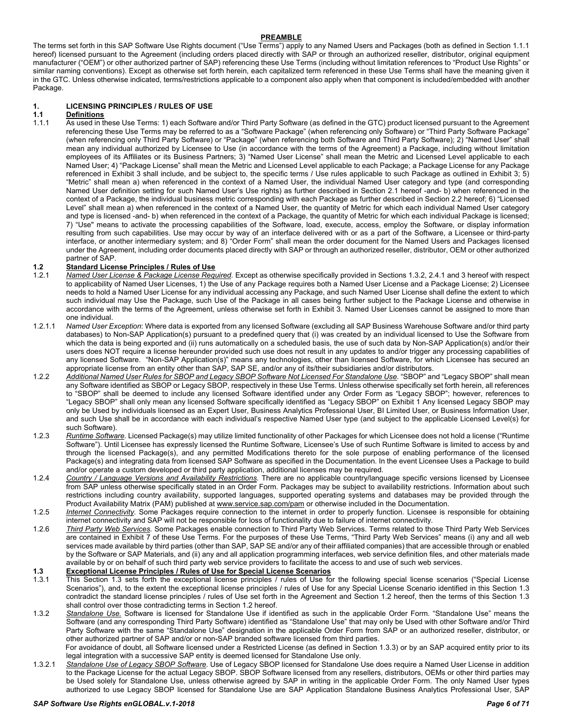### **PREAMBLE**

The terms set forth in this SAP Software Use Rights document ("Use Terms") apply to any Named Users and Packages (both as defined in Section 1.1.1 hereof) licensed pursuant to the Agreement (including orders placed directly with SAP or through an authorized reseller, distributor, original equipment manufacturer ("OEM") or other authorized partner of SAP) referencing these Use Terms (including without limitation references to "Product Use Rights" or similar naming conventions). Except as otherwise set forth herein, each capitalized term referenced in these Use Terms shall have the meaning given it in the GTC. Unless otherwise indicated, terms/restrictions applicable to a component also apply when that component is included/embedded with another Package.

# <span id="page-5-0"></span>**1. LICENSING PRINCIPLES / RULES OF USE**

# **1.1 Definitions**

As used in these Use Terms: 1) each Software and/or Third Party Software (as defined in the GTC) product licensed pursuant to the Agreement referencing these Use Terms may be referred to as a "Software Package" (when referencing only Software) or "Third Party Software Package" (when referencing only Third Party Software) or "Package" (when referencing both Software and Third Party Software); 2) "Named User" shall mean any individual authorized by Licensee to Use (in accordance with the terms of the Agreement) a Package, including without limitation employees of its Affiliates or its Business Partners; 3) "Named User License" shall mean the Metric and Licensed Level applicable to each Named User; 4) "Package License" shall mean the Metric and Licensed Level applicable to each Package; a Package License for any Package referenced in Exhibit 3 shall include, and be subject to, the specific terms / Use rules applicable to such Package as outlined in Exhibit 3; 5) "Metric" shall mean a) when referenced in the context of a Named User, the individual Named User category and type (and corresponding Named User definition setting for such Named User's Use rights) as further described in Section 2.1 hereof -and- b) when referenced in the context of a Package, the individual business metric corresponding with each Package as further described in Section 2.2 hereof; 6) "Licensed Level" shall mean a) when referenced in the context of a Named User, the quantity of Metric for which each individual Named User category and type is licensed -and- b) when referenced in the context of a Package, the quantity of Metric for which each individual Package is licensed; 7) "Use" means to activate the processing capabilities of the Software, load, execute, access, employ the Software, or display information resulting from such capabilities. Use may occur by way of an interface delivered with or as a part of the Software, a Licensee or third-party interface, or another intermediary system; and 8) "Order Form" shall mean the order document for the Named Users and Packages licensed under the Agreement, including order documents placed directly with SAP or through an authorized reseller, distributor, OEM or other authorized partner of SAP.

# **1.2 Standard License Principles / Rules of Use**

- 1.2.1 *Named User License & Package License Required.* Except as otherwise specifically provided in Sections 1.3.2, 2.4.1 and 3 hereof with respect to applicability of Named User Licenses, 1) the Use of any Package requires both a Named User License and a Package License; 2) Licensee needs to hold a Named User License for any individual accessing any Package, and such Named User License shall define the extent to which such individual may Use the Package, such Use of the Package in all cases being further subject to the Package License and otherwise in accordance with the terms of the Agreement, unless otherwise set forth in Exhibit 3. Named User Licenses cannot be assigned to more than one individual.
- 1.2.1.1 *Named User Exception*: Where data is exported from any licensed Software (excluding all SAP Business Warehouse Software and/or third party databases) to Non-SAP Application(s) pursuant to a predefined query that (i) was created by an individual licensed to Use the Software from which the data is being exported and (ii) runs automatically on a scheduled basis, the use of such data by Non-SAP Application(s) and/or their users does NOT require a license hereunder provided such use does not result in any updates to and/or trigger any processing capabilities of any licensed Software. "Non-SAP Application(s)" means any technologies, other than licensed Software, for which Licensee has secured an appropriate license from an entity other than SAP, SAP SE, and/or any of its/their subsidiaries and/or distributors.
- 1.2.2 *Additional Named User Rules for SBOP and Legacy SBOP Software Not Licensed For Standalone Use.* "SBOP" and "Legacy SBOP" shall mean any Software identified as SBOP or Legacy SBOP, respectively in these Use Terms. Unless otherwise specifically set forth herein, all references to "SBOP" shall be deemed to include any licensed Software identified under any Order Form as "Legacy SBOP"; however, references to "Legacy SBOP" shall only mean any licensed Software specifically identified as "Legacy SBOP" on Exhibit 1 Any licensed Legacy SBOP may only be Used by individuals licensed as an Expert User, Business Analytics Professional User, BI Limited User, or Business Information User, and such Use shall be in accordance with each individual's respective Named User type (and subject to the applicable Licensed Level(s) for such Software).
- 1.2.3 *Runtime Software.* Licensed Package(s) may utilize limited functionality of other Packages for which Licensee does not hold a license ("Runtime Software"). Until Licensee has expressly licensed the Runtime Software, Licensee's Use of such Runtime Software is limited to access by and through the licensed Package(s), and any permitted Modifications thereto for the sole purpose of enabling performance of the licensed Package(s) and integrating data from licensed SAP Software as specified in the Documentation. In the event Licensee Uses a Package to build and/or operate a custom developed or third party application, additional licenses may be required.
- 1.2.4 *Country / Language Versions and Availability Restrictions.* There are no applicable country/language specific versions licensed by Licensee from SAP unless otherwise specifically stated in an Order Form. Packages may be subject to availability restrictions. Information about such restrictions including country availability, supported languages, supported operating systems and databases may be provided through the Product Availability Matrix (PAM) published at [www.service.sap.com/pam](http://www.service.sap.com/pam) or otherwise included in the Documentation.
- 1.2.5 *Internet Connectivity*. Some Packages require connection to the internet in order to properly function. Licensee is responsible for obtaining internet connectivity and SAP will not be responsible for loss of functionality due to failure of internet connectivity.
- 1.2.6 *Third Party Web Services.* Some Packages enable connection to Third Party Web Services. Terms related to those Third Party Web Services are contained in Exhibit 7 of these Use Terms. For the purposes of these Use Terms, "Third Party Web Services" means (i) any and all web services made available by third parties (other than SAP, SAP SE and/or any of their affiliated companies) that are accessible through or enabled by the Software or SAP Materials, and (ii) any and all application programming interfaces, web service definition files, and other materials made available by or on behalf of such third party web service providers to facilitate the access to and use of such web services.

# **1.3 Exceptional License Principles / Rules of Use for Special License Scenarios**

- This Section 1.3 sets forth the exceptional license principles / rules of Use for the following special license scenarios ("Special License Scenarios"), and, to the extent the exceptional license principles / rules of Use for any Special License Scenario identified in this Section 1.3 contradict the standard license principles / rules of Use set forth in the Agreement and Section 1.2 hereof, then the terms of this Section 1.3 shall control over those contradicting terms in Section 1.2 hereof.
- 1.3.2 *Standalone Use.* Software is licensed for Standalone Use if identified as such in the applicable Order Form. "Standalone Use" means the Software (and any corresponding Third Party Software) identified as "Standalone Use" that may only be Used with other Software and/or Third Party Software with the same "Standalone Use" designation in the applicable Order Form from SAP or an authorized reseller, distributor, or other authorized partner of SAP and/or or non-SAP branded software licensed from third parties.

For avoidance of doubt, all Software licensed under a Restricted License (as defined in Section 1.3.3) or by an SAP acquired entity prior to its legal integration with a successive SAP entity is deemed licensed for Standalone Use only.

1.3.2.1 *Standalone Use of Legacy SBOP Software*. Use of Legacy SBOP licensed for Standalone Use does require a Named User License in addition to the Package License for the actual Legacy SBOP. SBOP Software licensed from any resellers, distributors, OEMs or other third parties may be Used solely for Standalone Use, unless otherwise agreed by SAP in writing in the applicable Order Form. The only Named User types authorized to use Legacy SBOP licensed for Standalone Use are SAP Application Standalone Business Analytics Professional User, SAP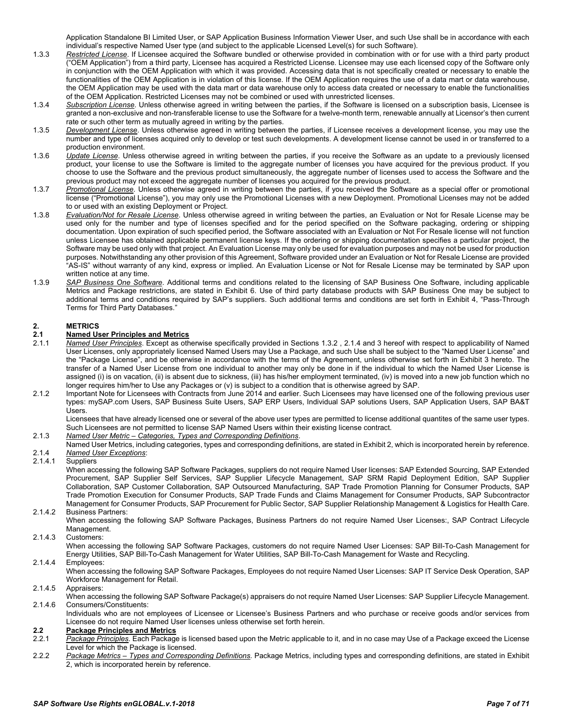Application Standalone BI Limited User, or SAP Application Business Information Viewer User, and such Use shall be in accordance with each individual's respective Named User type (and subject to the applicable Licensed Level(s) for such Software).

- 1.3.3 *Restricted License*. If Licensee acquired the Software bundled or otherwise provided in combination with or for use with a third party product ("OEM Application") from a third party, Licensee has acquired a Restricted License. Licensee may use each licensed copy of the Software only in conjunction with the OEM Application with which it was provided. Accessing data that is not specifically created or necessary to enable the functionalities of the OEM Application is in violation of this license. If the OEM Application requires the use of a data mart or data warehouse, the OEM Application may be used with the data mart or data warehouse only to access data created or necessary to enable the functionalities of the OEM Application. Restricted Licenses may not be combined or used with unrestricted licenses.
- 1.3.4 *Subscription License*. Unless otherwise agreed in writing between the parties, if the Software is licensed on a subscription basis, Licensee is granted a non-exclusive and non-transferable license to use the Software for a twelve-month term, renewable annually at Licensor's then current rate or such other term as mutually agreed in writing by the parties.
- 1.3.5 *Development License*. Unless otherwise agreed in writing between the parties, if Licensee receives a development license, you may use the number and type of licenses acquired only to develop or test such developments. A development license cannot be used in or transferred to a production environment.
- 1.3.6 *Update License*. Unless otherwise agreed in writing between the parties, if you receive the Software as an update to a previously licensed product, your license to use the Software is limited to the aggregate number of licenses you have acquired for the previous product. If you choose to use the Software and the previous product simultaneously, the aggregate number of licenses used to access the Software and the previous product may not exceed the aggregate number of licenses you acquired for the previous product.
- 1.3.7 *Promotional License*. Unless otherwise agreed in writing between the parties, if you received the Software as a special offer or promotional license ("Promotional License"), you may only use the Promotional Licenses with a new Deployment. Promotional Licenses may not be added to or used with an existing Deployment or Project.
- 1.3.8 *Evaluation/Not for Resale License*. Unless otherwise agreed in writing between the parties, an Evaluation or Not for Resale License may be used only for the number and type of licenses specified and for the period specified on the Software packaging, ordering or shipping documentation. Upon expiration of such specified period, the Software associated with an Evaluation or Not For Resale license will not function unless Licensee has obtained applicable permanent license keys. If the ordering or shipping documentation specifies a particular project, the Software may be used only with that project. An Evaluation License may only be used for evaluation purposes and may not be used for production purposes. Notwithstanding any other provision of this Agreement, Software provided under an Evaluation or Not for Resale License are provided "AS-IS" without warranty of any kind, express or implied. An Evaluation License or Not for Resale License may be terminated by SAP upon written notice at any time.
- 1.3.9 *SAP Business One Software*. Additional terms and conditions related to the licensing of SAP Business One Software, including applicable Metrics and Package restrictions, are stated in Exhibit 6. Use of third party database products with SAP Business One may be subject to additional terms and conditions required by SAP's suppliers. Such additional terms and conditions are set forth in Exhibit 4, "Pass-Through Terms for Third Party Databases."

# <span id="page-6-0"></span>**2. METRICS**

# **2.1 Named User Principles and Metrics**

- 2.1.1 *Named User Principles*. Except as otherwise specifically provided in Sections 1.3.2 , 2.1.4 and 3 hereof with respect to applicability of Named User Licenses, only appropriately licensed Named Users may Use a Package, and such Use shall be subject to the "Named User License" and the "Package License", and be otherwise in accordance with the terms of the Agreement, unless otherwise set forth in Exhibit 3 hereto. The transfer of a Named User License from one individual to another may only be done in if the individual to which the Named User License is assigned (i) is on vacation, (ii) is absent due to sickness, (iii) has his/her employment terminated, (iv) is moved into a new job function which no longer requires him/her to Use any Packages or (v) is subject to a condition that is otherwise agreed by SAP.
- 2.1.2 Important Note for Licensees with Contracts from June 2014 and earlier. Such Licensees may have licensed one of the following previous user types: mySAP.com Users, SAP Business Suite Users, SAP ERP Users, Individual SAP solutions Users, SAP Application Users, SAP BA&T Users.

Licensees that have already licensed one or several of the above user types are permitted to license additional quantites of the same user types. Such Licensees are not permitted to license SAP Named Users within their existing license contract.

#### 2.1.3 *Named User Metric – Categories, Types and Corresponding Definitions*.

Named User Metrics, including categories, types and corresponding definitions, are stated in Exhibit 2, which is incorporated herein by reference. 2.1.4 *Named User Exceptions*:

#### **Suppliers**

When accessing the following SAP Software Packages, suppliers do not require Named User licenses: SAP Extended Sourcing, SAP Extended Procurement, SAP Supplier Self Services, SAP Supplier Lifecycle Management, SAP SRM Rapid Deployment Edition, SAP Supplier Collaboration, SAP Customer Collaboration, SAP Outsourced Manufacturing, SAP Trade Promotion Planning for Consumer Products, SAP Trade Promotion Execution for Consumer Products, SAP Trade Funds and Claims Management for Consumer Products, SAP Subcontractor Management for Consumer Products, SAP Procurement for Public Sector, SAP Supplier Relationship Management & Logistics for Health Care.

2.1.4.2 Business Partners:

When accessing the following SAP Software Packages, Business Partners do not require Named User Licenses:, SAP Contract Lifecycle Management.

2.1.4.3 Customers:

When accessing the following SAP Software Packages, customers do not require Named User Licenses: SAP Bill-To-Cash Management for Energy Utilities, SAP Bill-To-Cash Management for Water Utilities, SAP Bill-To-Cash Management for Waste and Recycling.

#### 2.1.4.4 Employees:

When accessing the following SAP Software Packages, Employees do not require Named User Licenses: SAP IT Service Desk Operation, SAP Workforce Management for Retail.

2.1.4.5 Appraisers:

When accessing the following SAP Software Package(s) appraisers do not require Named User Licenses: SAP Supplier Lifecycle Management. 2.1.4.6 Consumers/Constituents:

Individuals who are not employees of Licensee or Licensee's Business Partners and who purchase or receive goods and/or services from Licensee do not require Named User licenses unless otherwise set forth herein.

### **2.2 Package Principles and Metrics**

- 2.2.1 Package Principles. Each Package is licensed based upon the Metric applicable to it, and in no case may Use of a Package exceed the License Level for which the Package is licensed.
- 2.2.2 *Package Metrics – Types and Corresponding Definitions.* Package Metrics, including types and corresponding definitions, are stated in Exhibit 2, which is incorporated herein by reference.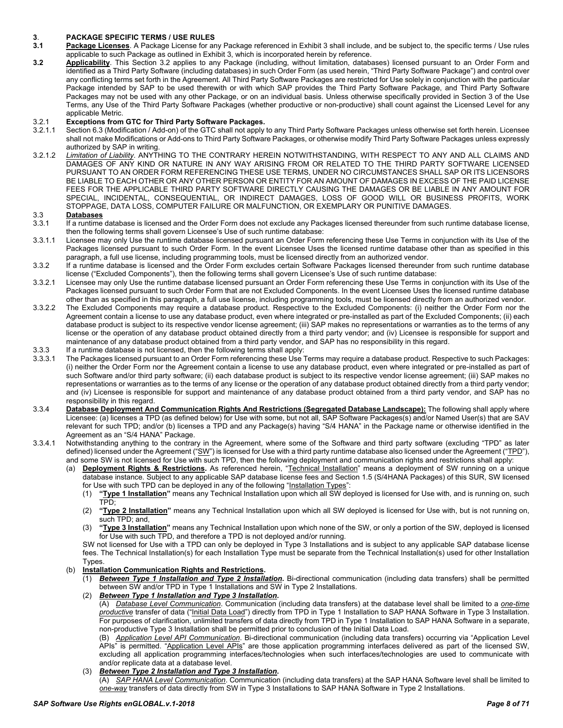# <span id="page-7-0"></span>**3**. **PACKAGE SPECIFIC TERMS / USE RULES**

- **3.1 Package Licenses**. A Package License for any Package referenced in Exhibit 3 shall include, and be subject to, the specific terms / Use rules applicable to such Package as outlined in Exhibit 3, which is incorporated herein by reference.
- **3.2 Applicability**. This Section 3.2 applies to any Package (including, without limitation, databases) licensed pursuant to an Order Form and identified as a Third Party Software (including databases) in such Order Form (as used herein, "Third Party Software Package") and control over any conflicting terms set forth in the Agreement. All Third Party Software Packages are restricted for Use solely in conjunction with the particular Package intended by SAP to be used therewith or with which SAP provides the Third Party Software Package, and Third Party Software Packages may not be used with any other Package, or on an individual basis. Unless otherwise specifically provided in Section 3 of the Use Terms, any Use of the Third Party Software Packages (whether productive or non-productive) shall count against the Licensed Level for any applicable Metric.

# 3.2.1 **Exceptions from GTC for Third Party Software Packages.**

- Section 6.3 (Modification / Add-on) of the GTC shall not apply to any Third Party Software Packages unless otherwise set forth herein. Licensee shall not make Modifications or Add-ons to Third Party Software Packages, or otherwise modify Third Party Software Packages unless expressly authorized by SAP in writing.
- 3.2.1.2 *Limitation of Liability*. ANYTHING TO THE CONTRARY HEREIN NOTWITHSTANDING, WITH RESPECT TO ANY AND ALL CLAIMS AND DAMAGES OF ANY KIND OR NATURE IN ANY WAY ARISING FROM OR RELATED TO THE THIRD PARTY SOFTWARE LICENSED PURSUANT TO AN ORDER FORM REFERENCING THESE USE TERMS, UNDER NO CIRCUMSTANCES SHALL SAP OR ITS LICENSORS BE LIABLE TO EACH OTHER OR ANY OTHER PERSON OR ENTITY FOR AN AMOUNT OF DAMAGES IN EXCESS OF THE PAID LICENSE FEES FOR THE APPLICABLE THIRD PARTY SOFTWARE DIRECTLY CAUSING THE DAMAGES OR BE LIABLE IN ANY AMOUNT FOR SPECIAL, INCIDENTAL, CONSEQUENTIAL, OR INDIRECT DAMAGES, LOSS OF GOOD WILL OR BUSINESS PROFITS, WORK STOPPAGE, DATA LOSS, COMPUTER FAILURE OR MALFUNCTION, OR EXEMPLARY OR PUNITIVE DAMAGES.

# 3.3 **Databases**

- If a runtime database is licensed and the Order Form does not exclude any Packages licensed thereunder from such runtime database license, then the following terms shall govern Licensee's Use of such runtime database:
- 3.3.1.1 Licensee may only Use the runtime database licensed pursuant an Order Form referencing these Use Terms in conjunction with its Use of the Packages licensed pursuant to such Order Form. In the event Licensee Uses the licensed runtime database other than as specified in this paragraph, a full use license, including programming tools, must be licensed directly from an authorized vendor.
- 3.3.2 If a runtime database is licensed and the Order Form excludes certain Software Packages licensed thereunder from such runtime database license ("Excluded Components"), then the following terms shall govern Licensee's Use of such runtime database:
- 3.3.2.1 Licensee may only Use the runtime database licensed pursuant an Order Form referencing these Use Terms in conjunction with its Use of the Packages licensed pursuant to such Order Form that are not Excluded Components. In the event Licensee Uses the licensed runtime database other than as specified in this paragraph, a full use license, including programming tools, must be licensed directly from an authorized vendor.
- 3.3.2.2 The Excluded Components may require a database product. Respective to the Excluded Components: (i) neither the Order Form nor the Agreement contain a license to use any database product, even where integrated or pre-installed as part of the Excluded Components; (ii) each database product is subject to its respective vendor license agreement; (iii) SAP makes no representations or warranties as to the terms of any license or the operation of any database product obtained directly from a third party vendor; and (iv) Licensee is responsible for support and maintenance of any database product obtained from a third party vendor, and SAP has no responsibility in this regard.
- 3.3.3 If a runtime database is not licensed, then the following terms shall apply:<br>3.3.3.1 The Packages licensed pursuant to an Order Form referencing these Use 1
- The Packages licensed pursuant to an Order Form referencing these Use Terms may require a database product. Respective to such Packages: (i) neither the Order Form nor the Agreement contain a license to use any database product, even where integrated or pre-installed as part of such Software and/or third party software; (ii) each database product is subject to its respective vendor license agreement; (iii) SAP makes no representations or warranties as to the terms of any license or the operation of any database product obtained directly from a third party vendor; and (iv) Licensee is responsible for support and maintenance of any database product obtained from a third party vendor, and SAP has no responsibility in this regard.
- 3.3.4 **Database Deployment And Communication Rights And Restrictions (Segregated Database Landscape):** The following shall apply where Licensee: (a) licenses a TPD (as defined below) for Use with some, but not all, SAP Software Packages(s) and/or Named User(s) that are SAV relevant for such TPD; and/or (b) licenses a TPD and any Package(s) having "S/4 HANA" in the Package name or otherwise identified in the Agreement as an "S/4 HANA" Package.
- 3.3.4.1 Notwithstanding anything to the contrary in the Agreement, where some of the Software and third party software (excluding "TPD" as later defined) licensed under the Agreement ("SW") is licensed for Use with a third party runtime database also licensed under the Agreement ("TPD"), and some SW is not licensed for Use with such TPD, then the following deployment and communication rights and restrictions shall apply:
	- (a) **Deployment Rights & Restrictions.** As referenced herein, "Technical Installation" means a deployment of SW running on a unique database instance. Subject to any applicable SAP database license fees and Section 1.5 (S/4HANA Packages) of this SUR, SW licensed for Use with such TPD can be deployed in any of the following "Installation Types":
		- (1) **"Type 1 Installation"** means any Technical Installation upon which all SW deployed is licensed for Use with, and is running on, such TPD;
		- (2) **"Type 2 Installation"** means any Technical Installation upon which all SW deployed is licensed for Use with, but is not running on, such TPD; and,
		- (3) **"Type 3 Installation"** means any Technical Installation upon which none of the SW, or only a portion of the SW, deployed is licensed for Use with such TPD, and therefore a TPD is not deployed and/or running.

SW not licensed for Use with a TPD can only be deployed in Type 3 Installations and is subject to any applicable SAP database license fees. The Technical Installation(s) for each Installation Type must be separate from the Technical Installation(s) used for other Installation Types.

- (b) **Installation Communication Rights and Restrictions.**
	- (1) *Between Type 1 Installation and Type 2 Installation***.** Bi-directional communication (including data transfers) shall be permitted between SW and/or TPD in Type 1 Installations and SW in Type 2 Installations.

(2) *Between Type 1 Installation and Type 3 Installation***.** (A) *Database Level Communication*. Communication (including data transfers) at the database level shall be limited to a *one-time productive* transfer of data ("Initial Data Load") directly from TPD in Type 1 Installation to SAP HANA Software in Type 3 Installation. For purposes of clarification, unlimited transfers of data directly from TPD in Type 1 Installation to SAP HANA Software in a separate,

non-productive Type 3 Installation shall be permitted prior to conclusion of the Initial Data Load. (B) *Application Level API Communication*. Bi-directional communication (including data transfers) occurring via "Application Level APIs" is permitted. "Application Level APIs" are those application programming interfaces delivered as part of the licensed SW, excluding all application programming interfaces/technologies when such interfaces/technologies are used to communicate with and/or replicate data at a database level.

### (3) *Between Type 2 Installation and Type 3 Installation***.**

(A) *SAP HANA Level Communication*. Communication (including data transfers) at the SAP HANA Software level shall be limited to *one-way* transfers of data directly from SW in Type 3 Installations to SAP HANA Software in Type 2 Installations.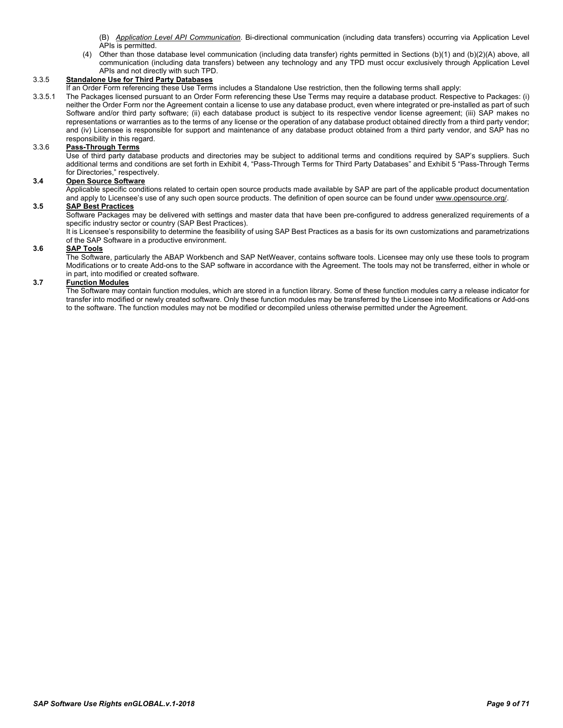(B) *Application Level API Communication*. Bi-directional communication (including data transfers) occurring via Application Level APIs is permitted.

(4) Other than those database level communication (including data transfer) rights permitted in Sections (b)(1) and (b)(2)(A) above, all communication (including data transfers) between any technology and any TPD must occur exclusively through Application Level APIs and not directly with such TPD.

## 3.3.5 **Standalone Use for Third Party Databases**

If an Order Form referencing these Use Terms includes a Standalone Use restriction, then the following terms shall apply:

3.3.5.1 The Packages licensed pursuant to an Order Form referencing these Use Terms may require a database product. Respective to Packages: (i) neither the Order Form nor the Agreement contain a license to use any database product, even where integrated or pre-installed as part of such Software and/or third party software; (ii) each database product is subject to its respective vendor license agreement; (iii) SAP makes no representations or warranties as to the terms of any license or the operation of any database product obtained directly from a third party vendor; and (iv) Licensee is responsible for support and maintenance of any database product obtained from a third party vendor, and SAP has no responsibility in this regard.

# 3.3.6 **Pass-Through Terms**

Use of third party database products and directories may be subject to additional terms and conditions required by SAP's suppliers. Such additional terms and conditions are set forth in Exhibit 4, "Pass-Through Terms for Third Party Databases" and Exhibit 5 "Pass-Through Terms for Directories," respectively.

### **3.4 Open Source Software**

Applicable specific conditions related to certain open source products made available by SAP are part of the applicable product documentation and apply to Licensee's use of any such open source products. The definition of open source can be found under [www.opensource.org/.](file://www.opensource.org)

# **3.5 SAP Best Practices**

Software Packages may be delivered with settings and master data that have been pre-configured to address generalized requirements of a specific industry sector or country (SAP Best Practices).

It is Licensee's responsibility to determine the feasibility of using SAP Best Practices as a basis for its own customizations and parametrizations of the SAP Software in a productive environment.

### **3.6 SAP Tools**

The Software, particularly the ABAP Workbench and SAP NetWeaver, contains software tools. Licensee may only use these tools to program Modifications or to create Add-ons to the SAP software in accordance with the Agreement. The tools may not be transferred, either in whole or in part, into modified or created software.

#### **3.7 Function Modules**

The Software may contain function modules, which are stored in a function library. Some of these function modules carry a release indicator for transfer into modified or newly created software. Only these function modules may be transferred by the Licensee into Modifications or Add-ons to the software. The function modules may not be modified or decompiled unless otherwise permitted under the Agreement.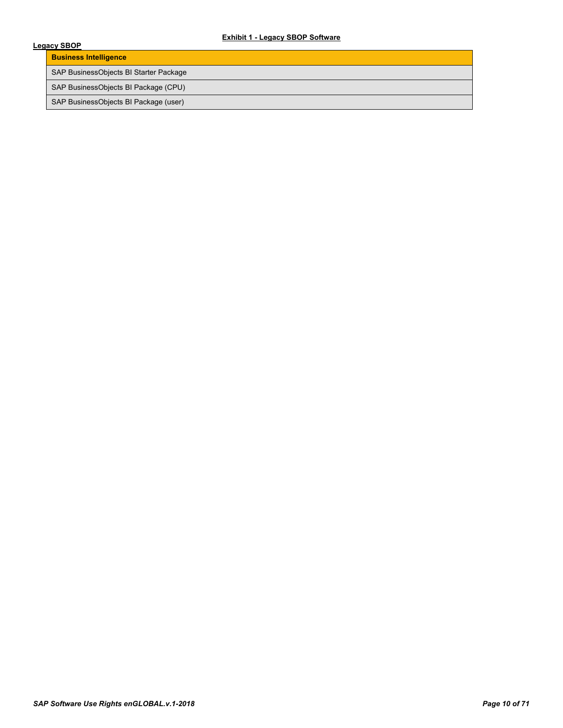# **Exhibit 1 - Legacy SBOP Software**

<span id="page-9-0"></span>

| <b>EXNIDIT 1 - LEGACY SBUP SOTTWATE</b><br>Legacy SBOP |  |  |
|--------------------------------------------------------|--|--|
| <b>Business Intelligence</b>                           |  |  |
| SAP BusinessObjects BI Starter Package                 |  |  |
| SAP BusinessObjects BI Package (CPU)                   |  |  |
| SAP BusinessObjects BI Package (user)                  |  |  |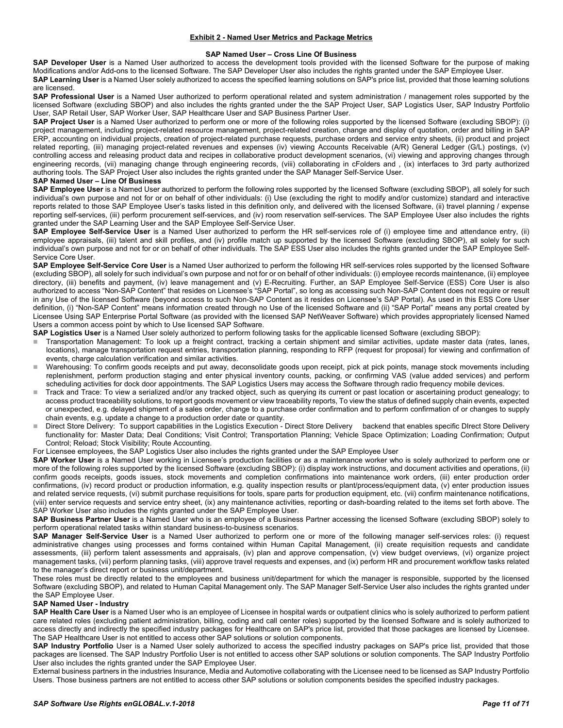#### **Exhibit 2 - Named User Metrics and Package Metrics**

#### **SAP Named User – Cross Line Of Business**

<span id="page-10-0"></span>**SAP Developer User** is a Named User authorized to access the development tools provided with the licensed Software for the purpose of making Modifications and/or Add-ons to the licensed Software. The SAP Developer User also includes the rights granted under the SAP Employee User. **SAP Learning User** is a Named User solely authorized to access the specified learning solutions on SAP's price list, provided that those learning solutions are licensed.

**SAP Professional User** is a Named User authorized to perform operational related and system administration / management roles supported by the licensed Software (excluding SBOP) and also includes the rights granted under the the SAP Project User, SAP Logistics User, SAP Industry Portfolio User, SAP Retail User, SAP Worker User, SAP Healthcare User and SAP Business Partner User.

**SAP Project User** is a Named User authorized to perform one or more of the following roles supported by the licensed Software (excluding SBOP): (i) project management, including project-related resource management, project-related creation, change and display of quotation, order and billing in SAP ERP, accounting on individual projects, creation of project-related purchase requests, purchase orders and service entry sheets, (ii) product and project related reporting, (iii) managing project-related revenues and expenses (iv) viewing Accounts Receivable (A/R) General Ledger (G/L) postings, (v) controlling access and releasing product data and recipes in collaborative product development scenarios, (vi) viewing and approving changes through engineering records, (vii) managing change through engineering records, (viii) collaborating in cFolders and , (ix) interfaces to 3rd party authorized authoring tools. The SAP Project User also includes the rights granted under the SAP Manager Self-Service User.

#### **SAP Named User – Line Of Business**

**SAP Employee User** is a Named User authorized to perform the following roles supported by the licensed Software (excluding SBOP), all solely for such individual's own purpose and not for or on behalf of other individuals: (i) Use (excluding the right to modify and/or customize) standard and interactive reports related to those SAP Employee User's tasks listed in this definition only, and delivered with the licensed Software, (ii) travel planning / expense reporting self-services, (iii) perform procurement self-services, and (iv) room reservation self-services. The SAP Employee User also includes the rights granted under the SAP Learning User and the SAP Employee Self-Service User.

**SAP Employee Self-Service User** is a Named User authorized to perform the HR self-services role of (i) employee time and attendance entry, (ii) employee appraisals, (iii) talent and skill profiles, and (iv) profile match up supported by the licensed Software (excluding SBOP), all solely for such individual's own purpose and not for or on behalf of other individuals. The SAP ESS User also includes the rights granted under the SAP Employee Self-Service Core User.

**SAP Employee Self-Service Core User** is a Named User authorized to perform the following HR self-services roles supported by the licensed Software (excluding SBOP), all solely for such individual's own purpose and not for or on behalf of other individuals: (i) employee records maintenance, (ii) employee directory, (iii) benefits and payment, (iv) leave management and (v) E-Recruiting. Further, an SAP Employee Self-Service (ESS) Core User is also authorized to access "Non-SAP Content" that resides on Licensee's "SAP Portal", so long as accessing such Non-SAP Content does not require or result in any Use of the licensed Software (beyond access to such Non-SAP Content as it resides on Licensee's SAP Portal). As used in this ESS Core User definition, (i) "Non-SAP Content" means information created through no Use of the licensed Software and (ii) "SAP Portal" means any portal created by Licensee Using SAP Enterprise Portal Software (as provided with the licensed SAP NetWeaver Software) which provides appropriately licensed Named Users a common access point by which to Use licensed SAP Software.

**SAP Logistics User** is a Named User solely authorized to perform following tasks for the applicable licensed Software (excluding SBOP):

- Transportation Management: To look up a freight contract, tracking a certain shipment and similar activities, update master data (rates, lanes, locations), manage transportation request entries, transportation planning, responding to RFP (request for proposal) for viewing and confirmation of events, charge calculation verification and similar activities.
- Warehousing: To confirm goods receipts and put away, deconsolidate goods upon receipt, pick at pick points, manage stock movements including replenishment, perform production staging and enter physical inventory counts, packing, or confirming VAS (value added services) and perform scheduling activities for dock door appointments. The SAP Logistics Users may access the Software through radio frequency mobile devices.
- Track and Trace: To view a serialized and/or any tracked object, such as querying its current or past location or ascertaining product genealogy; to access product traceability solutions, to report goods movement or view traceability reports, To view the status of defined supply chain events, expected or unexpected, e.g. delayed shipment of a sales order, change to a purchase order confirmation and to perform confirmation of or changes to supply chain events, e.g. update a change to a production order date or quantity.
- Direct Store Delivery: To support capabilities in the Logistics Execution Direct Store Delivery backend that enables specific DIrect Store Delivery functionality for: Master Data; Deal Conditions; Visit Control; Transportation Planning; Vehicle Space Optimization; Loading Confirmation; Output Control; Reload; Stock Visibility; Route Accounting.

For Licensee employees, the SAP Logistics User also includes the rights granted under the SAP Employee User

**SAP Worker User** is a Named User working in Licensee's production facilities or as a maintenance worker who is solely authorized to perform one or more of the following roles supported by the licensed Software (excluding SBOP): (i) display work instructions, and document activities and operations, (ii) confirm goods receipts, goods issues, stock movements and completion confirmations into maintenance work orders, (iii) enter production order confirmations, (iv) record product or production information, e.g. quality inspection results or plant/process/equipment data, (v) enter production issues and related service requests, (vi) submit purchase requisitions for tools, spare parts for production equipment, etc. (vii) confirm maintenance notifications, (viii) enter service requests and service entry sheet, (ix) any maintenance activities, reporting or dash-boarding related to the items set forth above. The SAP Worker User also includes the rights granted under the SAP Employee User.

**SAP Business Partner User** is a Named User who is an employee of a Business Partner accessing the licensed Software (excluding SBOP) solely to perform operational related tasks within standard business-to-business scenarios.

**SAP Manager Self-Service User** is a Named User authorized to perform one or more of the following manager self-services roles: (i) request administrative changes using processes and forms contained within Human Capital Management, (ii) create requisition requests and candidate assessments, (iii) perform talent assessments and appraisals, (iv) plan and approve compensation, (v) view budget overviews, (vi) organize project management tasks, (vii) perform planning tasks, (viii) approve travel requests and expenses, and (ix) perform HR and procurement workflow tasks related to the manager's direct report or business unit/department.

These roles must be directly related to the employees and business unit/department for which the manager is responsible, supported by the licensed Software (excluding SBOP), and related to Human Capital Management only. The SAP Manager Self-Service User also includes the rights granted under the SAP Employee User.

### **SAP Named User - Industry**

**SAP Health Care User** is a Named User who is an employee of Licensee in hospital wards or outpatient clinics who is solely authorized to perform patient care related roles (excluding patient administration, billing, coding and call center roles) supported by the licensed Software and is solely authorized to access directly and indirectly the specified industry packages for Healthcare on SAP's price list, provided that those packages are licensed by Licensee. The SAP Healthcare User is not entitled to access other SAP solutions or solution components.

SAP Industry Portfolio User is a Named User solely authorized to access the specified industry packages on SAP's price list, provided that those packages are licensed. The SAP Industry Portfolio User is not entitled to access other SAP solutions or solution components. The SAP Industry Portfolio User also includes the rights granted under the SAP Employee User.

External business partners in the industries Insurance, Media and Automotive collaborating with the Licensee need to be licensed as SAP Industry Portfolio Users. Those business partners are not entitled to access other SAP solutions or solution components besides the specified industry packages.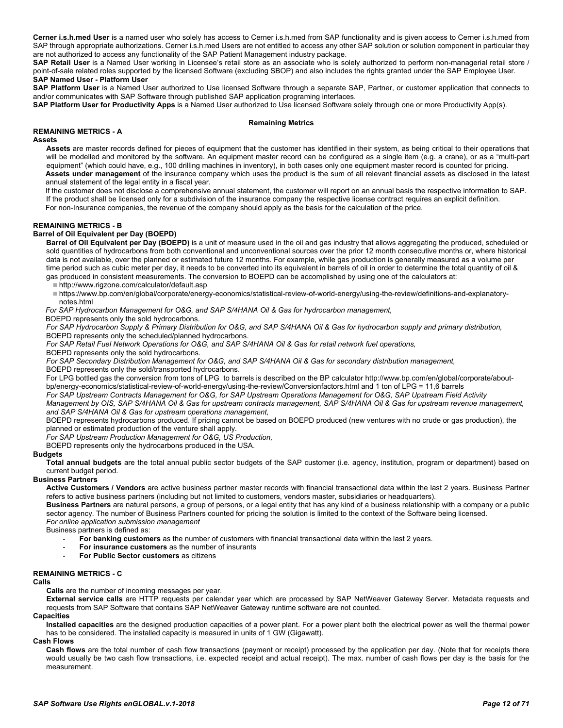**Cerner i.s.h.med User** is a named user who solely has access to Cerner i.s.h.med from SAP functionality and is given access to Cerner i.s.h.med from SAP through appropriate authorizations. Cerner i.s.h.med Users are not entitled to access any other SAP solution or solution component in particular they are not authorized to access any functionality of the SAP Patient Management industry package.

**SAP Retail User** is a Named User working in Licensee's retail store as an associate who is solely authorized to perform non-managerial retail store / point-of-sale related roles supported by the licensed Software (excluding SBOP) and also includes the rights granted under the SAP Employee User. **SAP Named User - Platform User**

**SAP Platform User** is a Named User authorized to Use licensed Software through a separate SAP, Partner, or customer application that connects to and/or communicates with SAP Software through published SAP application programing interfaces.

**SAP Platform User for Productivity Apps** is a Named User authorized to Use licensed Software solely through one or more Productivity App(s).

#### **Remaining Metrics**

### <span id="page-11-0"></span>**REMAINING METRICS - A**

#### **Assets**

**Assets** are master records defined for pieces of equipment that the customer has identified in their system, as being critical to their operations that will be modelled and monitored by the software. An equipment master record can be configured as a single item (e.g. a crane), or as a "multi-part equipment" (which could have, e.g., 100 drilling machines in inventory), in both cases only one equipment master record is counted for pricing. **Assets under management** of the insurance company which uses the product is the sum of all relevant financial assets as disclosed in the latest annual statement of the legal entity in a fiscal year.

If the customer does not disclose a comprehensive annual statement, the customer will report on an annual basis the respective information to SAP. If the product shall be licensed only for a subdivision of the insurance company the respective license contract requires an explicit definition. For non-Insurance companies, the revenue of the company should apply as the basis for the calculation of the price.

#### <span id="page-11-1"></span>**REMAINING METRICS - B**

#### **Barrel of Oil Equivalent per Day (BOEPD)**

**Barrel of Oil Equivalent per Day (BOEPD)** is a unit of measure used in the oil and gas industry that allows aggregating the produced, scheduled or sold quantities of hydrocarbons from both conventional and unconventional sources over the prior 12 month consecutive months or, where historical data is not available, over the planned or estimated future 12 months. For example, while gas production is generally measured as a volume per time period such as cubic meter per day, it needs to be converted into its equivalent in barrels of oil in order to determine the total quantity of oil & gas produced in consistent measurements. The conversion to BOEPD can be accomplished by using one of the calculators at:

<http://www.rigzone.com/calculator/default.asp>

 [https://www.bp.com/en/global/corporate/energy-economics/statistical-review-of-world-energy/using-the-review/definitions-and-explanatory](https://www.bp.com/en/global/corporate/energy-economics/statistical-review-of-world-energy/using-the-review/definitions-and-explanatory-notes.html)[notes.html](https://www.bp.com/en/global/corporate/energy-economics/statistical-review-of-world-energy/using-the-review/definitions-and-explanatory-notes.html)

*For SAP Hydrocarbon Management for O&G, and SAP S/4HANA Oil & Gas for hydrocarbon management,*

BOEPD represents only the sold hydrocarbons.

*For SAP Hydrocarbon Supply & Primary Distribution for O&G, and SAP S/4HANA Oil & Gas for hydrocarbon supply and primary distribution,*

BOEPD represents only the scheduled/planned hydrocarbons.

*For SAP Retail Fuel Network Operations for O&G, and SAP S/4HANA Oil & Gas for retail network fuel operations,*

BOEPD represents only the sold hydrocarbons.

*For SAP Secondary Distribution Management for O&G, and SAP S/4HANA Oil & Gas for secondary distribution management,* BOEPD represents only the sold/transported hydrocarbons.

For LPG bottled gas the conversion from tons of LPG to barrels is described on the BP calculato[r http://www.bp.com/en/global/corporate/about](http://www.bp.com/en/global/corporate/about-bp/energy-economics/statistical-review-of-world-energy/using-the-review/Conversionfactors.html)[bp/energy-economics/statistical-review-of-world-energy/using-the-review/Conversionfactors.html](http://www.bp.com/en/global/corporate/about-bp/energy-economics/statistical-review-of-world-energy/using-the-review/Conversionfactors.html) and 1 ton of LPG = 11,6 barrels

*For SAP Upstream Contracts Management for O&G, for SAP Upstream Operations Management for O&G, SAP Upstream Field Activity* 

*Management by OIS, SAP S/4HANA Oil & Gas for upstream contracts management, SAP S/4HANA Oil & Gas for upstream revenue management, and SAP S/4HANA Oil & Gas for upstream operations management,*

BOEPD represents hydrocarbons produced. If pricing cannot be based on BOEPD produced (new ventures with no crude or gas production), the planned or estimated production of the venture shall apply.

*For SAP Upstream Production Management for O&G, US Production,* 

BOEPD represents only the hydrocarbons produced in the USA.

#### **Budgets**

**Total annual budgets** are the total annual public sector budgets of the SAP customer (i.e. agency, institution, program or department) based on current budget period.

#### **Business Partners**

**Active Customers / Vendors** are active business partner master records with financial transactional data within the last 2 years. Business Partner refers to active business partners (including but not limited to customers, vendors master, subsidiaries or headquarters).

**Business Partners** are natural persons, a group of persons, or a legal entity that has any kind of a business relationship with a company or a public sector agency. The number of Business Partners counted for pricing the solution is limited to the context of the Software being licensed. *For online application submission management*

Business partners is defined as:

- **For banking customers** as the number of customers with financial transactional data within the last 2 years.
- For insurance customers as the number of insurants
- **For Public Sector customers** as citizens

### <span id="page-11-2"></span>**REMAINING METRICS - C**

#### **Calls**

**Calls** are the number of incoming messages per year.

**External service calls** are HTTP requests per calendar year which are processed by SAP NetWeaver Gateway Server. Metadata requests and requests from SAP Software that contains SAP NetWeaver Gateway runtime software are not counted.

#### **Capacities**

**Installed capacities** are the designed production capacities of a power plant. For a power plant both the electrical power as well the thermal power has to be considered. The installed capacity is measured in units of 1 GW (Gigawatt).

#### **Cash Flows**

**Cash flows** are the total number of cash flow transactions (payment or receipt) processed by the application per day. (Note that for receipts there would usually be two cash flow transactions, i.e. expected receipt and actual receipt). The max. number of cash flows per day is the basis for the measurement.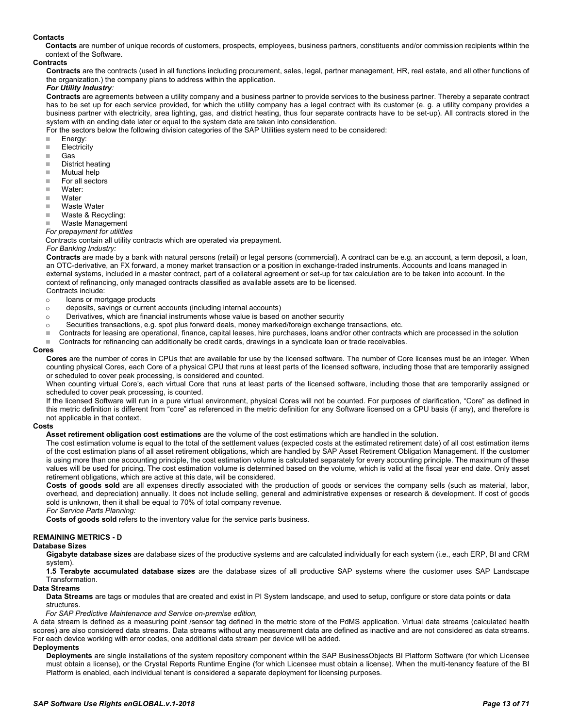#### **Contacts**

**Contacts** are number of unique records of customers, prospects, employees, business partners, constituents and/or commission recipients within the context of the Software.

#### **Contracts**

**Contracts** are the contracts (used in all functions including procurement, sales, legal, partner management, HR, real estate, and all other functions of the organization.) the company plans to address within the application.

#### *For Utility Industry:*

**Contracts** are agreements between a utility company and a business partner to provide services to the business partner. Thereby a separate contract has to be set up for each service provided, for which the utility company has a legal contract with its customer (e. g. a utility company provides a business partner with electricity, area lighting, gas, and district heating, thus four separate contracts have to be set-up). All contracts stored in the system with an ending date later or equal to the system date are taken into consideration.

For the sectors below the following division categories of the SAP Utilities system need to be considered:

- **Energy:**
- **Electricity**
- Gas
- District heating
- Mutual help
- For all sectors
- Water:
- Water<br>■ Waste
- Waste Water
- Waste & Recycling:
- Waste Management

*For prepayment for utilities*

Contracts contain all utility contracts which are operated via prepayment.

#### *For Banking Industry:*

**Contracts** are made by a bank with natural persons (retail) or legal persons (commercial). A contract can be e.g. an account, a term deposit, a loan, an OTC-derivative, an FX forward, a money market transaction or a position in exchange-traded instruments. Accounts and loans managed in external systems, included in a master contract, part of a collateral agreement or set-up for tax calculation are to be taken into account. In the context of refinancing, only managed contracts classified as available assets are to be licensed. Contracts include:

- 
- o loans or mortgage products<br>
o deposits, savings or current deposits, savings or current accounts (including internal accounts)
- $\circ$  Derivatives, which are financial instruments whose value is based on another security
- 
- Securities transactions, e.g. spot plus forward deals, money marked/foreign exchange transactions, etc.<br>■ Contracts for leasing are operational, finance, capital leases, bire purchases, loans and/or other contracts Contracts for leasing are operational, finance, capital leases, hire purchases, loans and/or other contracts which are processed in the solution
- Contracts for refinancing can additionally be credit cards, drawings in a syndicate loan or trade receivables.

#### **Cores**

**Cores** are the number of cores in CPUs that are available for use by the licensed software. The number of Core licenses must be an integer. When counting physical Cores, each Core of a physical CPU that runs at least parts of the licensed software, including those that are temporarily assigned or scheduled to cover peak processing, is considered and counted.

When counting virtual Core's, each virtual Core that runs at least parts of the licensed software, including those that are temporarily assigned or scheduled to cover peak processing, is counted.

If the licensed Software will run in a pure virtual environment, physical Cores will not be counted. For purposes of clarification, "Core" as defined in this metric definition is different from "core" as referenced in the metric definition for any Software licensed on a CPU basis (if any), and therefore is not applicable in that context.

#### **Costs**

**Asset retirement obligation cost estimations** are the volume of the cost estimations which are handled in the solution.

The cost estimation volume is equal to the total of the settlement values (expected costs at the estimated retirement date) of all cost estimation items of the cost estimation plans of all asset retirement obligations, which are handled by SAP Asset Retirement Obligation Management. If the customer is using more than one accounting principle, the cost estimation volume is calculated separately for every accounting principle. The maximum of these values will be used for pricing. The cost estimation volume is determined based on the volume, which is valid at the fiscal year end date. Only asset retirement obligations, which are active at this date, will be considered.

**Costs of goods sold** are all expenses directly associated with the production of goods or services the company sells (such as material, labor, overhead, and depreciation) annually. It does not include selling, general and administrative expenses or research & development. If cost of goods sold is unknown, then it shall be equal to 70% of total company revenue.

*For Service Parts Planning:*

**Costs of goods sold** refers to the inventory value for the service parts business.

# <span id="page-12-0"></span>**REMAINING METRICS - D**

#### **Database Sizes**

**Gigabyte database sizes** are database sizes of the productive systems and are calculated individually for each system (i.e., each ERP, BI and CRM system).

**1.5 Terabyte accumulated database sizes** are the database sizes of all productive SAP systems where the customer uses SAP Landscape

#### Transformation.

#### **Data Streams**

**Data Streams** are tags or modules that are created and exist in PI System landscape, and used to setup, configure or store data points or data structures.

*For SAP Predictive Maintenance and Service on-premise edition,*

A data stream is defined as a measuring point /sensor tag defined in the metric store of the PdMS application. Virtual data streams (calculated health scores) are also considered data streams. Data streams without any measurement data are defined as inactive and are not considered as data streams. For each device working with error codes, one additional data stream per device will be added.

#### **Deployments**

**Deployments** are single installations of the system repository component within the SAP BusinessObjects BI Platform Software (for which Licensee must obtain a license), or the Crystal Reports Runtime Engine (for which Licensee must obtain a license). When the multi-tenancy feature of the BI Platform is enabled, each individual tenant is considered a separate deployment for licensing purposes.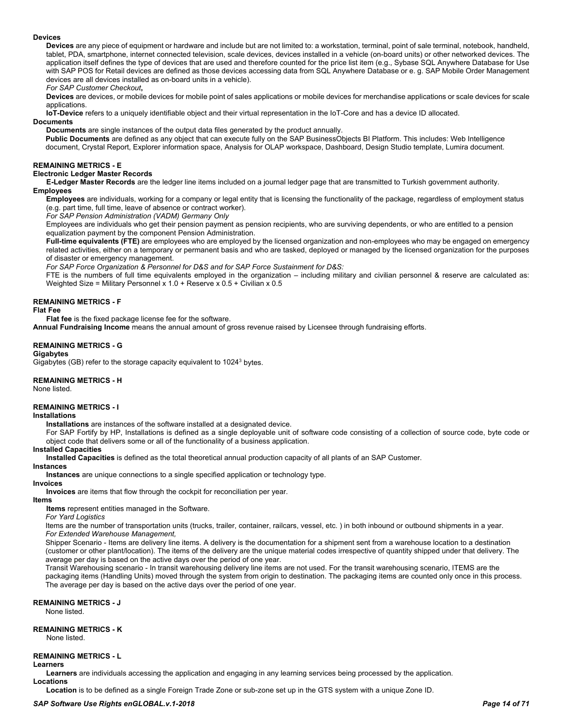#### **Devices**

**Devices** are any piece of equipment or hardware and include but are not limited to: a workstation, terminal, point of sale terminal, notebook, handheld, tablet, PDA, smartphone, internet connected television, scale devices, devices installed in a vehicle (on-board units) or other networked devices. The application itself defines the type of devices that are used and therefore counted for the price list item (e.g., Sybase SQL Anywhere Database for Use with SAP POS for Retail devices are defined as those devices accessing data from SQL Anywhere Database or e. g. SAP Mobile Order Management devices are all devices installed as on-board units in a vehicle).

*For SAP Customer Checkout***,**

**Devices** are devices, or mobile devices for mobile point of sales applications or mobile devices for merchandise applications or scale devices for scale applications.

**IoT-Device** refers to a uniquely identifiable object and their virtual representation in the IoT-Core and has a device ID allocated.

### **Documents**

**Documents** are single instances of the output data files generated by the product annually.

**Public Documents** are defined as any object that can execute fully on the SAP BusinessObjects BI Platform. This includes: Web Intelligence document, Crystal Report, Explorer information space, Analysis for OLAP workspace, Dashboard, Design Studio template, Lumira document.

#### <span id="page-13-0"></span>**REMAINING METRICS - E**

#### **Electronic Ledger Master Records**

**E-Ledger Master Records** are the ledger line items included on a journal ledger page that are transmitted to Turkish government authority. **Employees**

**Employees** are individuals, working for a company or legal entity that is licensing the functionality of the package, regardless of employment status (e.g. part time, full time, leave of absence or contract worker).

*For SAP Pension Administration (VADM) Germany Only*

Employees are individuals who get their pension payment as pension recipients, who are surviving dependents, or who are entitled to a pension equalization payment by the component Pension Administration.

**Full-time equivalents (FTE)** are employees who are employed by the licensed organization and non-employees who may be engaged on emergency related activities, either on a temporary or permanent basis and who are tasked, deployed or managed by the licensed organization for the purposes of disaster or emergency management.

*For SAP Force Organization & Personnel for D&S and for SAP Force Sustainment for D&S:*

FTE is the numbers of full time equivalents employed in the organization – including military and civilian personnel & reserve are calculated as: Weighted Size = Military Personnel x 1.0 + Reserve x 0.5 + Civilian x 0.5

#### <span id="page-13-1"></span>**REMAINING METRICS - F**

#### **Flat Fee**

**Flat fee** is the fixed package license fee for the software.

**Annual Fundraising Income** means the annual amount of gross revenue raised by Licensee through fundraising efforts.

#### <span id="page-13-2"></span>**REMAINING METRICS - G**

#### **Gigabytes**

Gigabytes (GB) refer to the storage capacity equivalent to 10243 bytes.

#### <span id="page-13-3"></span>**REMAINING METRICS - H**

None listed.

#### <span id="page-13-4"></span>**REMAINING METRICS - I**

#### **Installations**

**Installations** are instances of the software installed at a designated device.

For SAP Fortify by HP, Installations is defined as a single deployable unit of software code consisting of a collection of source code, byte code or object code that delivers some or all of the functionality of a business application.

#### **Installed Capacities**

**Installed Capacities** is defined as the total theoretical annual production capacity of all plants of an SAP Customer.

#### **Instances**

**Instances** are unique connections to a single specified application or technology type.

#### **Invoices**

**Invoices** are items that flow through the cockpit for reconciliation per year.

#### **Items**

**Items** represent entities managed in the Software.

*For Yard Logistics*

Items are the number of transportation units (trucks, trailer, container, railcars, vessel, etc. ) in both inbound or outbound shipments in a year. *For Extended Warehouse Management,*

Shipper Scenario - Items are delivery line items. A delivery is the documentation for a shipment sent from a warehouse location to a destination (customer or other plant/location). The items of the delivery are the unique material codes irrespective of quantity shipped under that delivery. The average per day is based on the active days over the period of one year.

Transit Warehousing scenario - In transit warehousing delivery line items are not used. For the transit warehousing scenario, ITEMS are the packaging items (Handling Units) moved through the system from origin to destination. The packaging items are counted only once in this process. The average per day is based on the active days over the period of one year.

# <span id="page-13-5"></span>**REMAINING METRICS - J**

None listed.

# <span id="page-13-6"></span>**REMAINING METRICS - K**

None listed.

# <span id="page-13-7"></span>**REMAINING METRICS - L**

**Learners**

**Learners** are individuals accessing the application and engaging in any learning services being processed by the application. **Locations**

**Location** is to be defined as a single Foreign Trade Zone or sub-zone set up in the GTS system with a unique Zone ID.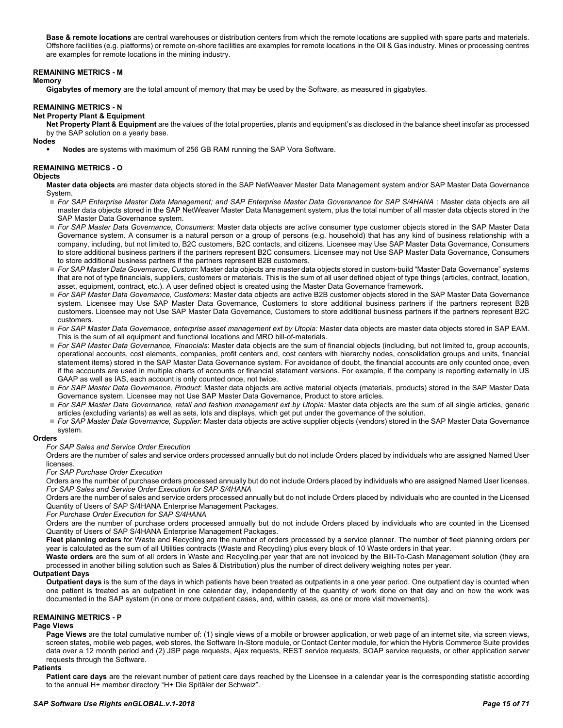**Base & remote locations** are central warehouses or distribution centers from which the remote locations are supplied with spare parts and materials. Offshore facilities (e.g. platforms) or remote on-shore facilities are examples for remote locations in the Oil & Gas industry. Mines or processing centres are examples for remote locations in the mining industry.

#### <span id="page-14-0"></span>**REMAINING METRICS - M**

#### **Memory**

**Gigabytes of memory** are the total amount of memory that may be used by the Software, as measured in gigabytes.

#### <span id="page-14-1"></span>**REMAINING METRICS - N**

#### **Net Property Plant & Equipment**

**Net Property Plant & Equipment** are the values of the total properties, plants and equipment's as disclosed in the balance sheet insofar as processed by the SAP solution on a yearly base.

#### **Nodes**

**Nodes** are systems with maximum of 256 GB RAM running the SAP Vora Software.

#### <span id="page-14-2"></span>**REMAINING METRICS - O**

#### **Objects**

**Master data objects** are master data objects stored in the SAP NetWeaver Master Data Management system and/or SAP Master Data Governance System.

- *For SAP Enterprise Master Data Management; and SAP Enterprise Master Data Goveranance for SAP S/4HANA* : Master data objects are all master data objects stored in the SAP NetWeaver Master Data Management system, plus the total number of all master data objects stored in the SAP Master Data Governance system.
- *For SAP Master Data Governance, Consumers*: Master data objects are active consumer type customer objects stored in the SAP Master Data Governance system. A consumer is a natural person or a group of persons (e.g. household) that has any kind of business relationship with a company, including, but not limited to, B2C customers, B2C contacts, and citizens. Licensee may Use SAP Master Data Governance, Consumers to store additional business partners if the partners represent B2C consumers. Licensee may not Use SAP Master Data Governance, Consumers to store additional business partners if the partners represent B2B customers.
- *For SAP Master Data Governance, Custom*: Master data objects are master data objects stored in custom-build "Master Data Governance" systems that are not of type financials, suppliers, customers or materials. This is the sum of all user defined object of type things (articles, contract, location, asset, equipment, contract, etc.). A user defined object is created using the Master Data Governance framework.
- *For SAP Master Data Governance, Customers*: Master data objects are active B2B customer objects stored in the SAP Master Data Governance system. Licensee may Use SAP Master Data Governance, Customers to store additional business partners if the partners represent B2B customers. Licensee may not Use SAP Master Data Governance, Customers to store additional business partners if the partners represent B2C customers.
- *For SAP Master Data Governance, enterprise asset management ext by Utopia:* Master data objects are master data objects stored in SAP EAM. This is the sum of all equipment and functional locations and MRO bill-of-materials.
- *For SAP Master Data Governance, Financials*: Master data objects are the sum of financial objects (including, but not limited to, group accounts, operational accounts, cost elements, companies, profit centers and, cost centers with hierarchy nodes, consolidation groups and units, financial statement items) stored in the SAP Master Data Governance system. For avoidance of doubt, the financial accounts are only counted once, even if the accounts are used in multiple charts of accounts or financial statement versions. For example, if the company is reporting externally in US GAAP as well as IAS, each account is only counted once, not twice.
- *For SAP Master Data Governance, Product*: Master data objects are active material objects (materials, products) stored in the SAP Master Data Governance system. Licensee may not Use SAP Master Data Governance, Product to store articles.
- *For SAP Master Data Governance, retail and fashion management ext by Utopia:* Master data objects are the sum of all single articles, generic articles (excluding variants) as well as sets, lots and displays, which get put under the governance of the solution.
- *For SAP Master Data Governance, Supplier*: Master data objects are active supplier objects (vendors) stored in the SAP Master Data Governance system.

#### **Orders**

*For SAP Sales and Service Order Execution*

Orders are the number of sales and service orders processed annually but do not include Orders placed by individuals who are assigned Named User licenses.

*For SAP Purchase Order Execution*

Orders are the number of purchase orders processed annually but do not include Orders placed by individuals who are assigned Named User licenses. *For SAP Sales and Service Order Execution for SAP S/4HANA*

Orders are the number of sales and service orders processed annually but do not include Orders placed by individuals who are counted in the Licensed Quantity of Users of SAP S/4HANA Enterprise Management Packages.

*For Purchase Order Execution for SAP S/4HANA*

Orders are the number of purchase orders processed annually but do not include Orders placed by individuals who are counted in the Licensed Quantity of Users of SAP S/4HANA Enterprise Management Packages.

**Fleet planning orders** for Waste and Recycling are the number of orders processed by a service planner. The number of fleet planning orders per year is calculated as the sum of all Utilities contracts (Waste and Recycling) plus every block of 10 Waste orders in that year.

**Waste orders** are the sum of all orders in Waste and Recycling.per year that are not invoiced by the Bill-To-Cash Management solution (they are processed in another billing solution such as Sales & Distribution) plus the number of direct delivery weighing notes per year.

#### **Outpatient Days**

**Outpatient days** is the sum of the days in which patients have been treated as outpatients in a one year period. One outpatient day is counted when one patient is treated as an outpatient in one calendar day, independently of the quantity of work done on that day and on how the work was documented in the SAP system (in one or more outpatient cases, and, within cases, as one or more visit movements).

#### <span id="page-14-3"></span>**REMAINING METRICS - P**

### **Page Views**

**Page Views** are the total cumulative number of: (1) single views of a mobile or browser application, or web page of an internet site, via screen views, screen states, mobile web pages, web stores, the Software In-Store module, or Contact Center module, for which the Hybris Commerce Suite provides data over a 12 month period and (2) JSP page requests, Ajax requests, REST service requests, SOAP service requests, or other application server requests through the Software.

#### **Patients**

Patient care days are the relevant number of patient care days reached by the Licensee in a calendar year is the corresponding statistic according to the annual H+ member directory "H+ Die Spitäler der Schweiz".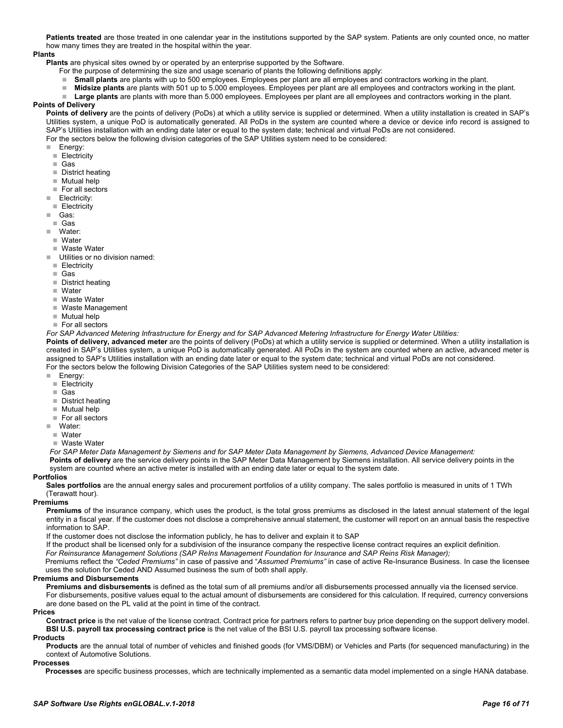**Patients treated** are those treated in one calendar year in the institutions supported by the SAP system. Patients are only counted once, no matter how many times they are treated in the hospital within the year.

#### **Plants**

**Plants** are physical sites owned by or operated by an enterprise supported by the Software.

- For the purpose of determining the size and usage scenario of plants the following definitions apply:
- **Small plants** are plants with up to 500 employees. Employees per plant are all employees and contractors working in the plant.
- **Midsize plants** are plants with 501 up to 5.000 employees. Employees per plant are all employees and contractors working in the plant.
- **Large plants** are plants with more than 5.000 employees. Employees per plant are all employees and contractors working in the plant.

# **Points of Delivery**

**Points of delivery** are the points of delivery (PoDs) at which a utility service is supplied or determined. When a utility installation is created in SAP's Utilities system, a unique PoD is automatically generated. All PoDs in the system are counted where a device or device info record is assigned to SAP's Utilities installation with an ending date later or equal to the system date; technical and virtual PoDs are not considered. For the sectors below the following division categories of the SAP Utilities system need to be considered:

- **Energy:**
- $\blacksquare$  Electricity
- Gas
- District heating
- Mutual help
- For all sectors
- **Electricity:**
- Electricity
- Gas:
- Gas
- Water:
- Water
- Waste Water
- **Utilities or no division named:**
- $\blacksquare$  Electricity
- Gas
- District heating
- Water
- Waste Water
- Waste Management
- Mutual help
- $\blacksquare$  For all sectors

# *For SAP Advanced Metering Infrastructure for Energy and for SAP Advanced Metering Infrastructure for Energy Water Utilities:*

**Points of delivery, advanced meter** are the points of delivery (PoDs) at which a utility service is supplied or determined. When a utility installation is created in SAP's Utilities system, a unique PoD is automatically generated. All PoDs in the system are counted where an active, advanced meter is assigned to SAP's Utilities installation with an ending date later or equal to the system date; technical and virtual PoDs are not considered. For the sectors below the following Division Categories of the SAP Utilities system need to be considered:

- Energy:
- **Electricity**
- Gas
- District heating
- Mutual help
- For all sectors
- Water:
- Water
- Waste Water

*For SAP Meter Data Management by Siemens and for SAP Meter Data Management by Siemens, Advanced Device Management:*

**Points of delivery** are the service delivery points in the SAP Meter Data Management by Siemens installation. All service delivery points in the system are counted where an active meter is installed with an ending date later or equal to the system date.

#### **Portfolios**

**Sales portfolios** are the annual energy sales and procurement portfolios of a utility company. The sales portfolio is measured in units of 1 TWh (Terawatt hour).

#### **Premiums**

**Premiums** of the insurance company, which uses the product, is the total gross premiums as disclosed in the latest annual statement of the legal entity in a fiscal year. If the customer does not disclose a comprehensive annual statement, the customer will report on an annual basis the respective information to SAP.

If the customer does not disclose the information publicly, he has to deliver and explain it to SAP

If the product shall be licensed only for a subdivision of the insurance company the respective license contract requires an explicit definition.

*For Reinsurance Management Solutions (SAP ReIns Management Foundation for Insurance and SAP Reins Risk Manager);*

Premiums reflect the *"Ceded Premiums"* in case of passive and "*Assumed Premiums"* in case of active Re-Insurance Business. In case the licensee uses the solution for Ceded AND Assumed business the sum of both shall apply.

#### **Premiums and Disbursements**

**Premiums and disbursements** is defined as the total sum of all premiums and/or all disbursements processed annually via the licensed service. For disbursements, positive values equal to the actual amount of disbursements are considered for this calculation. If required, currency conversions are done based on the PL valid at the point in time of the contract.

#### **Prices**

**Contract price** is the net value of the license contract. Contract price for partners refers to partner buy price depending on the support delivery model. **BSI U.S. payroll tax processing contract price** is the net value of the BSI U.S. payroll tax processing software license.

#### **Products**

**Products** are the annual total of number of vehicles and finished goods (for VMS/DBM) or Vehicles and Parts (for sequenced manufacturing) in the context of Automotive Solutions.

# **Processes**

**Processes** are specific business processes, which are technically implemented as a semantic data model implemented on a single HANA database.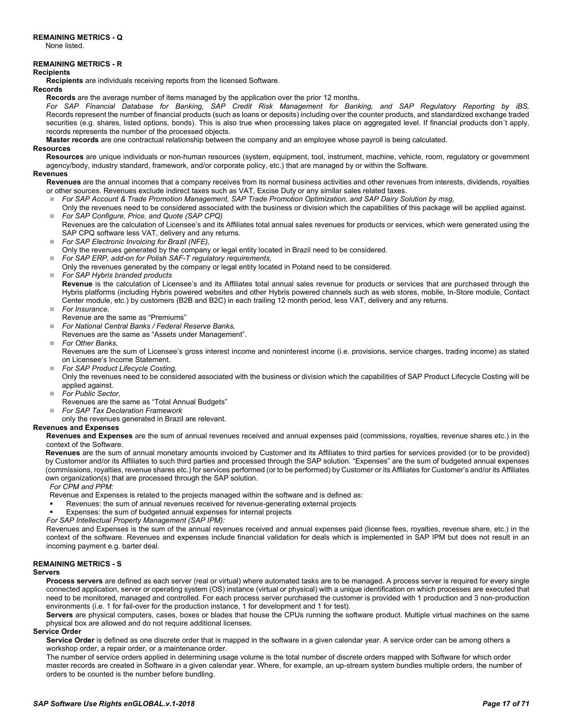<span id="page-16-0"></span>None listed.

#### <span id="page-16-1"></span>**REMAINING METRICS - R**

#### **Recipients**

**Recipients** are individuals receiving reports from the licensed Software.

#### **Records**

**Records** are the average number of items managed by the application over the prior 12 months.

*For SAP Financial Database for Banking, SAP Credit Risk Management for Banking, and SAP Regulatory Reporting by iBS,* Records represent the number of financial products (such as loans or deposits) including over the counter products, and standardized exchange traded securities (e.g. shares, listed options, bonds). This is also true when processing takes place on aggregated level. If financial products don't apply, records represents the number of the processed objects.

**Master records** are one contractual relationship between the company and an employee whose payroll is being calculated.

#### **Resources**

**Resources** are unique individuals or non-human resources (system, equipment, tool, instrument, machine, vehicle, room, regulatory or government agency/body, industry standard, framework, and/or corporate policy, etc.) that are managed by or within the Software.

#### **Revenues**

**Revenues** are the annual incomes that a company receives from its normal business activities and other revenues from interests, dividends, royalties or other sources. Revenues exclude indirect taxes such as VAT, Excise Duty or any similar sales related taxes.

- *For SAP Account & Trade Promotion Management, SAP Trade Promotion Optimization, and SAP Dairy Solution by msg,*
- Only the revenues need to be considered associated with the business or division which the capabilities of this package will be applied against. *For SAP Configure, Price, and Quote (SAP CPQ)*
- Revenues are the calculation of Licensee's and its Affiliates total annual sales revenues for products or services, which were generated using the SAP CPQ software less VAT, delivery and any returns.
- *For SAP Electronic Invoicing for Brazil (NFE),*
- Only the revenues generated by the company or legal entity located in Brazil need to be considered.
- *For SAP ERP, add-on for Polish SAF-T regulatory requirements,*
- Only the revenues generated by the company or legal entity located in Poland need to be considered.
- *For SAP Hybris branded products*

**Revenue** is the calculation of Licensee's and its Affiliates total annual sales revenue for products or services that are purchased through the Hybris platforms (including Hybris powered websites and other Hybris powered channels such as web stores, mobile, In-Store module, Contact Center module, etc.) by customers (B2B and B2C) in each trailing 12 month period, less VAT, delivery and any returns.

- *For Insurance,*
- Revenue are the same as "Premiums"
- *For National Central Banks / Federal Reserve Banks,*
- Revenues are the same as "Assets under Management".
- *For Other Banks,*

Revenues are the sum of Licensee's gross interest income and noninterest income (i.e. provisions, service charges, trading income) as stated on Licensee's Income Statement.

- *For SAP Product Lifecycle Costing,*
- Only the revenues need to be considered associated with the business or division which the capabilities of SAP Product Lifecycle Costing will be applied against.
- *For Public Sector,*
- Revenues are the same as "Total Annual Budgets"
- *For SAP Tax Declaration Framework* 
	- only the revenues generated in Brazil are relevant.

### **Revenues and Expenses**

**Revenues and Expenses** are the sum of annual revenues received and annual expenses paid (commissions, royalties, revenue shares etc.) in the context of the Software.

**Revenues** are the sum of annual monetary amounts invoiced by Customer and its Affiliates to third parties for services provided (or to be provided) by Customer and/or its Affiliates to such third parties and processed through the SAP solution. "Expenses" are the sum of budgeted annual expenses (commissions, royalties, revenue shares etc.) for services performed (or to be performed) by Customer or its Affiliates for Customer's and/or its Affiliates own organization(s) that are processed through the SAP solution.

*For CPM and PPM:*

Revenue and Expenses is related to the projects managed within the software and is defined as:

- Revenues: the sum of annual revenues received for revenue-generating external projects
- Expenses: the sum of budgeted annual expenses for internal projects

*For SAP Intellectual Property Management (SAP IPM):*

Revenues and Expenses is the sum of the annual revenues received and annual expenses paid (license fees, royalties, revenue share, etc.) in the context of the software. Revenues and expenses include financial validation for deals which is implemented in SAP IPM but does not result in an incoming payment e.g. barter deal.

# <span id="page-16-2"></span>**REMAINING METRICS - S**

#### **Servers**

**Process servers** are defined as each server (real or virtual) where automated tasks are to be managed. A process server is required for every single connected application, server or operating system (OS) instance (virtual or physical) with a unique identification on which processes are executed that need to be monitored, managed and controlled. For each process server purchased the customer is provided with 1 production and 3 non-production environments (i.e. 1 for fail-over for the production instance, 1 for development and 1 for test).

**Servers** are physical computers, cases, boxes or blades that house the CPUs running the software product. Multiple virtual machines on the same physical box are allowed and do not require additional licenses.

#### **Service Order**

Service Order is defined as one discrete order that is mapped in the software in a given calendar year. A service order can be among others a workshop order, a repair order, or a maintenance order.

The number of service orders applied in determining usage volume is the total number of discrete orders mapped with Software for which order master records are created in Software in a given calendar year. Where, for example, an up-stream system bundles multiple orders, the number of orders to be counted is the number before bundling.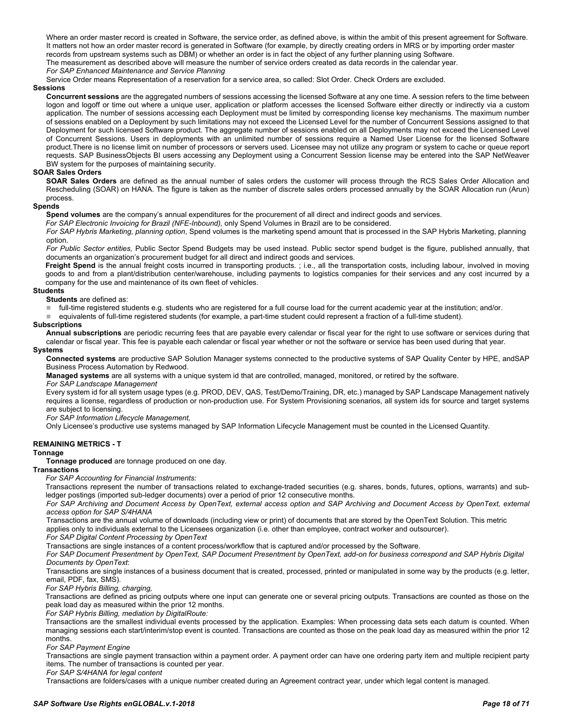Where an order master record is created in Software, the service order, as defined above, is within the ambit of this present agreement for Software. It matters not how an order master record is generated in Software (for example, by directly creating orders in MRS or by importing order master records from upstream systems such as DBM) or whether an order is in fact the object of any further planning using Software.

The measurement as described above will measure the number of service orders created as data records in the calendar year.

# *For SAP Enhanced Maintenance and Service Planning*

Service Order means Representation of a reservation for a service area, so called: Slot Order. Check Orders are excluded.

# **Sessions**

**Concurrent sessions** are the aggregated numbers of sessions accessing the licensed Software at any one time. A session refers to the time between logon and logoff or time out where a unique user, application or platform accesses the licensed Software either directly or indirectly via a custom application. The number of sessions accessing each Deployment must be limited by corresponding license key mechanisms. The maximum number of sessions enabled on a Deployment by such limitations may not exceed the Licensed Level for the number of Concurrent Sessions assigned to that Deployment for such licensed Software product. The aggregate number of sessions enabled on all Deployments may not exceed the Licensed Level of Concurrent Sessions. Users in deployments with an unlimited number of sessions require a Named User License for the licensed Software product.There is no license limit on number of processors or servers used. Licensee may not utilize any program or system to cache or queue report requests. SAP BusinessObjects BI users accessing any Deployment using a Concurrent Session license may be entered into the SAP NetWeaver BW system for the purposes of maintaining security.

#### **SOAR Sales Orders**

**SOAR Sales Orders** are defined as the annual number of sales orders the customer will process through the RCS Sales Order Allocation and Rescheduling (SOAR) on HANA. The figure is taken as the number of discrete sales orders processed annually by the SOAR Allocation run (Arun) process.

#### **Spends**

**Spend volumes** are the company's annual expenditures for the procurement of all direct and indirect goods and services.

*For SAP Electronic Invoicing for Brazil (NFE-Inbound),* only Spend Volumes in Brazil are to be considered.

*For SAP Hybris Marketing, planning option*, Spend volumes is the marketing spend amount that is processed in the SAP Hybris Marketing, planning option.

*For Public Sector entities,* Public Sector Spend Budgets may be used instead. Public sector spend budget is the figure, published annually, that documents an organization's procurement budget for all direct and indirect goods and services.

**Freight Spend** is the annual freight costs incurred in transporting products. ; i.e., all the transportation costs, including labour, involved in moving goods to and from a plant/distribution center/warehouse, including payments to logistics companies for their services and any cost incurred by a company for the use and maintenance of its own fleet of vehicles.

#### **Students**

**Students** are defined as:

full-time registered students e.g. students who are registered for a full course load for the current academic year at the institution; and/or.

equivalents of full-time registered students (for example, a part-time student could represent a fraction of a full-time student).

#### **Subscriptions**

**Annual subscriptions** are periodic recurring fees that are payable every calendar or fiscal year for the right to use software or services during that calendar or fiscal year. This fee is payable each calendar or fiscal year whether or not the software or service has been used during that year.

#### **Systems**

**Connected systems** are productive SAP Solution Manager systems connected to the productive systems of SAP Quality Center by HPE, andSAP Business Process Automation by Redwood.

**Managed systems** are all systems with a unique system id that are controlled, managed, monitored, or retired by the software.

*For SAP Landscape Management* 

Every system id for all system usage types (e.g. PROD, DEV, QAS, Test/Demo/Training, DR, etc.) managed by SAP Landscape Management natively requires a license, regardless of production or non-production use. For System Provisioning scenarios, all system ids for source and target systems are subject to licensing.

*For SAP Information Lifecycle Management,*

Only Licensee's productive use systems managed by SAP Information Lifecycle Management must be counted in the Licensed Quantity.

#### <span id="page-17-0"></span>**REMAINING METRICS - T**

#### **Tonnage**

**Tonnage produced** are tonnage produced on one day.

#### **Transactions**

*For SAP Accounting for Financial Instruments:*

Transactions represent the number of transactions related to exchange-traded securities (e.g. shares, bonds, futures, options, warrants) and subledger postings (imported sub-ledger documents) over a period of prior 12 consecutive months.

*For SAP Archiving and Document Access by OpenText, external access option and SAP Archiving and Document Access by OpenText, external access option for SAP S/4HANA*

Transactions are the annual volume of downloads (including view or print) of documents that are stored by the OpenText Solution. This metric applies only to individuals external to the Licensees organization (i.e. other than employee, contract worker and outsourcer).

*For SAP Digital Content Processing by OpenText*

Transactions are single instances of a content process/workflow that is captured and/or processed by the Software.

*For SAP Document Presentment by OpenText, SAP Document Presentment by OpenText, add-on for business correspond and SAP Hybris Digital Documents by OpenText*:

Transactions are single instances of a business document that is created, processed, printed or manipulated in some way by the products (e.g. letter, email, PDF, fax, SMS).

*For SAP Hybris Billing, charging,*

Transactions are defined as pricing outputs where one input can generate one or several pricing outputs. Transactions are counted as those on the peak load day as measured within the prior 12 months.

*For SAP Hybris Billing, mediation by DigitalRoute:*

Transactions are the smallest individual events processed by the application. Examples: When processing data sets each datum is counted. When managing sessions each start/interim/stop event is counted. Transactions are counted as those on the peak load day as measured within the prior 12 months.

#### *For SAP Payment Engine*

Transactions are single payment transaction within a payment order. A payment order can have one ordering party item and multiple recipient party items. The number of transactions is counted per year.

*For SAP S/4HANA for legal content*

Transactions are folders/cases with a unique number created during an Agreement contract year, under which legal content is managed.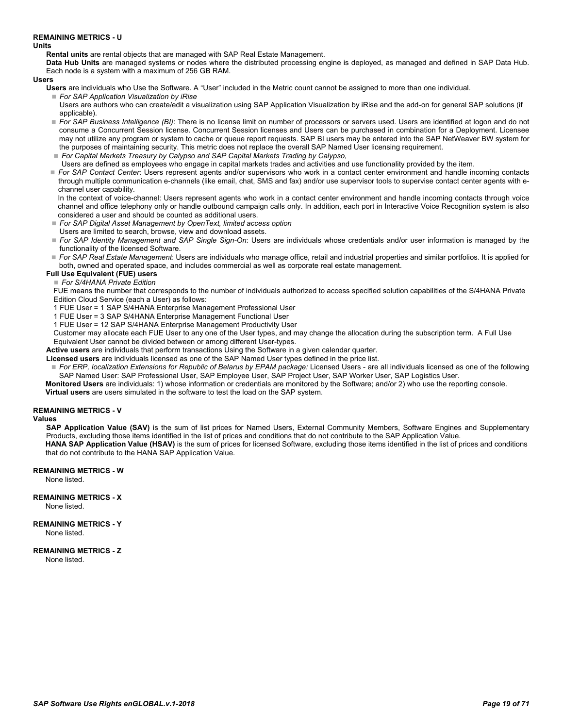#### <span id="page-18-0"></span>**REMAINING METRICS - U**

#### **Units**

**Rental units** are rental objects that are managed with SAP Real Estate Management.

**Data Hub Units** are managed systems or nodes where the distributed processing engine is deployed, as managed and defined in SAP Data Hub. Each node is a system with a maximum of 256 GB RAM.

**Users**

**Users** are individuals who Use the Software. A "User" included in the Metric count cannot be assigned to more than one individual.

*For SAP Application Visualization by iRise*

- Users are authors who can create/edit a visualization using SAP Application Visualization by iRise and the add-on for general SAP solutions (if applicable).
- *For SAP Business Intelligence (BI)*: There is no license limit on number of processors or servers used. Users are identified at logon and do not consume a Concurrent Session license. Concurrent Session licenses and Users can be purchased in combination for a Deployment. Licensee may not utilize any program or system to cache or queue report requests. SAP BI users may be entered into the SAP NetWeaver BW system for the purposes of maintaining security. This metric does not replace the overall SAP Named User licensing requirement.
- *For Capital Markets Treasury by Calypso and SAP Capital Markets Trading by Calypso,*
- Users are defined as employees who engage in capital markets trades and activities and use functionality provided by the item.

 *For SAP Contact Center*: Users represent agents and/or supervisors who work in a contact center environment and handle incoming contacts through multiple communication e-channels (like email, chat, SMS and fax) and/or use supervisor tools to supervise contact center agents with echannel user capability.

In the context of voice-channel: Users represent agents who work in a contact center environment and handle incoming contacts through voice channel and office telephony only or handle outbound campaign calls only. In addition, each port in Interactive Voice Recognition system is also considered a user and should be counted as additional users.

- *For SAP Digital Asset Management by OpenText, limited access option*
- Users are limited to search, browse, view and download assets.
- *For SAP Identity Management and SAP Single Sign-On*: Users are individuals whose credentials and/or user information is managed by the functionality of the licensed Software.
- *For SAP Real Estate Management*: Users are individuals who manage office, retail and industrial properties and similar portfolios. It is applied for both, owned and operated space, and includes commercial as well as corporate real estate management.

### **Full Use Equivalent (FUE) users**

#### *For S/4HANA Private Edition*

FUE means the number that corresponds to the number of individuals authorized to access specified solution capabilities of the S/4HANA Private Edition Cloud Service (each a User) as follows:

1 FUE User = 1 SAP S/4HANA Enterprise Management Professional User

- 1 FUE User = 3 SAP S/4HANA Enterprise Management Functional User
- 1 FUE User = 12 SAP S/4HANA Enterprise Management Productivity User

Customer may allocate each FUE User to any one of the User types, and may change the allocation during the subscription term. A Full Use Equivalent User cannot be divided between or among different User-types.

**Active users** are individuals that perform transactions Using the Software in a given calendar quarter.

**Licensed users** are individuals licensed as one of the SAP Named User types defined in the price list.

- For ERP, localization Extensions for Republic of Belarus by EPAM package: Licensed Users are all individuals licensed as one of the following SAP Named User: SAP Professional User, SAP Employee User, SAP Project User, SAP Worker User, SAP Logistics User.
- **Monitored Users** are individuals: 1) whose information or credentials are monitored by the Software; and/or 2) who use the reporting console. **Virtual users** are users simulated in the software to test the load on the SAP system.

### <span id="page-18-1"></span>**REMAINING METRICS - V**

#### **Values**

**SAP Application Value (SAV)** is the sum of list prices for Named Users, External Community Members, Software Engines and Supplementary Products, excluding those items identified in the list of prices and conditions that do not contribute to the SAP Application Value. **HANA SAP Application Value (HSAV)** is the sum of prices for licensed Software, excluding those items identified in the list of prices and conditions

that do not contribute to the HANA SAP Application Value.

<span id="page-18-2"></span>**REMAINING METRICS - W** None listed.

<span id="page-18-3"></span>**REMAINING METRICS - X** None listed.

#### <span id="page-18-4"></span>**REMAINING METRICS - Y** None listed.

#### <span id="page-18-5"></span>**REMAINING METRICS - Z** None listed.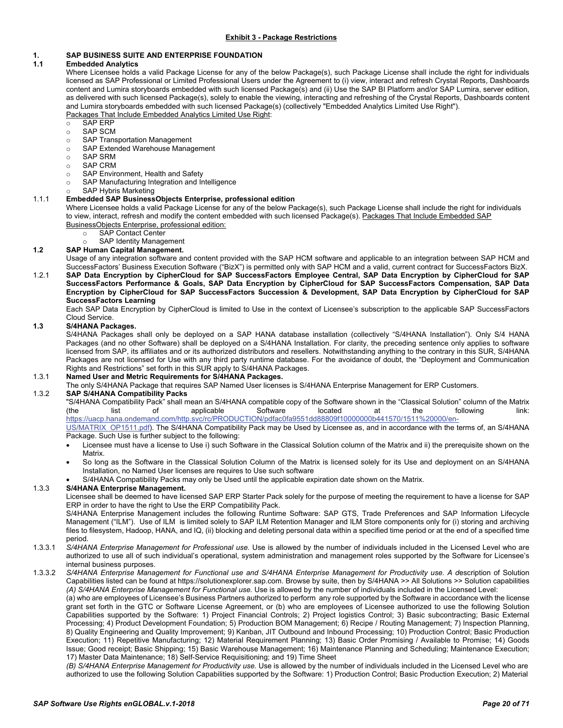# <span id="page-19-1"></span><span id="page-19-0"></span>**1. SAP BUSINESS SUITE AND ENTERPRISE FOUNDATION**

### <span id="page-19-2"></span>**1.1 Embedded Analytics**

Where Licensee holds a valid Package License for any of the below Package(s), such Package License shall include the right for individuals licensed as SAP Professional or Limited Professional Users under the Agreement to (i) view, interact and refresh Crystal Reports, Dashboards content and Lumira storyboards embedded with such licensed Package(s) and (ii) Use the SAP BI Platform and/or SAP Lumira, server edition, as delivered with such licensed Package(s), solely to enable the viewing, interacting and refreshing of the Crystal Reports, Dashboards content and Lumira storyboards embedded with such licensed Package(s) (collectively "Embedded Analytics Limited Use Right"). Packages That Include Embedded Analytics Limited Use Right:

- o SAP ERP
- ⊙ SAP SCM<br>○ SAP Trans
- SAP Transportation Management<br>○ SAP Extended Warehouse Manac
- SAP Extended Warehouse Management<br>○ SAP SRM
- SAP SRM
- o SAP CRM
- SAP Environment, Health and Safety<br>○ SAP Manufacturing Integration and In
- SAP Manufacturing Integration and Intelligence
- SAP Hybris Marketing

### <span id="page-19-3"></span>1.1.1 **Embedded SAP BusinessObjects Enterprise, professional edition**

Where Licensee holds a valid Package License for any of the below Package(s), such Package License shall include the right for individuals to view, interact, refresh and modify the content embedded with such licensed Package(s). Packages That Include Embedded SAP BusinessObjects Enterprise, professional edition:

- 
- o SAP Contact Center<br>
SAP Identity Manage SAP Identity Management

# <span id="page-19-4"></span>**1.2 SAP Human Capital Management.**

Usage of any integration software and content provided with the SAP HCM software and applicable to an integration between SAP HCM and SuccessFactors' Business Execution Software ("BizX") is permitted only with SAP HCM and a valid, current contract for SuccessFactors BizX.

1.2.1 **SAP Data Encryption by CipherCloud for SAP SuccessFactors Employee Central, SAP Data Encryption by CipherCloud for SAP SuccessFactors Performance & Goals, SAP Data Encryption by CipherCloud for SAP SuccessFactors Compensation, SAP Data Encryption by CipherCloud for SAP SuccessFactors Succession & Development, SAP Data Encryption by CipherCloud for SAP SuccessFactors Learning**

Each SAP Data Encryption by CipherCloud is limited to Use in the context of Licensee's subscription to the applicable SAP SuccessFactors Cloud Service.

# <span id="page-19-5"></span>**1.3 S/4HANA Packages.**

S/4HANA Packages shall only be deployed on a SAP HANA database installation (collectively "S/4HANA Installation"). Only S/4 HANA Packages (and no other Software) shall be deployed on a S/4HANA Installation. For clarity, the preceding sentence only applies to software licensed from SAP, its affiliates and or its authorized distributors and resellers. Notwithstanding anything to the contrary in this SUR, S/4HANA Packages are not licensed for Use with any third party runtime database. For the avoidance of doubt, the "Deployment and Communication Rights and Restrictions" set forth in this SUR apply to S/4HANA Packages.

#### <span id="page-19-6"></span>1.3.1 **Named User and Metric Requirements for S/4HANA Packages.**

<span id="page-19-7"></span>The only S/4HANA Package that requires SAP Named User licenses is S/4HANA Enterprise Management for ERP Customers. 1.3.2 **SAP S/4HANA Compatibility Packs**

"S/4HANA Compatibility Pack" shall mean an S/4HANA compatible copy of the Software shown in the "Classical Solution" column of the Matrix (the list of applicable Software located at the following link: [https://uacp.hana.ondemand.com/http.svc/rc/PRODUCTION/pdfac0fa9551dd88809f10000000b441570/1511%20000/en-](https://uacp.hana.ondemand.com/http.svc/rc/PRODUCTION/pdfac0fa9551dd88809f10000000b441570/1511%20000/en-US/MATRIX_OP1511.pdf)

[US/MATRIX\\_OP1511.pdf\)](https://uacp.hana.ondemand.com/http.svc/rc/PRODUCTION/pdfac0fa9551dd88809f10000000b441570/1511%20000/en-US/MATRIX_OP1511.pdf). The S/4HANA Compatibility Pack may be Used by Licensee as, and in accordance with the terms of, an S/4HANA Package. Such Use is further subject to the following:

- Licensee must have a license to Use i) such Software in the Classical Solution column of the Matrix and ii) the prerequisite shown on the Matrix.
- So long as the Software in the Classical Solution Column of the Matrix is licensed solely for its Use and deployment on an S/4HANA Installation, no Named User licenses are requires to Use such software
- S/4HANA Compatibility Packs may only be Used until the applicable expiration date shown on the Matrix.

#### <span id="page-19-8"></span>1.3.3 **S/4HANA Enterprise Management.**

Licensee shall be deemed to have licensed SAP ERP Starter Pack solely for the purpose of meeting the requirement to have a license for SAP ERP in order to have the right to Use the ERP Compatibility Pack.

S/4HANA Enterprise Management includes the following Runtime Software: SAP GTS, Trade Preferences and SAP Information Lifecycle Management ("ILM"). Use of ILM is limited solely to SAP ILM Retention Manager and ILM Store components only for (i) storing and archiving files to filesystem, Hadoop, HANA, and IQ, (ii) blocking and deleting personal data within a specified time period or at the end of a specified time period.

1.3.3.1 *S/4HANA Enterprise Management for Professional use.* Use is allowed by the number of individuals included in the Licensed Level who are authorized to use all of such individual's operational, system administration and management roles supported by the Software for Licensee's internal business purposes.

1.3.3.2 *S/4HANA Enterprise Management for Functional use and S/4HANA Enterprise Management for Productivity use. A d*escription of Solution Capabilities listed can be found a[t https://solutionexplorer.sap.com.](https://solutionexplorer.sap.com/) Browse by suite, then by S/4HANA >> All Solutions >> Solution capabilities *(A) S/4HANA Enterprise Management for Functional use.* Use is allowed by the number of individuals included in the Licensed Level:

(a) who are employees of Licensee's Business Partners authorized to perform any role supported by the Software in accordance with the license grant set forth in the GTC or Software License Agreement, or (b) who are employees of Licensee authorized to use the following Solution Capabilities supported by the Software: 1) Project Financial Controls; 2) Project logistics Control; 3) Basic subcontracting; Basic External Processing; 4) Product Development Foundation; 5) Production BOM Management; 6) Recipe / Routing Management; 7) Inspection Planning, 8) Quality Engineering and Quality Improvement; 9) Kanban, JIT Outbound and Inbound Processing; 10) Production Control; Basic Production Execution; 11) Repetitive Manufacturing; 12) Material Requirement Planning; 13) Basic Order Promising / Available to Promise; 14) Goods Issue; Good receipt; Basic Shipping; 15) Basic Warehouse Management; 16) Maintenance Planning and Scheduling; Maintenance Execution; 17) Master Data Maintenance; 18) Self-Service Requisitioning; and 19) Time Sheet

*(B) S/4HANA Enterprise Management for Productivity use.* Use is allowed by the number of individuals included in the Licensed Level who are authorized to use the following Solution Capabilities supported by the Software: 1) Production Control; Basic Production Execution; 2) Material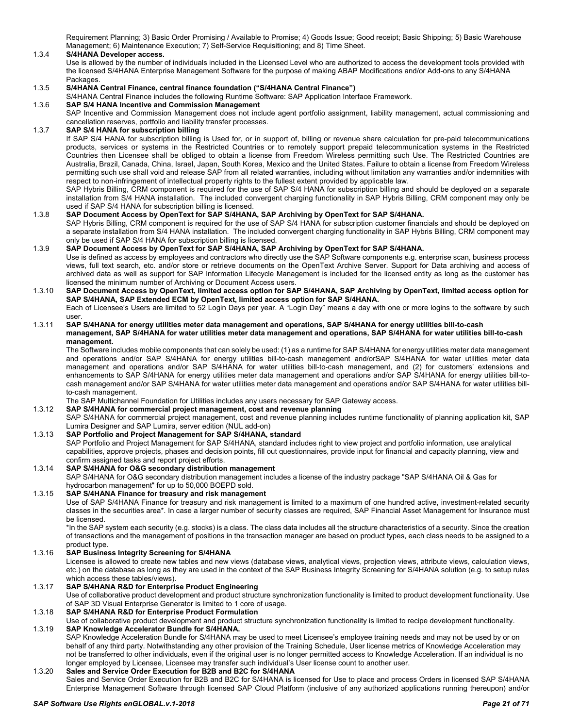Requirement Planning; 3) Basic Order Promising / Available to Promise; 4) Goods Issue; Good receipt; Basic Shipping; 5) Basic Warehouse Management; 6) Maintenance Execution; 7) Self-Service Requisitioning; and 8) Time Sheet.

#### <span id="page-20-0"></span>1.3.4 **S/4HANA Developer access.**

Use is allowed by the number of individuals included in the Licensed Level who are authorized to access the development tools provided with the licensed S/4HANA Enterprise Management Software for the purpose of making ABAP Modifications and/or Add-ons to any S/4HANA Packages.

#### <span id="page-20-1"></span>1.3.5 **S/4HANA Central Finance, central finance foundation ("S/4HANA Central Finance")**

S/4HANA Central Finance includes the following Runtime Software: SAP Application Interface Framework.

# <span id="page-20-2"></span>1.3.6 **SAP S/4 HANA Incentive and Commission Management**

SAP Incentive and Commission Management does not include agent portfolio assignment, liability management, actual commissioning and cancellation reserves, portfolio and liability transfer processes.

# <span id="page-20-3"></span>1.3.7 **SAP S/4 HANA for subscription billing**

If SAP S/4 HANA for subscription billing is Used for, or in support of, billing or revenue share calculation for pre-paid telecommunications products, services or systems in the Restricted Countries or to remotely support prepaid telecommunication systems in the Restricted Countries then Licensee shall be obliged to obtain a license from Freedom Wireless permitting such Use. The Restricted Countries are Australia, Brazil, Canada, China, Israel, Japan, South Korea, Mexico and the United States. Failure to obtain a license from Freedom Wireless permitting such use shall void and release SAP from all related warranties, including without limitation any warranties and/or indemnities with respect to non-infringement of intellectual property rights to the fullest extent provided by applicable law.

SAP Hybris Billing, CRM component is required for the use of SAP S/4 HANA for subscription billing and should be deployed on a separate installation from S/4 HANA installation. The included convergent charging functionality in SAP Hybris Billing, CRM component may only be used if SAP S/4 HANA for subscription billing is licensed.

#### <span id="page-20-4"></span>1.3.8 **SAP Document Access by OpenText for SAP S/4HANA, SAP Archiving by OpenText for SAP S/4HANA.**

SAP Hybris Billing, CRM component is required for the use of SAP S/4 HANA for subscription customer financials and should be deployed on a separate installation from S/4 HANA installation. The included convergent charging functionality in SAP Hybris Billing, CRM component may only be used if SAP S/4 HANA for subscription billing is licensed.

# <span id="page-20-5"></span>1.3.9 **SAP Document Access by OpenText for SAP S/4HANA, SAP Archiving by OpenText for SAP S/4HANA.**  Use is defined as access by employees and contractors who directly use the SAP Software components e.g. enterprise scan, business process

views, full text search, etc. and/or store or retrieve documents on the OpenText Archive Server. Support for Data archiving and access of archived data as well as support for SAP Information Lifecycle Management is included for the licensed entity as long as the customer has licensed the minimum number of Archiving or Document Access users.

#### <span id="page-20-6"></span>1.3.10 **SAP Document Access by OpenText, limited access option for SAP S/4HANA, SAP Archiving by OpenText, limited access option for SAP S/4HANA, SAP Extended ECM by OpenText, limited access option for SAP S/4HANA.**

Each of Licensee's Users are limited to 52 Login Days per year. A "Login Day" means a day with one or more logins to the software by such user.

#### <span id="page-20-7"></span>1.3.11 **SAP S/4HANA for energy utilities meter data management and operations, SAP S/4HANA for energy utilities bill-to-cash management, SAP S/4HANA for water utilities meter data management and operations, SAP S/4HANA for water utilities bill-to-cash management.**

The Software includes mobile components that can solely be used: (1) as a runtime for SAP S/4HANA for energy utilities meter data management and operations and/or SAP S/4HANA for energy utilities bill-to-cash management and/orSAP S/4HANA for water utilities meter data management and operations and/or SAP S/4HANA for water utilities bill-to-cash management, and (2) for customers' extensions and enhancements to SAP S/4HANA for energy utilities meter data management and operations and/or SAP S/4HANA for energy utilities bill-tocash management and/or SAP S/4HANA for water utilities meter data management and operations and/or SAP S/4HANA for water utilities billto-cash management.

The SAP Multichannel Foundation for Utilities includes any users necessary for SAP Gateway access.

## <span id="page-20-8"></span>1.3.12 **SAP S/4HANA for commercial project management, cost and revenue planning**

SAP S/4HANA for commercial project management, cost and revenue planning includes runtime functionality of planning application kit, SAP Lumira Designer and SAP Lumira, server edition (NUL add-on)

# <span id="page-20-9"></span>1.3.13 **SAP Portfolio and Project Management for SAP S/4HANA, standard**

SAP Portfolio and Project Management for SAP S/4HANA, standard includes right to view project and portfolio information, use analytical capabilities, approve projects, phases and decision points, fill out questionnaires, provide input for financial and capacity planning, view and confirm assigned tasks and report project efforts.

# <span id="page-20-10"></span>1.3.14 **SAP S/4HANA for O&G secondary distribution management**

SAP S/4HANA for O&G secondary distribution management includes a license of the industry package "SAP S/4HANA Oil & Gas for hydrocarbon management" for up to 50,000 BOEPD sold.

#### <span id="page-20-11"></span>1.3.15 **SAP S/4HANA Finance for treasury and risk management**

Use of SAP S/4HANA Finance for treasury and risk management is limited to a maximum of one hundred active, investment-related security classes in the securities area\*. In case a larger number of security classes are required, SAP Financial Asset Management for Insurance must be licensed.

\*In the SAP system each security (e.g. stocks) is a class. The class data includes all the structure characteristics of a security. Since the creation of transactions and the management of positions in the transaction manager are based on product types, each class needs to be assigned to a product type.

#### <span id="page-20-12"></span>1.3.16 **SAP Business Integrity Screening for S/4HANA**

Licensee is allowed to create new tables and new views (database views, analytical views, projection views, attribute views, calculation views, etc.) on the database as long as they are used in the context of the SAP Business Integrity Screening for S/4HANA solution (e.g. to setup rules which access these tables/views).

#### <span id="page-20-13"></span>1.3.17 **SAP S/4HANA R&D for Enterprise Product Engineering**

Use of collaborative product development and product structure synchronization functionality is limited to product development functionality. Use of SAP 3D Visual Enterprise Generator is limited to 1 core of usage.

#### <span id="page-20-14"></span>1.3.18 **SAP S/4HANA R&D for Enterprise Product Formulation**

Use of collaborative product development and product structure synchronization functionality is limited to recipe development functionality.

# <span id="page-20-15"></span>1.3.19 **SAP Knowledge Accelerator Bundle for S/4HANA.**

SAP Knowledge Acceleration Bundle for S/4HANA may be used to meet Licensee's employee training needs and may not be used by or on behalf of any third party. Notwithstanding any other provision of the Training Schedule, User license metrics of Knowledge Acceleration may not be transferred to other individuals, even if the original user is no longer permitted access to Knowledge Acceleration. If an individual is no longer employed by Licensee, Licensee may transfer such individual's User license count to another user.

#### <span id="page-20-16"></span>1.3.20 **Sales and Service Order Execution for B2B and B2C for S/4HANA**

Sales and Service Order Execution for B2B and B2C for S/4HANA is licensed for Use to place and process Orders in licensed SAP S/4HANA Enterprise Management Software through licensed SAP Cloud Platform (inclusive of any authorized applications running thereupon) and/or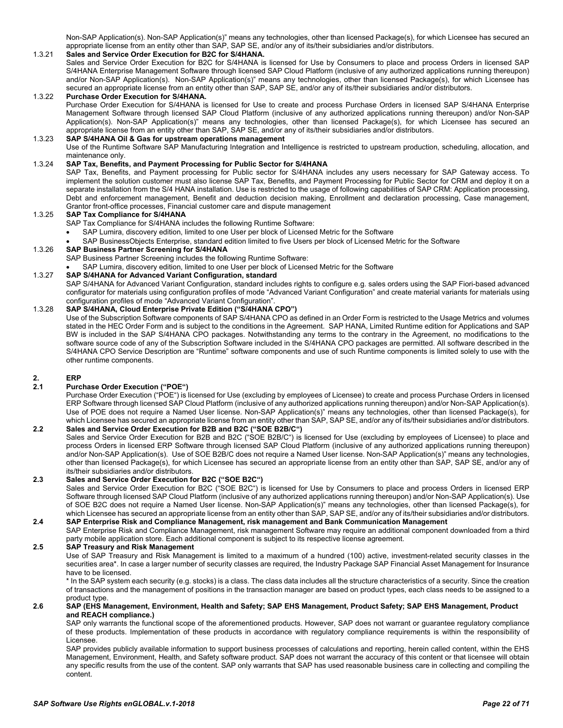Non-SAP Application(s). Non-SAP Application(s)" means any technologies, other than licensed Package(s), for which Licensee has secured an appropriate license from an entity other than SAP, SAP SE, and/or any of its/their subsidiaries and/or distributors.

#### <span id="page-21-0"></span>1.3.21 **Sales and Service Order Execution for B2C for S/4HANA.**

Sales and Service Order Execution for B2C for S/4HANA is licensed for Use by Consumers to place and process Orders in licensed SAP S/4HANA Enterprise Management Software through licensed SAP Cloud Platform (inclusive of any authorized applications running thereupon) and/or Non-SAP Application(s). Non-SAP Application(s)" means any technologies, other than licensed Package(s), for which Licensee has secured an appropriate license from an entity other than SAP, SAP SE, and/or any of its/their subsidiaries and/or distributors.

#### <span id="page-21-1"></span>1.3.22 **Purchase Order Execution for S/4HANA.**

Purchase Order Execution for S/4HANA is licensed for Use to create and process Purchase Orders in licensed SAP S/4HANA Enterprise Management Software through licensed SAP Cloud Platform (inclusive of any authorized applications running thereupon) and/or Non-SAP Application(s). Non-SAP Application(s)" means any technologies, other than licensed Package(s), for which Licensee has secured an appropriate license from an entity other than SAP, SAP SE, and/or any of its/their subsidiaries and/or distributors.

#### <span id="page-21-2"></span>1.3.23 **SAP S/4HANA Oil & Gas for upstream operations management**

Use of the Runtime Software SAP Manufacturing Integration and Intelligence is restricted to upstream production, scheduling, allocation, and maintenance only.

#### <span id="page-21-3"></span>1.3.24 **SAP Tax, Benefits, and Payment Processing for Public Sector for S/4HANA**

SAP Tax, Benefits, and Payment processing for Public sector for S/4HANA includes any users necessary for SAP Gateway access. To implement the solution customer must also license SAP Tax, Benefits, and Payment Processing for Public Sector for CRM and deploy it on a separate installation from the S/4 HANA installation. Use is restricted to the usage of following capabilities of SAP CRM: Application processing, Debt and enforcement management, Benefit and deduction decision making, Enrollment and declaration processing, Case management, Grantor front-office processes, Financial customer care and dispute management

#### <span id="page-21-4"></span>1.3.25 **SAP Tax Compliance for S/4HANA**

- SAP Tax Compliance for S/4HANA includes the following Runtime Software:
	- SAP Lumira, discovery edition, limited to one User per block of Licensed Metric for the Software

• SAP BusinessObjects Enterprise, standard edition limited to five Users per block of Licensed Metric for the Software

#### <span id="page-21-5"></span>1.3.26 **SAP Business Partner Screening for S/4HANA**

SAP Business Partner Screening includes the following Runtime Software:

SAP Lumira, discovery edition, limited to one User per block of Licensed Metric for the Software

### <span id="page-21-6"></span>1.3.27 **SAP S/4HANA for Advanced Variant Configuration, standard**

SAP S/4HANA for Advanced Variant Configuration, standard includes rights to configure e.g. sales orders using the SAP Fiori-based advanced configurator for materials using configuration profiles of mode "Advanced Variant Configuration" and create material variants for materials using configuration profiles of mode "Advanced Variant Configuration".

# <span id="page-21-7"></span>1.3.28 **SAP S/4HANA, Cloud Enterprise Private Edition ("S/4HANA CPO")**

Use of the Subscription Software components of SAP S/4HANA CPO as defined in an Order Form is restricted to the Usage Metrics and volumes stated in the HEC Order Form and is subject to the conditions in the Agreement. SAP HANA, Limited Runtime edition for Applications and SAP BW is included in the SAP S/4HANA CPO packages. Notwithstanding any terms to the contrary in the Agreement, no modifications to the software source code of any of the Subscription Software included in the S/4HANA CPO packages are permitted. All software described in the S/4HANA CPO Service Description are "Runtime" software components and use of such Runtime components is limited solely to use with the other runtime components.

# <span id="page-21-8"></span>**2. ERP**

#### <span id="page-21-9"></span>**2.1 Purchase Order Execution ("POE")**

Purchase Order Execution ("POE") is licensed for Use (excluding by employees of Licensee) to create and process Purchase Orders in licensed ERP Software through licensed SAP Cloud Platform (inclusive of any authorized applications running thereupon) and/or Non-SAP Application(s). Use of POE does not require a Named User license. Non-SAP Application(s)" means any technologies, other than licensed Package(s), for which Licensee has secured an appropriate license from an entity other than SAP, SAP SE, and/or any of its/their subsidiaries and/or distributors.

### <span id="page-21-10"></span>**2.2 Sales and Service Order Execution for B2B and B2C ("SOE B2B/C")**

Sales and Service Order Execution for B2B and B2C ("SOE B2B/C") is licensed for Use (excluding by employees of Licensee) to place and process Orders in licensed ERP Software through licensed SAP Cloud Platform (inclusive of any authorized applications running thereupon) and/or Non-SAP Application(s). Use of SOE B2B/C does not require a Named User license. Non-SAP Application(s)" means any technologies, other than licensed Package(s), for which Licensee has secured an appropriate license from an entity other than SAP, SAP SE, and/or any of its/their subsidiaries and/or distributors.

#### <span id="page-21-11"></span>**2.3 Sales and Service Order Execution for B2C ("SOE B2C")**

Sales and Service Order Execution for B2C ("SOE B2C") is licensed for Use by Consumers to place and process Orders in licensed ERP Software through licensed SAP Cloud Platform (inclusive of any authorized applications running thereupon) and/or Non-SAP Application(s). Use of SOE B2C does not require a Named User license. Non-SAP Application(s)" means any technologies, other than licensed Package(s), for which Licensee has secured an appropriate license from an entity other than SAP, SAP SE, and/or any of its/their subsidiaries and/or distributors.

#### <span id="page-21-12"></span>**2.4 SAP Enterprise Risk and Compliance Management, risk management and Bank Communication Management**  SAP Enterprise Risk and Compliance Management, risk management Software may require an additional component downloaded from a third

party mobile application store. Each additional component is subject to its respective license agreement.

#### <span id="page-21-13"></span>**2.5 SAP Treasury and Risk Management**

Use of SAP Treasury and Risk Management is limited to a maximum of a hundred (100) active, investment-related security classes in the securities area\*. In case a larger number of security classes are required, the Industry Package SAP Financial Asset Management for Insurance have to be licensed.

\* In the SAP system each security (e.g. stocks) is a class. The class data includes all the structure characteristics of a security. Since the creation of transactions and the management of positions in the transaction manager are based on product types, each class needs to be assigned to a product type.

#### <span id="page-21-14"></span>**2.6 SAP (EHS Management, Environment, Health and Safety; SAP EHS Management, Product Safety; SAP EHS Management, Product and REACH compliance.)**

SAP only warrants the functional scope of the aforementioned products. However, SAP does not warrant or guarantee regulatory compliance of these products. Implementation of these products in accordance with regulatory compliance requirements is within the responsibility of Licensee.

SAP provides publicly available information to support business processes of calculations and reporting, herein called content, within the EHS Management, Environment, Health, and Safety software product. SAP does not warrant the accuracy of this content or that licensee will obtain any specific results from the use of the content. SAP only warrants that SAP has used reasonable business care in collecting and compiling the content.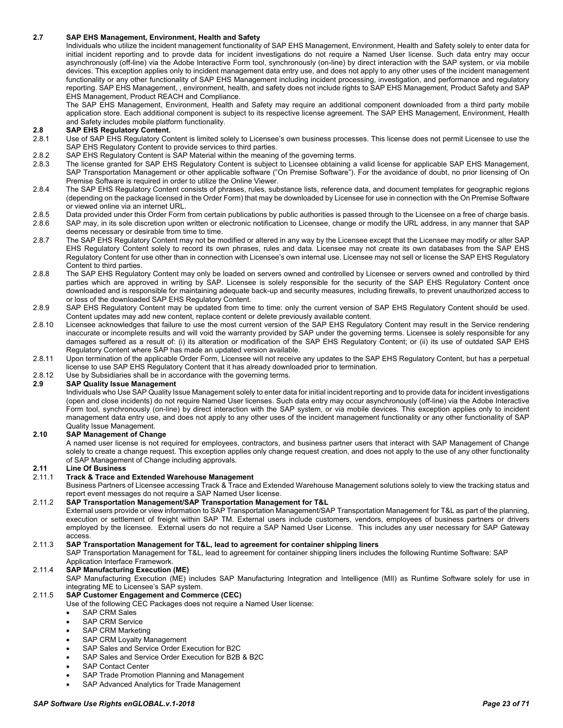#### <span id="page-22-0"></span>**2.7 SAP EHS Management, Environment, Health and Safety**

Individuals who utilize the incident management functionality of SAP EHS Management, Environment, Health and Safety solely to enter data for initial incident reporting and to provde data for incident investigations do not require a Named User license. Such data entry may occur asynchronously (off-line) via the Adobe Interactive Form tool, synchronously (on-line) by direct interaction with the SAP system, or via mobile devices. This exception applies only to incident management data entry use, and does not apply to any other uses of the incident management functionality or any other functionality of SAP EHS Management including incident processing, investigation, and performance and regulatory reporting. SAP EHS Management, , environment, health, and safety does not include rights to SAP EHS Management, Product Safety and SAP EHS Management, Product REACH and Compliance.

The SAP EHS Management, Environment, Health and Safety may require an additional component downloaded from a third party mobile application store. Each additional component is subject to its respective license agreement. The SAP EHS Management, Environment, Health and Safety includes mobile platform functionality.

# <span id="page-22-1"></span>**2.8 SAP EHS Regulatory Content.**

- Use of SAP EHS Regulatory Content is limited solely to Licensee's own business processes. This license does not permit Licensee to use the SAP EHS Regulatory Content to provide services to third parties.
- 2.8.2 SAP EHS Regulatory Content is SAP Material within the meaning of the governing terms.<br>2.8.3 The license granted for SAP EHS Regulatory Content is subject to Licensee obtaining a
- The license granted for SAP EHS Regulatory Content is subject to Licensee obtaining a valid license for applicable SAP EHS Management, SAP Transportation Management or other applicable software ("On Premise Software"). For the avoidance of doubt, no prior licensing of On Premise Software is required in order to utilize the Online Viewer.
- 2.8.4 The SAP EHS Regulatory Content consists of phrases, rules, substance lists, reference data, and document templates for geographic regions (depending on the package licensed in the Order Form) that may be downloaded by Licensee for use in connection with the On Premise Software or viewed online via an internet URL.
- 2.8.5 Data provided under this Order Form from certain publications by public authorities is passed through to the Licensee on a free of charge basis.
- 2.8.6 SAP may, in its sole discretion upon written or electronic notification to Licensee, change or modify the URL address, in any manner that SAP deems necessary or desirable from time to time.
- 2.8.7 The SAP EHS Regulatory Content may not be modified or altered in any way by the Licensee except that the Licensee may modify or alter SAP EHS Regulatory Content solely to record its own phrases, rules and data. Licensee may not create its own databases from the SAP EHS Regulatory Content for use other than in connection with Licensee's own internal use. Licensee may not sell or license the SAP EHS Regulatory Content to third parties.
- 2.8.8 The SAP EHS Regulatory Content may only be loaded on servers owned and controlled by Licensee or servers owned and controlled by third parties which are approved in writing by SAP. Licensee is solely responsible for the security of the SAP EHS Regulatory Content once downloaded and is responsible for maintaining adequate back-up and security measures, including firewalls, to prevent unauthorized access to or loss of the downloaded SAP EHS Regulatory Content.
- 2.8.9 SAP EHS Regulatory Content may be updated from time to time: only the current version of SAP EHS Regulatory Content should be used. Content updates may add new content, replace content or delete previously available content.
- 2.8.10 Licensee acknowledges that failure to use the most current version of the SAP EHS Regulatory Content may result in the Service rendering inaccurate or incomplete results and will void the warranty provided by SAP under the governing terms. Licensee is solely responsible for any damages suffered as a result of: (i) its alteration or modification of the SAP EHS Regulatory Content; or (ii) its use of outdated SAP EHS Regulatory Content where SAP has made an updated version available.
- 2.8.11 Upon termination of the applicable Order Form, Licensee will not receive any updates to the SAP EHS Regulatory Content, but has a perpetual license to use SAP EHS Regulatory Content that it has already downloaded prior to termination.
- 2.8.12 Use by Subsidiaries shall be in accordance with the governing terms.<br>2.9 SAP Quality Issue Management

#### <span id="page-22-2"></span>**2.9 SAP Quality Issue Management**

Individuals who Use SAP Quality Issue Management solely to enter data for initial incident reporting and to provide data for incident investigations (open and close incidents) do not require Named User licenses. Such data entry may occur asynchronously (off-line) via the Adobe Interactive Form tool, synchronously (on-line) by direct interaction with the SAP system, or via mobile devices. This exception applies only to incident management data entry use, and does not apply to any other uses of the incident management functionality or any other functionality of SAP Quality Issue Management.

#### <span id="page-22-3"></span>**2.10 SAP Management of Change**

A named user license is not required for employees, contractors, and business partner users that interact with SAP Management of Change solely to create a change request. This exception applies only change request creation, and does not apply to the use of any other functionality of SAP Management of Change including approvals.

#### <span id="page-22-4"></span>**2.11 Line Of Business**

#### <span id="page-22-5"></span>2.11.1 **Track & Trace and Extended Warehouse Management**

Business Partners of Licensee accessing Track & Trace and Extended Warehouse Management solutions solely to view the tracking status and report event messages do not require a SAP Named User license.

#### <span id="page-22-6"></span>2.11.2 **SAP Transportation Management/SAP Transportation Management for T&L**

External users provide or view information to SAP Transportation Management/SAP Transportation Management for T&L as part of the planning, execution or settlement of freight within SAP TM. External users include customers, vendors, employees of business partners or drivers employed by the licensee. External users do not require a SAP Named User License. This includes any user necessary for SAP Gateway access.

#### <span id="page-22-7"></span>2.11.3 **SAP Transportation Management for T&L, lead to agreement for container shipping liners**

SAP Transportation Management for T&L, lead to agreement for container shipping liners includes the following Runtime Software: SAP Application Interface Framework.

#### <span id="page-22-8"></span>2.11.4 **SAP Manufacturing Execution (ME)**

SAP Manufacturing Execution (ME) includes SAP Manufacturing Integration and Intelligence (MII) as Runtime Software solely for use in integrating ME to Licensee's SAP system.

#### <span id="page-22-9"></span>2.11.5 **SAP Customer Engagement and Commerce (CEC)**

- Use of the following CEC Packages does not require a Named User license:
- SAP CRM Sales
- SAP CRM Service
- SAP CRM Marketing
- SAP CRM Loyalty Management
- SAP Sales and Service Order Execution for B2C
- SAP Sales and Service Order Execution for B2B & B2C
- SAP Contact Center
- SAP Trade Promotion Planning and Management
- SAP Advanced Analytics for Trade Management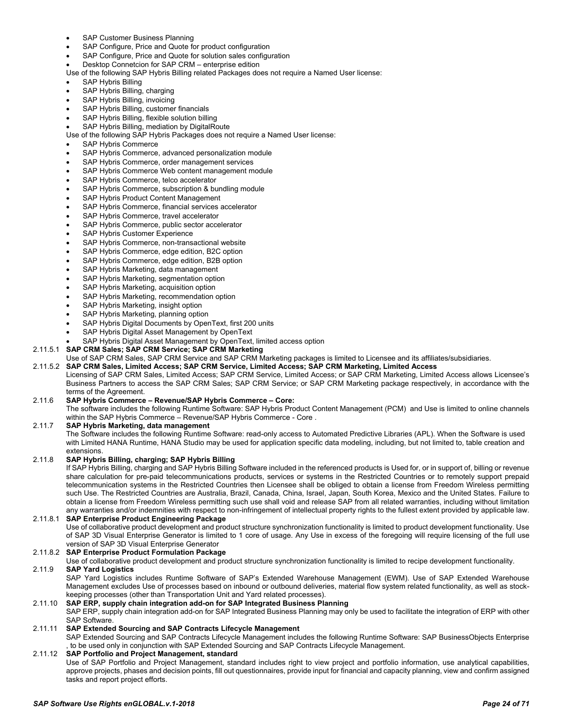- SAP Customer Business Planning
- SAP Configure, Price and Quote for product configuration
- SAP Configure, Price and Quote for solution sales configuration
- Desktop Connetcion for SAP CRM enterprise edition
- Use of the following SAP Hybris Billing related Packages does not require a Named User license:
- SAP Hybris Billing
- SAP Hybris Billing, charging
- SAP Hybris Billing, invoicing
- SAP Hybris Billing, customer financials
- SAP Hybris Billing, flexible solution billing
- SAP Hybris Billing, mediation by DigitalRoute
- Use of the following SAP Hybris Packages does not require a Named User license:
- SAP Hybris Commerce
- SAP Hybris Commerce, advanced personalization module
- SAP Hybris Commerce, order management services
- SAP Hybris Commerce Web content management module
- SAP Hybris Commerce, telco accelerator
- SAP Hybris Commerce, subscription & bundling module
- SAP Hybris Product Content Management
- SAP Hybris Commerce, financial services accelerator
- SAP Hybris Commerce, travel accelerator
- SAP Hybris Commerce, public sector accelerator
- SAP Hybris Customer Experience
- SAP Hybris Commerce, non-transactional website
- SAP Hybris Commerce, edge edition, B2C option
- SAP Hybris Commerce, edge edition, B2B option
- SAP Hybris Marketing, data management
- SAP Hybris Marketing, segmentation option
- SAP Hybris Marketing, acquisition option
- SAP Hybris Marketing, recommendation option
- SAP Hybris Marketing, insight option
- SAP Hybris Marketing, planning option
- SAP Hybris Digital Documents by OpenText, first 200 units
- SAP Hybris Digital Asset Management by OpenText
- SAP Hybris Digital Asset Management by OpenText, limited access option
- <span id="page-23-0"></span>2.11.5.1 **SAP CRM Sales; SAP CRM Service; SAP CRM Marketing**
	- Use of SAP CRM Sales, SAP CRM Service and SAP CRM Marketing packages is limited to Licensee and its affiliates/subsidiaries.
- <span id="page-23-1"></span>2.11.5.2 **SAP CRM Sales, Limited Access; SAP CRM Service, Limited Access; SAP CRM Marketing, Limited Access** Licensing of SAP CRM Sales, Limited Access; SAP CRM Service, Limited Access; or SAP CRM Marketing, Limited Access allows Licensee's Business Partners to access the SAP CRM Sales; SAP CRM Service; or SAP CRM Marketing package respectively, in accordance with the terms of the Agreement.
- <span id="page-23-2"></span>2.11.6 **SAP Hybris Commerce – Revenue/SAP Hybris Commerce – Core:**

The software includes the following Runtime Software: SAP Hybris Product Content Management (PCM) and Use is limited to online channels within the SAP Hybris Commerce – Revenue/SAP Hybris Commerce - Core .

#### <span id="page-23-3"></span>2.11.7 **SAP Hybris Marketing, data management**

The Software includes the following Runtime Software: read-only access to Automated Predictive Libraries (APL). When the Software is used with Limited HANA Runtime, HANA Studio may be used for application specific data modeling, including, but not limited to, table creation and extensions.

#### <span id="page-23-4"></span>2.11.8 **SAP Hybris Billing, charging; SAP Hybris Billing**

If SAP Hybris Billing, charging and SAP Hybris Billing Software included in the referenced products is Used for, or in support of, billing or revenue share calculation for pre-paid telecommunications products, services or systems in the Restricted Countries or to remotely support prepaid telecommunication systems in the Restricted Countries then Licensee shall be obliged to obtain a license from Freedom Wireless permitting such Use. The Restricted Countries are Australia, Brazil, Canada, China, Israel, Japan, South Korea, Mexico and the United States. Failure to obtain a license from Freedom Wireless permitting such use shall void and release SAP from all related warranties, including without limitation any warranties and/or indemnities with respect to non-infringement of intellectual property rights to the fullest extent provided by applicable law.

# <span id="page-23-5"></span>2.11.8.1 **SAP Enterprise Product Engineering Package**

Use of collaborative product development and product structure synchronization functionality is limited to product development functionality. Use of SAP 3D Visual Enterprise Generator is limited to 1 core of usage. Any Use in excess of the foregoing will require licensing of the full use version of SAP 3D Visual Enterprise Generator

#### <span id="page-23-6"></span>2.11.8.2 **SAP Enterprise Product Formulation Package**

<span id="page-23-7"></span>Use of collaborative product development and product structure synchronization functionality is limited to recipe development functionality. 2.11.9 **SAP Yard Logistics**

SAP Yard Logistics includes Runtime Software of SAP's Extended Warehouse Management (EWM). Use of SAP Extended Warehouse Management excludes Use of processes based on inbound or outbound deliveries, material flow system related functionality, as well as stockkeeping processes (other than Transportation Unit and Yard related processes).

#### <span id="page-23-8"></span>2.11.10 **SAP ERP, supply chain integration add-on for SAP Integrated Business Planning**

SAP ERP, supply chain integration add-on for SAP Integrated Business Planning may only be used to facilitate the integration of ERP with other SAP Software.

#### <span id="page-23-9"></span>2.11.11 **SAP Extended Sourcing and SAP Contracts Lifecycle Management**

SAP Extended Sourcing and SAP Contracts Lifecycle Management includes the following Runtime Software: SAP BusinessObjects Enterprise to be used only in conjunction with SAP Extended Sourcing and SAP Contracts Lifecycle Management.

# <span id="page-23-10"></span>2.11.12 **SAP Portfolio and Project Management, standard**

Use of SAP Portfolio and Project Management, standard includes right to view project and portfolio information, use analytical capabilities, approve projects, phases and decision points, fill out questionnaires, provide input for financial and capacity planning, view and confirm assigned tasks and report project efforts.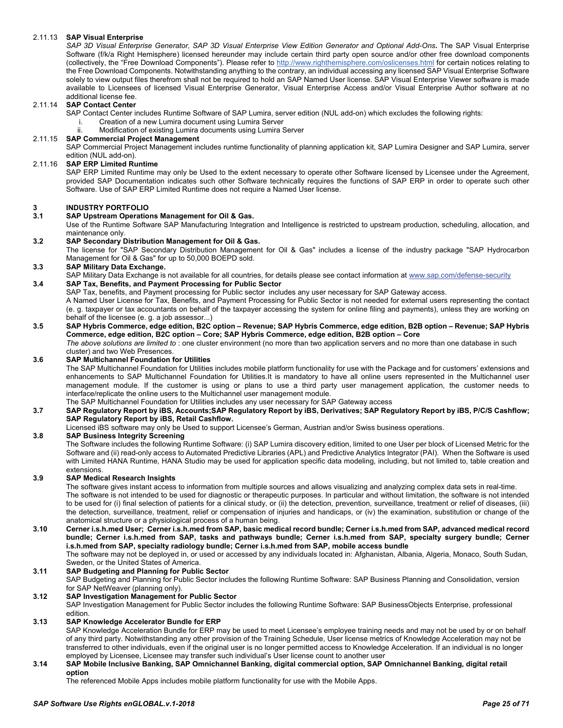### <span id="page-24-0"></span>2.11.13 **SAP Visual Enterprise**

*SAP 3D Visual Enterprise Generator, SAP 3D Visual Enterprise View Edition Generator and Optional Add-Ons***.** The SAP Visual Enterprise Software (f/k/a Right Hemisphere) licensed hereunder may include certain third party open source and/or other free download components (collectively, the "Free Download Components"). Please refer to<http://www.righthemisphere.com/oslicenses.html> for certain notices relating to the Free Download Components. Notwithstanding anything to the contrary, an individual accessing any licensed SAP Visual Enterprise Software solely to view output files therefrom shall not be required to hold an SAP Named User license. SAP Visual Enterprise Viewer software is made available to Licensees of licensed Visual Enterprise Generator, Visual Enterprise Access and/or Visual Enterprise Author software at no additional license fee.

### <span id="page-24-1"></span>2.11.14 **SAP Contact Center**

SAP Contact Center includes Runtime Software of SAP Lumira, server edition (NUL add-on) which excludes the following rights:<br>Creation of a new Lumira document using Lumira Server

- Creation of a new Lumira document using Lumira Server
- ii. Modification of existing Lumira documents using Lumira Server

#### <span id="page-24-2"></span>2.11.15 **SAP Commercial Project Management**

SAP Commercial Project Management includes runtime functionality of planning application kit, SAP Lumira Designer and SAP Lumira, server edition (NUL add-on).

#### <span id="page-24-3"></span>2.11.16 **SAP ERP Limited Runtime**

SAP ERP Limited Runtime may only be Used to the extent necessary to operate other Software licensed by Licensee under the Agreement, provided SAP Documentation indicates such other Software technically requires the functions of SAP ERP in order to operate such other Software. Use of SAP ERP Limited Runtime does not require a Named User license.

# <span id="page-24-4"></span>**3 INDUSTRY PORTFOLIO**

#### <span id="page-24-5"></span>**3.1 SAP Upstream Operations Management for Oil & Gas.**

Use of the Runtime Software SAP Manufacturing Integration and Intelligence is restricted to upstream production, scheduling, allocation, and maintenance only.

#### <span id="page-24-6"></span>**3.2 SAP Secondary Distribution Management for Oil & Gas.**

The license for "SAP Secondary Distribution Management for Oil & Gas" includes a license of the industry package "SAP Hydrocarbon Management for Oil & Gas" for up to 50,000 BOEPD sold.

#### <span id="page-24-7"></span>**3.3 SAP Military Data Exchange.**

<span id="page-24-8"></span>SAP Military Data Exchange is not available for all countries, for details please see contact information at [www.sap.com/defense-security](http://www.sap.com/defense-security) **3.4 SAP Tax, Benefits, and Payment Processing for Public Sector**

SAP Tax, benefits, and Payment processing for Public sector includes any user necessary for SAP Gateway access.

A Named User License for Tax, Benefits, and Payment Processing for Public Sector is not needed for external users representing the contact (e. g. taxpayer or tax accountants on behalf of the taxpayer accessing the system for online filing and payments), unless they are working on behalf of the licensee (e. g. a job assessor...)

#### <span id="page-24-9"></span>**3.5 SAP Hybris Commerce, edge edition, B2C option – Revenue; SAP Hybris Commerce, edge edition, B2B option – Revenue; SAP Hybris Commerce, edge edition, B2C option – Core; SAP Hybris Commerce, edge edition, B2B option – Core** *The above solutions are limited to* : one cluster environment (no more than two application servers and no more than one database in such

cluster) and two Web Presences.

### <span id="page-24-10"></span>**3.6 SAP Multichannel Foundation for Utilities**

The SAP Multichannel Foundation for Utilities includes mobile platform functionality for use with the Package and for customers' extensions and enhancements to SAP Multichannel Foundation for Utilities.It is mandatory to have all online users represented in the Multichannel user management module. If the customer is using or plans to use a third party user management application, the customer needs to interface/replicate the online users to the Multichannel user management module.

The SAP Multichannel Foundation for Utilities includes any user necessary for SAP Gateway access

#### <span id="page-24-11"></span>**3.7 SAP Regulatory Report by iBS, Accounts;SAP Regulatory Report by iBS, Derivatives; SAP Regulatory Report by iBS, P/C/S Cashflow; SAP Regulatory Report by iBS, Retail Cashflow.**

Licensed iBS software may only be Used to support Licensee's German, Austrian and/or Swiss business operations.

#### <span id="page-24-12"></span>**3.8 SAP Business Integrity Screening**

The Software includes the following Runtime Software: (i) SAP Lumira discovery edition, limited to one User per block of Licensed Metric for the Software and (ii) read-only access to Automated Predictive Libraries (APL) and Predictive Analytics Integrator (PAI). When the Software is used with Limited HANA Runtime, HANA Studio may be used for application specific data modeling, including, but not limited to, table creation and extensions.

#### <span id="page-24-13"></span>**3.9 SAP Medical Research Insights**

The software gives instant access to information from multiple sources and allows visualizing and analyzing complex data sets in real-time. The software is not intended to be used for diagnostic or therapeutic purposes. In particular and without limitation, the software is not intended to be used for (i) final selection of patients for a clinical study, or (ii) the detection, prevention, surveillance, treatment or relief of diseases, (iii) the detection, surveillance, treatment, relief or compensation of injuries and handicaps, or (iv) the examination, substitution or change of the anatomical structure or a physiological process of a human being.

### <span id="page-24-14"></span>**3.10 Cerner i.s.h.med User; Cerner i.s.h.med from SAP, basic medical record bundle; Cerner i.s.h.med from SAP, advanced medical record bundle; Cerner i.s.h.med from SAP, tasks and pathways bundle; Cerner i.s.h.med from SAP, specialty surgery bundle; Cerner i.s.h.med from SAP, specialty radiology bundle; Cerner i.s.h.med from SAP, mobile access bundle**

The software may not be deployed in, or used or accessed by any individuals located in: Afghanistan, Albania, Algeria, Monaco, South Sudan, Sweden, or the United States of America.

#### <span id="page-24-15"></span>**3.11 SAP Budgeting and Planning for Public Sector**

SAP Budgeting and Planning for Public Sector includes the following Runtime Software: SAP Business Planning and Consolidation, version for SAP NetWeaver (planning only).

#### <span id="page-24-16"></span>**3.12 SAP Investigation Management for Public Sector**

SAP Investigation Management for Public Sector includes the following Runtime Software: SAP BusinessObjects Enterprise, professional edition.

### <span id="page-24-17"></span>**3.13 SAP Knowledge Accelerator Bundle for ERP**

SAP Knowledge Acceleration Bundle for ERP may be used to meet Licensee's employee training needs and may not be used by or on behalf of any third party. Notwithstanding any other provision of the Training Schedule, User license metrics of Knowledge Acceleration may not be transferred to other individuals, even if the original user is no longer permitted access to Knowledge Acceleration. If an individual is no longer employed by Licensee, Licensee may transfer such individual's User license count to another user

#### <span id="page-24-18"></span>**3.14 SAP Mobile Inclusive Banking, SAP Omnichannel Banking, digital commercial option, SAP Omnichannel Banking, digital retail option**

The referenced Mobile Apps includes mobile platform functionality for use with the Mobile Apps.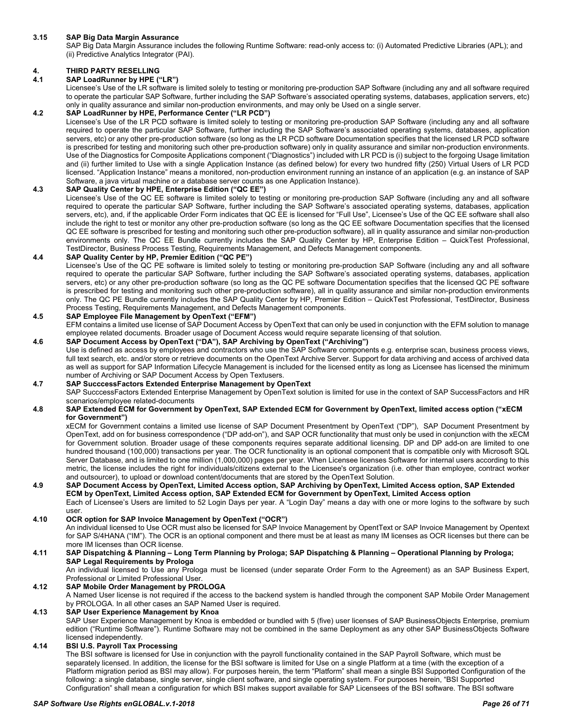#### <span id="page-25-0"></span>**3.15 SAP Big Data Margin Assurance**

SAP Big Data Margin Assurance includes the following Runtime Software: read-only access to: (i) Automated Predictive Libraries (APL); and (ii) Predictive Analytics Integrator (PAI).

# <span id="page-25-1"></span>**4. THIRD PARTY RESELLING**

#### <span id="page-25-2"></span>**4.1 SAP LoadRunner by HPE ("LR")**

Licensee's Use of the LR software is limited solely to testing or monitoring pre-production SAP Software (including any and all software required to operate the particular SAP Software, further including the SAP Software's associated operating systems, databases, application servers, etc) only in quality assurance and similar non-production environments, and may only be Used on a single server.

### <span id="page-25-3"></span>**4.2 SAP LoadRunner by HPE, Performance Center ("LR PCD")**

Licensee's Use of the LR PCD software is limited solely to testing or monitoring pre-production SAP Software (including any and all software required to operate the particular SAP Software, further including the SAP Software's associated operating systems, databases, application servers, etc) or any other pre-production software (so long as the LR PCD software Documentation specifies that the licensed LR PCD software is prescribed for testing and monitoring such other pre-production software) only in quality assurance and similar non-production environments. Use of the Diagnostics for Composite Applications component ("Diagnostics") included with LR PCD is (i) subject to the forgoing Usage limitation and (ii) further limited to Use with a single Application Instance (as defined below) for every two hundred fifty (250) Virtual Users of LR PCD licensed. "Application Instance" means a monitored, non-production environment running an instance of an application (e.g. an instance of SAP Software, a java virtual machine or a database server counts as one Application Instance).

#### <span id="page-25-4"></span>**4.3 SAP Quality Center by HPE, Enterprise Edition ("QC EE")**

Licensee's Use of the QC EE software is limited solely to testing or monitoring pre-production SAP Software (including any and all software required to operate the particular SAP Software, further including the SAP Software's associated operating systems, databases, application servers, etc), and, if the applicable Order Form indicates that QC EE is licensed for "Full Use", Licensee's Use of the QC EE software shall also include the right to test or monitor any other pre-production software (so long as the QC EE software Documentation specifies that the licensed QC EE software is prescribed for testing and monitoring such other pre-production software), all in quality assurance and similar non-production environments only. The QC EE Bundle currently includes the SAP Quality Center by HP, Enterprise Edition – QuickTest Professional, TestDirector, Business Process Testing, Requirements Management, and Defects Management components.

#### <span id="page-25-5"></span>**4.4 SAP Quality Center by HP, Premier Edition ("QC PE")**

Licensee's Use of the QC PE software is limited solely to testing or monitoring pre-production SAP Software (including any and all software required to operate the particular SAP Software, further including the SAP Software's associated operating systems, databases, application servers, etc) or any other pre-production software (so long as the QC PE software Documentation specifies that the licensed QC PE software is prescribed for testing and monitoring such other pre-production software), all in quality assurance and similar non-production environments only. The QC PE Bundle currently includes the SAP Quality Center by HP, Premier Edition – QuickTest Professional, TestDirector, Business Process Testing, Requirements Management, and Defects Management components.

#### <span id="page-25-6"></span>**4.5 SAP Employee File Management by OpenText ("EFM")**

EFM contains a limited use license of SAP Document Access by OpenText that can only be used in conjunction with the EFM solution to manage employee related documents. Broader usage of Document Access would require separate licensing of that solution.

### <span id="page-25-7"></span>**4.6 SAP Document Access by OpenText ("DA"), SAP Archiving by OpenText ("Archiving")**

Use is defined as access by employees and contractors who use the SAP Software components e.g. enterprise scan, business process views, full text search, etc. and/or store or retrieve documents on the OpenText Archive Server. Support for data archiving and access of archived data as well as support for SAP Information Lifecycle Management is included for the licensed entity as long as Licensee has licensed the minimum number of Archiving or SAP Document Access by Open Textusers.

#### <span id="page-25-8"></span>**4.7 SAP SucccessFactors Extended Enterprise Management by OpenText**

SAP SucccessFactors Extended Enterprise Management by OpenText solution is limited for use in the context of SAP SuccessFactors and HR scenarios/employee related-documents

#### <span id="page-25-9"></span>**4.8 SAP Extended ECM for Government by OpenText, SAP Extended ECM for Government by OpenText, limited access option ("xECM for Government")**

xECM for Government contains a limited use license of SAP Document Presentment by OpenText ("DP"), SAP Document Presentment by OpenText, add on for business correspondence ("DP add-on"), and SAP OCR functionality that must only be used in conjunction with the xECM for Government solution. Broader usage of these components requires separate additional licensing. DP and DP add-on are limited to one hundred thousand (100,000) transactions per year. The OCR functionality is an optional component that is compatible only with Microsoft SQL Server Database, and is limited to one million (1,000,000) pages per year. When Licensee licenses Software for internal users according to this metric, the license includes the right for individuals/citizens external to the Licensee's organization (i.e. other than employee, contract worker and outsourcer), to upload or download content/documents that are stored by the OpenText Solution.

<span id="page-25-10"></span>**4.9 SAP Document Access by OpenText, Limited Access option, SAP Archiving by OpenText, Limited Access option, SAP Extended ECM by OpenText, Limited Access option, SAP Extended ECM for Government by OpenText, Limited Access option** Each of Licensee's Users are limited to 52 Login Days per year. A "Login Day" means a day with one or more logins to the software by such user.

#### <span id="page-25-11"></span>**4.10 OCR option for SAP Invoice Management by OpenText ("OCR")**

An individual licensed to Use OCR must also be licensed for SAP Invoice Management by OpentText or SAP Invoice Management by Opentext for SAP S/4HANA ("IM"). The OCR is an optional component and there must be at least as many IM licenses as OCR licenses but there can be more IM licenses than OCR license.

#### <span id="page-25-12"></span>**4.11 SAP Dispatching & Planning – Long Term Planning by Prologa; SAP Dispatching & Planning – Operational Planning by Prologa; SAP Legal Requirements by Prologa**

An individual licensed to Use any Prologa must be licensed (under separate Order Form to the Agreement) as an SAP Business Expert, Professional or Limited Professional User.

#### <span id="page-25-13"></span>**4.12 SAP Mobile Order Management by PROLOGA**

A Named User license is not required if the access to the backend system is handled through the component SAP Mobile Order Management by PROLOGA. In all other cases an SAP Named User is required.

#### <span id="page-25-14"></span>**4.13 SAP User Experience Management by Knoa**

SAP User Experience Management by Knoa is embedded or bundled with 5 (five) user licenses of SAP BusinessObjects Enterprise, premium edition ("Runtime Software"). Runtime Software may not be combined in the same Deployment as any other SAP BusinessObjects Software licensed independently.

### <span id="page-25-15"></span>**4.14 BSI U.S. Payroll Tax Processing**

The BSI software is licensed for Use in conjunction with the payroll functionality contained in the SAP Payroll Software, which must be separately licensed. In addition, the license for the BSI software is limited for Use on a single Platform at a time (with the exception of a Platform migration period as BSI may allow). For purposes herein, the term "Platform" shall mean a single BSI Supported Configuration of the following: a single database, single server, single client software, and single operating system. For purposes herein, "BSI Supported Configuration" shall mean a configuration for which BSI makes support available for SAP Licensees of the BSI software. The BSI software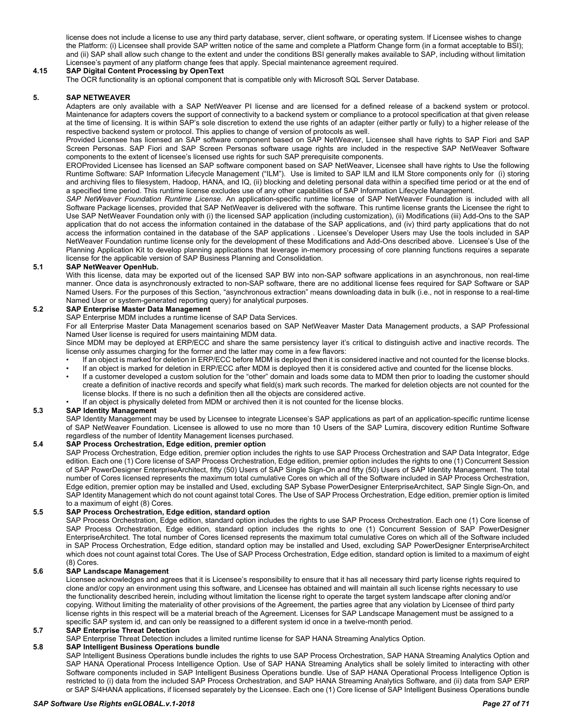license does not include a license to use any third party database, server, client software, or operating system. If Licensee wishes to change the Platform: (i) Licensee shall provide SAP written notice of the same and complete a Platform Change form (in a format acceptable to BSI); and (ii) SAP shall allow such change to the extent and under the conditions BSI generally makes available to SAP, including without limitation Licensee's payment of any platform change fees that apply. Special maintenance agreement required.

# <span id="page-26-0"></span>**4.15 SAP Digital Content Processing by OpenText**

The OCR functionality is an optional component that is compatible only with Microsoft SQL Server Database.

#### <span id="page-26-1"></span>**5. SAP NETWEAVER**

Adapters are only available with a SAP NetWeaver PI license and are licensed for a defined release of a backend system or protocol. Maintenance for adapters covers the support of connectivity to a backend system or compliance to a protocol specification at that given release at the time of licensing. It is within SAP's sole discretion to extend the use rights of an adapter (either partly or fully) to a higher release of the respective backend system or protocol. This applies to change of version of protocols as well.

Provided Licensee has licensed an SAP software component based on SAP NetWeaver, Licensee shall have rights to SAP Fiori and SAP Screen Personas. SAP Fiori and SAP Screen Personas software usage rights are included in the respective SAP NetWeaver Software components to the extent of licensee's licensed use rights for such SAP prerequisite components.

EROProvided Licensee has licensed an SAP software component based on SAP NetWeaver, Licensee shall have rights to Use the following Runtime Software: SAP Information Lifecycle Management ("ILM"). Use is limited to SAP ILM and ILM Store components only for (i) storing and archiving files to filesystem, Hadoop, HANA, and IQ, (ii) blocking and deleting personal data within a specified time period or at the end of a specified time period. This runtime license excludes use of any other capabilities of SAP Information Lifecycle Management.

*SAP NetWeaver Foundation Runtime License*. An application-specific runtime license of SAP NetWeaver Foundation is included with all Software Package licenses, provided that SAP NetWeaver is delivered with the software. This runtime license grants the Licensee the right to Use SAP NetWeaver Foundation only with (i) the licensed SAP application (including customization), (ii) Modifications (iii) Add-Ons to the SAP application that do not access the information contained in the database of the SAP applications, and (iv) third party applications that do not access the information contained in the database of the SAP applications . Licensee's Developer Users may Use the tools included in SAP NetWeaver Foundation runtime license only for the development of these Modifications and Add-Ons described above. Licensee's Use of the Planning Application Kit to develop planning applications that leverage in-memory processing of core planning functions requires a separate license for the applicable version of SAP Business Planning and Consolidation.

#### <span id="page-26-2"></span>**5.1 SAP NetWeaver OpenHub.**

With this license, data may be exported out of the licensed SAP BW into non-SAP software applications in an asynchronous, non real-time manner. Once data is asynchronously extracted to non-SAP software, there are no additional license fees required for SAP Software or SAP Named Users. For the purposes of this Section, "asynchronous extraction" means downloading data in bulk (i.e., not in response to a real-time Named User or system-generated reporting query) for analytical purposes.

#### <span id="page-26-3"></span>**5.2 SAP Enterprise Master Data Management**

SAP Enterprise MDM includes a runtime license of SAP Data Services.

For all Enterprise Master Data Management scenarios based on SAP NetWeaver Master Data Management products, a SAP Professional Named User license is required for users maintaining MDM data.

Since MDM may be deployed at ERP/ECC and share the same persistency layer it's critical to distinguish active and inactive records. The license only assumes charging for the former and the latter may come in a few flavors:

- If an object is marked for deletion in ERP/ECC before MDM is deployed then it is considered inactive and not counted for the license blocks.
- If an object is marked for deletion in ERP/ECC after MDM is deployed then it is considered active and counted for the license blocks. • If a customer developed a custom solution for the "other" domain and loads some data to MDM then prior to loading the customer should create a definition of inactive records and specify what field(s) mark such records. The marked for deletion objects are not counted for the license blocks. If there is no such a definition then all the objects are considered active.
	- If an object is physically deleted from MDM or archived then it is not counted for the license blocks.

#### <span id="page-26-4"></span>**5.3 SAP Identity Management**

SAP Identity Management may be used by Licensee to integrate Licensee's SAP applications as part of an application-specific runtime license of SAP NetWeaver Foundation. Licensee is allowed to use no more than 10 Users of the SAP Lumira, discovery edition Runtime Software regardless of the number of Identity Management licenses purchased.

#### <span id="page-26-5"></span>**5.4 SAP Process Orchestration, Edge edition, premier option**

SAP Process Orchestration, Edge edition, premier option includes the rights to use SAP Process Orchestration and SAP Data Integrator, Edge edition. Each one (1) Core license of SAP Process Orchestration, Edge edition, premier option includes the rights to one (1) Concurrent Session of SAP PowerDesigner EnterpriseArchitect, fifty (50) Users of SAP Single Sign-On and fifty (50) Users of SAP Identity Management. The total number of Cores licensed represents the maximum total cumulative Cores on which all of the Software included in SAP Process Orchestration, Edge edition, premier option may be installed and Used, excluding SAP Sybase PowerDesigner EnterpriseArchitect, SAP Single Sign-On, and SAP Identity Management which do not count against total Cores. The Use of SAP Process Orchestration, Edge edition, premier option is limited to a maximum of eight (8) Cores.

#### <span id="page-26-6"></span>**5.5 SAP Process Orchestration, Edge edition, standard option**

SAP Process Orchestration, Edge edition, standard option includes the rights to use SAP Process Orchestration. Each one (1) Core license of SAP Process Orchestration, Edge edition, standard option includes the rights to one (1) Concurrent Session of SAP PowerDesigner EnterpriseArchitect. The total number of Cores licensed represents the maximum total cumulative Cores on which all of the Software included in SAP Process Orchestration, Edge edition, standard option may be installed and Used, excluding SAP PowerDesigner EnterpriseArchitect which does not count against total Cores. The Use of SAP Process Orchestration, Edge edition, standard option is limited to a maximum of eight (8) Cores.

## <span id="page-26-7"></span>**5.6 SAP Landscape Management**

Licensee acknowledges and agrees that it is Licensee's responsibility to ensure that it has all necessary third party license rights required to clone and/or copy an environment using this software, and Licensee has obtained and will maintain all such license rights necessary to use the functionality described herein, including without limitation the license right to operate the target system landscape after cloning and/or copying. Without limiting the materiality of other provisions of the Agreement, the parties agree that any violation by Licensee of third party license rights in this respect will be a material breach of the Agreement. Licenses for SAP Landscape Management must be assigned to a specific SAP system id, and can only be reassigned to a different system id once in a twelve-month period.

#### <span id="page-26-8"></span>**5.7 SAP Enterprise Threat Detection**

SAP Enterprise Threat Detection includes a limited runtime license for SAP HANA Streaming Analytics Option.

#### <span id="page-26-9"></span>**5.8 SAP Intelligent Business Operations bundle**

SAP Intelligent Business Operations bundle includes the rights to use SAP Process Orchestration, SAP HANA Streaming Analytics Option and SAP HANA Operational Process Intelligence Option. Use of SAP HANA Streaming Analytics shall be solely limited to interacting with other Software components included in SAP Intelligent Business Operations bundle. Use of SAP HANA Operational Process Intelligence Option is restricted to (i) data from the included SAP Process Orchestration, and SAP HANA Streaming Analytics Software, and (ii) data from SAP ERP or SAP S/4HANA applications, if licensed separately by the Licensee. Each one (1) Core license of SAP Intelligent Business Operations bundle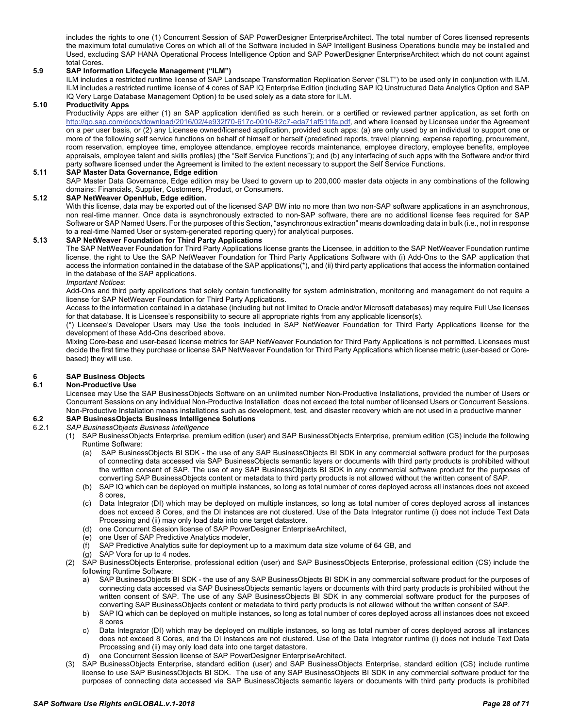includes the rights to one (1) Concurrent Session of SAP PowerDesigner EnterpriseArchitect. The total number of Cores licensed represents the maximum total cumulative Cores on which all of the Software included in SAP Intelligent Business Operations bundle may be installed and Used, excluding SAP HANA Operational Process Intelligence Option and SAP PowerDesigner EnterpriseArchitect which do not count against total Cores.

#### <span id="page-27-0"></span>**5.9 SAP Information Lifecycle Management ("ILM")**

ILM includes a restricted runtime license of SAP Landscape Transformation Replication Server ("SLT") to be used only in conjunction with ILM. ILM includes a restricted runtime license of 4 cores of SAP IQ Enterprise Edition (including SAP IQ Unstructured Data Analytics Option and SAP IQ Very Large Database Management Option) to be used solely as a data store for ILM.

#### <span id="page-27-1"></span>**5.10 Productivity Apps**

Productivity Apps are either (1) an SAP application identified as such herein, or a certified or reviewed partner application, as set forth on [http://go.sap.com/docs/download/2016/02/4e932f70-617c-0010-82c7-eda71af511fa.pdf,](http://go.sap.com/docs/download/2016/02/4e932f70-617c-0010-82c7-eda71af511fa.pdf) and where licensed by Licensee under the Agreement on a per user basis, or (2) any Licensee owned/licensed application, provided such apps: (a) are only used by an individual to support one or more of the following self service functions on behalf of himself or herself (predefined reports, travel planning, expense reporting, procurement, room reservation, employee time, employee attendance, employee records maintenance, employee directory, employee benefits, employee appraisals, employee talent and skills profiles) (the "Self Service Functions"); and (b) any interfacing of such apps with the Software and/or third party software licensed under the Agreement is limited to the extent necessary to support the Self Service Functions.

#### <span id="page-27-2"></span>**5.11 SAP Master Data Governance, Edge edition**

SAP Master Data Governance, Edge edition may be Used to govern up to 200,000 master data objects in any combinations of the following domains: Financials, Supplier, Customers, Product, or Consumers.

#### <span id="page-27-3"></span>**5.12 SAP NetWeaver OpenHub, Edge edition.**

With this license, data may be exported out of the licensed SAP BW into no more than two non-SAP software applications in an asynchronous, non real-time manner. Once data is asynchronously extracted to non-SAP software, there are no additional license fees required for SAP Software or SAP Named Users. For the purposes of this Section, "asynchronous extraction" means downloading data in bulk (i.e., not in response to a real-time Named User or system-generated reporting query) for analytical purposes.

#### <span id="page-27-4"></span>**5.13 SAP NetWeaver Foundation for Third Party Applications**

The SAP NetWeaver Foundation for Third Party Applications license grants the Licensee, in addition to the SAP NetWeaver Foundation runtime license, the right to Use the SAP NetWeaver Foundation for Third Party Applications Software with (i) Add-Ons to the SAP application that access the information contained in the database of the SAP applications(\*), and (ii) third party applications that access the information contained in the database of the SAP applications.

#### *Important Notices*:

Add-Ons and third party applications that solely contain functionality for system administration, monitoring and management do not require a license for SAP NetWeaver Foundation for Third Party Applications.

Access to the information contained in a database (including but not limited to Oracle and/or Microsoft databases) may require Full Use licenses for that database. It is Licensee's responsibility to secure all appropriate rights from any applicable licensor(s).

(\*) Licensee's Developer Users may Use the tools included in SAP NetWeaver Foundation for Third Party Applications license for the development of these Add-Ons described above.

Mixing Core-base and user-based license metrics for SAP NetWeaver Foundation for Third Party Applications is not permitted. Licensees must decide the first time they purchase or license SAP NetWeaver Foundation for Third Party Applications which license metric (user-based or Corebased) they will use.

# <span id="page-27-5"></span>**6 SAP Business Objects**

# <span id="page-27-6"></span>**6.1 Non-Productive Use**

Licensee may Use the SAP BusinessObjects Software on an unlimited number Non-Productive Installations, provided the number of Users or Concurrent Sessions on any individual Non-Productive Installation does not exceed the total number of licensed Users or Concurrent Sessions. Non-Productive Installation means installations such as development, test, and disaster recovery which are not used in a productive manner

# <span id="page-27-7"></span>**6.2 SAP BusinessObjects Business Intelligence Solutions**

#### 6.2.1 *SAP BusinessObjects Business Intelligence*

- (1) SAP BusinessObjects Enterprise, premium edition (user) and SAP BusinessObjects Enterprise, premium edition (CS) include the following Runtime Software:
	- (a) SAP BusinessObjects BI SDK the use of any SAP BusinessObjects BI SDK in any commercial software product for the purposes of connecting data accessed via SAP BusinessObjects semantic layers or documents with third party products is prohibited without the written consent of SAP. The use of any SAP BusinessObjects BI SDK in any commercial software product for the purposes of converting SAP BusinessObjects content or metadata to third party products is not allowed without the written consent of SAP.
	- (b) SAP IQ which can be deployed on multiple instances, so long as total number of cores deployed across all instances does not exceed 8 cores,
	- (c) Data Integrator (DI) which may be deployed on multiple instances, so long as total number of cores deployed across all instances does not exceed 8 Cores, and the DI instances are not clustered. Use of the Data Integrator runtime (i) does not include Text Data Processing and (ii) may only load data into one target datastore.
	- (d) one Concurrent Session license of SAP PowerDesigner EnterpriseArchitect,
	- (e) one User of SAP Predictive Analytics modeler,
	- (f) SAP Predictive Analytics suite for deployment up to a maximum data size volume of 64 GB, and
	- (g) SAP Vora for up to 4 nodes.
- (2) SAP BusinessObjects Enterprise, professional edition (user) and SAP BusinessObjects Enterprise, professional edition (CS) include the following Runtime Software:
	- a) SAP BusinessObjects BI SDK the use of any SAP BusinessObjects BI SDK in any commercial software product for the purposes of connecting data accessed via SAP BusinessObjects semantic layers or documents with third party products is prohibited without the written consent of SAP. The use of any SAP BusinessObjects BI SDK in any commercial software product for the purposes of converting SAP BusinessObjects content or metadata to third party products is not allowed without the written consent of SAP.
	- b) SAP IQ which can be deployed on multiple instances, so long as total number of cores deployed across all instances does not exceed 8 cores
	- c) Data Integrator (DI) which may be deployed on multiple instances, so long as total number of cores deployed across all instances does not exceed 8 Cores, and the DI instances are not clustered. Use of the Data Integrator runtime (i) does not include Text Data Processing and (ii) may only load data into one target datastore.
	- one Concurrent Session license of SAP PowerDesigner EnterpriseArchitect.
- (3) SAP BusinessObjects Enterprise, standard edition (user) and SAP BusinessObjects Enterprise, standard edition (CS) include runtime license to use SAP BusinessObjects BI SDK. The use of any SAP BusinessObjects BI SDK in any commercial software product for the purposes of connecting data accessed via SAP BusinessObjects semantic layers or documents with third party products is prohibited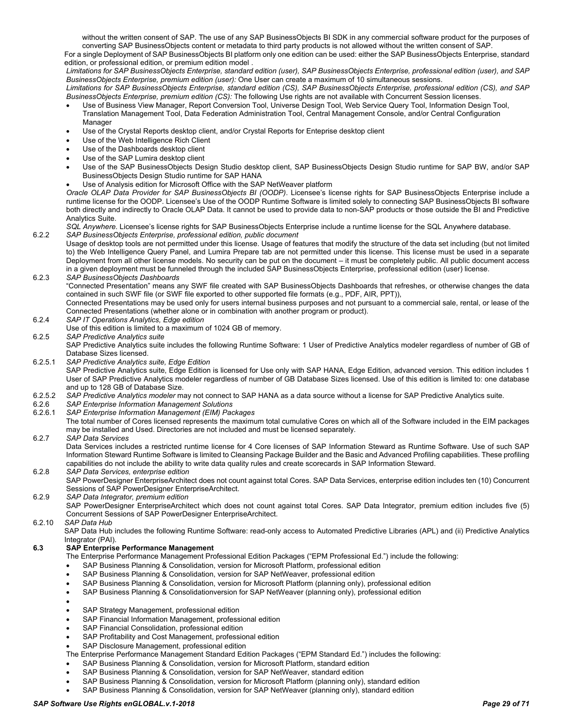without the written consent of SAP. The use of any SAP BusinessObjects BI SDK in any commercial software product for the purposes of converting SAP BusinessObjects content or metadata to third party products is not allowed without the written consent of SAP.

For a single Deployment of SAP BusinessObjects BI platform only one edition can be used: either the SAP BusinessObjects Enterprise, standard edition, or professional edition, or premium edition model .

*Limitations for SAP BusinessObjects Enterprise, standard edition (user), SAP BusinessObjects Enterprise, professional edition (user), and SAP BusinessObjects Enterprise, premium edition (user):* One User can create a maximum of 10 simultaneous sessions.

*Limitations for SAP BusinessObjects Enterprise, standard edition (CS), SAP BusinessObjects Enterprise, professional edition (CS), and SAP BusinessObjects Enterprise, premium edition (CS):* The following Use rights are not available with Concurrent Session licenses.

- Use of Business View Manager, Report Conversion Tool, Universe Design Tool, Web Service Query Tool, Information Design Tool, Translation Management Tool, Data Federation Administration Tool, Central Management Console, and/or Central Configuration Manager
- Use of the Crystal Reports desktop client, and/or Crystal Reports for Enteprise desktop client
- Use of the Web Intelligence Rich Client
- Use of the Dashboards desktop client
- Use of the SAP Lumira desktop client
- Use of the SAP BusinessObjects Design Studio desktop client, SAP BusinessObjects Design Studio runtime for SAP BW, and/or SAP BusinessObjects Design Studio runtime for SAP HANA
- Use of Analysis edition for Microsoft Office with the SAP NetWeaver platform

*Oracle OLAP Data Provider for SAP BusinessObjects BI (OODP)*. Licensee's license rights for SAP BusinessObjects Enterprise include a runtime license for the OODP. Licensee's Use of the OODP Runtime Software is limited solely to connecting SAP BusinessObjects BI software both directly and indirectly to Oracle OLAP Data. It cannot be used to provide data to non-SAP products or those outside the BI and Predictive Analytics Suite.

*SQL Anywhere*. Licensee's license rights for SAP BusinessObjects Enterprise include a runtime license for the SQL Anywhere database. 6.2.2 *SAP BusinessObjects Enterprise, professional edition, public document*

Usage of desktop tools are not permitted under this license. Usage of features that modify the structure of the data set including (but not limited to) the Web Intelligence Query Panel, and Lumira Prepare tab are not permitted under this license. This license must be used in a separate Deployment from all other license models. No security can be put on the document – it must be completely public. All public document access in a given deployment must be funneled through the included SAP BusinessObjects Enterprise, professional edition (user) license.

# 6.2.3 *SAP BusinessObjects Dashboards*

"Connected Presentation" means any SWF file created with SAP BusinessObjects Dashboards that refreshes, or otherwise changes the data contained in such SWF file (or SWF file exported to other supported file formats (e.g., PDF, AIR, PPT)),

Connected Presentations may be used only for users internal business purposes and not pursuant to a commercial sale, rental, or lease of the Connected Presentations (whether alone or in combination with another program or product).

- 6.2.4 *SAP IT Operations Analytics, Edge edition*
- Use of this edition is limited to a maximum of 1024 GB of memory.

#### 6.2.5 *SAP Predictive Analytics suite*

SAP Predictive Analytics suite includes the following Runtime Software: 1 User of Predictive Analytics modeler regardless of number of GB of Database Sizes licensed.

6.2.5.1 *SAP Predictive Analytics suite, Edge Edition*

SAP Predictive Analytics suite, Edge Edition is licensed for Use only with SAP HANA, Edge Edition, advanced version. This edition includes 1 User of SAP Predictive Analytics modeler regardless of number of GB Database Sizes licensed. Use of this edition is limited to: one database and up to 128 GB of Database Size.

- 6.2.5.2 *SAP Predictive Analytics modeler* may not connect to SAP HANA as a data source without a license for SAP Predictive Analytics suite.
- 6.2.6 *SAP Enterprise Information Management Solutions*
- 6.2.6.1 *SAP Enterprise Information Management (EIM) Packages*

The total number of Cores licensed represents the maximum total cumulative Cores on which all of the Software included in the EIM packages may be installed and Used. Directories are not included and must be licensed separately.

### 6.2.7 *SAP Data Services*

Data Services includes a restricted runtime license for 4 Core licenses of SAP Information Steward as Runtime Software. Use of such SAP Information Steward Runtime Software is limited to Cleansing Package Builder and the Basic and Advanced Profiling capabilities. These profiling capabilities do not include the ability to write data quality rules and create scorecards in SAP Information Steward.

### 6.2.8 *SAP Data Services, enterprise edition*

SAP PowerDesigner EnterpriseArchitect does not count against total Cores. SAP Data Services, enterprise edition includes ten (10) Concurrent Sessions of SAP PowerDesigner EnterpriseArchitect.

#### 6.2.9 *SAP Data Integrator, premium edition*

SAP PowerDesigner EnterpriseArchitect which does not count against total Cores. SAP Data Integrator, premium edition includes five (5) Concurrent Sessions of SAP PowerDesigner EnterpriseArchitect.

6.2.10 *SAP Data Hub*

SAP Data Hub includes the following Runtime Software: read-only access to Automated Predictive Libraries (APL) and (ii) Predictive Analytics Integrator (PAI).

# <span id="page-28-0"></span>**6.3 SAP Enterprise Performance Management**

- The Enterprise Performance Management Professional Edition Packages ("EPM Professional Ed.") include the following:
- SAP Business Planning & Consolidation, version for Microsoft Platform, professional edition
- SAP Business Planning & Consolidation, version for SAP NetWeaver, professional edition
- SAP Business Planning & Consolidation, version for Microsoft Platform (planning only), professional edition
- SAP Business Planning & Consolidationversion for SAP NetWeaver (planning only), professional edition
- •
- SAP Strategy Management, professional edition
- SAP Financial Information Management, professional edition
- SAP Financial Consolidation, professional edition
- SAP Profitability and Cost Management, professional edition
- SAP Disclosure Management, professional edition

The Enterprise Performance Management Standard Edition Packages ("EPM Standard Ed.") includes the following:

- SAP Business Planning & Consolidation, version for Microsoft Platform, standard edition
- SAP Business Planning & Consolidation, version for SAP NetWeaver, standard edition
- SAP Business Planning & Consolidation, version for Microsoft Platform (planning only), standard edition
- SAP Business Planning & Consolidation, version for SAP NetWeaver (planning only), standard edition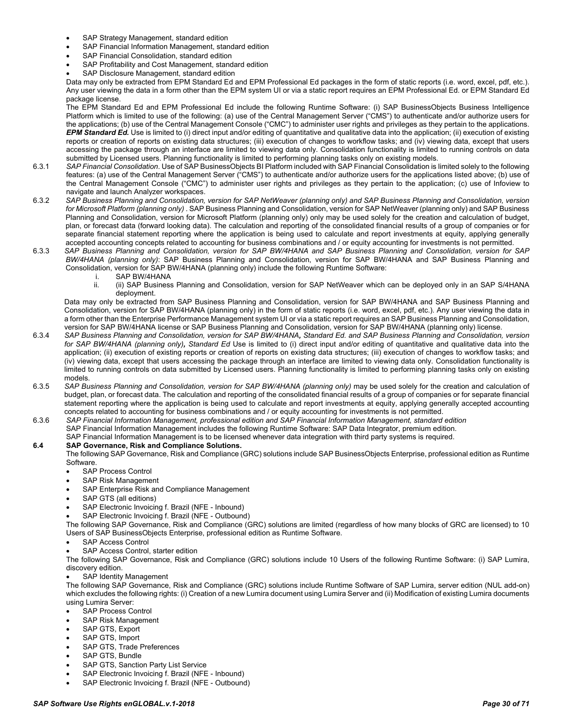- SAP Strategy Management, standard edition
- SAP Financial Information Management, standard edition
- SAP Financial Consolidation, standard edition
- SAP Profitability and Cost Management, standard edition
- SAP Disclosure Management, standard edition

Data may only be extracted from EPM Standard Ed and EPM Professional Ed packages in the form of static reports (i.e. word, excel, pdf, etc.). Any user viewing the data in a form other than the EPM system UI or via a static report requires an EPM Professional Ed. or EPM Standard Ed package license.

The EPM Standard Ed and EPM Professional Ed include the following Runtime Software: (i) SAP BusinessObjects Business Intelligence Platform which is limited to use of the following: (a) use of the Central Management Server ("CMS") to authenticate and/or authorize users for the applications; (b) use of the Central Management Console ("CMC") to administer user rights and privileges as they pertain to the applications. *EPM Standard Ed.* Use is limited to (i) direct input and/or editing of quantitative and qualitative data into the application; (ii) execution of existing reports or creation of reports on existing data structures; (iii) execution of changes to workflow tasks; and (iv) viewing data, except that users accessing the package through an interface are limited to viewing data only. Consolidation functionality is limited to running controls on data submitted by Licensed users. Planning functionality is limited to performing planning tasks only on existing models.

- 6.3.1 *SAP Financial Consolidation*. Use of SAP BusinessObjects BI Platform included with SAP Financial Consolidation is limited solely to the following features: (a) use of the Central Management Server ("CMS") to authenticate and/or authorize users for the applications listed above; (b) use of the Central Management Console ("CMC") to administer user rights and privileges as they pertain to the application; (c) use of Infoview to navigate and launch Analyzer workspaces.
- 6.3.2 *SAP Business Planning and Consolidation, version for SAP NetWeaver (planning only) and SAP Business Planning and Consolidation, version for Microsoft Platform (planning only)* . SAP Business Planning and Consolidation, version for SAP NetWeaver (planning only) and SAP Business Planning and Consolidation, version for Microsoft Platform (planning only) only may be used solely for the creation and calculation of budget, plan, or forecast data (forward looking data). The calculation and reporting of the consolidated financial results of a group of companies or for separate financial statement reporting where the application is being used to calculate and report investments at equity, applying generally accepted accounting concepts related to accounting for business combinations and / or equity accounting for investments is not permitted.
- 6.3.3 *SAP Business Planning and Consolidation, version for SAP BW/4HANA and SAP Business Planning and Consolidation, version for SAP BW/4HANA (planning only)*: SAP Business Planning and Consolidation, version for SAP BW/4HANA and SAP Business Planning and Consolidation, version for SAP BW/4HANA (planning only) include the following Runtime Software:
	- i. SAP BW/4HANA<br>ii. (ii) SAP Business
	- (ii) SAP Business Planning and Consolidation, version for SAP NetWeaver which can be deployed only in an SAP S/4HANA deployment.

Data may only be extracted from SAP Business Planning and Consolidation, version for SAP BW/4HANA and SAP Business Planning and Consolidation, version for SAP BW/4HANA (planning only) in the form of static reports (i.e. word, excel, pdf, etc.). Any user viewing the data in a form other than the Enterprise Performance Management system UI or via a static report requires an SAP Business Planning and Consolidation, version for SAP BW/4HANA license or SAP Business Planning and Consolidation, version for SAP BW/4HANA (planning only) license.

- 6.3.4 *SAP Business Planning and Consolidation, version for SAP BW/4HANA, Standard Ed. and SAP Business Planning and Consolidation, version for SAP BW/4HANA (planning only), Standard Ed* Use is limited to (i) direct input and/or editing of quantitative and qualitative data into the application; (ii) execution of existing reports or creation of reports on existing data structures; (iii) execution of changes to workflow tasks; and (iv) viewing data, except that users accessing the package through an interface are limited to viewing data only. Consolidation functionality is limited to running controls on data submitted by Licensed users. Planning functionality is limited to performing planning tasks only on existing models.
- 6.3.5 *SAP Business Planning and Consolidation, version for SAP BW/4HANA (planning only)* may be used solely for the creation and calculation of budget, plan, or forecast data. The calculation and reporting of the consolidated financial results of a group of companies or for separate financial statement reporting where the application is being used to calculate and report investments at equity, applying generally accepted accounting concepts related to accounting for business combinations and / or equity accounting for investments is not permitted.
- 6.3.6 *SAP Financial Information Management, professional edition and SAP Financial Information Management, standard edition* SAP Financial Information Management includes the following Runtime Software: SAP Data Integrator, premium edition.
	- SAP Financial Information Management is to be licensed whenever data integration with third party systems is required.

#### <span id="page-29-0"></span>**6.4 SAP Governance, Risk and Compliance Solutions.**

The following SAP Governance, Risk and Compliance (GRC) solutions include SAP BusinessObjects Enterprise, professional edition as Runtime Software.

- SAP Process Control
- SAP Risk Management
- SAP Enterprise Risk and Compliance Management
- SAP GTS (all editions)
- SAP Electronic Invoicing f. Brazil (NFE Inbound)
- SAP Electronic Invoicing f. Brazil (NFE Outbound)

The following SAP Governance, Risk and Compliance (GRC) solutions are limited (regardless of how many blocks of GRC are licensed) to 10 Users of SAP BusinessObjects Enterprise, professional edition as Runtime Software.

- SAP Access Control
- SAP Access Control, starter edition

The following SAP Governance, Risk and Compliance (GRC) solutions include 10 Users of the following Runtime Software: (i) SAP Lumira, discovery edition.

SAP Identity Management

The following SAP Governance, Risk and Compliance (GRC) solutions include Runtime Software of SAP Lumira, server edition (NUL add-on) which excludes the following rights: (i) Creation of a new Lumira document using Lumira Server and (ii) Modification of existing Lumira documents using Lumira Server:

- SAP Process Control
- SAP Risk Management
- SAP GTS, Export
- SAP GTS, Import
- SAP GTS, Trade Preferences
- SAP GTS, Bundle
- SAP GTS, Sanction Party List Service
- SAP Electronic Invoicing f. Brazil (NFE Inbound)
- SAP Electronic Invoicing f. Brazil (NFE Outbound)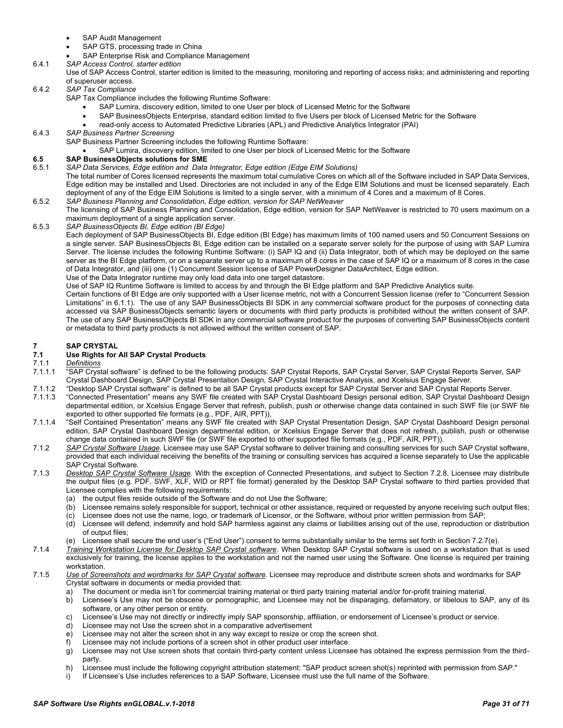- SAP Audit Management
- SAP GTS, processing trade in China
- SAP Enterprise Risk and Compliance Management
- 6.4.1 *SAP Access Control, starter edition*
	- Use of SAP Access Control, starter edition is limited to the measuring, monitoring and reporting of access risks; and administering and reporting of superuser access.
- 6.4.2 *SAP Tax Compliance*
	- SAP Tax Compliance includes the following Runtime Software:
		- SAP Lumira, discovery edition, limited to one User per block of Licensed Metric for the Software
		- SAP BusinessObjects Enterprise, standard edition limited to five Users per block of Licensed Metric for the Software
		- read-only access to Automated Predictive Libraries (APL) and Predictive Analytics Integrator (PAI)
- 6.4.3 *SAP Business Partner Screening*
	- SAP Business Partner Screening includes the following Runtime Software:
	- SAP Lumira, discovery edition, limited to one User per block of Licensed Metric for the Software

# <span id="page-30-0"></span>**6.5 SAP BusinessObjects solutions for SME**

- 6.5.1 *SAP Data Services, Edge edition and Data Integrator, Edge edition (Edge EIM Solutions)*
- The total number of Cores licensed represents the maximum total cumulative Cores on which all of the Software included in SAP Data Services, Edge edition may be installed and Used. Directories are not included in any of the Edge EIM Solutions and must be licensed separately. Each deployment of any of the Edge EIM Solutions is limited to a single server, with a minimum of 4 Cores and a maximum of 8 Cores. 6.5.2 *SAP Business Planning and Consolidation, Edge edition, version for SAP NetWeaver*
- The licensing of SAP Business Planning and Consolidation, Edge edition, version for SAP NetWeaver is restricted to 70 users maximum on a maximum deployment of a single application server.
- 6.5.3 *SAP BusinessObjects BI, Edge edition (BI Edge)*

Each deployment of SAP BusinessObjects BI, Edge edition (BI Edge) has maximum limits of 100 named users and 50 Concurrent Sessions on a single server. SAP BusinessObjects BI, Edge edition can be installed on a separate server solely for the purpose of using with SAP Lumira Server. The license includes the following Runtime Software: (i) SAP IQ and (ii) Data Integrator, both of which may be deployed on the same server as the BI Edge platform, or on a separate server up to a maximum of 8 cores in the case of SAP IQ or a maximum of 8 cores in the case of Data Integrator, and (iii) one (1) Concurrent Session license of SAP PowerDesigner DataArchitect, Edge edition.

Use of the Data Integrator runtime may only load data into one target datastore.

Use of SAP IQ Runtime Software is limited to access by and through the BI Edge platform and SAP Predictive Analytics suite.

Certain functions of BI Edge are only supported with a User license metric, not with a Concurrent Session license (refer to "Concurrent Session Limitations" in 6.1.1). The use of any SAP BusinessObjects BI SDK in any commercial software product for the purposes of connecting data accessed via SAP BusinessObjects semantic layers or documents with third party products is prohibited without the written consent of SAP. The use of any SAP BusinessObjects BI SDK in any commercial software product for the purposes of converting SAP BusinessObjects content or metadata to third party products is not allowed without the written consent of SAP.

# <span id="page-30-1"></span>**7 SAP CRYSTAL**

# <span id="page-30-2"></span>**7.1 Use Rights for All SAP Crystal Products**

- 7.1.1 *Definitions*
- 7.1.1.1 "SAP Crystal software" is defined to be the following products: SAP Crystal Reports, SAP Crystal Server, SAP Crystal Reports Server, SAP Crystal Dashboard Design, SAP Crystal Presentation Design, SAP Crystal Interactive Analysis, and Xcelsius Engage Server.
- 7.1.1.2 "Desktop SAP Crystal software" is defined to be all SAP Crystal products except for SAP Crystal Server and SAP Crystal Reports Server.
- 7.1.1.3 "Connected Presentation" means any SWF file created with SAP Crystal Dashboard Design personal edition, SAP Crystal Dashboard Design departmental edition, or Xcelsius Engage Server that refresh, publish, push or otherwise change data contained in such SWF file (or SWF file exported to other supported file formats (e.g., PDF, AIR, PPT)),
- 7.1.1.4 "Self Contained Presentation" means any SWF file created with SAP Crystal Presentation Design, SAP Crystal Dashboard Design personal edition, SAP Crystal Dashboard Design departmental edition, or Xcelsius Engage Server that does not refresh, publish, push or otherwise change data contained in such SWF file (or SWF file exported to other supported file formats (e.g., PDF, AIR, PPT)).
- 7.1.2 *SAP Crystal Software Usage.* Licensee may use SAP Crystal software to deliver training and consulting services for such SAP Crystal software, provided that each individual receiving the benefits of the training or consulting services has acquired a license separately to Use the applicable SAP Crystal Software.
- 7.1.3 *Desktop SAP Crystal Software Usage.* With the exception of Connected Presentations, and subject to Section 7.2.8, Licensee may distribute the output files (e.g. PDF, SWF, XLF, WID or RPT file format) generated by the Desktop SAP Crystal software to third parties provided that Licensee complies with the following requirements:
	- (a) the output files reside outside of the Software and do not Use the Software;
	- (b) Licensee remains solely responsible for support, technical or other assistance, required or requested by anyone receiving such output files;
	- (c) Licensee does not use the name, logo, or trademark of Licensor, or the Software, without prior written permission from SAP;<br>(d) Licensee will defend, indemnify and hold SAP harmless against any claims or liabilities ar
	- Licensee will defend, indemnify and hold SAP harmless against any claims or liabilities arising out of the use, reproduction or distribution of output files;
	- (e) Licensee shall secure the end user's ("End User") consent to terms substantially similar to the terms set forth in Section 7.2.7(e).
- 7.1.4 *Training Workstation License for Desktop SAP Crystal software*. When Desktop SAP Crystal software is used on a workstation that is used exclusively for training, the license applies to the workstation and not the named user using the Software. One license is required per training workstation.
- 7.1.5 *Use of Screenshots and wordmarks for SAP Crystal software*. Licensee may reproduce and distribute screen shots and wordmarks for SAP Crystal software in documents or media provided that:
	- a) The document or media isn't for commercial training material or third party training material and/or for-profit training material.<br>b) Licensee's Use may not be obscene or pornographic, and Licensee may not be disparagin
	- Licensee's Use may not be obscene or pornographic, and Licensee may not be disparaging, defamatory, or libelous to SAP, any of its software, or any other person or entity.
	- c) Licensee's Use may not directly or indirectly imply SAP sponsorship, affiliation, or endorsement of Licensee's product or service.
	- d) Licensee may not Use the screen shot in a comparative advertisement
	- e) Licensee may not alter the screen shot in any way except to resize or crop the screen shot.
	- f) Licensee may not include portions of a screen shot in other product user interface.
	- g) Licensee may not Use screen shots that contain third-party content unless Licensee has obtained the express permission from the thirdparty.
	- h) Licensee must include the following copyright attribution statement: "SAP product screen shot(s) reprinted with permission from SAP."
	- i) If Licensee's Use includes references to a SAP Software, Licensee must use the full name of the Software.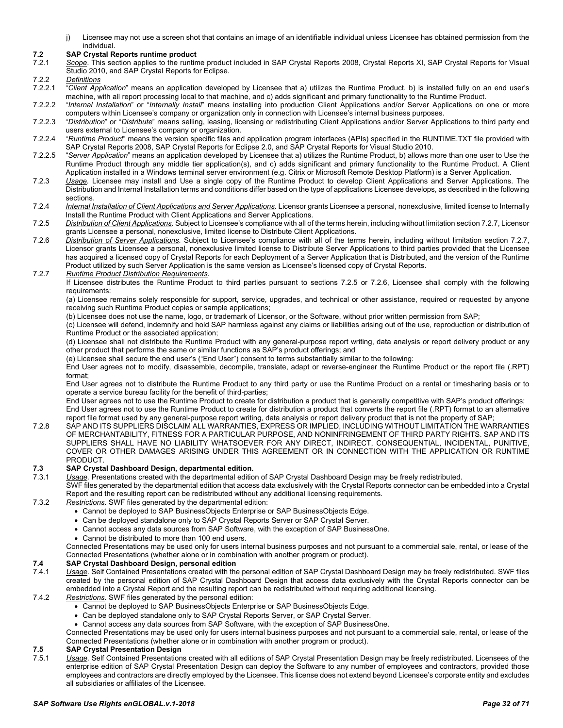j) Licensee may not use a screen shot that contains an image of an identifiable individual unless Licensee has obtained permission from the individual.

# <span id="page-31-0"></span>**7.2 SAP Crystal Reports runtime product**

- Scope. This section applies to the runtime product included in SAP Crystal Reports 2008, Crystal Reports XI, SAP Crystal Reports for Visual Studio 2010, and SAP Crystal Reports for Eclipse.
- 7.2.2 *Definitions*
- 7.2.2.1 "*Client Application*" means an application developed by Licensee that a) utilizes the Runtime Product, b) is installed fully on an end user's machine, with all report processing local to that machine, and c) adds significant and primary functionality to the Runtime Product.
- 7.2.2.2 "*Internal Installation*" or "*Internally Install*" means installing into production Client Applications and/or Server Applications on one or more computers within Licensee's company or organization only in connection with Licensee's internal business purposes.
- 7.2.2.3 "*Distribution*" or "*Distribute*" means selling, leasing, licensing or redistributing Client Applications and/or Server Applications to third party end users external to Licensee's company or organization.
- 7.2.2.4 "*Runtime Product*" means the version specific files and application program interfaces (APIs) specified in the RUNTIME.TXT file provided with SAP Crystal Reports 2008, SAP Crystal Reports for Eclipse 2.0, and SAP Crystal Reports for Visual Studio 2010.
- 7.2.2.5 "*Server Application*" means an application developed by Licensee that a) utilizes the Runtime Product, b) allows more than one user to Use the Runtime Product through any middle tier application(s), and c) adds significant and primary functionality to the Runtime Product. A Client Application installed in a Windows terminal server environment (e.g. Citrix or Microsoft Remote Desktop Platform) is a Server Application.
- 7.2.3 *Usage.* Licensee may install and Use a single copy of the Runtime Product to develop Client Applications and Server Applications. The Distribution and Internal Installation terms and conditions differ based on the type of applications Licensee develops, as described in the following sections.
- 7.2.4 *Internal Installation of Client Applications and Server Applications.* Licensor grants Licensee a personal, nonexclusive, limited license to Internally Install the Runtime Product with Client Applications and Server Applications.
- 7.2.5 *Distribution of Client Applications.* Subject to Licensee's compliance with all of the terms herein, including without limitation section 7.2.7, Licensor grants Licensee a personal, nonexclusive, limited license to Distribute Client Applications.
- 7.2.6 *Distribution of Server Applications.* Subject to Licensee's compliance with all of the terms herein, including without limitation section 7.2.7, Licensor grants Licensee a personal, nonexclusive limited license to Distribute Server Applications to third parties provided that the Licensee has acquired a licensed copy of Crystal Reports for each Deployment of a Server Application that is Distributed, and the version of the Runtime Product utilized by such Server Application is the same version as Licensee's licensed copy of Crystal Reports.
- 7.2.7 *Runtime Product Distribution Requirements.*

If Licensee distributes the Runtime Product to third parties pursuant to sections 7.2.5 or 7.2.6, Licensee shall comply with the following requirements:

(a) Licensee remains solely responsible for support, service, upgrades, and technical or other assistance, required or requested by anyone receiving such Runtime Product copies or sample applications;

(b) Licensee does not use the name, logo, or trademark of Licensor, or the Software, without prior written permission from SAP;

(c) Licensee will defend, indemnify and hold SAP harmless against any claims or liabilities arising out of the use, reproduction or distribution of Runtime Product or the associated application;

(d) Licensee shall not distribute the Runtime Product with any general-purpose report writing, data analysis or report delivery product or any other product that performs the same or similar functions as SAP's product offerings; and

(e) Licensee shall secure the end user's ("End User") consent to terms substantially similar to the following:

End User agrees not to modify, disassemble, decompile, translate, adapt or reverse-engineer the Runtime Product or the report file (.RPT) format;

End User agrees not to distribute the Runtime Product to any third party or use the Runtime Product on a rental or timesharing basis or to operate a service bureau facility for the benefit of third-parties;

End User agrees not to use the Runtime Product to create for distribution a product that is generally competitive with SAP's product offerings; End User agrees not to use the Runtime Product to create for distribution a product that converts the report file (.RPT) format to an alternative

report file format used by any general-purpose report writing, data analysis or report delivery product that is not the property of SAP; 7.2.8 SAP AND ITS SUPPLIERS DISCLAIM ALL WARRANTIES, EXPRESS OR IMPLIED, INCLUDING WITHOUT LIMITATION THE WARRANTIES OF MERCHANTABILITY, FITNESS FOR A PARTICULAR PURPOSE, AND NONINFRINGEMENT OF THIRD PARTY RIGHTS. SAP AND ITS SUPPLIERS SHALL HAVE NO LIABILITY WHATSOEVER FOR ANY DIRECT, INDIRECT, CONSEQUENTIAL, INCIDENTAL, PUNITIVE, COVER OR OTHER DAMAGES ARISING UNDER THIS AGREEMENT OR IN CONNECTION WITH THE APPLICATION OR RUNTIME

#### PRODUCT. **7.3 SAP Crystal Dashboard Design, departmental edition.**

<span id="page-31-1"></span>7.3.1 *Usage.* Presentations created with the departmental edition of SAP Crystal Dashboard Design may be freely redistributed.

SWF files generated by the departmental edition that access data exclusively with the Crystal Reports connector can be embedded into a Crystal Report and the resulting report can be redistributed without any additional licensing requirements.

- 7.3.2 *Restrictions.* SWF files generated by the departmental edition:
	- Cannot be deployed to SAP BusinessObjects Enterprise or SAP BusinessObjects Edge.
	- Can be deployed standalone only to SAP Crystal Reports Server or SAP Crystal Server.
	- Cannot access any data sources from SAP Software, with the exception of SAP BusinessOne.
	- Cannot be distributed to more than 100 end users.

Connected Presentations may be used only for users internal business purposes and not pursuant to a commercial sale, rental, or lease of the Connected Presentations (whether alone or in combination with another program or product).

# <span id="page-31-2"></span>**7.4 SAP Crystal Dashboard Design, personal edition**

- 7.4.1 *Usage.* Self Contained Presentations created with the personal edition of SAP Crystal Dashboard Design may be freely redistributed. SWF files created by the personal edition of SAP Crystal Dashboard Design that access data exclusively with the Crystal Reports connector can be embedded into a Crystal Report and the resulting report can be redistributed without requiring additional licensing.
- 7.4.2 *Restrictions*. SWF files generated by the personal edition:
	- Cannot be deployed to SAP BusinessObjects Enterprise or SAP BusinessObjects Edge.
	- Can be deployed standalone only to SAP Crystal Reports Server, or SAP Crystal Server.
	- Cannot access any data sources from SAP Software, with the exception of SAP BusinessOne.
	- Connected Presentations may be used only for users internal business purposes and not pursuant to a commercial sale, rental, or lease of the Connected Presentations (whether alone or in combination with another program or product).

# <span id="page-31-3"></span>**7.5 SAP Crystal Presentation Design**

Usage. Self Contained Presentations created with all editions of SAP Crystal Presentation Design may be freely redistributed. Licensees of the enterprise edition of SAP Crystal Presentation Design can deploy the Software to any number of employees and contractors, provided those employees and contractors are directly employed by the Licensee. This license does not extend beyond Licensee's corporate entity and excludes all subsidiaries or affiliates of the Licensee.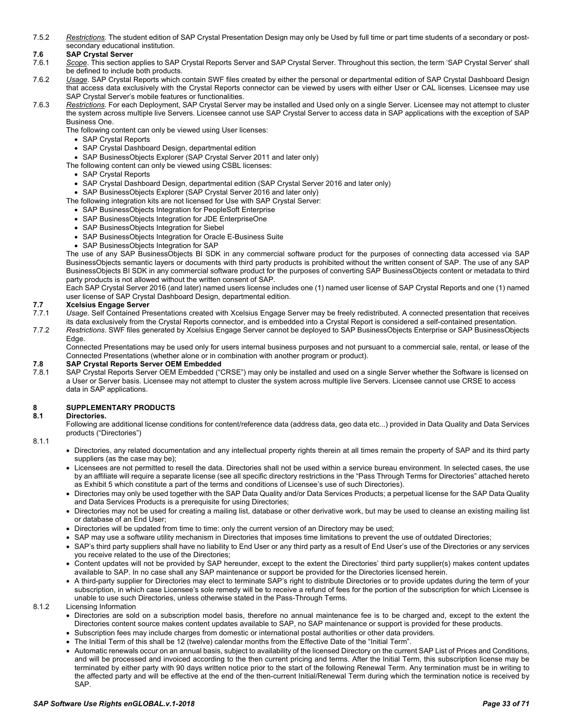7.5.2 *Restrictions.* The student edition of SAP Crystal Presentation Design may only be Used by full time or part time students of a secondary or postsecondary educational institution.

### <span id="page-32-0"></span>**7.6 SAP Crystal Server**

- 7.6.1 *Scope*. This section applies to SAP Crystal Reports Server and SAP Crystal Server. Throughout this section, the term 'SAP Crystal Server' shall be defined to include both products.
- 7.6.2 *Usage*. SAP Crystal Reports which contain SWF files created by either the personal or departmental edition of SAP Crystal Dashboard Design that access data exclusively with the Crystal Reports connector can be viewed by users with either User or CAL licenses. Licensee may use SAP Crystal Server's mobile features or functionalities.
- 7.6.3 *Restrictions.* For each Deployment, SAP Crystal Server may be installed and Used only on a single Server. Licensee may not attempt to cluster the system across multiple live Servers. Licensee cannot use SAP Crystal Server to access data in SAP applications with the exception of SAP Business One.

The following content can only be viewed using User licenses:

- SAP Crystal Reports
- SAP Crystal Dashboard Design, departmental edition
- SAP BusinessObjects Explorer (SAP Crystal Server 2011 and later only)
- The following content can only be viewed using CSBL licenses:
	- SAP Crystal Reports
	- SAP Crystal Dashboard Design, departmental edition (SAP Crystal Server 2016 and later only)
	- SAP BusinessObjects Explorer (SAP Crystal Server 2016 and later only)
- The following integration kits are not licensed for Use with SAP Crystal Server:
	- SAP BusinessObjects Integration for PeopleSoft Enterprise
	- SAP BusinessObjects Integration for JDE EnterpriseOne
	- SAP BusinessObjects Integration for Siebel
	- SAP BusinessObjects Integration for Oracle E-Business Suite
	- SAP BusinessObjects Integration for SAP

The use of any SAP BusinessObjects BI SDK in any commercial software product for the purposes of connecting data accessed via SAP BusinessObjects semantic layers or documents with third party products is prohibited without the written consent of SAP. The use of any SAP BusinessObjects BI SDK in any commercial software product for the purposes of converting SAP BusinessObjects content or metadata to third party products is not allowed without the written consent of SAP.

Each SAP Crystal Server 2016 (and later) named users license includes one (1) named user license of SAP Crystal Reports and one (1) named user license of SAP Crystal Dashboard Design, departmental edition.

- <span id="page-32-1"></span>**7.7 Xcelsius Engage Server** Usage. Self Contained Presentations created with Xcelsius Engage Server may be freely redistributed. A connected presentation that receives its data exclusively from the Crystal Reports connector, and is embedded into a Crystal Report is considered a self-contained presentation.
- 7.7.2 *Restrictions*. SWF files generated by Xcelsius Engage Server cannot be deployed to SAP BusinessObjects Enterprise or SAP BusinessObjects Edge.

Connected Presentations may be used only for users internal business purposes and not pursuant to a commercial sale, rental, or lease of the Connected Presentations (whether alone or in combination with another program or product).

# <span id="page-32-2"></span>**7.8 SAP Crystal Reports Server OEM Embedded**

7.8.1 SAP Crystal Reports Server OEM Embedded ("CRSE") may only be installed and used on a single Server whether the Software is licensed on a User or Server basis. Licensee may not attempt to cluster the system across multiple live Servers. Licensee cannot use CRSE to access data in SAP applications.

# <span id="page-32-3"></span>**8 SUPPLEMENTARY PRODUCTS**

#### <span id="page-32-4"></span>**8.1 Directories.**

Following are additional license conditions for content/reference data (address data, geo data etc...) provided in Data Quality and Data Services products ("Directories")

8.1.1

- Directories, any related documentation and any intellectual property rights therein at all times remain the property of SAP and its third party suppliers (as the case may be);
- Licensees are not permitted to resell the data. Directories shall not be used within a service bureau environment. In selected cases, the use by an affiliate will require a separate license (see all specific directory restrictions in the "Pass Through Terms for Directories" attached hereto as Exhibit 5 which constitute a part of the terms and conditions of Licensee's use of such Directories).
- Directories may only be used together with the SAP Data Quality and/or Data Services Products; a perpetual license for the SAP Data Quality and Data Services Products is a prerequisite for using Directories;
- Directories may not be used for creating a mailing list, database or other derivative work, but may be used to cleanse an existing mailing list or database of an End User;
- Directories will be updated from time to time: only the current version of an Directory may be used;
- SAP may use a software utility mechanism in Directories that imposes time limitations to prevent the use of outdated Directories;
- SAP's third party suppliers shall have no liability to End User or any third party as a result of End User's use of the Directories or any services you receive related to the use of the Directories;
- Content updates will not be provided by SAP hereunder, except to the extent the Directories' third party supplier(s) makes content updates available to SAP. In no case shall any SAP maintenance or support be provided for the Directories licensed herein.
- A third-party supplier for Directories may elect to terminate SAP's right to distribute Directories or to provide updates during the term of your subscription, in which case Licensee's sole remedy will be to receive a refund of fees for the portion of the subscription for which Licensee is unable to use such Directories, unless otherwise stated in the Pass-Through Terms.

#### 8.1.2 Licensing Information

- Directories are sold on a subscription model basis, therefore no annual maintenance fee is to be charged and, except to the extent the Directories content source makes content updates available to SAP, no SAP maintenance or support is provided for these products.
- Subscription fees may include charges from domestic or international postal authorities or other data providers.
- The Initial Term of this shall be 12 (twelve) calendar months from the Effective Date of the "Initial Term".
- Automatic renewals occur on an annual basis, subject to availability of the licensed Directory on the current SAP List of Prices and Conditions, and will be processed and invoiced according to the then current pricing and terms. After the Initial Term, this subscription license may be terminated by either party with 90 days written notice prior to the start of the following Renewal Term. Any termination must be in writing to the affected party and will be effective at the end of the then-current Initial/Renewal Term during which the termination notice is received by SAP.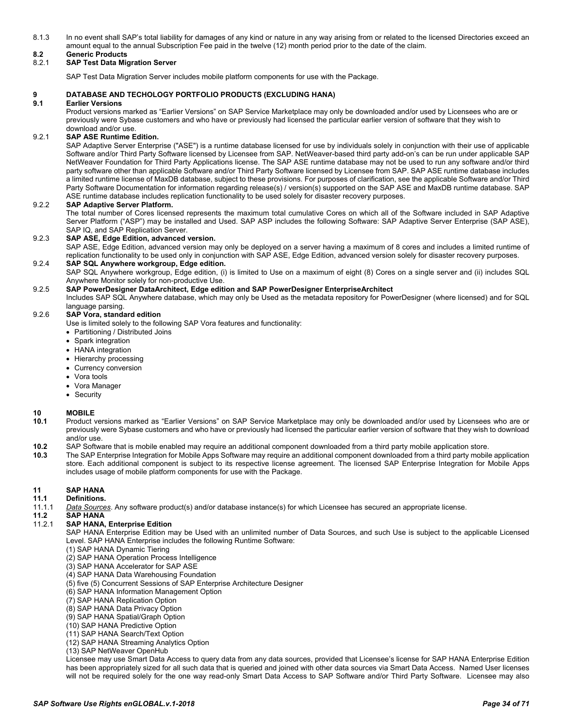8.1.3 In no event shall SAP's total liability for damages of any kind or nature in any way arising from or related to the licensed Directories exceed an amount equal to the annual Subscription Fee paid in the twelve (12) month period prior to the date of the claim.

# <span id="page-33-0"></span>**8.2 Generic Products**

### <span id="page-33-1"></span>8.2.1 **SAP Test Data Migration Server**

SAP Test Data Migration Server includes mobile platform components for use with the Package.

#### <span id="page-33-2"></span>**9 DATABASE AND TECHOLOGY PORTFOLIO PRODUCTS (EXCLUDING HANA)**

#### <span id="page-33-3"></span>**9.1 Earlier Versions**

Product versions marked as "Earlier Versions" on SAP Service Marketplace may only be downloaded and/or used by Licensees who are or previously were Sybase customers and who have or previously had licensed the particular earlier version of software that they wish to download and/or use.

### <span id="page-33-4"></span>9.2.1 **SAP ASE Runtime Edition.**

SAP Adaptive Server Enterprise ("ASE") is a runtime database licensed for use by individuals solely in conjunction with their use of applicable Software and/or Third Party Software licensed by Licensee from SAP. NetWeaver-based third party add-on's can be run under applicable SAP NetWeaver Foundation for Third Party Applications license. The SAP ASE runtime database may not be used to run any software and/or third party software other than applicable Software and/or Third Party Software licensed by Licensee from SAP. SAP ASE runtime database includes a limited runtime license of MaxDB database, subject to these provisions. For purposes of clarification, see the applicable Software and/or Third Party Software Documentation for information regarding release(s) / version(s) supported on the SAP ASE and MaxDB runtime database. SAP ASE runtime database includes replication functionality to be used solely for disaster recovery purposes.

#### <span id="page-33-5"></span>9.2.2 **SAP Adaptive Server Platform.**

The total number of Cores licensed represents the maximum total cumulative Cores on which all of the Software included in SAP Adaptive Server Platform ("ASP") may be installed and Used. SAP ASP includes the following Software: SAP Adaptive Server Enterprise (SAP ASE), SAP IQ, and SAP Replication Server.

#### <span id="page-33-6"></span>9.2.3 **SAP ASE, Edge Edition, advanced version.**

SAP ASE, Edge Edition, advanced version may only be deployed on a server having a maximum of 8 cores and includes a limited runtime of replication functionality to be used only in conjunction with SAP ASE, Edge Edition, advanced version solely for disaster recovery purposes.

#### <span id="page-33-7"></span>9.2.4 **SAP SQL Anywhere workgroup, Edge edition.**

SAP SQL Anywhere workgroup, Edge edition, (i) is limited to Use on a maximum of eight (8) Cores on a single server and (ii) includes SQL Anywhere Monitor solely for non-productive Use.

#### <span id="page-33-8"></span>9.2.5 **SAP PowerDesigner DataArchitect, Edge edition and SAP PowerDesigner EnterpriseArchitect**

Includes SAP SQL Anywhere database, which may only be Used as the metadata repository for PowerDesigner (where licensed) and for SQL language parsing.

#### <span id="page-33-9"></span>9.2.6 **SAP Vora, standard edition**

Use is limited solely to the following SAP Vora features and functionality:

- Partitioning / Distributed Joins
- Spark integration
- HANA integration
- Hierarchy processing
- Currency conversion
- Vora tools
- Vora Manager
- Security

#### <span id="page-33-10"></span>**10 MOBILE**

- **10.1** Product versions marked as "Earlier Versions" on SAP Service Marketplace may only be downloaded and/or used by Licensees who are or previously were Sybase customers and who have or previously had licensed the particular earlier version of software that they wish to download and/or use.
- **10.2** SAP Software that is mobile enabled may require an additional component downloaded from a third party mobile application store.
- **10.3** The SAP Enterprise Integration for Mobile Apps Software may require an additional component downloaded from a third party mobile application store. Each additional component is subject to its respective license agreement. The licensed SAP Enterprise Integration for Mobile Apps includes usage of mobile platform components for use with the Package.

# <span id="page-33-11"></span>**11 SAP HANA**

### <span id="page-33-12"></span>**11.1 Definitions.**

11.1.1 *Data Sources*. Any software product(s) and/or database instance(s) for which Licensee has secured an appropriate license.

# <span id="page-33-13"></span>**11.2 SAP HANA**

#### <span id="page-33-14"></span>**SAP HANA, Enterprise Edition**

SAP HANA Enterprise Edition may be Used with an unlimited number of Data Sources, and such Use is subject to the applicable Licensed Level. SAP HANA Enterprise includes the following Runtime Software:

- (1) SAP HANA Dynamic Tiering
- (2) SAP HANA Operation Process Intelligence
- (3) SAP HANA Accelerator for SAP ASE
- (4) SAP HANA Data Warehousing Foundation
- (5) five (5) Concurrent Sessions of SAP Enterprise Architecture Designer
- (6) SAP HANA Information Management Option
- (7) SAP HANA Replication Option
- (8) SAP HANA Data Privacy Option
- (9) SAP HANA Spatial/Graph Option
- (10) SAP HANA Predictive Option
- (11) SAP HANA Search/Text Option
- (12) SAP HANA Streaming Analytics Option
- (13) SAP NetWeaver OpenHub

Licensee may use Smart Data Access to query data from any data sources, provided that Licensee's license for SAP HANA Enterprise Edition has been appropriately sized for all such data that is queried and joined with other data sources via Smart Data Access. Named User licenses will not be required solely for the one way read-only Smart Data Access to SAP Software and/or Third Party Software. Licensee may also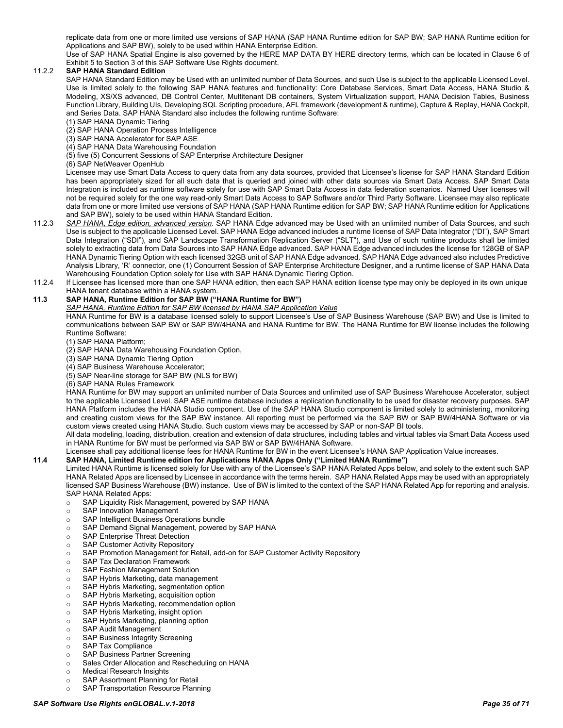replicate data from one or more limited use versions of SAP HANA (SAP HANA Runtime edition for SAP BW; SAP HANA Runtime edition for Applications and SAP BW), solely to be used within HANA Enterprise Edition.

Use of SAP HANA Spatial Engine is also governed by the HERE MAP DATA BY HERE directory terms, which can be located in Clause 6 of Exhibit 5 to Section 3 of this SAP Software Use Rights document.

### <span id="page-34-0"></span>11.2.2 **SAP HANA Standard Edition**

SAP HANA Standard Edition may be Used with an unlimited number of Data Sources, and such Use is subject to the applicable Licensed Level. Use is limited solely to the following SAP HANA features and functionality: Core Database Services, Smart Data Access, HANA Studio & Modeling, XS/XS advanced, DB Control Center, Multitenant DB containers, System Virtualization support, HANA Decision Tables, Business Function Library, Building UIs, Developing SQL Scripting procedure, AFL framework (development & runtime), Capture & Replay, HANA Cockpit, and Series Data. SAP HANA Standard also includes the following runtime Software:

- (1) SAP HANA Dynamic Tiering
- (2) SAP HANA Operation Process Intelligence
- (3) SAP HANA Accelerator for SAP ASE
- (4) SAP HANA Data Warehousing Foundation
- (5) five (5) Concurrent Sessions of SAP Enterprise Architecture Designer
- (6) SAP NetWeaver OpenHub

Licensee may use Smart Data Access to query data from any data sources, provided that Licensee's license for SAP HANA Standard Edition has been appropriately sized for all such data that is queried and joined with other data sources via Smart Data Access. SAP Smart Data Integration is included as runtime software solely for use with SAP Smart Data Access in data federation scenarios. Named User licenses will not be required solely for the one way read-only Smart Data Access to SAP Software and/or Third Party Software. Licensee may also replicate data from one or more limited use versions of SAP HANA (SAP HANA Runtime edition for SAP BW; SAP HANA Runtime edition for Applications and SAP BW), solely to be used within HANA Standard Edition.

- 11.2.3 *SAP HANA, Edge edition, advanced version*. SAP HANA Edge advanced may be Used with an unlimited number of Data Sources, and such Use is subject to the applicable Licensed Level. SAP HANA Edge advanced includes a runtime license of SAP Data Integrator ("DI"), SAP Smart Data Integration ("SDI"), and SAP Landscape Transformation Replication Server ("SLT"), and Use of such runtime products shall be limited solely to extracting data from Data Sources into SAP HANA Edge advanced. SAP HANA Edge advanced includes the license for 128GB of SAP HANA Dynamic Tiering Option with each licensed 32GB unit of SAP HANA Edge advanced. SAP HANA Edge advanced also includes Predictive Analysis Library, 'R' connector, one (1) Concurrent Session of SAP Enterprise Architecture Designer, and a runtime license of SAP HANA Data Warehousing Foundation Option solely for Use with SAP HANA Dynamic Tiering Option.
- 11.2.4 If Licensee has licensed more than one SAP HANA edition, then each SAP HANA edition license type may only be deployed in its own unique HANA tenant database within a HANA system.

## <span id="page-34-1"></span>**11.3 SAP HANA, Runtime Edition for SAP BW ("HANA Runtime for BW")**

#### *SAP HANA, Runtime Edition for SAP BW licensed by HANA SAP Application Value*

HANA Runtime for BW is a database licensed solely to support Licensee's Use of SAP Business Warehouse (SAP BW) and Use is limited to communications between SAP BW or SAP BW/4HANA and HANA Runtime for BW. The HANA Runtime for BW license includes the following Runtime Software:

- (1) SAP HANA Platform;
- (2) SAP HANA Data Warehousing Foundation Option,
- (3) SAP HANA Dynamic Tiering Option
- (4) SAP Business Warehouse Accelerator;
- (5) SAP Near-line storage for SAP BW (NLS for BW)
- (6) SAP HANA Rules Framework

HANA Runtime for BW may support an unlimited number of Data Sources and unlimited use of SAP Business Warehouse Accelerator, subject to the applicable Licensed Level. SAP ASE runtime database includes a replication functionality to be used for disaster recovery purposes. SAP HANA Platform includes the HANA Studio component. Use of the SAP HANA Studio component is limited solely to administering, monitoring and creating custom views for the SAP BW instance. All reporting must be performed via the SAP BW or SAP BW/4HANA Software or via custom views created using HANA Studio. Such custom views may be accessed by SAP or non-SAP BI tools.

All data modeling, loading, distribution, creation and extension of data structures, including tables and virtual tables via Smart Data Access used in HANA Runtime for BW must be performed via SAP BW or SAP BW/4HANA Software.

Licensee shall pay additional license fees for HANA Runtime for BW in the event Licensee's HANA SAP Application Value increases.

# <span id="page-34-2"></span>**11.4 SAP HANA, Limited Runtime edition for Applications HANA Apps Only ("Limited HANA Runtime")**

Limited HANA Runtime is licensed solely for Use with any of the Licensee's SAP HANA Related Apps below, and solely to the extent such SAP HANA Related Apps are licensed by Licensee in accordance with the terms herein. SAP HANA Related Apps may be used with an appropriately licensed SAP Business Warehouse (BW) instance. Use of BW is limited to the context of the SAP HANA Related App for reporting and analysis. SAP HANA Related Apps:

- o SAP Liquidity Risk Management, powered by SAP HANA
- o SAP Innovation Management<br> **O** SAP Intelligent Business Opera
- SAP Intelligent Business Operations bundle<br>○ SAP Demand Signal Management, powered
- $\circ$  SAP Demand Signal Management, powered by SAP HANA<br>  $\circ$  SAP Enterprise Threat Detection
- SAP Enterprise Threat Detection
- o SAP Customer Activity Repository
- o SAP Promotion Management for Retail, add-on for SAP Customer Activity Repository<br>C. SAP Tax Declaration Framework
- SAP Tax Declaration Framework<br>○ SAP Fashion Management Soluti
- SAP Fashion Management Solution
- SAP Hybris Marketing, data management<br>○ SAP Hybris Marketing, segmentation optio
- o SAP Hybris Marketing, segmentation option<br>SAP Hybris Marketing acquisition option
- SAP Hybris Marketing, acquisition option<br>○ SAP Hybris Marketing, recommendation o
- SAP Hybris Marketing, recommendation option
- SAP Hybris Marketing, insight option<br>○ SAP Hybris Marketing, planning optic
- SAP Hybris Marketing, planning option<br>○ SAP Audit Management
- SAP Audit Management<br>○ SAP Business Integrity S
- SAP Business Integrity Screening
- SAP Tax Compliance<br>○ SAP Business Partner
- o SAP Business Partner Screening<br>
o Sales Order Allocation and Resch o Sales Order Allocation and Rescheduling on HANA<br>
o Medical Research Insights
- 
- **Medical Research Insights**<br>○ SAP Assortment Planning
- SAP Assortment Planning for Retail<br>○ SAP Transportation Resource Plann SAP Transportation Resource Planning

#### *SAP Software Use Rights enGLOBAL.v.1-2018 Page 35 of 71*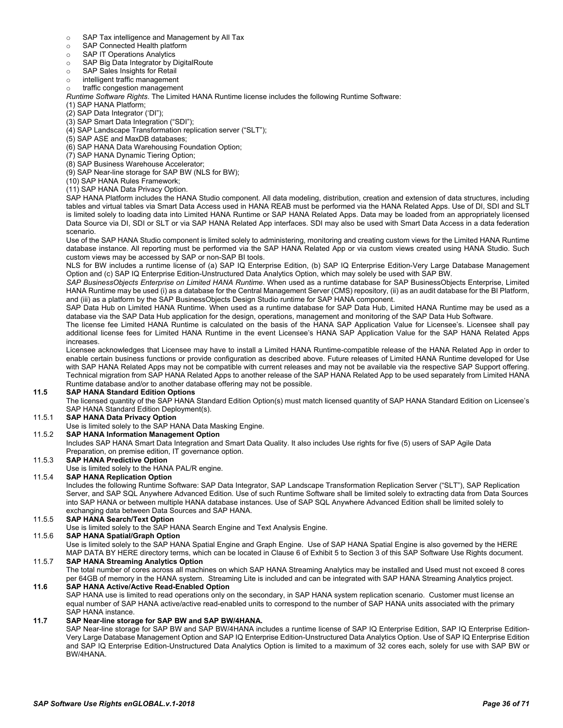- $\circ$  SAP Tax intelligence and Management by All Tax<br>  $\circ$  SAP Connected Health platform
- o SAP Connected Health platform<br>
SAP IT Operations Analytics
- SAP IT Operations Analytics
- o SAP Big Data Integrator by DigitalRoute
- o SAP Sales Insights for Retail
- 
- o intelligent traffic management traffic congestion management

*Runtime Software Rights*. The Limited HANA Runtime license includes the following Runtime Software:

- (1) SAP HANA Platform;
- (2) SAP Data Integrator ('DI");
- (3) SAP Smart Data Integration ("SDI");
- (4) SAP Landscape Transformation replication server ("SLT");
- (5) SAP ASE and MaxDB databases;
- (6) SAP HANA Data Warehousing Foundation Option;
- (7) SAP HANA Dynamic Tiering Option;
- (8) SAP Business Warehouse Accelerator;
- (9) SAP Near-line storage for SAP BW (NLS for BW);
- (10) SAP HANA Rules Framework;
- (11) SAP HANA Data Privacy Option.

SAP HANA Platform includes the HANA Studio component. All data modeling, distribution, creation and extension of data structures, including tables and virtual tables via Smart Data Access used in HANA REAB must be performed via the HANA Related Apps. Use of DI, SDI and SLT is limited solely to loading data into Limited HANA Runtime or SAP HANA Related Apps. Data may be loaded from an appropriately licensed Data Source via DI, SDI or SLT or via SAP HANA Related App interfaces. SDI may also be used with Smart Data Access in a data federation scenario.

Use of the SAP HANA Studio component is limited solely to administering, monitoring and creating custom views for the Limited HANA Runtime database instance. All reporting must be performed via the SAP HANA Related App or via custom views created using HANA Studio. Such custom views may be accessed by SAP or non-SAP BI tools.

NLS for BW includes a runtime license of (a) SAP IQ Enterprise Edition, (b) SAP IQ Enterprise Edition-Very Large Database Management Option and (c) SAP IQ Enterprise Edition-Unstructured Data Analytics Option, which may solely be used with SAP BW.

*SAP BusinessObjects Enterprise on Limited HANA Runtime*. When used as a runtime database for SAP BusinessObjects Enterprise, Limited HANA Runtime may be used (i) as a database for the Central Management Server (CMS) repository, (ii) as an audit database for the BI Platform, and (iii) as a platform by the SAP BusinessObjects Design Studio runtime for SAP HANA component.

SAP Data Hub on Limited HANA Runtime. When used as a runtime database for SAP Data Hub, Limited HANA Runtime may be used as a database via the SAP Data Hub application for the design, operations, management and monitoring of the SAP Data Hub Software.

The license fee Limited HANA Runtime is calculated on the basis of the HANA SAP Application Value for Licensee's. Licensee shall pay additional license fees for Limited HANA Runtime in the event Licensee's HANA SAP Application Value for the SAP HANA Related Apps increases.

Licensee acknowledges that Licensee may have to install a Limited HANA Runtime-compatible release of the HANA Related App in order to enable certain business functions or provide configuration as described above. Future releases of Limited HANA Runtime developed for Use with SAP HANA Related Apps may not be compatible with current releases and may not be available via the respective SAP Support offering. Technical migration from SAP HANA Related Apps to another release of the SAP HANA Related App to be used separately from Limited HANA Runtime database and/or to another database offering may not be possible.

#### <span id="page-35-0"></span>**11.5 SAP HANA Standard Edition Options**

The licensed quantity of the SAP HANA Standard Edition Option(s) must match licensed quantity of SAP HANA Standard Edition on Licensee's SAP HANA Standard Edition Deployment(s).

#### <span id="page-35-1"></span>11.5.1 **SAP HANA Data Privacy Option**

Use is limited solely to the SAP HANA Data Masking Engine.

# <span id="page-35-2"></span>11.5.2 **SAP HANA Information Management Option**

Includes SAP HANA Smart Data Integration and Smart Data Quality. It also includes Use rights for five (5) users of SAP Agile Data Preparation, on premise edition, IT governance option.

# <span id="page-35-3"></span>11.5.3 **SAP HANA Predictive Option**

Use is limited solely to the HANA PAL/R engine.

# <span id="page-35-4"></span>11.5.4 **SAP HANA Replication Option**

Includes the following Runtime Software: SAP Data Integrator, SAP Landscape Transformation Replication Server ("SLT"), SAP Replication Server, and SAP SQL Anywhere Advanced Edition. Use of such Runtime Software shall be limited solely to extracting data from Data Sources into SAP HANA or between multiple HANA database instances. Use of SAP SQL Anywhere Advanced Edition shall be limited solely to exchanging data between Data Sources and SAP HANA.

#### <span id="page-35-5"></span>11.5.5 **SAP HANA Search/Text Option**

Use is limited solely to the SAP HANA Search Engine and Text Analysis Engine.

### <span id="page-35-6"></span>11.5.6 **SAP HANA Spatial/Graph Option**

Use is limited solely to the SAP HANA Spatial Engine and Graph Engine. Use of SAP HANA Spatial Engine is also governed by the HERE MAP DATA BY HERE directory terms, which can be located in Clause 6 of Exhibit 5 to Section 3 of this SAP Software Use Rights document.

# <span id="page-35-7"></span>11.5.7 **SAP HANA Streaming Analytics Option**

The total number of cores across all machines on which SAP HANA Streaming Analytics may be installed and Used must not exceed 8 cores per 64GB of memory in the HANA system. Streaming Lite is included and can be integrated with SAP HANA Streaming Analytics project.

# <span id="page-35-8"></span>**11.6 SAP HANA Active/Active Read-Enabled Option**

SAP HANA use is limited to read operations only on the secondary, in SAP HANA system replication scenario. Customer must license an equal number of SAP HANA active/active read-enabled units to correspond to the number of SAP HANA units associated with the primary SAP HANA instance.

#### <span id="page-35-9"></span>**11.7 SAP Near-line storage for SAP BW and SAP BW/4HANA.**

SAP Near-line storage for SAP BW and SAP BW/4HANA includes a runtime license of SAP IQ Enterprise Edition, SAP IQ Enterprise Edition-Very Large Database Management Option and SAP IQ Enterprise Edition-Unstructured Data Analytics Option. Use of SAP IQ Enterprise Edition and SAP IQ Enterprise Edition-Unstructured Data Analytics Option is limited to a maximum of 32 cores each, solely for use with SAP BW or BW/4HANA.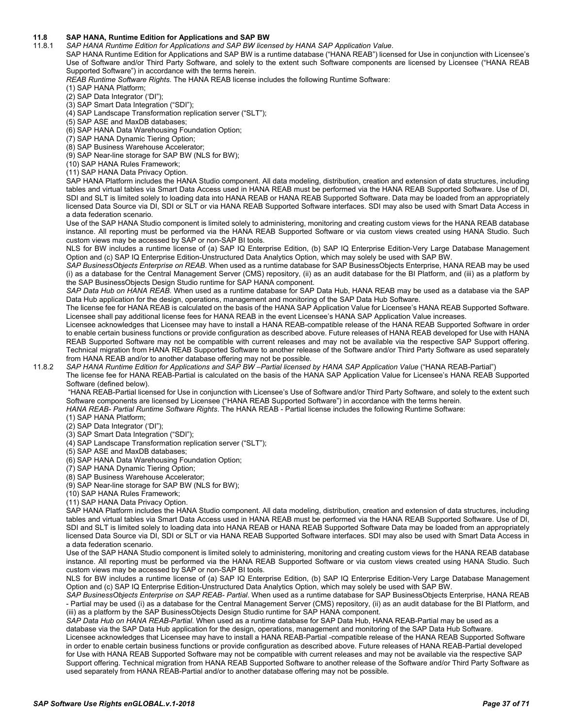# <span id="page-36-0"></span>**11.8 SAP HANA, Runtime Edition for Applications and SAP BW**

11.8.1 *SAP HANA Runtime Edition for Applications and SAP BW licensed by HANA SAP Application Value*.

SAP HANA Runtime Edition for Applications and SAP BW is a runtime database ("HANA REAB") licensed for Use in conjunction with Licensee's Use of Software and/or Third Party Software, and solely to the extent such Software components are licensed by Licensee ("HANA REAB Supported Software") in accordance with the terms herein.

*REAB Runtime Software Rights*. The HANA REAB license includes the following Runtime Software:

- (1) SAP HANA Platform;
- (2) SAP Data Integrator ('DI");
- (3) SAP Smart Data Integration ("SDI");
- (4) SAP Landscape Transformation replication server ("SLT");
- (5) SAP ASE and MaxDB databases;
- (6) SAP HANA Data Warehousing Foundation Option;
- (7) SAP HANA Dynamic Tiering Option;
- (8) SAP Business Warehouse Accelerator;
- (9) SAP Near-line storage for SAP BW (NLS for BW);
- (10) SAP HANA Rules Framework;
- (11) SAP HANA Data Privacy Option.

SAP HANA Platform includes the HANA Studio component. All data modeling, distribution, creation and extension of data structures, including tables and virtual tables via Smart Data Access used in HANA REAB must be performed via the HANA REAB Supported Software. Use of DI, SDI and SLT is limited solely to loading data into HANA REAB or HANA REAB Supported Software. Data may be loaded from an appropriately licensed Data Source via DI, SDI or SLT or via HANA REAB Supported Software interfaces. SDI may also be used with Smart Data Access in a data federation scenario.

Use of the SAP HANA Studio component is limited solely to administering, monitoring and creating custom views for the HANA REAB database instance. All reporting must be performed via the HANA REAB Supported Software or via custom views created using HANA Studio. Such custom views may be accessed by SAP or non-SAP BI tools.

NLS for BW includes a runtime license of (a) SAP IQ Enterprise Edition, (b) SAP IQ Enterprise Edition-Very Large Database Management Option and (c) SAP IQ Enterprise Edition-Unstructured Data Analytics Option, which may solely be used with SAP BW.

*SAP BusinessObjects Enterprise on REAB*. When used as a runtime database for SAP BusinessObjects Enterprise, HANA REAB may be used (i) as a database for the Central Management Server (CMS) repository, (ii) as an audit database for the BI Platform, and (iii) as a platform by the SAP BusinessObjects Design Studio runtime for SAP HANA component.

*SAP Data Hub on HANA REAB*. When used as a runtime database for SAP Data Hub, HANA REAB may be used as a database via the SAP Data Hub application for the design, operations, management and monitoring of the SAP Data Hub Software.

The license fee for HANA REAB is calculated on the basis of the HANA SAP Application Value for Licensee's HANA REAB Supported Software. Licensee shall pay additional license fees for HANA REAB in the event Licensee's HANA SAP Application Value increases.

Licensee acknowledges that Licensee may have to install a HANA REAB-compatible release of the HANA REAB Supported Software in order to enable certain business functions or provide configuration as described above. Future releases of HANA REAB developed for Use with HANA REAB Supported Software may not be compatible with current releases and may not be available via the respective SAP Support offering. Technical migration from HANA REAB Supported Software to another release of the Software and/or Third Party Software as used separately from HANA REAB and/or to another database offering may not be possible.

#### 11.8.2 *SAP HANA Runtime Edition for Applications and SAP BW –Partial licensed by HANA SAP Application Value* ("HANA REAB-Partial")

The license fee for HANA REAB-Partial is calculated on the basis of the HANA SAP Application Value for Licensee's HANA REAB Supported Software (defined below).

"HANA REAB-Partial licensed for Use in conjunction with Licensee's Use of Software and/or Third Party Software, and solely to the extent such Software components are licensed by Licensee ("HANA REAB Supported Software") in accordance with the terms herein. *HANA REAB- Partial Runtime Software Rights*. The HANA REAB - Partial license includes the following Runtime Software:

(1) SAP HANA Platform;

- (2) SAP Data Integrator ('DI");
- (3) SAP Smart Data Integration ("SDI");
- (4) SAP Landscape Transformation replication server ("SLT");
- (5) SAP ASE and MaxDB databases;
- (6) SAP HANA Data Warehousing Foundation Option;
- (7) SAP HANA Dynamic Tiering Option;
- (8) SAP Business Warehouse Accelerator;
- (9) SAP Near-line storage for SAP BW (NLS for BW);
- (10) SAP HANA Rules Framework;
- (11) SAP HANA Data Privacy Option.

SAP HANA Platform includes the HANA Studio component. All data modeling, distribution, creation and extension of data structures, including tables and virtual tables via Smart Data Access used in HANA REAB must be performed via the HANA REAB Supported Software. Use of DI, SDI and SLT is limited solely to loading data into HANA REAB or HANA REAB Supported Software Data may be loaded from an appropriately licensed Data Source via DI, SDI or SLT or via HANA REAB Supported Software interfaces. SDI may also be used with Smart Data Access in a data federation scenario.

Use of the SAP HANA Studio component is limited solely to administering, monitoring and creating custom views for the HANA REAB database instance. All reporting must be performed via the HANA REAB Supported Software or via custom views created using HANA Studio. Such custom views may be accessed by SAP or non-SAP BI tools.

NLS for BW includes a runtime license of (a) SAP IQ Enterprise Edition, (b) SAP IQ Enterprise Edition-Very Large Database Management Option and (c) SAP IQ Enterprise Edition-Unstructured Data Analytics Option, which may solely be used with SAP BW.

*SAP BusinessObjects Enterprise on SAP REAB- Partial*. When used as a runtime database for SAP BusinessObjects Enterprise, HANA REAB - Partial may be used (i) as a database for the Central Management Server (CMS) repository, (ii) as an audit database for the BI Platform, and (iii) as a platform by the SAP BusinessObjects Design Studio runtime for SAP HANA component.

*SAP Data Hub on HANA REAB-Partial*. When used as a runtime database for SAP Data Hub, HANA REAB-Partial may be used as a database via the SAP Data Hub application for the design, operations, management and monitoring of the SAP Data Hub Software. Licensee acknowledges that Licensee may have to install a HANA REAB-Partial -compatible release of the HANA REAB Supported Software in order to enable certain business functions or provide configuration as described above. Future releases of HANA REAB-Partial developed for Use with HANA REAB Supported Software may not be compatible with current releases and may not be available via the respective SAP Support offering. Technical migration from HANA REAB Supported Software to another release of the Software and/or Third Party Software as used separately from HANA REAB-Partial and/or to another database offering may not be possible.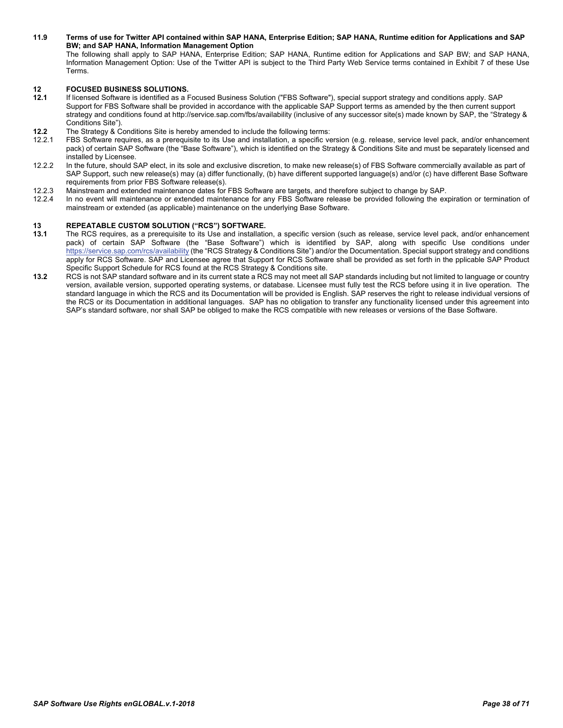#### <span id="page-37-0"></span>**11.9 Terms of use for Twitter API contained within SAP HANA, Enterprise Edition; SAP HANA, Runtime edition for Applications and SAP BW; and SAP HANA, Information Management Option** The following shall apply to SAP HANA, Enterprise Edition; SAP HANA, Runtime edition for Applications and SAP BW; and SAP HANA, Information Management Option: Use of the Twitter API is subject to the Third Party Web Service terms contained in Exhibit 7 of these Use **Terms**

- <span id="page-37-1"></span>**12 FOCUSED BUSINESS SOLUTIONS. 12.1** If licensed Software is identified as a Focused Business Solution ("FBS Software"), special support strategy and conditions apply. SAP Support for FBS Software shall be provided in accordance with the applicable SAP Support terms as amended by the then current support strategy and conditions found at http://service.sap.com/fbs/availability (inclusive of any successor site(s) made known by SAP, the "Strategy & Conditions Site").
- **12.2** The Strategy & Conditions Site is hereby amended to include the following terms:<br>12.2.1 FBS Software requires as a prerequisite to its Use and installation a specific ve
- FBS Software requires, as a prerequisite to its Use and installation, a specific version (e.g. release, service level pack, and/or enhancement pack) of certain SAP Software (the "Base Software"), which is identified on the Strategy & Conditions Site and must be separately licensed and installed by Licensee.
- 12.2.2 In the future, should SAP elect, in its sole and exclusive discretion, to make new release(s) of FBS Software commercially available as part of SAP Support, such new release(s) may (a) differ functionally, (b) have different supported language(s) and/or (c) have different Base Software requirements from prior FBS Software release(s).
- 12.2.3 Mainstream and extended maintenance dates for FBS Software are targets, and therefore subject to change by SAP.
- 12.2.4 In no event will maintenance or extended maintenance for any FBS Software release be provided following the expiration or termination of mainstream or extended (as applicable) maintenance on the underlying Base Software.

# <span id="page-37-2"></span>**13 REPEATABLE CUSTOM SOLUTION ("RCS") SOFTWARE.**

- **13.1** The RCS requires, as a prerequisite to its Use and installation, a specific version (such as release, service level pack, and/or enhancement pack) of certain SAP Software (the "Base Software") which is identified by SAP, along with specific Use conditions under <https://service.sap.com/rcs/availability> (the "RCS Strategy & Conditions Site") and/or the Documentation. Special support strategy and conditions apply for RCS Software. SAP and Licensee agree that Support for RCS Software shall be provided as set forth in the pplicable SAP Product Specific Support Schedule for RCS found at the RCS Strategy & Conditions site.
- **13.2** RCS is not SAP standard software and in its current state a RCS may not meet all SAP standards including but not limited to language or country version, available version, supported operating systems, or database. Licensee must fully test the RCS before using it in live operation. The standard language in which the RCS and its Documentation will be provided is English. SAP reserves the right to release individual versions of the RCS or its Documentation in additional languages. SAP has no obligation to transfer any functionality licensed under this agreement into SAP's standard software, nor shall SAP be obliged to make the RCS compatible with new releases or versions of the Base Software.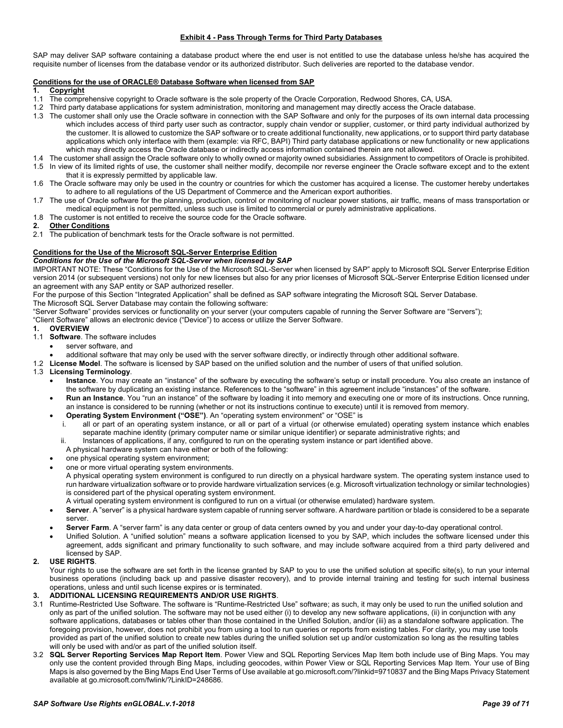#### **Exhibit 4 - Pass Through Terms for Third Party Databases**

<span id="page-38-0"></span>SAP may deliver SAP software containing a database product where the end user is not entitled to use the database unless he/she has acquired the requisite number of licenses from the database vendor or its authorized distributor. Such deliveries are reported to the database vendor.

# **Conditions for the use of ORACLE® Database Software when licensed from SAP**

- **1. Copyright**
- 1.1 The comprehensive copyright to Oracle software is the sole property of the Oracle Corporation, Redwood Shores, CA, USA.
- 1.2 Third party database applications for system administration, monitoring and management may directly access the Oracle database.
- 1.3 The customer shall only use the Oracle software in connection with the SAP Software and only for the purposes of its own internal data processing which includes access of third party user such as contractor, supply chain vendor or supplier, customer, or third party individual authorized by the customer. It is allowed to customize the SAP software or to create additional functionality, new applications, or to support third party database applications which only interface with them (example: via RFC, BAPI) Third party database applications or new functionality or new applications which may directly access the Oracle database or indirectly access information contained therein are not allowed.
- 1.4 The customer shall assign the Oracle software only to wholly owned or majority owned subsidiaries. Assignment to competitors of Oracle is prohibited.
- 1.5 In view of its limited rights of use, the customer shall neither modify, decompile nor reverse engineer the Oracle software except and to the extent that it is expressly permitted by applicable law.
- 1.6 The Oracle software may only be used in the country or countries for which the customer has acquired a license. The customer hereby undertakes to adhere to all regulations of the US Department of Commerce and the American export authorities.
- 1.7 The use of Oracle software for the planning, production, control or monitoring of nuclear power stations, air traffic, means of mass transportation or medical equipment is not permitted, unless such use is limited to commercial or purely administrative applications.
- 1.8 The customer is not entitled to receive the source code for the Oracle software.<br>2 Other Conditions

#### **2. Other Conditions**

2.1 The publication of benchmark tests for the Oracle software is not permitted.

#### **Conditions for the Use of the Microsoft SQL-Server Enterprise Edition**

#### *Conditions for the Use of the Microsoft SQL-Server when licensed by SAP*

IMPORTANT NOTE: These "Conditions for the Use of the Microsoft SQL-Server when licensed by SAP" apply to Microsoft SQL Server Enterprise Edition version 2014 (or subsequent versions) not only for new licenses but also for any prior licenses of Microsoft SQL-Server Enterprise Edition licensed under an agreement with any SAP entity or SAP authorized reseller.

For the purpose of this Section "Integrated Application" shall be defined as SAP software integrating the Microsoft SQL Server Database.

The Microsoft SQL Server Database may contain the following software:

"Server Software" provides services or functionality on your server (your computers capable of running the Server Software are "Servers");

"Client Software" allows an electronic device ("Device") to access or utilize the Server Software.<br>1 OVERVIEW

#### **1. OVERVIEW**

- 1.1 **Software**. The software includes
	- server software, and
	- additional software that may only be used with the server software directly, or indirectly through other additional software.
- 1.2 **License Model**. The software is licensed by SAP based on the unified solution and the number of users of that unified solution.
- 1.3 **Licensing Terminology**.
	- **Instance**. You may create an "instance" of the software by executing the software's setup or install procedure. You also create an instance of the software by duplicating an existing instance. References to the "software" in this agreement include "instances" of the software.
	- **Run an Instance**. You "run an instance" of the software by loading it into memory and executing one or more of its instructions. Once running, an instance is considered to be running (whether or not its instructions continue to execute) until it is removed from memory.
	- **Operating System Environment ("OSE")**. An "operating system environment" or "OSE" is
		- all or part of an operating system instance, or all or part of a virtual (or otherwise emulated) operating system instance which enables separate machine identity (primary computer name or similar unique identifier) or separate administrative rights; and
		- ii. Instances of applications, if any, configured to run on the operating system instance or part identified above.
		- A physical hardware system can have either or both of the following:
	- one physical operating system environment;
	- one or more virtual operating system environments.
	- A physical operating system environment is configured to run directly on a physical hardware system. The operating system instance used to run hardware virtualization software or to provide hardware virtualization services (e.g. Microsoft virtualization technology or similar technologies) is considered part of the physical operating system environment.
	- A virtual operating system environment is configured to run on a virtual (or otherwise emulated) hardware system.
	- **Server**. A "server" is a physical hardware system capable of running server software. A hardware partition or blade is considered to be a separate server.
	- **Server Farm**. A "server farm" is any data center or group of data centers owned by you and under your day-to-day operational control.
	- Unified Solution. A "unified solution" means a software application licensed to you by SAP, which includes the software licensed under this agreement, adds significant and primary functionality to such software, and may include software acquired from a third party delivered and licensed by SAP.

#### **2. USE RIGHTS**.

Your rights to use the software are set forth in the license granted by SAP to you to use the unified solution at specific site(s), to run your internal business operations (including back up and passive disaster recovery), and to provide internal training and testing for such internal business operations, unless and until such license expires or is terminated.

#### **3. ADDITIONAL LICENSING REQUIREMENTS AND/OR USE RIGHTS**.

- 3.1 Runtime-Restricted Use Software. The software is "Runtime-Restricted Use" software; as such, it may only be used to run the unified solution and only as part of the unified solution. The software may not be used either (i) to develop any new software applications, (ii) in conjunction with any software applications, databases or tables other than those contained in the Unified Solution, and/or (iii) as a standalone software application. The foregoing provision, however, does not prohibit you from using a tool to run queries or reports from existing tables. For clarity, you may use tools provided as part of the unified solution to create new tables during the unified solution set up and/or customization so long as the resulting tables will only be used with and/or as part of the unified solution itself.
- 3.2 **SQL Server Reporting Services Map Report Item**. Power View and SQL Reporting Services Map Item both include use of Bing Maps. You may only use the content provided through Bing Maps, including geocodes, within Power View or SQL Reporting Services Map Item. Your use of Bing Maps is also governed by the Bing Maps End User Terms of Use available at go.microsoft.com/?linkid=9710837 and the Bing Maps Privacy Statement available at go.microsoft.com/fwlink/?LinkID=248686.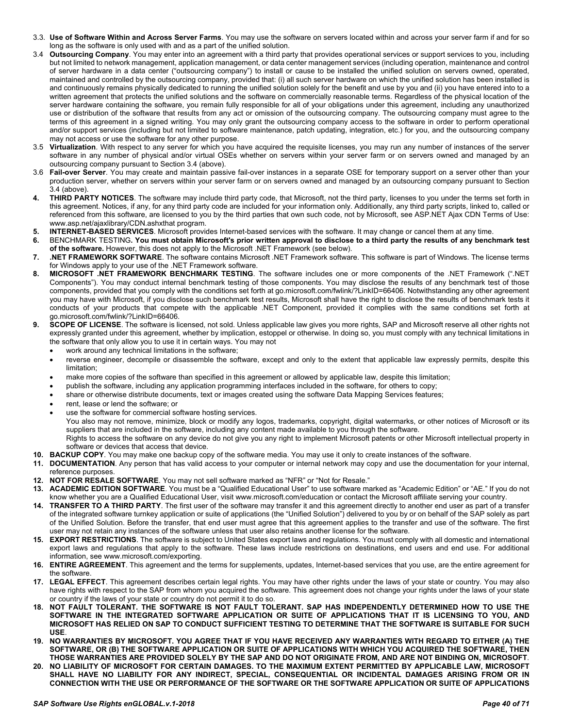- 3.3. **Use of Software Within and Across Server Farms**. You may use the software on servers located within and across your server farm if and for so long as the software is only used with and as a part of the unified solution.
- 3.4 **Outsourcing Company**. You may enter into an agreement with a third party that provides operational services or support services to you, including but not limited to network management, application management, or data center management services (including operation, maintenance and control of server hardware in a data center ("outsourcing company") to install or cause to be installed the unified solution on servers owned, operated, maintained and controlled by the outsourcing company, provided that: (i) all such server hardware on which the unified solution has been installed is and continuously remains physically dedicated to running the unified solution solely for the benefit and use by you and (ii) you have entered into to a written agreement that protects the unified solutions and the software on commercially reasonable terms. Regardless of the physical location of the server hardware containing the software, you remain fully responsible for all of your obligations under this agreement, including any unauthorized use or distribution of the software that results from any act or omission of the outsourcing company. The outsourcing company must agree to the terms of this agreement in a signed writing. You may only grant the outsourcing company access to the software in order to perform operational and/or support services (including but not limited to software maintenance, patch updating, integration, etc.) for you, and the outsourcing company may not access or use the software for any other purpose.
- 3.5 **Virtualization**. With respect to any server for which you have acquired the requisite licenses, you may run any number of instances of the server software in any number of physical and/or virtual OSEs whether on servers within your server farm or on servers owned and managed by an outsourcing company pursuant to Section 3.4 (above).
- 3.6 **Fail-over Server**. You may create and maintain passive fail-over instances in a separate OSE for temporary support on a server other than your production server, whether on servers within your server farm or on servers owned and managed by an outsourcing company pursuant to Section 3.4 (above).
- **4. THIRD PARTY NOTICES**. The software may include third party code, that Microsoft, not the third party, licenses to you under the terms set forth in this agreement. Notices, if any, for any third party code are included for your information only. Additionally, any third party scripts, linked to, called or referenced from this software, are licensed to you by the third parties that own such code, not by Microsoft, see ASP.NET Ajax CDN Terms of Use: www.asp.net/ajaxlibrary/CDN.ashxthat program.
- **5. INTERNET-BASED SERVICES**. Microsoft provides Internet-based services with the software. It may change or cancel them at any time.
- **6.** BENCHMARK TESTING**. You must obtain Microsoft's prior written approval to disclose to a third party the results of any benchmark test of the software.** However, this does not apply to the Microsoft .NET Framework (see below).
- **7. .NET FRAMEWORK SOFTWARE**. The software contains Microsoft .NET Framework software. This software is part of Windows. The license terms for Windows apply to your use of the .NET Framework software.
- **8. MICROSOFT .NET FRAMEWORK BENCHMARK TESTING**. The software includes one or more components of the .NET Framework (".NET Components"). You may conduct internal benchmark testing of those components. You may disclose the results of any benchmark test of those components, provided that you comply with the conditions set forth at go.microsoft.com/fwlink/?LinkID=66406. Notwithstanding any other agreement you may have with Microsoft, if you disclose such benchmark test results, Microsoft shall have the right to disclose the results of benchmark tests it conducts of your products that compete with the applicable .NET Component, provided it complies with the same conditions set forth at go.microsoft.com/fwlink/?LinkID=66406.
- **9. SCOPE OF LICENSE**. The software is licensed, not sold. Unless applicable law gives you more rights, SAP and Microsoft reserve all other rights not expressly granted under this agreement, whether by implication, estoppel or otherwise. In doing so, you must comply with any technical limitations in the software that only allow you to use it in certain ways. You may not
	- work around any technical limitations in the software;
	- reverse engineer, decompile or disassemble the software, except and only to the extent that applicable law expressly permits, despite this limitation;
	- make more copies of the software than specified in this agreement or allowed by applicable law, despite this limitation;
	- publish the software, including any application programming interfaces included in the software, for others to copy;
	- share or otherwise distribute documents, text or images created using the software Data Mapping Services features;
	- rent, lease or lend the software; or
	- use the software for commercial software hosting services.
	- You also may not remove, minimize, block or modify any logos, trademarks, copyright, digital watermarks, or other notices of Microsoft or its suppliers that are included in the software, including any content made available to you through the software. Rights to access the software on any device do not give you any right to implement Microsoft patents or other Microsoft intellectual property in software or devices that access that device.
- **10. BACKUP COPY**. You may make one backup copy of the software media. You may use it only to create instances of the software.
- **11. DOCUMENTATION**. Any person that has valid access to your computer or internal network may copy and use the documentation for your internal, reference purposes.
- **12. NOT FOR RESALE SOFTWARE**. You may not sell software marked as "NFR" or "Not for Resale."
- **13. ACADEMIC EDITION SOFTWARE**. You must be a "Qualified Educational User" to use software marked as "Academic Edition" or "AE." If you do not know whether you are a Qualified Educational User, visit www.microsoft.com/education or contact the Microsoft affiliate serving your country.
- **14. TRANSFER TO A THIRD PARTY**. The first user of the software may transfer it and this agreement directly to another end user as part of a transfer of the integrated software turnkey application or suite of applications (the "Unified Solution") delivered to you by or on behalf of the SAP solely as part of the Unified Solution. Before the transfer, that end user must agree that this agreement applies to the transfer and use of the software. The first user may not retain any instances of the software unless that user also retains another license for the software.
- **15. EXPORT RESTRICTIONS**. The software is subject to United States export laws and regulations. You must comply with all domestic and international export laws and regulations that apply to the software. These laws include restrictions on destinations, end users and end use. For additional information, see www.microsoft.com/exporting.
- **16. ENTIRE AGREEMENT**. This agreement and the terms for supplements, updates, Internet-based services that you use, are the entire agreement for the software.
- **17. LEGAL EFFECT**. This agreement describes certain legal rights. You may have other rights under the laws of your state or country. You may also have rights with respect to the SAP from whom you acquired the software. This agreement does not change your rights under the laws of your state or country if the laws of your state or country do not permit it to do so.
- **18. NOT FAULT TOLERANT. THE SOFTWARE IS NOT FAULT TOLERANT. SAP HAS INDEPENDENTLY DETERMINED HOW TO USE THE SOFTWARE IN THE INTEGRATED SOFTWARE APPLICATION OR SUITE OF APPLICATIONS THAT IT IS LICENSING TO YOU, AND MICROSOFT HAS RELIED ON SAP TO CONDUCT SUFFICIENT TESTING TO DETERMINE THAT THE SOFTWARE IS SUITABLE FOR SUCH USE**.
- **19. NO WARRANTIES BY MICROSOFT. YOU AGREE THAT IF YOU HAVE RECEIVED ANY WARRANTIES WITH REGARD TO EITHER (A) THE SOFTWARE, OR (B) THE SOFTWARE APPLICATION OR SUITE OF APPLICATIONS WITH WHICH YOU ACQUIRED THE SOFTWARE, THEN THOSE WARRANTIES ARE PROVIDED SOLELY BY THE SAP AND DO NOT ORIGINATE FROM, AND ARE NOT BINDING ON, MICROSOFT**.
- **20. NO LIABILITY OF MICROSOFT FOR CERTAIN DAMAGES. TO THE MAXIMUM EXTENT PERMITTED BY APPLICABLE LAW, MICROSOFT SHALL HAVE NO LIABILITY FOR ANY INDIRECT, SPECIAL, CONSEQUENTIAL OR INCIDENTAL DAMAGES ARISING FROM OR IN CONNECTION WITH THE USE OR PERFORMANCE OF THE SOFTWARE OR THE SOFTWARE APPLICATION OR SUITE OF APPLICATIONS**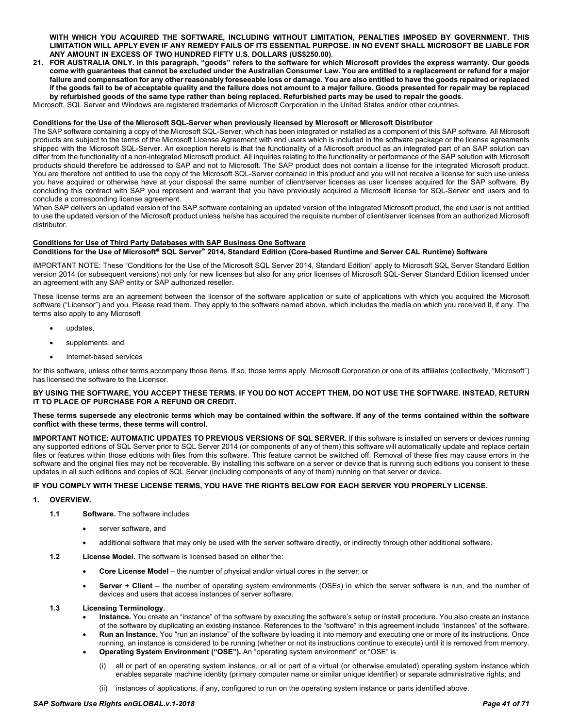**WITH WHICH YOU ACQUIRED THE SOFTWARE, INCLUDING WITHOUT LIMITATION, PENALTIES IMPOSED BY GOVERNMENT. THIS LIMITATION WILL APPLY EVEN IF ANY REMEDY FAILS OF ITS ESSENTIAL PURPOSE. IN NO EVENT SHALL MICROSOFT BE LIABLE FOR ANY AMOUNT IN EXCESS OF TWO HUNDRED FIFTY U.S. DOLLARS (US\$250.00)**.

**21. FOR AUSTRALIA ONLY. In this paragraph, "goods" refers to the software for which Microsoft provides the express warranty. Our goods come with guarantees that cannot be excluded under the Australian Consumer Law. You are entitled to a replacement or refund for a major failure and compensation for any other reasonably foreseeable loss or damage. You are also entitled to have the goods repaired or replaced if the goods fail to be of acceptable quality and the failure does not amount to a major failure. Goods presented for repair may be replaced by refurbished goods of the same type rather than being replaced. Refurbished parts may be used to repair the goods**.

Microsoft, SQL Server and Windows are registered trademarks of Microsoft Corporation in the United States and/or other countries.

#### **Conditions for the Use of the Microsoft SQL-Server when previously licensed by Microsoft or Microsoft Distributor**

The SAP software containing a copy of the Microsoft SQL-Server, which has been integrated or installed as a component of this SAP software. All Microsoft products are subject to the terms of the Microsoft License Agreement with end users which is included in the software package or the license agreements shipped with the Microsoft SQL-Server. An exception hereto is that the functionality of a Microsoft product as an integrated part of an SAP solution can differ from the functionality of a non-integrated Microsoft product. All inquiries relating to the functionality or performance of the SAP solution with Microsoft products should therefore be addressed to SAP and not to Microsoft. The SAP product does not contain a license for the integrated Microsoft product. You are therefore not entitled to use the copy of the Microsoft SQL-Server contained in this product and you will not receive a license for such use unless you have acquired or otherwise have at your disposal the same number of client/server licenses as user licenses acquired for the SAP software. By concluding this contract with SAP you represent and warrant that you have previously acquired a Microsoft license for SQL-Server end users and to conclude a corresponding license agreement.

When SAP delivers an updated version of the SAP software containing an updated version of the integrated Microsoft product, the end user is not entitled to use the updated version of the Microsoft product unless he/she has acquired the requisite number of client/server licenses from an authorized Microsoft distributor.

#### **Conditions for Use of Third Party Databases with SAP Business One Software Conditions for the Use of Microsoft SQL Server 2014, Standard Edition (Core-based Runtime and Server CAL Runtime) Software**

IMPORTANT NOTE: These "Conditions for the Use of the Microsoft SQL Server 2014, Standard Edition" apply to Microsoft SQL Server Standard Edition version 2014 (or subsequent versions) not only for new licenses but also for any prior licenses of Microsoft SQL-Server Standard Edition licensed under an agreement with any SAP entity or SAP authorized reseller.

These license terms are an agreement between the licensor of the software application or suite of applications with which you acquired the Microsoft software ("Licensor") and you. Please read them. They apply to the software named above, which includes the media on which you received it, if any. The terms also apply to any Microsoft

- updates,
- supplements, and
- Internet-based services

for this software, unless other terms accompany those items. If so, those terms apply. Microsoft Corporation or one of its affiliates (collectively, "Microsoft") has licensed the software to the Licensor.

**BY USING THE SOFTWARE, YOU ACCEPT THESE TERMS. IF YOU DO NOT ACCEPT THEM, DO NOT USE THE SOFTWARE. INSTEAD, RETURN IT TO PLACE OF PURCHASE FOR A REFUND OR CREDIT.**

#### **These terms supersede any electronic terms which may be contained within the software. If any of the terms contained within the software conflict with these terms, these terms will control.**

**IMPORTANT NOTICE: AUTOMATIC UPDATES TO PREVIOUS VERSIONS OF SQL SERVER.** If this software is installed on servers or devices running any supported editions of SQL Server prior to SQL Server 2014 (or components of any of them) this software will automatically update and replace certain files or features within those editions with files from this software. This feature cannot be switched off. Removal of these files may cause errors in the software and the original files may not be recoverable. By installing this software on a server or device that is running such editions you consent to these updates in all such editions and copies of SQL Server (including components of any of them) running on that server or device.

#### **IF YOU COMPLY WITH THESE LICENSE TERMS, YOU HAVE THE RIGHTS BELOW FOR EACH SERVER YOU PROPERLY LICENSE.**

- **1. OVERVIEW.**
	- **1.1 Software.** The software includes
		- server software, and
		- additional software that may only be used with the server software directly, or indirectly through other additional software.
	- **1.2 License Model.** The software is licensed based on either the:
		- **Core License Model** the number of physical and/or virtual cores in the server; or
		- **Server + Client**  the number of operating system environments (OSEs) in which the server software is run, and the number of devices and users that access instances of server software.
	- **1.3 Licensing Terminology.**
		- **Instance.** You create an "instance" of the software by executing the software's setup or install procedure. You also create an instance of the software by duplicating an existing instance. References to the "software" in this agreement include "instances" of the software.
		- **Run an Instance.** You "run an instance" of the software by loading it into memory and executing one or more of its instructions. Once running, an instance is considered to be running (whether or not its instructions continue to execute) until it is removed from memory.
			- **Operating System Environment ("OSE").** An "operating system environment" or "OSE" is
				- (i) all or part of an operating system instance, or all or part of a virtual (or otherwise emulated) operating system instance which enables separate machine identity (primary computer name or similar unique identifier) or separate administrative rights; and
				- (ii) instances of applications, if any, configured to run on the operating system instance or parts identified above.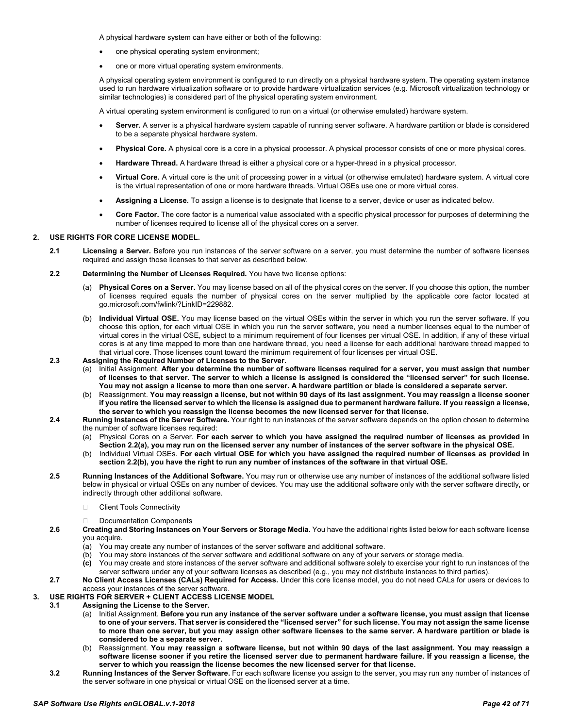A physical hardware system can have either or both of the following:

- one physical operating system environment;
- one or more virtual operating system environments.

A physical operating system environment is configured to run directly on a physical hardware system. The operating system instance used to run hardware virtualization software or to provide hardware virtualization services (e.g. Microsoft virtualization technology or similar technologies) is considered part of the physical operating system environment.

A virtual operating system environment is configured to run on a virtual (or otherwise emulated) hardware system.

- **Server.** A server is a physical hardware system capable of running server software. A hardware partition or blade is considered to be a separate physical hardware system.
- **Physical Core.** A physical core is a core in a physical processor. A physical processor consists of one or more physical cores.
- **Hardware Thread.** A hardware thread is either a physical core or a hyper-thread in a physical processor.
- **Virtual Core.** A virtual core is the unit of processing power in a virtual (or otherwise emulated) hardware system. A virtual core is the virtual representation of one or more hardware threads. Virtual OSEs use one or more virtual cores.
- **Assigning a License.** To assign a license is to designate that license to a server, device or user as indicated below.
- **Core Factor.** The core factor is a numerical value associated with a specific physical processor for purposes of determining the number of licenses required to license all of the physical cores on a server.

#### **2. USE RIGHTS FOR CORE LICENSE MODEL.**

- **2.1 Licensing a Server.** Before you run instances of the server software on a server, you must determine the number of software licenses required and assign those licenses to that server as described below.
- **2.2 Determining the Number of Licenses Required.** You have two license options:
	- (a) **Physical Cores on a Server.** You may license based on all of the physical cores on the server. If you choose this option, the number of licenses required equals the number of physical cores on the server multiplied by the applicable core factor located at go.microsoft.com/fwlink/?LinkID=229882.
	- (b) **Individual Virtual OSE.** You may license based on the virtual OSEs within the server in which you run the server software. If you choose this option, for each virtual OSE in which you run the server software, you need a number licenses equal to the number of virtual cores in the virtual OSE, subject to a minimum requirement of four licenses per virtual OSE. In addition, if any of these virtual cores is at any time mapped to more than one hardware thread, you need a license for each additional hardware thread mapped to that virtual core. Those licenses count toward the minimum requirement of four licenses per virtual OSE.
- **2.3 Assigning the Required Number of Licenses to the Server.**
	- (a) Initial Assignment. **After you determine the number of software licenses required for a server, you must assign that number of licenses to that server. The server to which a license is assigned is considered the "licensed server" for such license. You may not assign a license to more than one server. A hardware partition or blade is considered a separate server.**
	- (b) Reassignment. **You may reassign a license, but not within 90 days of its last assignment. You may reassign a license sooner if you retire the licensed server to which the license is assigned due to permanent hardware failure. If you reassign a license, the server to which you reassign the license becomes the new licensed server for that license.**
- **2.4 Running Instances of the Server Software.** Your right to run instances of the server software depends on the option chosen to determine the number of software licenses required:
	- (a) Physical Cores on a Server. **For each server to which you have assigned the required number of licenses as provided in Section 2.2(a), you may run on the licensed server any number of instances of the server software in the physical OSE.**
	- (b) Individual Virtual OSEs. **For each virtual OSE for which you have assigned the required number of licenses as provided in section 2.2(b), you have the right to run any number of instances of the software in that virtual OSE.**
- **2.5 Running Instances of the Additional Software.** You may run or otherwise use any number of instances of the additional software listed below in physical or virtual OSEs on any number of devices. You may use the additional software only with the server software directly, or indirectly through other additional software.
	- □ Client Tools Connectivity
	- Documentation Components
- **2.6 Creating and Storing Instances on Your Servers or Storage Media.** You have the additional rights listed below for each software license you acquire.
	- (a) You may create any number of instances of the server software and additional software.
	- (b) You may store instances of the server software and additional software on any of your servers or storage media.
	- **(c)** You may create and store instances of the server software and additional software solely to exercise your right to run instances of the server software under any of your software licenses as described (e.g., you may not distribute instances to third parties).
- **2.7 No Client Access Licenses (CALs) Required for Access.** Under this core license model, you do not need CALs for users or devices to access your instances of the server software.

### **3. USE RIGHTS FOR SERVER + CLIENT ACCESS LICENSE MODEL**

- **3.1 Assigning the License to the Server.**
	- (a) Initial Assignment. **Before you run any instance of the server software under a software license, you must assign that license to one of your servers. That server is considered the "licensed server" for such license. You may not assign the same license to more than one server, but you may assign other software licenses to the same server. A hardware partition or blade is considered to be a separate server.**
	- (b) Reassignment. **You may reassign a software license, but not within 90 days of the last assignment. You may reassign a software license sooner if you retire the licensed server due to permanent hardware failure. If you reassign a license, the server to which you reassign the license becomes the new licensed server for that license.**
	- **3.2 Running Instances of the Server Software.** For each software license you assign to the server, you may run any number of instances of the server software in one physical or virtual OSE on the licensed server at a time.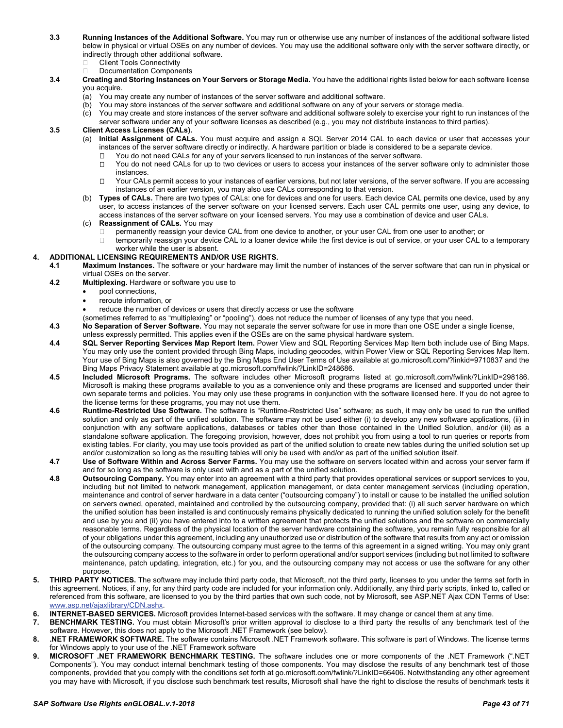- **3.3 Running Instances of the Additional Software.** You may run or otherwise use any number of instances of the additional software listed below in physical or virtual OSEs on any number of devices. You may use the additional software only with the server software directly, or indirectly through other additional software.
	- Client Tools Connectivity
	- Documentation Components
- **3.4 Creating and Storing Instances on Your Servers or Storage Media.** You have the additional rights listed below for each software license you acquire.
	-
	- (a) You may create any number of instances of the server software and additional software. You may store instances of the server software and additional software on any of your servers or storage media.
	- (c) You may create and store instances of the server software and additional software solely to exercise your right to run instances of the server software under any of your software licenses as described (e.g., you may not distribute instances to third parties).

# **3.5 Client Access Licenses (CALs).**

- (a) **Initial Assignment of CALs.** You must acquire and assign a SQL Server 2014 CAL to each device or user that accesses your instances of the server software directly or indirectly. A hardware partition or blade is considered to be a separate device.
	- □ You do not need CALs for any of your servers licensed to run instances of the server software.
	- $\Box$  You do not need CALs for up to two devices or users to access your instances of the server software only to administer those instances.
	- □ Your CALs permit access to your instances of earlier versions, but not later versions, of the server software. If you are accessing instances of an earlier version, you may also use CALs corresponding to that version.
- (b) **Types of CALs.** There are two types of CALs: one for devices and one for users. Each device CAL permits one device, used by any user, to access instances of the server software on your licensed servers. Each user CAL permits one user, using any device, to access instances of the server software on your licensed servers. You may use a combination of device and user CALs.
- (c) **Reassignment of CALs.** You may
	- permanently reassign your device CAL from one device to another, or your user CAL from one user to another; or
- $\Box$  temporarily reassign your device CAL to a loaner device while the first device is out of service, or your user CAL to a temporary worker while the user is absent.

### **4. ADDITIONAL LICENSING REQUIREMENTS AND/OR USE RIGHTS.**

- **4.1 Maximum Instances.** The software or your hardware may limit the number of instances of the server software that can run in physical or virtual OSEs on the server.
- **4.2 Multiplexing.** Hardware or software you use to
	- pool connections,
	- reroute information, or
		- reduce the number of devices or users that directly access or use the software
	- (sometimes referred to as "multiplexing" or "pooling"), does not reduce the number of licenses of any type that you need.
- **4.3 No Separation of Server Software.** You may not separate the server software for use in more than one OSE under a single license,
- unless expressly permitted. This applies even if the OSEs are on the same physical hardware system.
- **4.4 SQL Server Reporting Services Map Report Item.** Power View and SQL Reporting Services Map Item both include use of Bing Maps. You may only use the content provided through Bing Maps, including geocodes, within Power View or SQL Reporting Services Map Item. Your use of Bing Maps is also governed by the Bing Maps End User Terms of Use available at go.microsoft.com/?linkid=9710837 and the Bing Maps Privacy Statement available at go.microsoft.com/fwlink/?LinkID=248686.
- **4.5 Included Microsoft Programs.** The software includes other Microsoft programs listed at go.microsoft.com/fwlink/?LinkID=298186. Microsoft is making these programs available to you as a convenience only and these programs are licensed and supported under their own separate terms and policies. You may only use these programs in conjunction with the software licensed here. If you do not agree to the license terms for these programs, you may not use them.
- **4.6 Runtime-Restricted Use Software.** The software is "Runtime-Restricted Use" software; as such, it may only be used to run the unified solution and only as part of the unified solution. The software may not be used either (i) to develop any new software applications, (ii) in conjunction with any software applications, databases or tables other than those contained in the Unified Solution, and/or (iii) as a standalone software application. The foregoing provision, however, does not prohibit you from using a tool to run queries or reports from existing tables. For clarity, you may use tools provided as part of the unified solution to create new tables during the unified solution set up and/or customization so long as the resulting tables will only be used with and/or as part of the unified solution itself.
- **4.7 Use of Software Within and Across Server Farms.** You may use the software on servers located within and across your server farm if and for so long as the software is only used with and as a part of the unified solution.
- **4.8 Outsourcing Company.** You may enter into an agreement with a third party that provides operational services or support services to you, including but not limited to network management, application management, or data center management services (including operation, maintenance and control of server hardware in a data center ("outsourcing company") to install or cause to be installed the unified solution on servers owned, operated, maintained and controlled by the outsourcing company, provided that: (i) all such server hardware on which the unified solution has been installed is and continuously remains physically dedicated to running the unified solution solely for the benefit and use by you and (ii) you have entered into to a written agreement that protects the unified solutions and the software on commercially reasonable terms. Regardless of the physical location of the server hardware containing the software, you remain fully responsible for all of your obligations under this agreement, including any unauthorized use or distribution of the software that results from any act or omission of the outsourcing company. The outsourcing company must agree to the terms of this agreement in a signed writing. You may only grant the outsourcing company access to the software in order to perform operational and/or support services (including but not limited to software maintenance, patch updating, integration, etc.) for you, and the outsourcing company may not access or use the software for any other purpose.
- **5. THIRD PARTY NOTICES.** The software may include third party code, that Microsoft, not the third party, licenses to you under the terms set forth in this agreement. Notices, if any, for any third party code are included for your information only. Additionally, any third party scripts, linked to, called or referenced from this software, are licensed to you by the third parties that own such code, not by Microsoft, see ASP.NET Ajax CDN Terms of Use: www.asp.net/ajaxlibrary/CDN.ashx.
- **6. INTERNET-BASED SERVICES.** Microsoft provides Internet-based services with the software. It may change or cancel them at any time.
- **7. BENCHMARK TESTING.** You must obtain Microsoft's prior written approval to disclose to a third party the results of any benchmark test of the software. However, this does not apply to the Microsoft .NET Framework (see below).
- **8. .NET FRAMEWORK SOFTWARE.** The software contains Microsoft .NET Framework software. This software is part of Windows. The license terms for Windows apply to your use of the .NET Framework software
- **9. MICROSOFT .NET FRAMEWORK BENCHMARK TESTING.** The software includes one or more components of the .NET Framework (".NET Components"). You may conduct internal benchmark testing of those components. You may disclose the results of any benchmark test of those components, provided that you comply with the conditions set forth at go.microsoft.com/fwlink/?LinkID=66406. Notwithstanding any other agreement you may have with Microsoft, if you disclose such benchmark test results, Microsoft shall have the right to disclose the results of benchmark tests it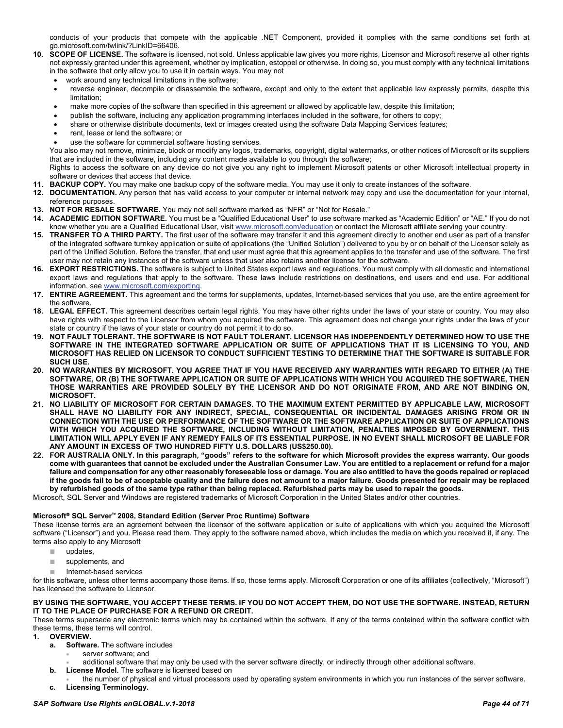conducts of your products that compete with the applicable .NET Component, provided it complies with the same conditions set forth at go.microsoft.com/fwlink/?LinkID=66406.

- **10. SCOPE OF LICENSE.** The software is licensed, not sold. Unless applicable law gives you more rights, Licensor and Microsoft reserve all other rights not expressly granted under this agreement, whether by implication, estoppel or otherwise. In doing so, you must comply with any technical limitations in the software that only allow you to use it in certain ways. You may not
	- work around any technical limitations in the software;
	- reverse engineer, decompile or disassemble the software, except and only to the extent that applicable law expressly permits, despite this limitation;
	- make more copies of the software than specified in this agreement or allowed by applicable law, despite this limitation;
	- publish the software, including any application programming interfaces included in the software, for others to copy;
	- share or otherwise distribute documents, text or images created using the software Data Mapping Services features;
	- rent, lease or lend the software; or
	- use the software for commercial software hosting services.

You also may not remove, minimize, block or modify any logos, trademarks, copyright, digital watermarks, or other notices of Microsoft or its suppliers that are included in the software, including any content made available to you through the software;

Rights to access the software on any device do not give you any right to implement Microsoft patents or other Microsoft intellectual property in software or devices that access that device.

- **11. BACKUP COPY.** You may make one backup copy of the software media. You may use it only to create instances of the software.
- **12. DOCUMENTATION.** Any person that has valid access to your computer or internal network may copy and use the documentation for your internal, reference purposes.
- **13. NOT FOR RESALE SOFTWARE.** You may not sell software marked as "NFR" or "Not for Resale."
- **14. ACADEMIC EDITION SOFTWARE.** You must be a "Qualified Educational User" to use software marked as "Academic Edition" or "AE." If you do not know whether you are a Qualified Educational User, visit www.microsoft.com/education or contact the Microsoft affiliate serving your country.
- **15. TRANSFER TO A THIRD PARTY.** The first user of the software may transfer it and this agreement directly to another end user as part of a transfer of the integrated software turnkey application or suite of applications (the "Unified Solution") delivered to you by or on behalf of the Licensor solely as part of the Unified Solution. Before the transfer, that end user must agree that this agreement applies to the transfer and use of the software. The first user may not retain any instances of the software unless that user also retains another license for the software.
- **16. EXPORT RESTRICTIONS.** The software is subject to United States export laws and regulations. You must comply with all domestic and international export laws and regulations that apply to the software. These laws include restrictions on destinations, end users and end use. For additional information, see www.microsoft.com/exporting.
- **17. ENTIRE AGREEMENT.** This agreement and the terms for supplements, updates, Internet-based services that you use, are the entire agreement for the software.
- **18. LEGAL EFFECT.** This agreement describes certain legal rights. You may have other rights under the laws of your state or country. You may also have rights with respect to the Licensor from whom you acquired the software. This agreement does not change your rights under the laws of your state or country if the laws of your state or country do not permit it to do so.
- **19. NOT FAULT TOLERANT. THE SOFTWARE IS NOT FAULT TOLERANT. LICENSOR HAS INDEPENDENTLY DETERMINED HOW TO USE THE SOFTWARE IN THE INTEGRATED SOFTWARE APPLICATION OR SUITE OF APPLICATIONS THAT IT IS LICENSING TO YOU, AND MICROSOFT HAS RELIED ON LICENSOR TO CONDUCT SUFFICIENT TESTING TO DETERMINE THAT THE SOFTWARE IS SUITABLE FOR SUCH USE.**
- **20. NO WARRANTIES BY MICROSOFT. YOU AGREE THAT IF YOU HAVE RECEIVED ANY WARRANTIES WITH REGARD TO EITHER (A) THE SOFTWARE, OR (B) THE SOFTWARE APPLICATION OR SUITE OF APPLICATIONS WITH WHICH YOU ACQUIRED THE SOFTWARE, THEN THOSE WARRANTIES ARE PROVIDED SOLELY BY THE LICENSOR AND DO NOT ORIGINATE FROM, AND ARE NOT BINDING ON, MICROSOFT.**
- **21. NO LIABILITY OF MICROSOFT FOR CERTAIN DAMAGES. TO THE MAXIMUM EXTENT PERMITTED BY APPLICABLE LAW, MICROSOFT SHALL HAVE NO LIABILITY FOR ANY INDIRECT, SPECIAL, CONSEQUENTIAL OR INCIDENTAL DAMAGES ARISING FROM OR IN CONNECTION WITH THE USE OR PERFORMANCE OF THE SOFTWARE OR THE SOFTWARE APPLICATION OR SUITE OF APPLICATIONS WITH WHICH YOU ACQUIRED THE SOFTWARE, INCLUDING WITHOUT LIMITATION, PENALTIES IMPOSED BY GOVERNMENT. THIS LIMITATION WILL APPLY EVEN IF ANY REMEDY FAILS OF ITS ESSENTIAL PURPOSE. IN NO EVENT SHALL MICROSOFT BE LIABLE FOR ANY AMOUNT IN EXCESS OF TWO HUNDRED FIFTY U.S. DOLLARS (US\$250.00).**
- **22. FOR AUSTRALIA ONLY. In this paragraph, "goods" refers to the software for which Microsoft provides the express warranty. Our goods come with guarantees that cannot be excluded under the Australian Consumer Law. You are entitled to a replacement or refund for a major failure and compensation for any other reasonably foreseeable loss or damage. You are also entitled to have the goods repaired or replaced if the goods fail to be of acceptable quality and the failure does not amount to a major failure. Goods presented for repair may be replaced by refurbished goods of the same type rather than being replaced. Refurbished parts may be used to repair the goods.**

Microsoft, SQL Server and Windows are registered trademarks of Microsoft Corporation in the United States and/or other countries.

#### **Microsoft SQL Server 2008, Standard Edition (Server Proc Runtime) Software**

These license terms are an agreement between the licensor of the software application or suite of applications with which you acquired the Microsoft software ("Licensor") and you. Please read them. They apply to the software named above, which includes the media on which you received it, if any. The terms also apply to any Microsoft

- *■* updates,
- *■* supplements, and
- *■* Internet-based services

for this software, unless other terms accompany those items. If so, those terms apply. Microsoft Corporation or one of its affiliates (collectively, "Microsoft") has licensed the software to Licensor.

#### **BY USING THE SOFTWARE, YOU ACCEPT THESE TERMS. IF YOU DO NOT ACCEPT THEM, DO NOT USE THE SOFTWARE. INSTEAD, RETURN IT TO THE PLACE OF PURCHASE FOR A REFUND OR CREDIT.**

These terms supersede any electronic terms which may be contained within the software. If any of the terms contained within the software conflict with these terms, these terms will control.

- **1. OVERVIEW.**
	- **a. Software.** The software includes
		- server software: and
		- additional software that may only be used with the server software directly, or indirectly through other additional software.
	- **b. License Model.** The software is licensed based on
	- the number of physical and virtual processors used by operating system environments in which you run instances of the server software. **c. Licensing Terminology.**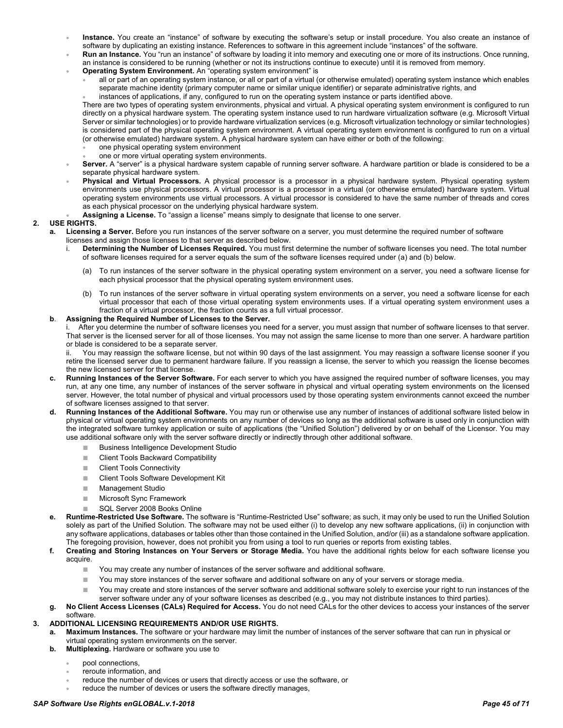- **Instance.** You create an "instance" of software by executing the software's setup or install procedure. You also create an instance of software by duplicating an existing instance. References to software in this agreement include "instances" of the software.
- **Run an Instance.** You "run an instance" of software by loading it into memory and executing one or more of its instructions. Once running, an instance is considered to be running (whether or not its instructions continue to execute) until it is removed from memory.
	- **Operating System Environment.** An "operating system environment" is
		- all or part of an operating system instance, or all or part of a virtual (or otherwise emulated) operating system instance which enables separate machine identity (primary computer name or similar unique identifier) or separate administrative rights, and
			- instances of applications, if any, configured to run on the operating system instance or parts identified above.

There are two types of operating system environments, physical and virtual. A physical operating system environment is configured to run directly on a physical hardware system. The operating system instance used to run hardware virtualization software (e.g. Microsoft Virtual Server or similar technologies) or to provide hardware virtualization services (e.g. Microsoft virtualization technology or similar technologies) is considered part of the physical operating system environment. A virtual operating system environment is configured to run on a virtual (or otherwise emulated) hardware system. A physical hardware system can have either or both of the following:

- one physical operating system environment
- one or more virtual operating system environments.
- **Server.** A "server" is a physical hardware system capable of running server software. A hardware partition or blade is considered to be a separate physical hardware system.
- **Physical and Virtual Processors.** A physical processor is a processor in a physical hardware system. Physical operating system environments use physical processors. A virtual processor is a processor in a virtual (or otherwise emulated) hardware system. Virtual operating system environments use virtual processors. A virtual processor is considered to have the same number of threads and cores as each physical processor on the underlying physical hardware system.
- **Assigning a License.** To "assign a license" means simply to designate that license to one server.

#### **2. USE RIGHTS.**

- **a. Licensing a Server.** Before you run instances of the server software on a server, you must determine the required number of software licenses and assign those licenses to that server as described below.
	- i. **Determining the Number of Licenses Required.** You must first determine the number of software licenses you need. The total number of software licenses required for a server equals the sum of the software licenses required under (a) and (b) below.
		- To run instances of the server software in the physical operating system environment on a server, you need a software license for each physical processor that the physical operating system environment uses.
		- (b) To run instances of the server software in virtual operating system environments on a server, you need a software license for each virtual processor that each of those virtual operating system environments uses. If a virtual operating system environment uses a fraction of a virtual processor, the fraction counts as a full virtual processor.

#### **b**. **Assigning the Required Number of Licenses to the Server.**

i. After you determine the number of software licenses you need for a server, you must assign that number of software licenses to that server. That server is the licensed server for all of those licenses. You may not assign the same license to more than one server. A hardware partition or blade is considered to be a separate server.

ii. You may reassign the software license, but not within 90 days of the last assignment. You may reassign a software license sooner if you retire the licensed server due to permanent hardware failure. If you reassign a license, the server to which you reassign the license becomes the new licensed server for that license.

- **c. Running Instances of the Server Software.** For each server to which you have assigned the required number of software licenses, you may run, at any one time, any number of instances of the server software in physical and virtual operating system environments on the licensed server. However, the total number of physical and virtual processors used by those operating system environments cannot exceed the number of software licenses assigned to that server.
- **d. Running Instances of the Additional Software.** You may run or otherwise use any number of instances of additional software listed below in physical or virtual operating system environments on any number of devices so long as the additional software is used only in conjunction with the integrated software turnkey application or suite of applications (the "Unified Solution") delivered by or on behalf of the Licensor. You may use additional software only with the server software directly or indirectly through other additional software.
	- *■* Business Intelligence Development Studio
	- *■* Client Tools Backward Compatibility
	- *■* Client Tools Connectivity
	- *■* Client Tools Software Development Kit
	- *■* Management Studio
	- *■* Microsoft Sync Framework
	- *■* SQL Server 2008 Books Online
- **e. Runtime-Restricted Use Software.** The software is "Runtime-Restricted Use" software; as such, it may only be used to run the Unified Solution solely as part of the Unified Solution. The software may not be used either (i) to develop any new software applications, (ii) in conjunction with any software applications, databases or tables other than those contained in the Unified Solution, and/or (iii) as a standalone software application. The foregoing provision, however, does not prohibit you from using a tool to run queries or reports from existing tables.
- **f. Creating and Storing Instances on Your Servers or Storage Media.** You have the additional rights below for each software license you acquire.
	- *■* You may create any number of instances of the server software and additional software.
	- *■* You may store instances of the server software and additional software on any of your servers or storage media.
	- *■* You may create and store instances of the server software and additional software solely to exercise your right to run instances of the server software under any of your software licenses as described (e.g., you may not distribute instances to third parties).
- **g. No Client Access Licenses (CALs) Required for Access.** You do not need CALs for the other devices to access your instances of the server software.

#### **3. ADDITIONAL LICENSING REQUIREMENTS AND/OR USE RIGHTS.**

- **a. Maximum Instances.** The software or your hardware may limit the number of instances of the server software that can run in physical or virtual operating system environments on the server.
- **b. Multiplexing.** Hardware or software you use to
	- pool connections,
	- reroute information, and
	- reduce the number of devices or users that directly access or use the software, or
	- reduce the number of devices or users the software directly manages,

#### *SAP Software Use Rights enGLOBAL.v.1-2018 Page 45 of 71*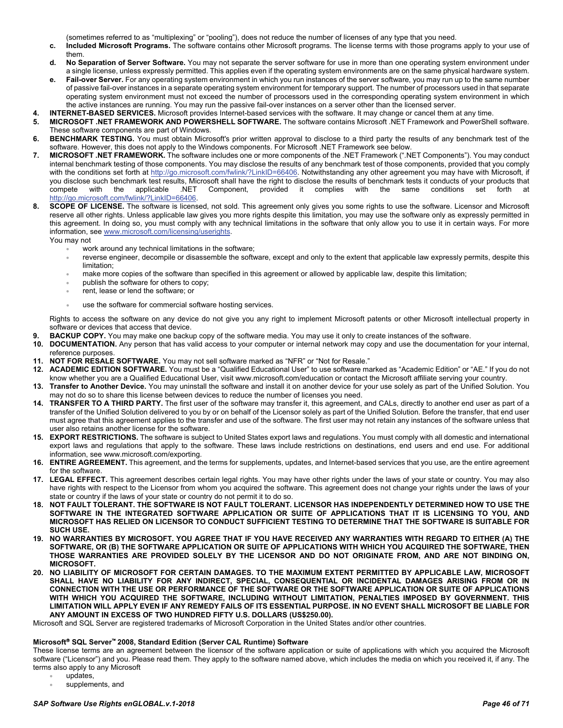(sometimes referred to as "multiplexing" or "pooling"), does not reduce the number of licenses of any type that you need.

- **c. Included Microsoft Programs.** The software contains other Microsoft programs. The license terms with those programs apply to your use of them.
- **d. No Separation of Server Software.** You may not separate the server software for use in more than one operating system environment under a single license, unless expressly permitted. This applies even if the operating system environments are on the same physical hardware system.
- Fail-over Server. For any operating system environment in which you run instances of the server software, you may run up to the same number of passive fail-over instances in a separate operating system environment for temporary support. The number of processors used in that separate operating system environment must not exceed the number of processors used in the corresponding operating system environment in which the active instances are running. You may run the passive fail-over instances on a server other than the licensed server.
- **4. INTERNET-BASED SERVICES.** Microsoft provides Internet-based services with the software. It may change or cancel them at any time.
- **5. MICROSOFT .NET FRAMEWORK AND POWERSHELL SOFTWARE.** The software contains Microsoft .NET Framework and PowerShell software. These software components are part of Windows.
- **6. BENCHMARK TESTING.** You must obtain Microsoft's prior written approval to disclose to a third party the results of any benchmark test of the software. However, this does not apply to the Windows components. For Microsoft .NET Framework see below.
- **7. MICROSOFT .NET FRAMEWORK.** The software includes one or more components of the .NET Framework (".NET Components"). You may conduct internal benchmark testing of those components. You may disclose the results of any benchmark test of those components, provided that you comply with the conditions set forth at [http://go.microsoft.com/fwlink/?LinkID=66406.](http://go.microsoft.com/fwlink/?LinkID=66406) Notwithstanding any other agreement you may have with Microsoft, if you disclose such benchmark test results, Microsoft shall have the right to disclose the results of benchmark tests it conducts of your products that compete with the applicable .NET Component, provided it complies with the same conditions set forth at [http://go.microsoft.com/fwlink/?LinkID=66406.](http://go.microsoft.com/fwlink/?LinkID=66406)
- **8. SCOPE OF LICENSE.** The software is licensed, not sold. This agreement only gives you some rights to use the software. Licensor and Microsoft reserve all other rights. Unless applicable law gives you more rights despite this limitation, you may use the software only as expressly permitted in this agreement. In doing so, you must comply with any technical limitations in the software that only allow you to use it in certain ways. For more information, see [www.microsoft.com/licensing/userights.](http://www.microsoft.com/licensing/userights)

You may not

- work around any technical limitations in the software;
- reverse engineer, decompile or disassemble the software, except and only to the extent that applicable law expressly permits, despite this limitation;
- make more copies of the software than specified in this agreement or allowed by applicable law, despite this limitation;
- publish the software for others to copy;
- rent, lease or lend the software; or
- use the software for commercial software hosting services.

Rights to access the software on any device do not give you any right to implement Microsoft patents or other Microsoft intellectual property in software or devices that access that device.

- **9. BACKUP COPY.** You may make one backup copy of the software media. You may use it only to create instances of the software.
- **10. DOCUMENTATION.** Any person that has valid access to your computer or internal network may copy and use the documentation for your internal, reference purposes.
- **11. NOT FOR RESALE SOFTWARE.** You may not sell software marked as "NFR" or "Not for Resale."
- **12. ACADEMIC EDITION SOFTWARE.** You must be a "Qualified Educational User" to use software marked as "Academic Edition" or "AE." If you do not know whether you are a Qualified Educational User, visit www.microsoft.com/education or contact the Microsoft affiliate serving your country.
- **13. Transfer to Another Device.** You may uninstall the software and install it on another device for your use solely as part of the Unified Solution. You may not do so to share this license between devices to reduce the number of licenses you need.
- **14. TRANSFER TO A THIRD PARTY.** The first user of the software may transfer it, this agreement, and CALs, directly to another end user as part of a transfer of the Unified Solution delivered to you by or on behalf of the Licensor solely as part of the Unified Solution. Before the transfer, that end user must agree that this agreement applies to the transfer and use of the software. The first user may not retain any instances of the software unless that user also retains another license for the software.
- **15. EXPORT RESTRICTIONS.** The software is subject to United States export laws and regulations. You must comply with all domestic and international export laws and regulations that apply to the software. These laws include restrictions on destinations, end users and end use. For additional information, see www.microsoft.com/exporting.
- **16. ENTIRE AGREEMENT.** This agreement, and the terms for supplements, updates, and Internet-based services that you use, are the entire agreement for the software.
- **17. LEGAL EFFECT.** This agreement describes certain legal rights. You may have other rights under the laws of your state or country. You may also have rights with respect to the Licensor from whom you acquired the software. This agreement does not change your rights under the laws of your state or country if the laws of your state or country do not permit it to do so.
- **18. NOT FAULT TOLERANT. THE SOFTWARE IS NOT FAULT TOLERANT. LICENSOR HAS INDEPENDENTLY DETERMINED HOW TO USE THE SOFTWARE IN THE INTEGRATED SOFTWARE APPLICATION OR SUITE OF APPLICATIONS THAT IT IS LICENSING TO YOU, AND MICROSOFT HAS RELIED ON LICENSOR TO CONDUCT SUFFICIENT TESTING TO DETERMINE THAT THE SOFTWARE IS SUITABLE FOR SUCH USE.**
- **19. NO WARRANTIES BY MICROSOFT. YOU AGREE THAT IF YOU HAVE RECEIVED ANY WARRANTIES WITH REGARD TO EITHER (A) THE SOFTWARE, OR (B) THE SOFTWARE APPLICATION OR SUITE OF APPLICATIONS WITH WHICH YOU ACQUIRED THE SOFTWARE, THEN THOSE WARRANTIES ARE PROVIDED SOLELY BY THE LICENSOR AND DO NOT ORIGINATE FROM, AND ARE NOT BINDING ON, MICROSOFT.**
- **20. NO LIABILITY OF MICROSOFT FOR CERTAIN DAMAGES. TO THE MAXIMUM EXTENT PERMITTED BY APPLICABLE LAW, MICROSOFT SHALL HAVE NO LIABILITY FOR ANY INDIRECT, SPECIAL, CONSEQUENTIAL OR INCIDENTAL DAMAGES ARISING FROM OR IN CONNECTION WITH THE USE OR PERFORMANCE OF THE SOFTWARE OR THE SOFTWARE APPLICATION OR SUITE OF APPLICATIONS WITH WHICH YOU ACQUIRED THE SOFTWARE, INCLUDING WITHOUT LIMITATION, PENALTIES IMPOSED BY GOVERNMENT. THIS LIMITATION WILL APPLY EVEN IF ANY REMEDY FAILS OF ITS ESSENTIAL PURPOSE. IN NO EVENT SHALL MICROSOFT BE LIABLE FOR ANY AMOUNT IN EXCESS OF TWO HUNDRED FIFTY U.S. DOLLARS (US\$250.00).**

Microsoft and SQL Server are registered trademarks of Microsoft Corporation in the United States and/or other countries.

#### **Microsoft SQL Server 2008, Standard Edition (Server CAL Runtime) Software**

These license terms are an agreement between the licensor of the software application or suite of applications with which you acquired the Microsoft software ("Licensor") and you. Please read them. They apply to the software named above, which includes the media on which you received it, if any. The terms also apply to any Microsoft

- updates,
- supplements, and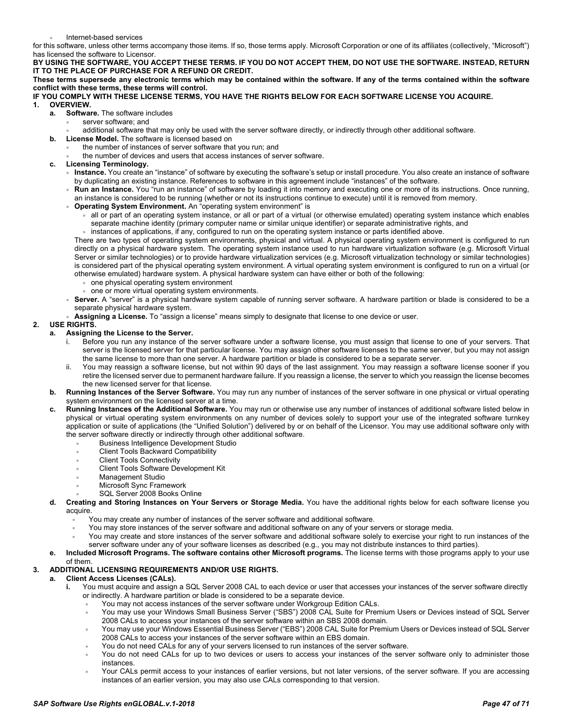• Internet-based services

for this software, unless other terms accompany those items. If so, those terms apply. Microsoft Corporation or one of its affiliates (collectively, "Microsoft") has licensed the software to Licensor.

**BY USING THE SOFTWARE, YOU ACCEPT THESE TERMS. IF YOU DO NOT ACCEPT THEM, DO NOT USE THE SOFTWARE. INSTEAD, RETURN IT TO THE PLACE OF PURCHASE FOR A REFUND OR CREDIT.**

**These terms supersede any electronic terms which may be contained within the software. If any of the terms contained within the software conflict with these terms, these terms will control.**

## **IF YOU COMPLY WITH THESE LICENSE TERMS, YOU HAVE THE RIGHTS BELOW FOR EACH SOFTWARE LICENSE YOU ACQUIRE. 1. OVERVIEW.**

- **a. Software.** The software includes
	- server software; and
	- additional software that may only be used with the server software directly, or indirectly through other additional software.
- **b. License Model.** The software is licensed based on
	- the number of instances of server software that you run; and
	- the number of devices and users that access instances of server software.
- **c. Licensing Terminology.**
	- **Instance.** You create an "instance" of software by executing the software's setup or install procedure. You also create an instance of software by duplicating an existing instance. References to software in this agreement include "instances" of the software.
	- **Run an Instance.** You "run an instance" of software by loading it into memory and executing one or more of its instructions. Once running, an instance is considered to be running (whether or not its instructions continue to execute) until it is removed from memory.
	- **Operating System Environment.** An "operating system environment" is
		- all or part of an operating system instance, or all or part of a virtual (or otherwise emulated) operating system instance which enables separate machine identity (primary computer name or similar unique identifier) or separate administrative rights, and
		- instances of applications, if any, configured to run on the operating system instance or parts identified above.

There are two types of operating system environments, physical and virtual. A physical operating system environment is configured to run directly on a physical hardware system. The operating system instance used to run hardware virtualization software (e.g. Microsoft Virtual Server or similar technologies) or to provide hardware virtualization services (e.g. Microsoft virtualization technology or similar technologies) is considered part of the physical operating system environment. A virtual operating system environment is configured to run on a virtual (or otherwise emulated) hardware system. A physical hardware system can have either or both of the following:

- one physical operating system environment
- one or more virtual operating system environments.
- **Server.** A "server" is a physical hardware system capable of running server software. A hardware partition or blade is considered to be a separate physical hardware system.
- **Assigning a License.** To "assign a license" means simply to designate that license to one device or user.

#### **2. USE RIGHTS.**

- **a. Assigning the License to the Server.**
	- i. Before you run any instance of the server software under a software license, you must assign that license to one of your servers. That server is the licensed server for that particular license. You may assign other software licenses to the same server, but you may not assign the same license to more than one server. A hardware partition or blade is considered to be a separate server.
	- ii. You may reassign a software license, but not within 90 days of the last assignment. You may reassign a software license sooner if you retire the licensed server due to permanent hardware failure. If you reassign a license, the server to which you reassign the license becomes the new licensed server for that license.
- **b. Running Instances of the Server Software.** You may run any number of instances of the server software in one physical or virtual operating system environment on the licensed server at a time.
- **c. Running Instances of the Additional Software.** You may run or otherwise use any number of instances of additional software listed below in physical or virtual operating system environments on any number of devices solely to support your use of the integrated software turnkey application or suite of applications (the "Unified Solution") delivered by or on behalf of the Licensor. You may use additional software only with the server software directly or indirectly through other additional software.
	- Business Intelligence Development Studio
	- Client Tools Backward Compatibility
	- **Client Tools Connectivity**
	- Client Tools Software Development Kit
	- Management Studio
	- Microsoft Sync Framework
	- SQL Server 2008 Books Online
- **d. Creating and Storing Instances on Your Servers or Storage Media.** You have the additional rights below for each software license you acquire.
	- You may create any number of instances of the server software and additional software.
		- You may store instances of the server software and additional software on any of your servers or storage media.
	- You may create and store instances of the server software and additional software solely to exercise your right to run instances of the server software under any of your software licenses as described (e.g., you may not distribute instances to third parties).
- **e. Included Microsoft Programs. The software contains other Microsoft programs.** The license terms with those programs apply to your use of them.

#### **3. ADDITIONAL LICENSING REQUIREMENTS AND/OR USE RIGHTS.**

#### **a. Client Access Licenses (CALs).**

- **i.** You must acquire and assign a SQL Server 2008 CAL to each device or user that accesses your instances of the server software directly or indirectly. A hardware partition or blade is considered to be a separate device.
	- You may not access instances of the server software under Workgroup Edition CALs.
	- You may use your Windows Small Business Server ("SBS") 2008 CAL Suite for Premium Users or Devices instead of SQL Server 2008 CALs to access your instances of the server software within an SBS 2008 domain.
	- You may use your Windows Essential Business Server ("EBS") 2008 CAL Suite for Premium Users or Devices instead of SQL Server 2008 CALs to access your instances of the server software within an EBS domain.
	- You do not need CALs for any of your servers licensed to run instances of the server software.
	- You do not need CALs for up to two devices or users to access your instances of the server software only to administer those instances.
	- Your CALs permit access to your instances of earlier versions, but not later versions, of the server software. If you are accessing instances of an earlier version, you may also use CALs corresponding to that version.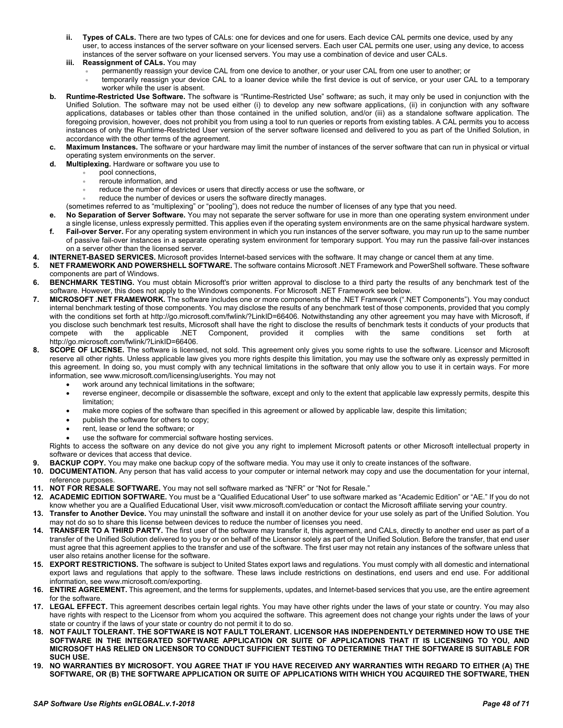- **ii. Types of CALs.** There are two types of CALs: one for devices and one for users. Each device CAL permits one device, used by any user, to access instances of the server software on your licensed servers. Each user CAL permits one user, using any device, to access instances of the server software on your licensed servers. You may use a combination of device and user CALs.
- **iii. Reassignment of CALs.** You may
	- permanently reassign your device CAL from one device to another, or your user CAL from one user to another; or
	- temporarily reassign your device CAL to a loaner device while the first device is out of service, or your user CAL to a temporary worker while the user is absent.
- **b. Runtime-Restricted Use Software.** The software is "Runtime-Restricted Use" software; as such, it may only be used in conjunction with the Unified Solution. The software may not be used either (i) to develop any new software applications, (ii) in conjunction with any software applications, databases or tables other than those contained in the unified solution, and/or (iii) as a standalone software application. The foregoing provision, however, does not prohibit you from using a tool to run queries or reports from existing tables. A CAL permits you to access instances of only the Runtime-Restricted User version of the server software licensed and delivered to you as part of the Unified Solution, in accordance with the other terms of the agreement.
- **c. Maximum Instances.** The software or your hardware may limit the number of instances of the server software that can run in physical or virtual operating system environments on the server.
- **d. Multiplexing.** Hardware or software you use to
	- pool connections,
	- reroute information, and
	- reduce the number of devices or users that directly access or use the software, or
	- reduce the number of devices or users the software directly manages.
	- (sometimes referred to as "multiplexing" or "pooling"), does not reduce the number of licenses of any type that you need.
- **e. No Separation of Server Software.** You may not separate the server software for use in more than one operating system environment under a single license, unless expressly permitted. This applies even if the operating system environments are on the same physical hardware system. **f. Fail-over Server.** For any operating system environment in which you run instances of the server software, you may run up to the same number
- of passive fail-over instances in a separate operating system environment for temporary support. You may run the passive fail-over instances on a server other than the licensed server.
- **4. INTERNET-BASED SERVICES.** Microsoft provides Internet-based services with the software. It may change or cancel them at any time.
- **5. NET FRAMEWORK AND POWERSHELL SOFTWARE.** The software contains Microsoft .NET Framework and PowerShell software. These software components are part of Windows.
- **6.** BENCHMARK TESTING. You must obtain Microsoft's prior written approval to disclose to a third party the results of any benchmark test of the software. However, this does not apply to the Windows components. For Microsoft .NET Framework see below.
- **7. MICROSOFT .NET FRAMEWORK.** The software includes one or more components of the .NET Framework (".NET Components"). You may conduct internal benchmark testing of those components. You may disclose the results of any benchmark test of those components, provided that you comply with the conditions set forth at [http://go.microsoft.com/fwlink/?LinkID=66406.](http://go.microsoft.com/fwlink/?LinkID=66406) Notwithstanding any other agreement you may have with Microsoft, if you disclose such benchmark test results, Microsoft shall have the right to disclose the results of benchmark tests it conducts of your products that compete with the applicable .NET Component, provided it complies with th compete with the applicable .NET Component, provided it complies with the same conditions set forth at [http://go.microsoft.com/fwlink/?LinkID=66406.](http://go.microsoft.com/fwlink/?LinkID=66406)
- **8. SCOPE OF LICENSE.** The software is licensed, not sold. This agreement only gives you some rights to use the software. Licensor and Microsoft reserve all other rights. Unless applicable law gives you more rights despite this limitation, you may use the software only as expressly permitted in this agreement. In doing so, you must comply with any technical limitations in the software that only allow you to use it in certain ways. For more information, see www.microsoft.com/licensing/userights. You may not
	- work around any technical limitations in the software;
	- reverse engineer, decompile or disassemble the software, except and only to the extent that applicable law expressly permits, despite this limitation;
	- make more copies of the software than specified in this agreement or allowed by applicable law, despite this limitation;
	- publish the software for others to copy;
	- rent, lease or lend the software; or
	- use the software for commercial software hosting services.

Rights to access the software on any device do not give you any right to implement Microsoft patents or other Microsoft intellectual property in software or devices that access that device.

- **9. BACKUP COPY.** You may make one backup copy of the software media. You may use it only to create instances of the software.
- **10. DOCUMENTATION.** Any person that has valid access to your computer or internal network may copy and use the documentation for your internal, reference purposes.
- **11. NOT FOR RESALE SOFTWARE.** You may not sell software marked as "NFR" or "Not for Resale."
- **12. ACADEMIC EDITION SOFTWARE.** You must be a "Qualified Educational User" to use software marked as "Academic Edition" or "AE." If you do not know whether you are a Qualified Educational User, visit www.microsoft.com/education or contact the Microsoft affiliate serving your country.
- **13. Transfer to Another Device.** You may uninstall the software and install it on another device for your use solely as part of the Unified Solution. You may not do so to share this license between devices to reduce the number of licenses you need.
- **14. TRANSFER TO A THIRD PARTY.** The first user of the software may transfer it, this agreement, and CALs, directly to another end user as part of a transfer of the Unified Solution delivered to you by or on behalf of the Licensor solely as part of the Unified Solution. Before the transfer, that end user must agree that this agreement applies to the transfer and use of the software. The first user may not retain any instances of the software unless that user also retains another license for the software.
- **15. EXPORT RESTRICTIONS.** The software is subject to United States export laws and regulations. You must comply with all domestic and international export laws and regulations that apply to the software. These laws include restrictions on destinations, end users and end use. For additional information, see www.microsoft.com/exporting.
- **16. ENTIRE AGREEMENT.** This agreement, and the terms for supplements, updates, and Internet-based services that you use, are the entire agreement for the software.
- **17. LEGAL EFFECT.** This agreement describes certain legal rights. You may have other rights under the laws of your state or country. You may also have rights with respect to the Licensor from whom you acquired the software. This agreement does not change your rights under the laws of your state or country if the laws of your state or country do not permit it to do so.
- **18. NOT FAULT TOLERANT. THE SOFTWARE IS NOT FAULT TOLERANT. LICENSOR HAS INDEPENDENTLY DETERMINED HOW TO USE THE SOFTWARE IN THE INTEGRATED SOFTWARE APPLICATION OR SUITE OF APPLICATIONS THAT IT IS LICENSING TO YOU, AND MICROSOFT HAS RELIED ON LICENSOR TO CONDUCT SUFFICIENT TESTING TO DETERMINE THAT THE SOFTWARE IS SUITABLE FOR SUCH USE.**
- **19. NO WARRANTIES BY MICROSOFT. YOU AGREE THAT IF YOU HAVE RECEIVED ANY WARRANTIES WITH REGARD TO EITHER (A) THE SOFTWARE, OR (B) THE SOFTWARE APPLICATION OR SUITE OF APPLICATIONS WITH WHICH YOU ACQUIRED THE SOFTWARE, THEN**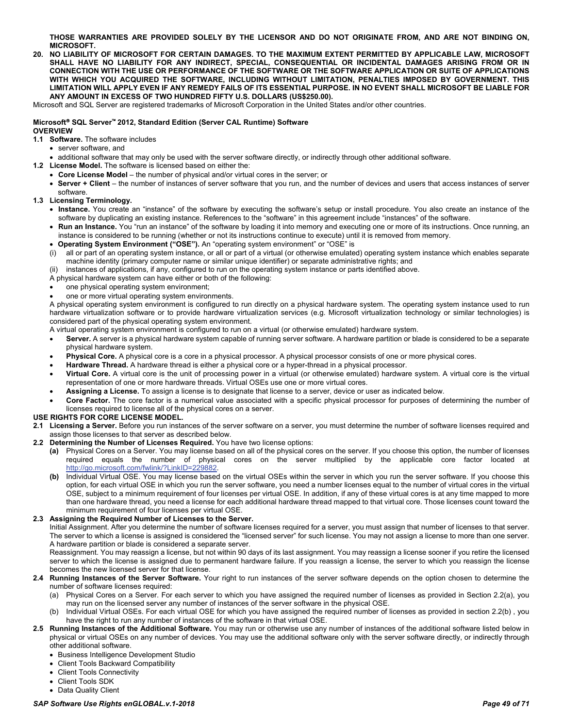**THOSE WARRANTIES ARE PROVIDED SOLELY BY THE LICENSOR AND DO NOT ORIGINATE FROM, AND ARE NOT BINDING ON, MICROSOFT.**

**20. NO LIABILITY OF MICROSOFT FOR CERTAIN DAMAGES. TO THE MAXIMUM EXTENT PERMITTED BY APPLICABLE LAW, MICROSOFT SHALL HAVE NO LIABILITY FOR ANY INDIRECT, SPECIAL, CONSEQUENTIAL OR INCIDENTAL DAMAGES ARISING FROM OR IN CONNECTION WITH THE USE OR PERFORMANCE OF THE SOFTWARE OR THE SOFTWARE APPLICATION OR SUITE OF APPLICATIONS WITH WHICH YOU ACQUIRED THE SOFTWARE, INCLUDING WITHOUT LIMITATION, PENALTIES IMPOSED BY GOVERNMENT. THIS LIMITATION WILL APPLY EVEN IF ANY REMEDY FAILS OF ITS ESSENTIAL PURPOSE. IN NO EVENT SHALL MICROSOFT BE LIABLE FOR ANY AMOUNT IN EXCESS OF TWO HUNDRED FIFTY U.S. DOLLARS (US\$250.00).**

Microsoft and SQL Server are registered trademarks of Microsoft Corporation in the United States and/or other countries.

# **Microsoft SQL Server 2012, Standard Edition (Server CAL Runtime) Software**

### **OVERVIEW**

**1.1 Software.** The software includes

- server software, and
- additional software that may only be used with the server software directly, or indirectly through other additional software.
- **1.2 License Model.** The software is licensed based on either the:
	- **Core License Model** the number of physical and/or virtual cores in the server; or
	- **Server + Client** the number of instances of server software that you run, and the number of devices and users that access instances of server software.

**1.3 Licensing Terminology.**

- **Instance.** You create an "instance" of the software by executing the software's setup or install procedure. You also create an instance of the software by duplicating an existing instance. References to the "software" in this agreement include "instances" of the software.
- **Run an Instance.** You "run an instance" of the software by loading it into memory and executing one or more of its instructions. Once running, an instance is considered to be running (whether or not its instructions continue to execute) until it is removed from memory.
- **Operating System Environment ("OSE").** An "operating system environment" or "OSE" is
- (i) all or part of an operating system instance, or all or part of a virtual (or otherwise emulated) operating system instance which enables separate machine identity (primary computer name or similar unique identifier) or separate administrative rights; and
- (ii) instances of applications, if any, configured to run on the operating system instance or parts identified above.
- A physical hardware system can have either or both of the following:
- one physical operating system environment;
- one or more virtual operating system environments.

A physical operating system environment is configured to run directly on a physical hardware system. The operating system instance used to run hardware virtualization software or to provide hardware virtualization services (e.g. Microsoft virtualization technology or similar technologies) is considered part of the physical operating system environment.

A virtual operating system environment is configured to run on a virtual (or otherwise emulated) hardware system.

- **Server.** A server is a physical hardware system capable of running server software. A hardware partition or blade is considered to be a separate physical hardware system.
- **Physical Core.** A physical core is a core in a physical processor. A physical processor consists of one or more physical cores.
- **Hardware Thread.** A hardware thread is either a physical core or a hyper-thread in a physical processor.
- **Virtual Core.** A virtual core is the unit of processing power in a virtual (or otherwise emulated) hardware system. A virtual core is the virtual representation of one or more hardware threads. Virtual OSEs use one or more virtual cores.
- **Assigning a License.** To assign a license is to designate that license to a server, device or user as indicated below.
- **Core Factor.** The core factor is a numerical value associated with a specific physical processor for purposes of determining the number of licenses required to license all of the physical cores on a server.

#### **USE RIGHTS FOR CORE LICENSE MODEL.**

- **2.1 Licensing a Server.** Before you run instances of the server software on a server, you must determine the number of software licenses required and assign those licenses to that server as described below.
- **2.2 Determining the Number of Licenses Required.** You have two license options:
	- **(a)** Physical Cores on a Server. You may license based on all of the physical cores on the server. If you choose this option, the number of licenses required equals the number of physical cores on the server multiplied by the applicable core factor located at [http://go.microsoft.com/fwlink/?LinkID=229882.](http://go.microsoft.com/fwlink/?LinkID=229882)
	- **(b)** Individual Virtual OSE. You may license based on the virtual OSEs within the server in which you run the server software. If you choose this option, for each virtual OSE in which you run the server software, you need a number licenses equal to the number of virtual cores in the virtual OSE, subject to a minimum requirement of four licenses per virtual OSE. In addition, if any of these virtual cores is at any time mapped to more than one hardware thread, you need a license for each additional hardware thread mapped to that virtual core. Those licenses count toward the minimum requirement of four licenses per virtual OSE.

#### **2.3 Assigning the Required Number of Licenses to the Server.**

Initial Assignment. After you determine the number of software licenses required for a server, you must assign that number of licenses to that server. The server to which a license is assigned is considered the "licensed server" for such license. You may not assign a license to more than one server. A hardware partition or blade is considered a separate server.

Reassignment. You may reassign a license, but not within 90 days of its last assignment. You may reassign a license sooner if you retire the licensed server to which the license is assigned due to permanent hardware failure. If you reassign a license, the server to which you reassign the license becomes the new licensed server for that license.

- **2.4 Running Instances of the Server Software.** Your right to run instances of the server software depends on the option chosen to determine the number of software licenses required:
	- (a) Physical Cores on a Server. For each server to which you have assigned the required number of licenses as provided in Section 2.2(a), you may run on the licensed server any number of instances of the server software in the physical OSE.
	- (b) Individual Virtual OSEs. For each virtual OSE for which you have assigned the required number of licenses as provided in section 2.2(b) , you have the right to run any number of instances of the software in that virtual OSE.
- **2.5 Running Instances of the Additional Software.** You may run or otherwise use any number of instances of the additional software listed below in physical or virtual OSEs on any number of devices. You may use the additional software only with the server software directly, or indirectly through other additional software.
	- Business Intelligence Development Studio
	- Client Tools Backward Compatibility
	- Client Tools Connectivity
	- Client Tools SDK • Data Quality Client
- *SAP Software Use Rights enGLOBAL.v.1-2018 Page 49 of 71*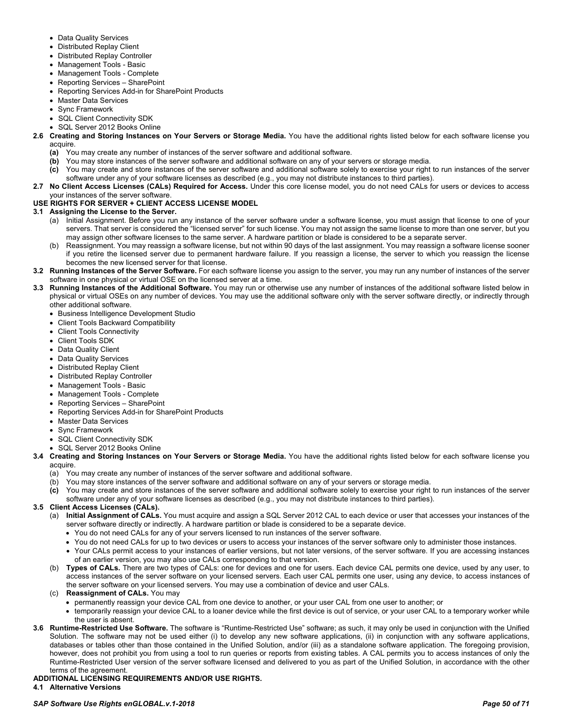- Data Quality Services
- Distributed Replay Client
- Distributed Replay Controller
- Management Tools Basic
- Management Tools Complete
- Reporting Services SharePoint
- Reporting Services Add-in for SharePoint Products
- Master Data Services
- Sync Framework
- SQL Client Connectivity SDK
- SQL Server 2012 Books Online
- **2.6 Creating and Storing Instances on Your Servers or Storage Media.** You have the additional rights listed below for each software license you acquire.
	- **(a)** You may create any number of instances of the server software and additional software.
	- **(b)** You may store instances of the server software and additional software on any of your servers or storage media.
	- **(c)** You may create and store instances of the server software and additional software solely to exercise your right to run instances of the server software under any of your software licenses as described (e.g., you may not distribute instances to third parties).
- **2.7 No Client Access Licenses (CALs) Required for Access.** Under this core license model, you do not need CALs for users or devices to access your instances of the server software.

# **USE RIGHTS FOR SERVER + CLIENT ACCESS LICENSE MODEL**

# **3.1 Assigning the License to the Server.**

- (a) Initial Assignment. Before you run any instance of the server software under a software license, you must assign that license to one of your servers. That server is considered the "licensed server" for such license. You may not assign the same license to more than one server, but you may assign other software licenses to the same server. A hardware partition or blade is considered to be a separate server.
- (b) Reassignment. You may reassign a software license, but not within 90 days of the last assignment. You may reassign a software license sooner if you retire the licensed server due to permanent hardware failure. If you reassign a license, the server to which you reassign the license becomes the new licensed server for that license.
- **3.2 Running Instances of the Server Software.** For each software license you assign to the server, you may run any number of instances of the server software in one physical or virtual OSE on the licensed server at a time.
- **3.3 Running Instances of the Additional Software.** You may run or otherwise use any number of instances of the additional software listed below in physical or virtual OSEs on any number of devices. You may use the additional software only with the server software directly, or indirectly through other additional software.
	- Business Intelligence Development Studio
	- Client Tools Backward Compatibility
	- Client Tools Connectivity
	- Client Tools SDK
	- Data Quality Client
	- Data Quality Services
	- Distributed Replay Client
	- Distributed Replay Controller
	- Management Tools Basic
	- Management Tools Complete
	- Reporting Services SharePoint
	- Reporting Services Add-in for SharePoint Products
	- Master Data Services
	- Sync Framework
	- SQL Client Connectivity SDK
	- SQL Server 2012 Books Online
- **3.4 Creating and Storing Instances on Your Servers or Storage Media.** You have the additional rights listed below for each software license you acquire.
	- (a) You may create any number of instances of the server software and additional software.
	- (b) You may store instances of the server software and additional software on any of your servers or storage media.
	- **(c)** You may create and store instances of the server software and additional software solely to exercise your right to run instances of the server software under any of your software licenses as described (e.g., you may not distribute instances to third parties).

# **3.5 Client Access Licenses (CALs).**

- (a) **Initial Assignment of CALs.** You must acquire and assign a SQL Server 2012 CAL to each device or user that accesses your instances of the server software directly or indirectly. A hardware partition or blade is considered to be a separate device.
	- You do not need CALs for any of your servers licensed to run instances of the server software.
	- You do not need CALs for up to two devices or users to access your instances of the server software only to administer those instances.
	- Your CALs permit access to your instances of earlier versions, but not later versions, of the server software. If you are accessing instances of an earlier version, you may also use CALs corresponding to that version.
- (b) **Types of CALs.** There are two types of CALs: one for devices and one for users. Each device CAL permits one device, used by any user, to access instances of the server software on your licensed servers. Each user CAL permits one user, using any device, to access instances of the server software on your licensed servers. You may use a combination of device and user CALs.
- (c) **Reassignment of CALs.** You may
	- permanently reassign your device CAL from one device to another, or your user CAL from one user to another; or
	- temporarily reassign your device CAL to a loaner device while the first device is out of service, or your user CAL to a temporary worker while the user is absent.
- **3.6 Runtime-Restricted Use Software.** The software is "Runtime-Restricted Use" software; as such, it may only be used in conjunction with the Unified Solution. The software may not be used either (i) to develop any new software applications, (ii) in conjunction with any software applications, databases or tables other than those contained in the Unified Solution, and/or (iii) as a standalone software application. The foregoing provision, however, does not prohibit you from using a tool to run queries or reports from existing tables. A CAL permits you to access instances of only the Runtime-Restricted User version of the server software licensed and delivered to you as part of the Unified Solution, in accordance with the other terms of the agreement.

# **ADDITIONAL LICENSING REQUIREMENTS AND/OR USE RIGHTS.**

**4.1 Alternative Versions**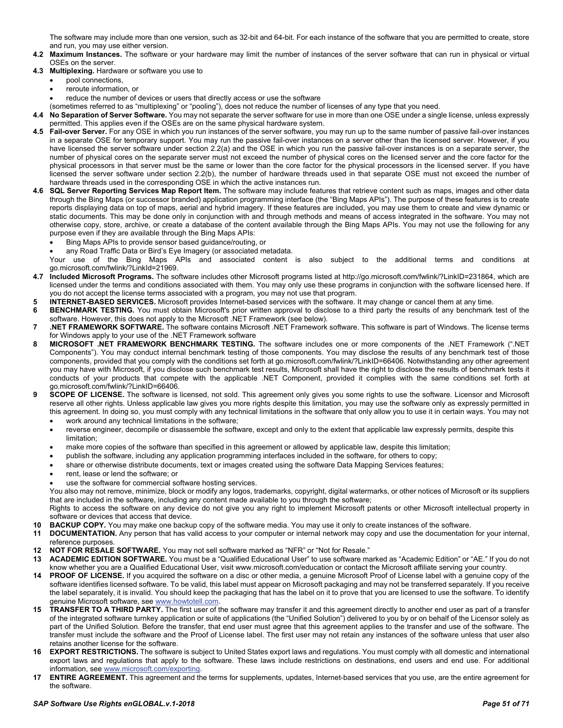The software may include more than one version, such as 32-bit and 64-bit. For each instance of the software that you are permitted to create, store and run, you may use either version.

- **4.2 Maximum Instances.** The software or your hardware may limit the number of instances of the server software that can run in physical or virtual OSEs on the server.
- **4.3 Multiplexing.** Hardware or software you use to
	- pool connections,
	- reroute information, or
	- reduce the number of devices or users that directly access or use the software

(sometimes referred to as "multiplexing" or "pooling"), does not reduce the number of licenses of any type that you need.

- **4.4 No Separation of Server Software.** You may not separate the server software for use in more than one OSE under a single license, unless expressly permitted. This applies even if the OSEs are on the same physical hardware system.
- **4.5 Fail-over Server.** For any OSE in which you run instances of the server software, you may run up to the same number of passive fail-over instances in a separate OSE for temporary support. You may run the passive fail-over instances on a server other than the licensed server. However, if you have licensed the server software under section 2.2(a) and the OSE in which you run the passive fail-over instances is on a separate server, the number of physical cores on the separate server must not exceed the number of physical cores on the licensed server and the core factor for the physical processors in that server must be the same or lower than the core factor for the physical processors in the licensed server. If you have licensed the server software under section 2.2(b), the number of hardware threads used in that separate OSE must not exceed the number of hardware threads used in the corresponding OSE in which the active instances run.
- **4.6 SQL Server Reporting Services Map Report Item.** The software may include features that retrieve content such as maps, images and other data through the Bing Maps (or successor branded) application programming interface (the "Bing Maps APIs"). The purpose of these features is to create reports displaying data on top of maps, aerial and hybrid imagery. If these features are included, you may use them to create and view dynamic or static documents. This may be done only in conjunction with and through methods and means of access integrated in the software. You may not otherwise copy, store, archive, or create a database of the content available through the Bing Maps APIs. You may not use the following for any purpose even if they are available through the Bing Maps APIs:
	- Bing Maps APIs to provide sensor based guidance/routing, or
	- any Road Traffic Data or Bird's Eye Imagery (or associated metadata.

Your use of the Bing Maps APIs and associated content is also subject to the additional terms and conditions at go.microsoft.com/fwlink/?LinkId=21969.

- **4.7 Included Microsoft Programs.** The software includes other Microsoft programs listed at [http://go.microsoft.com/fwlink/?LinkID=231864,](http://go.microsoft.com/fwlink/?LinkID=231864) which are licensed under the terms and conditions associated with them. You may only use these programs in conjunction with the software licensed here. If you do not accept the license terms associated with a program, you may not use that program.
- **5 INTERNET-BASED SERVICES.** Microsoft provides Internet-based services with the software. It may change or cancel them at any time.
- **6 BENCHMARK TESTING.** You must obtain Microsoft's prior written approval to disclose to a third party the results of any benchmark test of the software. However, this does not apply to the Microsoft .NET Framework (see below).
- **7 .NET FRAMEWORK SOFTWARE.** The software contains Microsoft .NET Framework software. This software is part of Windows. The license terms for Windows apply to your use of the .NET Framework software
- **8 MICROSOFT .NET FRAMEWORK BENCHMARK TESTING.** The software includes one or more components of the .NET Framework (".NET Components"). You may conduct internal benchmark testing of those components. You may disclose the results of any benchmark test of those components, provided that you comply with the conditions set forth at go.microsoft.com/fwlink/?LinkID=66406. Notwithstanding any other agreement you may have with Microsoft, if you disclose such benchmark test results, Microsoft shall have the right to disclose the results of benchmark tests it conducts of your products that compete with the applicable .NET Component, provided it complies with the same conditions set forth at go.microsoft.com/fwlink/?LinkID=66406.
- **9 SCOPE OF LICENSE.** The software is licensed, not sold. This agreement only gives you some rights to use the software. Licensor and Microsoft reserve all other rights. Unless applicable law gives you more rights despite this limitation, you may use the software only as expressly permitted in this agreement. In doing so, you must comply with any technical limitations in the software that only allow you to use it in certain ways. You may not
	- work around any technical limitations in the software;
	- reverse engineer, decompile or disassemble the software, except and only to the extent that applicable law expressly permits, despite this limitation;
	- make more copies of the software than specified in this agreement or allowed by applicable law, despite this limitation;
	- publish the software, including any application programming interfaces included in the software, for others to copy;
	- share or otherwise distribute documents, text or images created using the software Data Mapping Services features;
	- rent, lease or lend the software; or
	- use the software for commercial software hosting services.

You also may not remove, minimize, block or modify any logos, trademarks, copyright, digital watermarks, or other notices of Microsoft or its suppliers that are included in the software, including any content made available to you through the software;

Rights to access the software on any device do not give you any right to implement Microsoft patents or other Microsoft intellectual property in software or devices that access that device.

- **10 BACKUP COPY.** You may make one backup copy of the software media. You may use it only to create instances of the software.
- **11 DOCUMENTATION.** Any person that has valid access to your computer or internal network may copy and use the documentation for your internal, reference purposes.
- **12 NOT FOR RESALE SOFTWARE.** You may not sell software marked as "NFR" or "Not for Resale."
- **13 ACADEMIC EDITION SOFTWARE.** You must be a "Qualified Educational User" to use software marked as "Academic Edition" or "AE." If you do not know whether you are a Qualified Educational User, visit www.microsoft.com/education or contact the Microsoft affiliate serving your country.
- **14 PROOF OF LICENSE.** If you acquired the software on a disc or other media, a genuine Microsoft Proof of License label with a genuine copy of the software identifies licensed software. To be valid, this label must appear on Microsoft packaging and may not be transferred separately. If you receive the label separately, it is invalid. You should keep the packaging that has the label on it to prove that you are licensed to use the software. To identify genuine Microsoft software, see [www.howtotell.com.](http://www.howtotell.com/)
- **15 TRANSFER TO A THIRD PARTY.** The first user of the software may transfer it and this agreement directly to another end user as part of a transfer of the integrated software turnkey application or suite of applications (the "Unified Solution") delivered to you by or on behalf of the Licensor solely as part of the Unified Solution. Before the transfer, that end user must agree that this agreement applies to the transfer and use of the software. The transfer must include the software and the Proof of License label. The first user may not retain any instances of the software unless that user also retains another license for the software.
- **16 EXPORT RESTRICTIONS.** The software is subject to United States export laws and regulations. You must comply with all domestic and international export laws and regulations that apply to the software. These laws include restrictions on destinations, end users and end use. For additional information, see [www.microsoft.com/exporting.](http://www.microsoft.com/exporting)
- **17 ENTIRE AGREEMENT.** This agreement and the terms for supplements, updates, Internet-based services that you use, are the entire agreement for the software.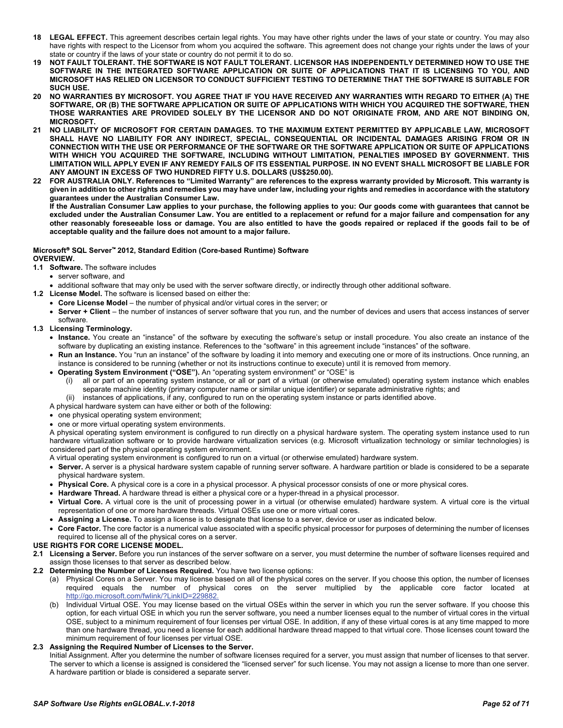- **18 LEGAL EFFECT.** This agreement describes certain legal rights. You may have other rights under the laws of your state or country. You may also have rights with respect to the Licensor from whom you acquired the software. This agreement does not change your rights under the laws of your state or country if the laws of your state or country do not permit it to do so.
- **19 NOT FAULT TOLERANT. THE SOFTWARE IS NOT FAULT TOLERANT. LICENSOR HAS INDEPENDENTLY DETERMINED HOW TO USE THE SOFTWARE IN THE INTEGRATED SOFTWARE APPLICATION OR SUITE OF APPLICATIONS THAT IT IS LICENSING TO YOU, AND MICROSOFT HAS RELIED ON LICENSOR TO CONDUCT SUFFICIENT TESTING TO DETERMINE THAT THE SOFTWARE IS SUITABLE FOR SUCH USE.**
- **20 NO WARRANTIES BY MICROSOFT. YOU AGREE THAT IF YOU HAVE RECEIVED ANY WARRANTIES WITH REGARD TO EITHER (A) THE SOFTWARE, OR (B) THE SOFTWARE APPLICATION OR SUITE OF APPLICATIONS WITH WHICH YOU ACQUIRED THE SOFTWARE, THEN THOSE WARRANTIES ARE PROVIDED SOLELY BY THE LICENSOR AND DO NOT ORIGINATE FROM, AND ARE NOT BINDING ON, MICROSOFT.**
- **21 NO LIABILITY OF MICROSOFT FOR CERTAIN DAMAGES. TO THE MAXIMUM EXTENT PERMITTED BY APPLICABLE LAW, MICROSOFT SHALL HAVE NO LIABILITY FOR ANY INDIRECT, SPECIAL, CONSEQUENTIAL OR INCIDENTAL DAMAGES ARISING FROM OR IN CONNECTION WITH THE USE OR PERFORMANCE OF THE SOFTWARE OR THE SOFTWARE APPLICATION OR SUITE OF APPLICATIONS WITH WHICH YOU ACQUIRED THE SOFTWARE, INCLUDING WITHOUT LIMITATION, PENALTIES IMPOSED BY GOVERNMENT. THIS LIMITATION WILL APPLY EVEN IF ANY REMEDY FAILS OF ITS ESSENTIAL PURPOSE. IN NO EVENT SHALL MICROSOFT BE LIABLE FOR ANY AMOUNT IN EXCESS OF TWO HUNDRED FIFTY U.S. DOLLARS (US\$250.00).**
- **22 FOR AUSTRALIA ONLY. References to "Limited Warranty" are references to the express warranty provided by Microsoft. This warranty is given in addition to other rights and remedies you may have under law, including your rights and remedies in accordance with the statutory guarantees under the Australian Consumer Law.**

**If the Australian Consumer Law applies to your purchase, the following applies to you: Our goods come with guarantees that cannot be excluded under the Australian Consumer Law. You are entitled to a replacement or refund for a major failure and compensation for any other reasonably foreseeable loss or damage. You are also entitled to have the goods repaired or replaced if the goods fail to be of acceptable quality and the failure does not amount to a major failure.**

# **Microsoft SQL Server 2012, Standard Edition (Core-based Runtime) Software**

**OVERVIEW.**

- **1.1 Software.** The software includes
	- server software, and
- additional software that may only be used with the server software directly, or indirectly through other additional software.
- **1.2 License Model.** The software is licensed based on either the:
	- **Core License Model** the number of physical and/or virtual cores in the server; or
	- **Server + Client** the number of instances of server software that you run, and the number of devices and users that access instances of server software.
- **1.3 Licensing Terminology.**
	- **Instance.** You create an "instance" of the software by executing the software's setup or install procedure. You also create an instance of the software by duplicating an existing instance. References to the "software" in this agreement include "instances" of the software.
	- **Run an Instance.** You "run an instance" of the software by loading it into memory and executing one or more of its instructions. Once running, an instance is considered to be running (whether or not its instructions continue to execute) until it is removed from memory.
	- **Operating System Environment ("OSE").** An "operating system environment" or "OSE" is
		- (i) all or part of an operating system instance, or all or part of a virtual (or otherwise emulated) operating system instance which enables separate machine identity (primary computer name or similar unique identifier) or separate administrative rights; and
		- instances of applications, if any, configured to run on the operating system instance or parts identified above.
	- A physical hardware system can have either or both of the following:
	- one physical operating system environment;
	- one or more virtual operating system environments.

A physical operating system environment is configured to run directly on a physical hardware system. The operating system instance used to run hardware virtualization software or to provide hardware virtualization services (e.g. Microsoft virtualization technology or similar technologies) is considered part of the physical operating system environment.

A virtual operating system environment is configured to run on a virtual (or otherwise emulated) hardware system.

- **Server.** A server is a physical hardware system capable of running server software. A hardware partition or blade is considered to be a separate physical hardware system.
- **Physical Core.** A physical core is a core in a physical processor. A physical processor consists of one or more physical cores.
- **Hardware Thread.** A hardware thread is either a physical core or a hyper-thread in a physical processor.
- **Virtual Core.** A virtual core is the unit of processing power in a virtual (or otherwise emulated) hardware system. A virtual core is the virtual representation of one or more hardware threads. Virtual OSEs use one or more virtual cores.
- **Assigning a License.** To assign a license is to designate that license to a server, device or user as indicated below.
- **Core Factor.** The core factor is a numerical value associated with a specific physical processor for purposes of determining the number of licenses required to license all of the physical cores on a server.

#### **USE RIGHTS FOR CORE LICENSE MODEL.**

- **2.1 Licensing a Server.** Before you run instances of the server software on a server, you must determine the number of software licenses required and assign those licenses to that server as described below.
- **2.2 Determining the Number of Licenses Required.** You have two license options:
	- (a) Physical Cores on a Server. You may license based on all of the physical cores on the server. If you choose this option, the number of licenses required equals the number of physical cores on the server multiplied by the applicable core factor located at [http://go.microsoft.com/fwlink/?LinkID=229882.](http://go.microsoft.com/fwlink/?LinkID=229882)
	- (b) Individual Virtual OSE. You may license based on the virtual OSEs within the server in which you run the server software. If you choose this option, for each virtual OSE in which you run the server software, you need a number licenses equal to the number of virtual cores in the virtual OSE, subject to a minimum requirement of four licenses per virtual OSE. In addition, if any of these virtual cores is at any time mapped to more than one hardware thread, you need a license for each additional hardware thread mapped to that virtual core. Those licenses count toward the minimum requirement of four licenses per virtual OSE.

#### **2.3 Assigning the Required Number of Licenses to the Server.**

Initial Assignment. After you determine the number of software licenses required for a server, you must assign that number of licenses to that server. The server to which a license is assigned is considered the "licensed server" for such license. You may not assign a license to more than one server. A hardware partition or blade is considered a separate server.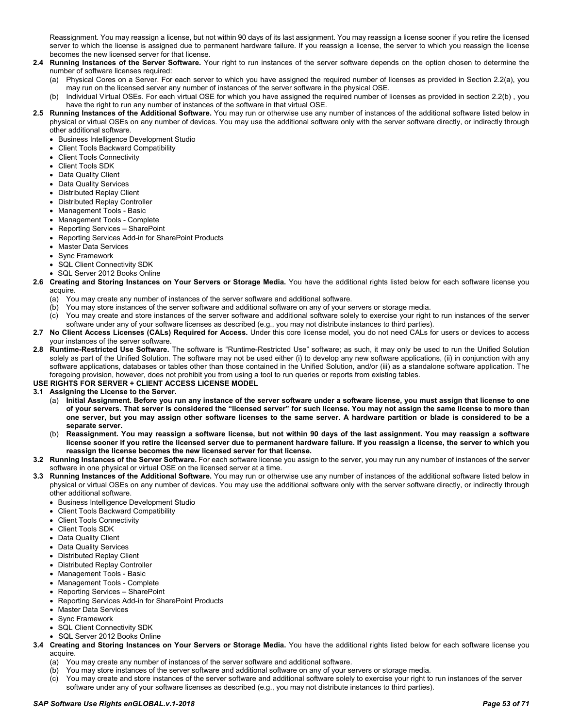Reassignment. You may reassign a license, but not within 90 days of its last assignment. You may reassign a license sooner if you retire the licensed server to which the license is assigned due to permanent hardware failure. If you reassign a license, the server to which you reassign the license becomes the new licensed server for that license.

- **2.4 Running Instances of the Server Software.** Your right to run instances of the server software depends on the option chosen to determine the number of software licenses required:
	- (a) Physical Cores on a Server. For each server to which you have assigned the required number of licenses as provided in Section 2.2(a), you may run on the licensed server any number of instances of the server software in the physical OSE.
	- (b) Individual Virtual OSEs. For each virtual OSE for which you have assigned the required number of licenses as provided in section 2.2(b) , you have the right to run any number of instances of the software in that virtual OSE.
- **2.5 Running Instances of the Additional Software.** You may run or otherwise use any number of instances of the additional software listed below in physical or virtual OSEs on any number of devices. You may use the additional software only with the server software directly, or indirectly through other additional software.
	- Business Intelligence Development Studio
	- Client Tools Backward Compatibility
	- Client Tools Connectivity
	- Client Tools SDK
	- Data Quality Client
	- Data Quality Services
	- Distributed Replay Client
	- Distributed Replay Controller
	- Management Tools Basic
	- Management Tools Complete
	- Reporting Services SharePoint
	- Reporting Services Add-in for SharePoint Products
	- Master Data Services
	- Sync Framework
	- SQL Client Connectivity SDK
	- SQL Server 2012 Books Online
- **2.6 Creating and Storing Instances on Your Servers or Storage Media.** You have the additional rights listed below for each software license you acquire.
	- (a) You may create any number of instances of the server software and additional software.
	- (b) You may store instances of the server software and additional software on any of your servers or storage media.
	- (c) You may create and store instances of the server software and additional software solely to exercise your right to run instances of the server software under any of your software licenses as described (e.g., you may not distribute instances to third parties).
- **2.7 No Client Access Licenses (CALs) Required for Access.** Under this core license model, you do not need CALs for users or devices to access your instances of the server software.
- **2.8 Runtime-Restricted Use Software.** The software is "Runtime-Restricted Use" software; as such, it may only be used to run the Unified Solution solely as part of the Unified Solution. The software may not be used either (i) to develop any new software applications, (ii) in conjunction with any software applications, databases or tables other than those contained in the Unified Solution, and/or (iii) as a standalone software application. The foregoing provision, however, does not prohibit you from using a tool to run queries or reports from existing tables.

# **USE RIGHTS FOR SERVER + CLIENT ACCESS LICENSE MODEL**

#### **3.1 Assigning the License to the Server.**

- (a) **Initial Assignment. Before you run any instance of the server software under a software license, you must assign that license to one of your servers. That server is considered the "licensed server" for such license. You may not assign the same license to more than one server, but you may assign other software licenses to the same server. A hardware partition or blade is considered to be a separate server.**
- (b) **Reassignment. You may reassign a software license, but not within 90 days of the last assignment. You may reassign a software license sooner if you retire the licensed server due to permanent hardware failure. If you reassign a license, the server to which you reassign the license becomes the new licensed server for that license.**
- **3.2 Running Instances of the Server Software.** For each software license you assign to the server, you may run any number of instances of the server software in one physical or virtual OSE on the licensed server at a time.
- **3.3 Running Instances of the Additional Software.** You may run or otherwise use any number of instances of the additional software listed below in physical or virtual OSEs on any number of devices. You may use the additional software only with the server software directly, or indirectly through other additional software.
	- Business Intelligence Development Studio
	- Client Tools Backward Compatibility
	- Client Tools Connectivity
	- Client Tools SDK
	- Data Quality Client
	- Data Quality Services
	- Distributed Replay Client
	- Distributed Replay Controller
	- Management Tools Basic
	- Management Tools Complete
	- Reporting Services SharePoint
	- Reporting Services Add-in for SharePoint Products
	- Master Data Services
	- Sync Framework
	- SQL Client Connectivity SDK
	- SQL Server 2012 Books Online
- **3.4 Creating and Storing Instances on Your Servers or Storage Media.** You have the additional rights listed below for each software license you acquire.
	- (a) You may create any number of instances of the server software and additional software.
	- (b) You may store instances of the server software and additional software on any of your servers or storage media.
	- (c) You may create and store instances of the server software and additional software solely to exercise your right to run instances of the server software under any of your software licenses as described (e.g., you may not distribute instances to third parties).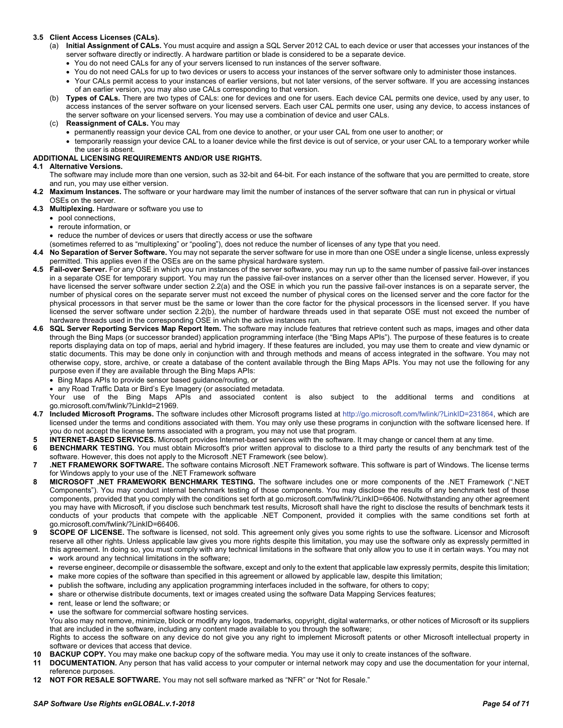### **3.5 Client Access Licenses (CALs).**

- (a) **Initial Assignment of CALs.** You must acquire and assign a SQL Server 2012 CAL to each device or user that accesses your instances of the server software directly or indirectly. A hardware partition or blade is considered to be a separate device.
	- You do not need CALs for any of your servers licensed to run instances of the server software.
	- You do not need CALs for up to two devices or users to access your instances of the server software only to administer those instances.
	- Your CALs permit access to your instances of earlier versions, but not later versions, of the server software. If you are accessing instances of an earlier version, you may also use CALs corresponding to that version.
- (b) **Types of CALs.** There are two types of CALs: one for devices and one for users. Each device CAL permits one device, used by any user, to access instances of the server software on your licensed servers. Each user CAL permits one user, using any device, to access instances of the server software on your licensed servers. You may use a combination of device and user CALs.
- (c) **Reassignment of CALs.** You may
	- permanently reassign your device CAL from one device to another, or your user CAL from one user to another; or
	- temporarily reassign your device CAL to a loaner device while the first device is out of service, or your user CAL to a temporary worker while the user is absent.

### **ADDITIONAL LICENSING REQUIREMENTS AND/OR USE RIGHTS.**

#### **4.1 Alternative Versions.**

- The software may include more than one version, such as 32-bit and 64-bit. For each instance of the software that you are permitted to create, store and run, you may use either version.
- **4.2 Maximum Instances.** The software or your hardware may limit the number of instances of the server software that can run in physical or virtual OSEs on the server.
- **4.3 Multiplexing.** Hardware or software you use to
	- pool connections,
	- reroute information, or
	- reduce the number of devices or users that directly access or use the software
	- (sometimes referred to as "multiplexing" or "pooling"), does not reduce the number of licenses of any type that you need.
- **4.4 No Separation of Server Software.** You may not separate the server software for use in more than one OSE under a single license, unless expressly permitted. This applies even if the OSEs are on the same physical hardware system.
- **4.5 Fail-over Server.** For any OSE in which you run instances of the server software, you may run up to the same number of passive fail-over instances in a separate OSE for temporary support. You may run the passive fail-over instances on a server other than the licensed server. However, if you have licensed the server software under section 2.2(a) and the OSE in which you run the passive fail-over instances is on a separate server, the number of physical cores on the separate server must not exceed the number of physical cores on the licensed server and the core factor for the physical processors in that server must be the same or lower than the core factor for the physical processors in the licensed server. If you have licensed the server software under section 2.2(b), the number of hardware threads used in that separate OSE must not exceed the number of hardware threads used in the corresponding OSE in which the active instances run.
- **4.6 SQL Server Reporting Services Map Report Item.** The software may include features that retrieve content such as maps, images and other data through the Bing Maps (or successor branded) application programming interface (the "Bing Maps APIs"). The purpose of these features is to create reports displaying data on top of maps, aerial and hybrid imagery. If these features are included, you may use them to create and view dynamic or static documents. This may be done only in conjunction with and through methods and means of access integrated in the software. You may not otherwise copy, store, archive, or create a database of the content available through the Bing Maps APIs. You may not use the following for any purpose even if they are available through the Bing Maps APIs:
	- Bing Maps APIs to provide sensor based guidance/routing, or
	- any Road Traffic Data or Bird's Eye Imagery (or associated metadata.

Your use of the Bing Maps APIs and associated content is also subject to the additional terms and conditions at go.microsoft.com/fwlink/?LinkId=21969.

- **4.7 Included Microsoft Programs.** The software includes other Microsoft programs listed at [http://go.microsoft.com/fwlink/?LinkID=231864,](http://go.microsoft.com/fwlink/?LinkID=231864) which are licensed under the terms and conditions associated with them. You may only use these programs in conjunction with the software licensed here. If you do not accept the license terms associated with a program, you may not use that program.
- **5 INTERNET-BASED SERVICES.** Microsoft provides Internet-based services with the software. It may change or cancel them at any time.
- **6 BENCHMARK TESTING.** You must obtain Microsoft's prior written approval to disclose to a third party the results of any benchmark test of the software. However, this does not apply to the Microsoft .NET Framework (see below).
- **7 .NET FRAMEWORK SOFTWARE.** The software contains Microsoft .NET Framework software. This software is part of Windows. The license terms for Windows apply to your use of the .NET Framework software
- **8 MICROSOFT .NET FRAMEWORK BENCHMARK TESTING.** The software includes one or more components of the .NET Framework (".NET Components"). You may conduct internal benchmark testing of those components. You may disclose the results of any benchmark test of those components, provided that you comply with the conditions set forth at go.microsoft.com/fwlink/?LinkID=66406. Notwithstanding any other agreement you may have with Microsoft, if you disclose such benchmark test results, Microsoft shall have the right to disclose the results of benchmark tests it conducts of your products that compete with the applicable .NET Component, provided it complies with the same conditions set forth at go.microsoft.com/fwlink/?LinkID=66406.
- **9 SCOPE OF LICENSE.** The software is licensed, not sold. This agreement only gives you some rights to use the software. Licensor and Microsoft reserve all other rights. Unless applicable law gives you more rights despite this limitation, you may use the software only as expressly permitted in this agreement. In doing so, you must comply with any technical limitations in the software that only allow you to use it in certain ways. You may not
	- work around any technical limitations in the software;
	- reverse engineer, decompile or disassemble the software, except and only to the extent that applicable law expressly permits, despite this limitation;
	- make more copies of the software than specified in this agreement or allowed by applicable law, despite this limitation;
	- publish the software, including any application programming interfaces included in the software, for others to copy;
	- share or otherwise distribute documents, text or images created using the software Data Mapping Services features;
	- rent, lease or lend the software; or
	- use the software for commercial software hosting services.

You also may not remove, minimize, block or modify any logos, trademarks, copyright, digital watermarks, or other notices of Microsoft or its suppliers that are included in the software, including any content made available to you through the software;

Rights to access the software on any device do not give you any right to implement Microsoft patents or other Microsoft intellectual property in software or devices that access that device.

- **10 BACKUP COPY.** You may make one backup copy of the software media. You may use it only to create instances of the software.
- **11 DOCUMENTATION.** Any person that has valid access to your computer or internal network may copy and use the documentation for your internal, reference purposes.
- **12 NOT FOR RESALE SOFTWARE.** You may not sell software marked as "NFR" or "Not for Resale."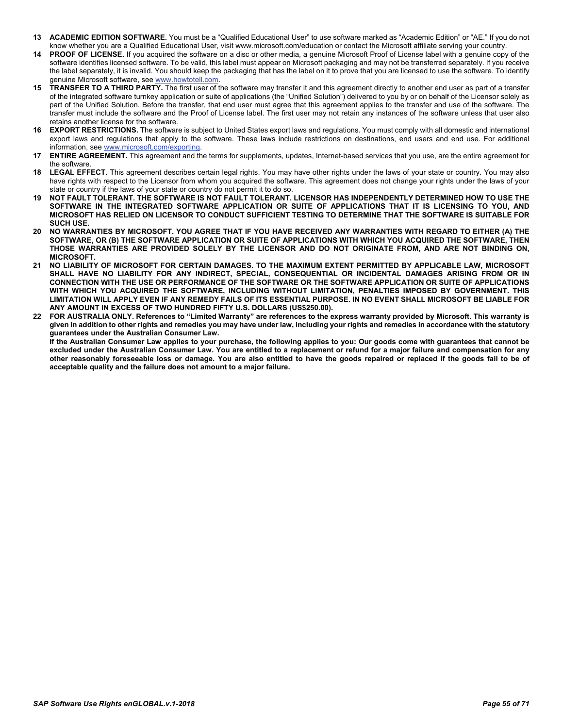- **13 ACADEMIC EDITION SOFTWARE.** You must be a "Qualified Educational User" to use software marked as "Academic Edition" or "AE." If you do not know whether you are a Qualified Educational User, visit www.microsoft.com/education or contact the Microsoft affiliate serving your country.
- **14 PROOF OF LICENSE.** If you acquired the software on a disc or other media, a genuine Microsoft Proof of License label with a genuine copy of the software identifies licensed software. To be valid, this label must appear on Microsoft packaging and may not be transferred separately. If you receive the label separately, it is invalid. You should keep the packaging that has the label on it to prove that you are licensed to use the software. To identify genuine Microsoft software, see [www.howtotell.com.](http://www.howtotell.com/)
- **15 TRANSFER TO A THIRD PARTY.** The first user of the software may transfer it and this agreement directly to another end user as part of a transfer of the integrated software turnkey application or suite of applications (the "Unified Solution") delivered to you by or on behalf of the Licensor solely as part of the Unified Solution. Before the transfer, that end user must agree that this agreement applies to the transfer and use of the software. The transfer must include the software and the Proof of License label. The first user may not retain any instances of the software unless that user also retains another license for the software.
- **16 EXPORT RESTRICTIONS.** The software is subject to United States export laws and regulations. You must comply with all domestic and international export laws and regulations that apply to the software. These laws include restrictions on destinations, end users and end use. For additional information, see [www.microsoft.com/exporting.](http://www.microsoft.com/exporting)
- **17 ENTIRE AGREEMENT.** This agreement and the terms for supplements, updates, Internet-based services that you use, are the entire agreement for the software.
- **18 LEGAL EFFECT.** This agreement describes certain legal rights. You may have other rights under the laws of your state or country. You may also have rights with respect to the Licensor from whom you acquired the software. This agreement does not change your rights under the laws of your state or country if the laws of your state or country do not permit it to do so.
- **19 NOT FAULT TOLERANT. THE SOFTWARE IS NOT FAULT TOLERANT. LICENSOR HAS INDEPENDENTLY DETERMINED HOW TO USE THE SOFTWARE IN THE INTEGRATED SOFTWARE APPLICATION OR SUITE OF APPLICATIONS THAT IT IS LICENSING TO YOU, AND MICROSOFT HAS RELIED ON LICENSOR TO CONDUCT SUFFICIENT TESTING TO DETERMINE THAT THE SOFTWARE IS SUITABLE FOR SUCH USE.**
- **20 NO WARRANTIES BY MICROSOFT. YOU AGREE THAT IF YOU HAVE RECEIVED ANY WARRANTIES WITH REGARD TO EITHER (A) THE SOFTWARE, OR (B) THE SOFTWARE APPLICATION OR SUITE OF APPLICATIONS WITH WHICH YOU ACQUIRED THE SOFTWARE, THEN THOSE WARRANTIES ARE PROVIDED SOLELY BY THE LICENSOR AND DO NOT ORIGINATE FROM, AND ARE NOT BINDING ON, MICROSOFT.**
- **21 NO LIABILITY OF MICROSOFT FOR CERTAIN DAMAGES. TO THE MAXIMUM EXTENT PERMITTED BY APPLICABLE LAW, MICROSOFT SHALL HAVE NO LIABILITY FOR ANY INDIRECT, SPECIAL, CONSEQUENTIAL OR INCIDENTAL DAMAGES ARISING FROM OR IN CONNECTION WITH THE USE OR PERFORMANCE OF THE SOFTWARE OR THE SOFTWARE APPLICATION OR SUITE OF APPLICATIONS WITH WHICH YOU ACQUIRED THE SOFTWARE, INCLUDING WITHOUT LIMITATION, PENALTIES IMPOSED BY GOVERNMENT. THIS LIMITATION WILL APPLY EVEN IF ANY REMEDY FAILS OF ITS ESSENTIAL PURPOSE. IN NO EVENT SHALL MICROSOFT BE LIABLE FOR ANY AMOUNT IN EXCESS OF TWO HUNDRED FIFTY U.S. DOLLARS (US\$250.00).**
- **22 FOR AUSTRALIA ONLY. References to "Limited Warranty" are references to the express warranty provided by Microsoft. This warranty is given in addition to other rights and remedies you may have under law, including your rights and remedies in accordance with the statutory guarantees under the Australian Consumer Law.**

**If the Australian Consumer Law applies to your purchase, the following applies to you: Our goods come with guarantees that cannot be excluded under the Australian Consumer Law. You are entitled to a replacement or refund for a major failure and compensation for any other reasonably foreseeable loss or damage. You are also entitled to have the goods repaired or replaced if the goods fail to be of acceptable quality and the failure does not amount to a major failure.**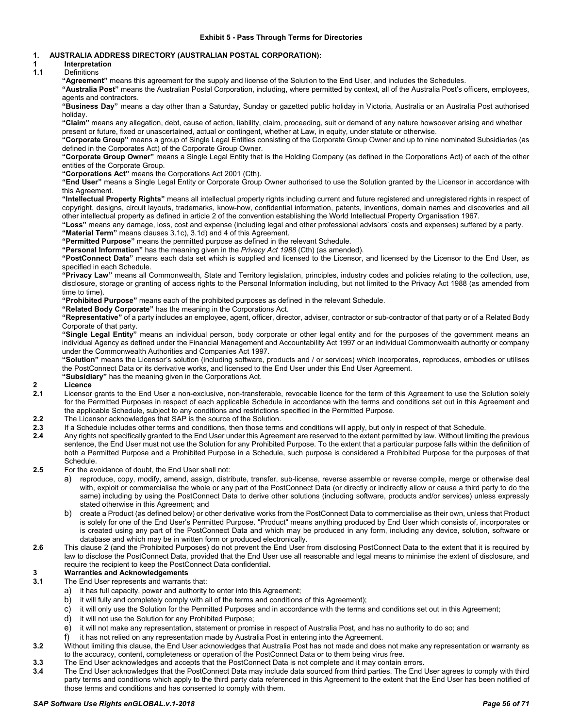# <span id="page-55-0"></span>**1. AUSTRALIA ADDRESS DIRECTORY (AUSTRALIAN POSTAL CORPORATION):**

# **1 Interpretation**

**1.1** Definitions

**"Agreement"** means this agreement for the supply and license of the Solution to the End User, and includes the Schedules.

**"Australia Post"** means the Australian Postal Corporation, including, where permitted by context, all of the Australia Post's officers, employees, agents and contractors.

**"Business Day"** means a day other than a Saturday, Sunday or gazetted public holiday in Victoria, Australia or an Australia Post authorised holiday.

**"Claim"** means any allegation, debt, cause of action, liability, claim, proceeding, suit or demand of any nature howsoever arising and whether present or future, fixed or unascertained, actual or contingent, whether at Law, in equity, under statute or otherwise.

**"Corporate Group"** means a group of Single Legal Entities consisting of the Corporate Group Owner and up to nine nominated Subsidiaries (as defined in the Corporates Act) of the Corporate Group Owner.

**"Corporate Group Owner"** means a Single Legal Entity that is the Holding Company (as defined in the Corporations Act) of each of the other entities of the Corporate Group.

**"Corporations Act"** means the Corporations Act 2001 (Cth).

**"End User"** means a Single Legal Entity or Corporate Group Owner authorised to use the Solution granted by the Licensor in accordance with this Agreement.

**"Intellectual Property Rights"** means all intellectual property rights including current and future registered and unregistered rights in respect of copyright, designs, circuit layouts, trademarks, know-how, confidential information, patents, inventions, domain names and discoveries and all other intellectual property as defined in article 2 of the convention establishing the World Intellectual Property Organisation 1967.

**"Loss"** means any damage, loss, cost and expense (including legal and other professional advisors' costs and expenses) suffered by a party.

**"Material Term"** means clause[s 3.1c\),](#page-55-1) [3.1d\)](#page-55-2) an[d 4](#page-56-0) of this Agreement.

**"Permitted Purpose"** means the permitted purpose as defined in the relevant Schedule.

**"Personal Information"** has the meaning given in the *Privacy Act 1988* (Cth) (as amended).

**"PostConnect Data"** means each data set which is supplied and licensed to the Licensor, and licensed by the Licensor to the End User, as specified in each Schedule.

**"Privacy Law"** means all Commonwealth, State and Territory legislation, principles, industry codes and policies relating to the collection, use, disclosure, storage or granting of access rights to the Personal Information including, but not limited to the Privacy Act 1988 (as amended from time to time).

**"Prohibited Purpose"** means each of the prohibited purposes as defined in the relevant Schedule.

**"Related Body Corporate"** has the meaning in the Corporations Act.

**"Representative"** of a party includes an employee, agent, officer, director, adviser, contractor or sub-contractor of that party or of a Related Body Corporate of that party.

**"Single Legal Entity"** means an individual person, body corporate or other legal entity and for the purposes of the government means an individual Agency as defined under the Financial Management and Accountability Act 1997 or an individual Commonwealth authority or company under the Commonwealth Authorities and Companies Act 1997.

**"Solution"** means the Licensor's solution (including software, products and / or services) which incorporates, reproduces, embodies or utilises the PostConnect Data or its derivative works, and licensed to the End User under this End User Agreement.

**"Subsidiary"** has the meaning given in the Corporations Act.

# <span id="page-55-3"></span>**2 Licence**

- **2.1** Licensor grants to the End User a non-exclusive, non-transferable, revocable licence for the term of this Agreement to use the Solution solely for the Permitted Purposes in respect of each applicable Schedule in accordance with the terms and conditions set out in this Agreement and the applicable Schedule, subject to any conditions and restrictions specified in the Permitted Purpose.
- **2.2** The Licensor acknowledges that SAP is the source of the Solution.
- **2.3** If a Schedule includes other terms and conditions, then those terms and conditions will apply, but only in respect of that Schedule.
- **2.4** Any rights not specifically granted to the End User under this Agreement are reserved to the extent permitted by law. Without limiting the previous sentence, the End User must not use the Solution for any Prohibited Purpose. To the extent that a particular purpose falls within the definition of both a Permitted Purpose and a Prohibited Purpose in a Schedule, such purpose is considered a Prohibited Purpose for the purposes of that **Schedule**
- **2.5** For the avoidance of doubt, the End User shall not:
	- a) reproduce, copy, modify, amend, assign, distribute, transfer, sub-license, reverse assemble or reverse compile, merge or otherwise deal with, exploit or commercialise the whole or any part of the PostConnect Data (or directly or indirectly allow or cause a third party to do the same) including by using the PostConnect Data to derive other solutions (including software, products and/or services) unless expressly stated otherwise in this Agreement; and
	- b) create a Product (as defined below) or other derivative works from the PostConnect Data to commercialise as their own, unless that Product is solely for one of the End User's Permitted Purpose. "Product" means anything produced by End User which consists of, incorporates or is created using any part of the PostConnect Data and which may be produced in any form, including any device, solution, software or database and which may be in written form or produced electronically.
- **2.6** This clause [2](#page-55-3) (and the Prohibited Purposes) do not prevent the End User from disclosing PostConnect Data to the extent that it is required by law to disclose the PostConnect Data, provided that the End User use all reasonable and legal means to minimise the extent of disclosure, and require the recipient to keep the PostConnect Data confidential.

# **3 Warranties and Acknowledgements**

- <span id="page-55-1"></span>**3.1** The End User represents and warrants that:
	- a) it has full capacity, power and authority to enter into this Agreement;
	- b) it will fully and completely comply with all of the terms and conditions of this Agreement);
	- c) it will only use the Solution for the Permitted Purposes and in accordance with the terms and conditions set out in this Agreement;
	- d) it will not use the Solution for any Prohibited Purpose;
	- e) it will not make any representation, statement or promise in respect of Australia Post, and has no authority to do so; and
	- f) it has not relied on any representation made by Australia Post in entering into the Agreement.
- <span id="page-55-2"></span>**3.2** Without limiting this clause, the End User acknowledges that Australia Post has not made and does not make any representation or warranty as to the accuracy, content, completeness or operation of the PostConnect Data or to them being virus free.
- **3.3** The End User acknowledges and accepts that the PostConnect Data is not complete and it may contain errors.
- **3.4** The End User acknowledges that the PostConnect Data may include data sourced from third parties. The End User agrees to comply with third party terms and conditions which apply to the third party data referenced in this Agreement to the extent that the End User has been notified of those terms and conditions and has consented to comply with them.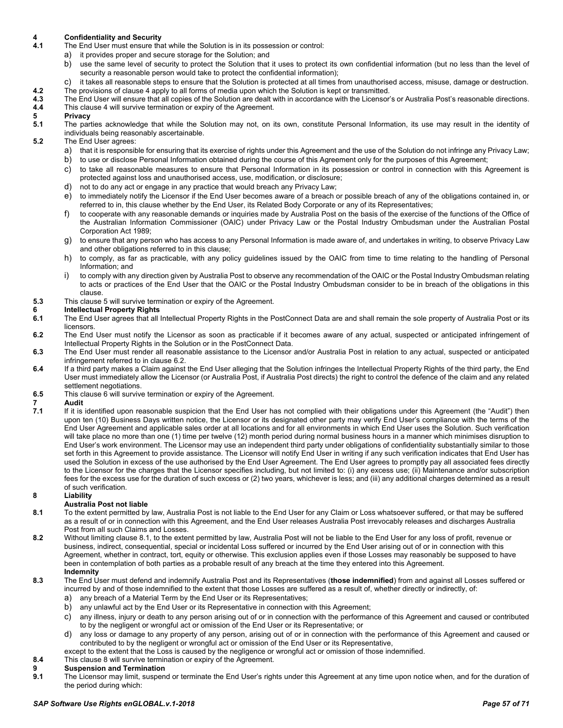# <span id="page-56-0"></span>**4 Confidentiality and Security**

- The End User must ensure that while the Solution is in its possession or control:
	- a) it provides proper and secure storage for the Solution; and
	- b) use the same level of security to protect the Solution that it uses to protect its own confidential information (but no less than the level of security a reasonable person would take to protect the confidential information);
- c) it takes all reasonable steps to ensure that the Solution is protected at all times from unauthorised access, misuse, damage or destruction. **4.2** The provisions of claus[e 4](#page-56-0) apply to all forms of media upon which the Solution is kept or transmitted.
- **4.3** The End User will ensure that all copies of the Solution are dealt with in accordance with the Licensor's or Australia Post's reasonable directions. **4.4** This claus[e 4](#page-56-0) will survive termination or expiry of the Agreement.

<span id="page-56-1"></span>**5 Privacy 5.1** The parties acknowledge that while the Solution may not, on its own, constitute Personal Information, its use may result in the identity of individuals being reasonably ascertainable.

### **5.2** The End User agrees:

- a) that it is responsible for ensuring that its exercise of rights under this Agreement and the use of the Solution do not infringe any Privacy Law;
- b) to use or disclose Personal Information obtained during the course of this Agreement only for the purposes of this Agreement;
- c) to take all reasonable measures to ensure that Personal Information in its possession or control in connection with this Agreement is protected against loss and unauthorised access, use, modification, or disclosure;
- d) not to do any act or engage in any practice that would breach any Privacy Law;
- e) to immediately notify the Licensor if the End User becomes aware of a breach or possible breach of any of the obligations contained in, or referred to in, this clause whether by the End User, its Related Body Corporate or any of its Representatives;
- f) to cooperate with any reasonable demands or inquiries made by Australia Post on the basis of the exercise of the functions of the Office of the Australian Information Commissioner (OAIC) under Privacy Law or the Postal Industry Ombudsman under the Australian Postal Corporation Act 1989;
- g) to ensure that any person who has access to any Personal Information is made aware of, and undertakes in writing, to observe Privacy Law and other obligations referred to in this clause;
- h) to comply, as far as practicable, with any policy guidelines issued by the OAIC from time to time relating to the handling of Personal Information; and
- i) to comply with any direction given by Australia Post to observe any recommendation of the OAIC or the Postal Industry Ombudsman relating to acts or practices of the End User that the OAIC or the Postal Industry Ombudsman consider to be in breach of the obligations in this clause.
- **5.3** This claus[e 5](#page-56-1) will survive termination or expiry of the Agreement.

# <span id="page-56-3"></span>**6 Intellectual Property Rights**

- **6.1** The End User agrees that all Intellectual Property Rights in the PostConnect Data are and shall remain the sole property of Australia Post or its licensors.
- <span id="page-56-2"></span>**6.2** The End User must notify the Licensor as soon as practicable if it becomes aware of any actual, suspected or anticipated infringement of Intellectual Property Rights in the Solution or in the PostConnect Data.
- **6.3** The End User must render all reasonable assistance to the Licensor and/or Australia Post in relation to any actual, suspected or anticipated infringement referred to in clause [6.2.](#page-56-2)
- **6.4** If a third party makes a Claim against the End User alleging that the Solution infringes the Intellectual Property Rights of the third party, the End User must immediately allow the Licensor (or Australia Post, if Australia Post directs) the right to control the defence of the claim and any related settlement negotiations.
- **6.5** This claus[e 6](#page-56-3) will survive termination or expiry of the Agreement.

# **7 Audit**

**7.1** If it is identified upon reasonable suspicion that the End User has not complied with their obligations under this Agreement (the "Audit") then upon ten (10) Business Days written notice, the Licensor or its designated other party may verify End User's compliance with the terms of the End User Agreement and applicable sales order at all locations and for all environments in which End User uses the Solution. Such verification will take place no more than one (1) time per twelve (12) month period during normal business hours in a manner which minimises disruption to End User's work environment. The Licensor may use an independent third party under obligations of confidentiality substantially similar to those set forth in this Agreement to provide assistance. The Licensor will notify End User in writing if any such verification indicates that End User has used the Solution in excess of the use authorised by the End User Agreement. The End User agrees to promptly pay all associated fees directly to the Licensor for the charges that the Licensor specifies including, but not limited to: (i) any excess use; (ii) Maintenance and/or subscription fees for the excess use for the duration of such excess or (2) two years, whichever is less; and (iii) any additional charges determined as a result of such verification.

### <span id="page-56-5"></span>**8 Liability**

# **Australia Post not liable**

- <span id="page-56-4"></span>**8.1** To the extent permitted by law, Australia Post is not liable to the End User for any Claim or Loss whatsoever suffered, or that may be suffered as a result of or in connection with this Agreement, and the End User releases Australia Post irrevocably releases and discharges Australia Post from all such Claims and Losses.
- **8.2** Without limiting clause [8.1,](#page-56-4) to the extent permitted by law, Australia Post will not be liable to the End User for any loss of profit, revenue or business, indirect, consequential, special or incidental Loss suffered or incurred by the End User arising out of or in connection with this Agreement, whether in contract, tort, equity or otherwise. This exclusion applies even if those Losses may reasonably be supposed to have been in contemplation of both parties as a probable result of any breach at the time they entered into this Agreement. **Indemnity**

#### **8.3** The End User must defend and indemnify Australia Post and its Representatives (**those indemnified**) from and against all Losses suffered or incurred by and of those indemnified to the extent that those Losses are suffered as a result of, whether directly or indirectly, of:

- a) any breach of a Material Term by the End User or its Representatives;
- b) any unlawful act by the End User or its Representative in connection with this Agreement;
- c) any illness, injury or death to any person arising out of or in connection with the performance of this Agreement and caused or contributed to by the negligent or wrongful act or omission of the End User or its Representative; or
- d) any loss or damage to any property of any person, arising out of or in connection with the performance of this Agreement and caused or contributed to by the negligent or wrongful act or omission of the End User or its Representative,
- except to the extent that the Loss is caused by the negligence or wrongful act or omission of those indemnified.
- **8.4** This claus[e 8](#page-56-5) will survive termination or expiry of the Agreement.

# **9 Suspension and Termination**

<span id="page-56-6"></span>**9.1** The Licensor may limit, suspend or terminate the End User's rights under this Agreement at any time upon notice when, and for the duration of the period during which: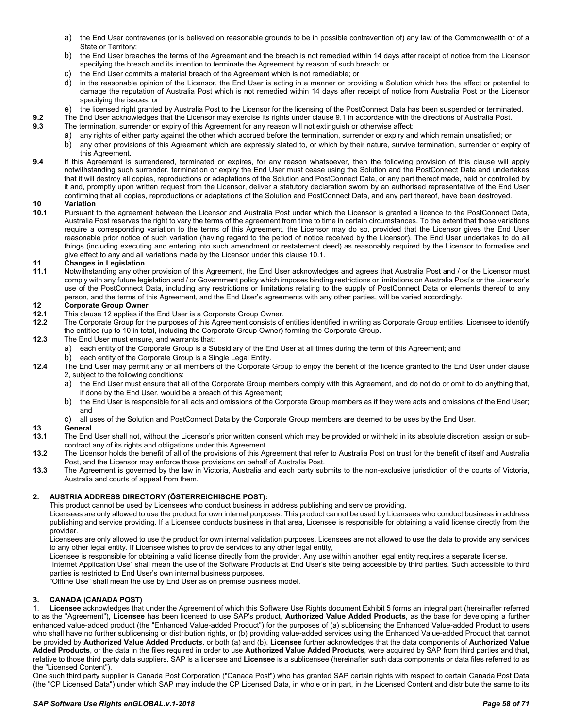- a) the End User contravenes (or is believed on reasonable grounds to be in possible contravention of) any law of the Commonwealth or of a State or Territory;
- b) the End User breaches the terms of the Agreement and the breach is not remedied within 14 days after receipt of notice from the Licensor specifying the breach and its intention to terminate the Agreement by reason of such breach; or
- c) the End User commits a material breach of the Agreement which is not remediable; or
- d) in the reasonable opinion of the Licensor, the End User is acting in a manner or providing a Solution which has the effect or potential to damage the reputation of Australia Post which is not remedied within 14 days after receipt of notice from Australia Post or the Licensor specifying the issues; or
- e) the licensed right granted by Australia Post to the Licensor for the licensing of the PostConnect Data has been suspended or terminated.
- **9.2** The End User acknowledges that the Licensor may exercise its rights under clause [9.1](#page-56-6) in accordance with the directions of Australia Post.<br>**9.3** The termination, surrender or expiry of this Agreement for any reason wi
	- **9.3** The termination, surrender or expiry of this Agreement for any reason will not extinguish or otherwise affect:
		- a) any rights of either party against the other which accrued before the termination, surrender or expiry and which remain unsatisfied; or
		- b) any other provisions of this Agreement which are expressly stated to, or which by their nature, survive termination, surrender or expiry of this Agreement.
- **9.4** If this Agreement is surrendered, terminated or expires, for any reason whatsoever, then the following provision of this clause will apply notwithstanding such surrender, termination or expiry the End User must cease using the Solution and the PostConnect Data and undertakes that it will destroy all copies, reproductions or adaptations of the Solution and PostConnect Data, or any part thereof made, held or controlled by it and, promptly upon written request from the Licensor, deliver a statutory declaration sworn by an authorised representative of the End User confirming that all copies, reproductions or adaptations of the Solution and PostConnect Data, and any part thereof, have been destroyed.

# **10 Variation**

<span id="page-57-0"></span>**10.1** Pursuant to the agreement between the Licensor and Australia Post under which the Licensor is granted a licence to the PostConnect Data, Australia Post reserves the right to vary the terms of the agreement from time to time in certain circumstances. To the extent that those variations require a corresponding variation to the terms of this Agreement, the Licensor may do so, provided that the Licensor gives the End User reasonable prior notice of such variation (having regard to the period of notice received by the Licensor). The End User undertakes to do all things (including executing and entering into such amendment or restatement deed) as reasonably required by the Licensor to formalise and give effect to any and all variations made by the Licensor under this clause [10.1.](#page-57-0)

# **11 Changes in Legislation**

**11.1** Notwithstanding any other provision of this Agreement, the End User acknowledges and agrees that Australia Post and / or the Licensor must comply with any future legislation and / or Government policy which imposes binding restrictions or limitations on Australia Post's or the Licensor's use of the PostConnect Data, including any restrictions or limitations relating to the supply of PostConnect Data or elements thereof to any person, and the terms of this Agreement, and the End User's agreements with any other parties, will be varied accordingly.

# <span id="page-57-1"></span>**12 Corporate Group Owner**

- **[12](#page-57-1).1** This clause 12 applies if the End User is a Corporate Group Owner.<br>**12.2** The Corporate Group for the purposes of this Agreement consists of
- **12.2** The Corporate Group for the purposes of this Agreement consists of entities identified in writing as Corporate Group entities. Licensee to identify the entities (up to 10 in total, including the Corporate Group Owner) forming the Corporate Group.
- **12.3** The End User must ensure, and warrants that:
	- a) each entity of the Corporate Group is a Subsidiary of the End User at all times during the term of this Agreement; and
	- b) each entity of the Corporate Group is a Single Legal Entity.
- **12.4** The End User may permit any or all members of the Corporate Group to enjoy the benefit of the licence granted to the End User under clause [2,](#page-55-3) subject to the following conditions:
	- a) the End User must ensure that all of the Corporate Group members comply with this Agreement, and do not do or omit to do anything that, if done by the End User, would be a breach of this Agreement;
	- b) the End User is responsible for all acts and omissions of the Corporate Group members as if they were acts and omissions of the End User; and
	- c) all uses of the Solution and PostConnect Data by the Corporate Group members are deemed to be uses by the End User.

# **13 General**

- **13.1** The End User shall not, without the Licensor's prior written consent which may be provided or withheld in its absolute discretion, assign or subcontract any of its rights and obligations under this Agreement.
- **13.2** The Licensor holds the benefit of all of the provisions of this Agreement that refer to Australia Post on trust for the benefit of itself and Australia Post, and the Licensor may enforce those provisions on behalf of Australia Post.
- **13.3** The Agreement is governed by the law in Victoria, Australia and each party submits to the non-exclusive jurisdiction of the courts of Victoria, Australia and courts of appeal from them.

#### **2. AUSTRIA ADDRESS DIRECTORY (ÖSTERREICHISCHE POST):**

This product cannot be used by Licensees who conduct business in address publishing and service providing.

Licensees are only allowed to use the product for own internal purposes. This product cannot be used by Licensees who conduct business in address publishing and service providing. If a Licensee conducts business in that area, Licensee is responsible for obtaining a valid license directly from the provider.

Licensees are only allowed to use the product for own internal validation purposes. Licensees are not allowed to use the data to provide any services to any other legal entity. If Licensee wishes to provide services to any other legal entity,

Licensee is responsible for obtaining a valid license directly from the provider. Any use within another legal entity requires a separate license.

"Internet Application Use" shall mean the use of the Software Products at End User's site being accessible by third parties. Such accessible to third parties is restricted to End User's own internal business purposes.

"Offline Use" shall mean the use by End User as on premise business model.

#### **3. CANADA (CANADA POST)**

1. **Licensee** acknowledges that under the Agreement of which this Software Use Rights document Exhibit 5 forms an integral part (hereinafter referred to as the "Agreement"), **Licensee** has been licensed to use SAP's product, **Authorized Value Added Products**, as the base for developing a further enhanced value-added product (the "Enhanced Value-added Product") for the purposes of (a) sublicensing the Enhanced Value-added Product to users who shall have no further sublicensing or distribution rights, or (b) providing value-added services using the Enhanced Value-added Product that cannot be provided by **Authorized Value Added Products**, or both (a) and (b). **Licensee** further acknowledges that the data components of **Authorized Value Added Products**, or the data in the files required in order to use **Authorized Value Added Products**, were acquired by SAP from third parties and that, relative to those third party data suppliers, SAP is a licensee and **Licensee** is a sublicensee (hereinafter such data components or data files referred to as the "Licensed Content").

One such third party supplier is Canada Post Corporation ("Canada Post") who has granted SAP certain rights with respect to certain Canada Post Data (the "CP Licensed Data") under which SAP may include the CP Licensed Data, in whole or in part, in the Licensed Content and distribute the same to its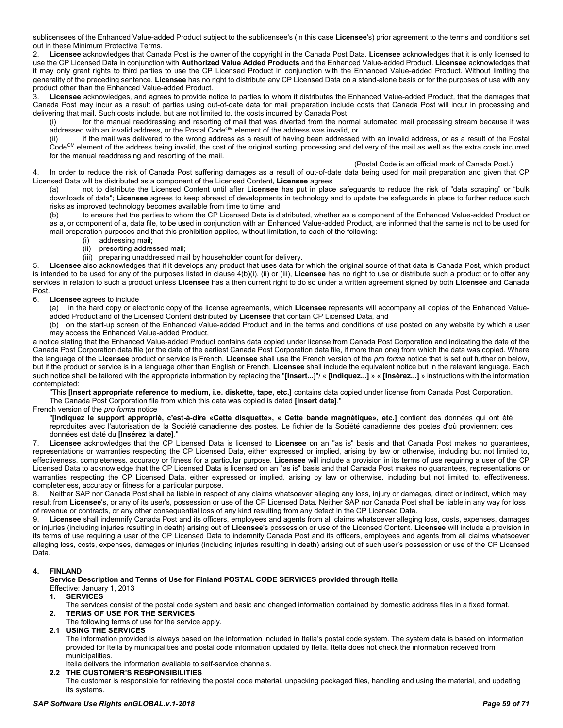sublicensees of the Enhanced Value-added Product subject to the sublicensee's (in this case **Licensee**'s) prior agreement to the terms and conditions set out in these Minimum Protective Terms.

2. **Licensee** acknowledges that Canada Post is the owner of the copyright in the Canada Post Data. **Licensee** acknowledges that it is only licensed to use the CP Licensed Data in conjunction with **Authorized Value Added Products** and the Enhanced Value-added Product. **Licensee** acknowledges that it may only grant rights to third parties to use the CP Licensed Product in conjunction with the Enhanced Value-added Product. Without limiting the generality of the preceding sentence, **Licensee** has no right to distribute any CP Licensed Data on a stand-alone basis or for the purposes of use with any product other than the Enhanced Value-added Product.

3. **Licensee** acknowledges, and agrees to provide notice to parties to whom it distributes the Enhanced Value-added Product, that the damages that Canada Post may incur as a result of parties using out-of-date data for mail preparation include costs that Canada Post will incur in processing and delivering that mail. Such costs include, but are not limited to, the costs incurred by Canada Post

(i) for the manual readdressing and resorting of mail that was diverted from the normal automated mail processing stream because it was  $\overrightarrow{a}$ ddressed with an invalid address, or the Postal Code<sup>OM</sup> element of the address was invalid, or

(ii) if the mail was delivered to the wrong address as a result of having been addressed with an invalid address, or as a result of the Postal Code<sup>OM</sup> element of the address being invalid, the cost of the original sorting, processing and delivery of the mail as well as the extra costs incurred for the manual readdressing and resorting of the mail.

(Postal Code is an official mark of Canada Post.)

4. In order to reduce the risk of Canada Post suffering damages as a result of out-of-date data being used for mail preparation and given that CP Licensed Data will be distributed as a component of the Licensed Content, **Licensee** agrees

(a) not to distribute the Licensed Content until after **Licensee** has put in place safeguards to reduce the risk of "data scraping" or "bulk downloads of data"; **Licensee** agrees to keep abreast of developments in technology and to update the safeguards in place to further reduce such risks as improved technology becomes available from time to time, and

(b) to ensure that the parties to whom the CP Licensed Data is distributed, whether as a component of the Enhanced Value-added Product or as a, or component of a, data file, to be used in conjunction with an Enhanced Value-added Product, are informed that the same is not to be used for mail preparation purposes and that this prohibition applies, without limitation, to each of the following:

- (i) addressing mail;
- (ii) presorting addressed mail;
- (iii) preparing unaddressed mail by householder count for delivery.

5. **Licensee** also acknowledges that if it develops any product that uses data for which the original source of that data is Canada Post, which product is intended to be used for any of the purposes listed in clause 4(b)(i), (ii) or (iii), **Licensee** has no right to use or distribute such a product or to offer any services in relation to such a product unless **Licensee** has a then current right to do so under a written agreement signed by both **Licensee** and Canada Post.

### 6. **Licensee** agrees to include

(a) in the hard copy or electronic copy of the license agreements, which **Licensee** represents will accompany all copies of the Enhanced Valueadded Product and of the Licensed Content distributed by **Licensee** that contain CP Licensed Data, and

(b) on the start-up screen of the Enhanced Value-added Product and in the terms and conditions of use posted on any website by which a user may access the Enhanced Value-added Product,

a notice stating that the Enhanced Value-added Product contains data copied under license from Canada Post Corporation and indicating the date of the Canada Post Corporation data file (or the date of the earliest Canada Post Corporation data file, if more than one) from which the data was copied. Where the language of the **Licensee** product or service is French, **Licensee** shall use the French version of the *pro forma* notice that is set out further on below, but if the product or service is in a language other than English or French, **Licensee** shall include the equivalent notice but in the relevant language. Each such notice shall be tailored with the appropriate information by replacing the "**[Insert...]**"/ « **[Indiquez...]** » « **[Insérez...]** » instructions with the information contemplated:

"This **[Insert appropriate reference to medium, i.e. diskette, tape, etc.]** contains data copied under license from Canada Post Corporation. The Canada Post Corporation file from which this data was copied is dated **[Insert date]**."

French version of the *pro forma* notice

"**[Indiquez le support approprié, c'est-à-dire «Cette disquette», « Cette bande magnétique», etc.]** contient des données qui ont été reproduites avec l'autorisation de la Société canadienne des postes. Le fichier de la Société canadienne des postes d'où proviennent ces données est daté du **[Insérez la date]**."

7. **Licensee** acknowledges that the CP Licensed Data is licensed to **Licensee** on an "as is" basis and that Canada Post makes no guarantees, representations or warranties respecting the CP Licensed Data, either expressed or implied, arising by law or otherwise, including but not limited to, effectiveness, completeness, accuracy or fitness for a particular purpose. **Licensee** will include a provision in its terms of use requiring a user of the CP Licensed Data to acknowledge that the CP Licensed Data is licensed on an "as is" basis and that Canada Post makes no guarantees, representations or warranties respecting the CP Licensed Data, either expressed or implied, arising by law or otherwise, including but not limited to, effectiveness, completeness, accuracy or fitness for a particular purpose.

8. Neither SAP nor Canada Post shall be liable in respect of any claims whatsoever alleging any loss, injury or damages, direct or indirect, which may result from **Licensee**'s, or any of its user's, possession or use of the CP Licensed Data. Neither SAP nor Canada Post shall be liable in any way for loss of revenue or contracts, or any other consequential loss of any kind resulting from any defect in the CP Licensed Data.

Licensee shall indemnify Canada Post and its officers, employees and agents from all claims whatsoever alleging loss, costs, expenses, damages or injuries (including injuries resulting in death) arising out of **Licensee**'s possession or use of the Licensed Content. **Licensee** will include a provision in its terms of use requiring a user of the CP Licensed Data to indemnify Canada Post and its officers, employees and agents from all claims whatsoever alleging loss, costs, expenses, damages or injuries (including injuries resulting in death) arising out of such user's possession or use of the CP Licensed Data.

### **4. FINLAND**

**Service Description and Terms of Use for Finland POSTAL CODE SERVICES provided through Itella** Effective: January 1, 2013

# **1. SERVICES**

- The services consist of the postal code system and basic and changed information contained by domestic address files in a fixed format. **2. TERMS OF USE FOR THE SERVICES**
- The following terms of use for the service apply.
- **2.1 USING THE SERVICES**

The information provided is always based on the information included in Itella's postal code system. The system data is based on information provided for Itella by municipalities and postal code information updated by Itella. Itella does not check the information received from municipalities.

Itella delivers the information available to self-service channels.

**2.2 THE CUSTOMER'S RESPONSIBILITIES**

The customer is responsible for retrieving the postal code material, unpacking packaged files, handling and using the material, and updating its systems.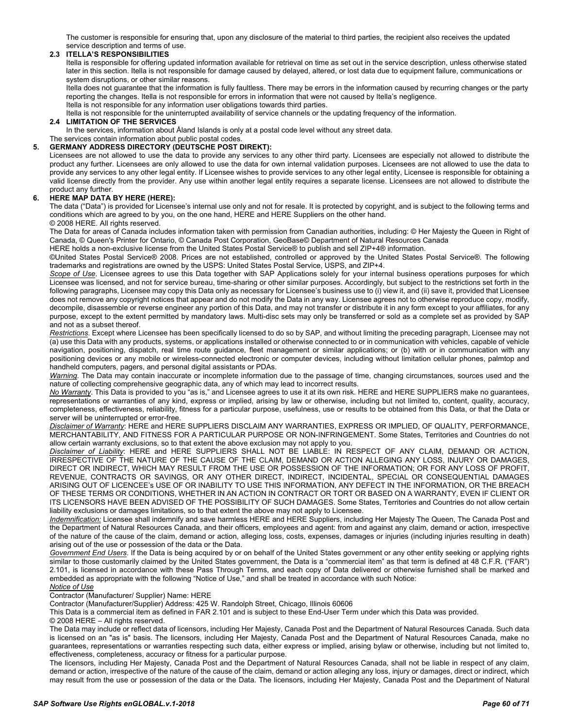The customer is responsible for ensuring that, upon any disclosure of the material to third parties, the recipient also receives the updated service description and terms of use.

### **2.3 ITELLA'S RESPONSIBILITIES**

Itella is responsible for offering updated information available for retrieval on time as set out in the service description, unless otherwise stated later in this section. Itella is not responsible for damage caused by delayed, altered, or lost data due to equipment failure, communications or system disruptions, or other similar reasons.

Itella does not guarantee that the information is fully faultless. There may be errors in the information caused by recurring changes or the party reporting the changes. Itella is not responsible for errors in information that were not caused by Itella's negligence. Itella is not responsible for any information user obligations towards third parties.

Itella is not responsible for the uninterrupted availability of service channels or the updating frequency of the information.

### **2.4 LIMITATION OF THE SERVICES**

In the services, information about Åland Islands is only at a postal code level without any street data.

#### The services contain information about public postal codes. **5. GERMANY ADDRESS DIRECTORY (DEUTSCHE POST DIREKT):**

Licensees are not allowed to use the data to provide any services to any other third party. Licensees are especially not allowed to distribute the product any further. Licensees are only allowed to use the data for own internal validation purposes. Licensees are not allowed to use the data to provide any services to any other legal entity. If Licensee wishes to provide services to any other legal entity, Licensee is responsible for obtaining a valid license directly from the provider. Any use within another legal entity requires a separate license. Licensees are not allowed to distribute the product any further.

#### **6. HERE MAP DATA BY HERE (HERE):**

The data ("Data") is provided for Licensee's internal use only and not for resale. It is protected by copyright, and is subject to the following terms and conditions which are agreed to by you, on the one hand, HERE and HERE Suppliers on the other hand.

© 2008 HERE. All rights reserved.

The Data for areas of Canada includes information taken with permission from Canadian authorities, including: © Her Majesty the Queen in Right of Canada, © Queen's Printer for Ontario, © Canada Post Corporation, GeoBase© Department of Natural Resources Canada

HERE holds a non-exclusive license from the United States Postal Service® to publish and sell ZIP+4® information.

©United States Postal Service® 2008. Prices are not established, controlled or approved by the United States Postal Service®. The following trademarks and registrations are owned by the USPS: United States Postal Service, USPS, and ZIP+4.

**Scope of Use**. Licensee agrees to use this Data together with SAP Applications solely for your internal business operations purposes for which Licensee was licensed, and not for service bureau, time-sharing or other similar purposes. Accordingly, but subject to the restrictions set forth in the following paragraphs, Licensee may copy this Data only as necessary for Licensee's business use to (i) view it, and (ii) save it, provided that Licensee does not remove any copyright notices that appear and do not modify the Data in any way. Licensee agrees not to otherwise reproduce copy, modify, decompile, disassemble or reverse engineer any portion of this Data, and may not transfer or distribute it in any form except to your affiliates, for any purpose, except to the extent permitted by mandatory laws. Multi-disc sets may only be transferred or sold as a complete set as provided by SAP and not as a subset thereof.

*Restrictions*. Except where Licensee has been specifically licensed to do so by SAP, and without limiting the preceding paragraph, Licensee may not (a) use this Data with any products, systems, or applications installed or otherwise connected to or in communication with vehicles, capable of vehicle navigation, positioning, dispatch, real time route guidance, fleet management or similar applications; or (b) with or in communication with any positioning devices or any mobile or wireless-connected electronic or computer devices, including without limitation cellular phones, palmtop and handheld computers, pagers, and personal digital assistants or PDAs.

*Warning*. The Data may contain inaccurate or incomplete information due to the passage of time, changing circumstances, sources used and the nature of collecting comprehensive geographic data, any of which may lead to incorrect results.

*No Warranty*. This Data is provided to you "as is," and Licensee agrees to use it at its own risk. HERE and HERE SUPPLIERS make no guarantees, representations or warranties of any kind, express or implied, arising by law or otherwise, including but not limited to, content, quality, accuracy, completeness, effectiveness, reliability, fitness for a particular purpose, usefulness, use or results to be obtained from this Data, or that the Data or server will be uninterrupted or error-free.

*Disclaimer of Warranty*: HERE and HERE SUPPLIERS DISCLAIM ANY WARRANTIES, EXPRESS OR IMPLIED, OF QUALITY, PERFORMANCE, MERCHANTABILITY, AND FITNESS FOR A PARTICULAR PURPOSE OR NON-INFRINGEMENT. Some States, Territories and Countries do not allow certain warranty exclusions, so to that extent the above exclusion may not apply to you.

*Disclaimer of Liability*: HERE and HERE SUPPLIERS SHALL NOT BE LIABLE: IN RESPECT OF ANY CLAIM, DEMAND OR ACTION, IRRESPECTIVE OF THE NATURE OF THE CAUSE OF THE CLAIM, DEMAND OR ACTION ALLEGING ANY LOSS, INJURY OR DAMAGES, DIRECT OR INDIRECT, WHICH MAY RESULT FROM THE USE OR POSSESSION OF THE INFORMATION; OR FOR ANY LOSS OF PROFIT, REVENUE, CONTRACTS OR SAVINGS, OR ANY OTHER DIRECT, INDIRECT, INCIDENTAL, SPECIAL OR CONSEQUENTIAL DAMAGES ARISING OUT OF LICENCEE's USE OF OR INABILITY TO USE THIS INFORMATION, ANY DEFECT IN THE INFORMATION, OR THE BREACH OF THESE TERMS OR CONDITIONS, WHETHER IN AN ACTION IN CONTRACT OR TORT OR BASED ON A WARRANTY, EVEN IF CLIENT OR ITS LICENSORS HAVE BEEN ADVISED OF THE POSSIBILITY OF SUCH DAMAGES. Some States, Territories and Countries do not allow certain liability exclusions or damages limitations, so to that extent the above may not apply to Licensee.

*Indemnification:* Licensee shall indemnify and save harmless HERE and HERE Suppliers, including Her Majesty The Queen, The Canada Post and the Department of Natural Resources Canada, and their officers, employees and agent: from and against any claim, demand or action, irrespective of the nature of the cause of the claim, demand or action, alleging loss, costs, expenses, damages or injuries (including injuries resulting in death) arising out of the use or possession of the data or the Data.

*Government End Users*. If the Data is being acquired by or on behalf of the United States government or any other entity seeking or applying rights similar to those customarily claimed by the United States government, the Data is a "commercial item" as that term is defined at 48 C.F.R. ("FAR") 2.101, is licensed in accordance with these Pass Through Terms, and each copy of Data delivered or otherwise furnished shall be marked and embedded as appropriate with the following "Notice of Use," and shall be treated in accordance with such Notice: *Notice of Use*

Contractor (Manufacturer/ Supplier) Name: HERE

Contractor (Manufacturer/Supplier) Address: 425 W. Randolph Street, Chicago, Illinois 60606

This Data is a commercial item as defined in FAR 2.101 and is subject to these End-User Term under which this Data was provided.

© 2008 HERE – All rights reserved.

The Data may include or reflect data of licensors, including Her Majesty, Canada Post and the Department of Natural Resources Canada. Such data is licensed on an "as is" basis. The licensors, including Her Majesty, Canada Post and the Department of Natural Resources Canada, make no guarantees, representations or warranties respecting such data, either express or implied, arising bylaw or otherwise, including but not limited to, effectiveness, completeness, accuracy or fitness for a particular purpose.

The licensors, including Her Majesty, Canada Post and the Department of Natural Resources Canada, shall not be liable in respect of any claim, demand or action, irrespective of the nature of the cause of the claim, demand or action alleging any loss, injury or damages, direct or indirect, which may result from the use or possession of the data or the Data. The licensors, including Her Majesty, Canada Post and the Department of Natural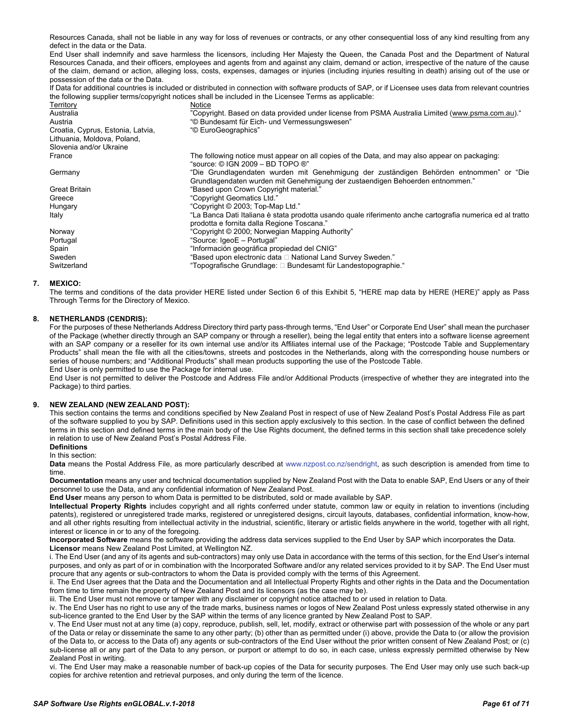Resources Canada, shall not be liable in any way for loss of revenues or contracts, or any other consequential loss of any kind resulting from any defect in the data or the Data.

End User shall indemnify and save harmless the licensors, including Her Majesty the Queen, the Canada Post and the Department of Natural Resources Canada, and their officers, employees and agents from and against any claim, demand or action, irrespective of the nature of the cause of the claim, demand or action, alleging loss, costs, expenses, damages or injuries (including injuries resulting in death) arising out of the use or possession of the data or the Data.

If Data for additional countries is included or distributed in connection with software products of SAP, or if Licensee uses data from relevant countries the following supplier terms/copyright notices shall be included in the Licensee Terms as applicable:

| Territory                         | Notice                                                                                                                                                 |
|-----------------------------------|--------------------------------------------------------------------------------------------------------------------------------------------------------|
| Australia                         | "Copyright. Based on data provided under license from PSMA Australia Limited (www.psma.com.au)."                                                       |
| Austria                           | "© Bundesamt für Eich- und Vermessungswesen"                                                                                                           |
| Croatia, Cyprus, Estonia, Latvia, | "© EuroGeographics"                                                                                                                                    |
| Lithuania, Moldova, Poland,       |                                                                                                                                                        |
| Slovenia and/or Ukraine           |                                                                                                                                                        |
| France                            | The following notice must appear on all copies of the Data, and may also appear on packaging:<br>"source: © IGN 2009 – BD TOPO ®"                      |
| Germany                           | "Die Grundlagendaten wurden mit Genehmigung der zuständigen Behörden entnommen" or "Die                                                                |
|                                   | Grundlagendaten wurden mit Genehmigung der zustaendigen Behoerden entnommen."                                                                          |
| <b>Great Britain</b>              | "Based upon Crown Copyright material."                                                                                                                 |
| Greece                            | "Copyright Geomatics Ltd."                                                                                                                             |
| Hungary                           | "Copyright © 2003; Top-Map Ltd."                                                                                                                       |
| Italy                             | La Banca Dati Italiana è stata prodotta usando quale riferimento anche cartografia numerica ed al tratto<br>prodotta e fornita dalla Regione Toscana." |
|                                   |                                                                                                                                                        |
| Norway                            | "Copyright © 2000; Norwegian Mapping Authority"                                                                                                        |
| Portugal                          | "Source: IgeoE - Portugal"                                                                                                                             |
| Spain                             | "Información geográfica propiedad del CNIG"                                                                                                            |
| Sweden                            | "Based upon electronic data $\square$ National Land Survey Sweden."                                                                                    |
| Switzerland                       | "Topografische Grundlage: □ Bundesamt für Landestopographie."                                                                                          |

#### **7. MEXICO:**

The terms and conditions of the data provider HERE listed under Section 6 of this Exhibit 5, "HERE map data by HERE (HERE)" apply as Pass Through Terms for the Directory of Mexico.

### **8. NETHERLANDS (CENDRIS):**

For the purposes of these Netherlands Address Directory third party pass-through terms, "End User" or Corporate End User" shall mean the purchaser of the Package (whether directly through an SAP company or through a reseller), being the legal entity that enters into a software license agreement with an SAP company or a reseller for its own internal use and/or its Affiliates internal use of the Package; "Postcode Table and Supplementary Products" shall mean the file with all the cities/towns, streets and postcodes in the Netherlands, along with the corresponding house numbers or series of house numbers; and "Additional Products" shall mean products supporting the use of the Postcode Table. End User is only permitted to use the Package for internal use.

End User is not permitted to deliver the Postcode and Address File and/or Additional Products (irrespective of whether they are integrated into the Package) to third parties.

#### **9. NEW ZEALAND (NEW ZEALAND POST):**

This section contains the terms and conditions specified by New Zealand Post in respect of use of New Zealand Post's Postal Address File as part of the software supplied to you by SAP. Definitions used in this section apply exclusively to this section. In the case of conflict between the defined terms in this section and defined terms in the main body of the Use Rights document, the defined terms in this section shall take precedence solely in relation to use of New Zealand Post's Postal Address File.

# **Definitions**

In this section:

**Data** means the Postal Address File, as more particularly described at www.nzpost.co.nz/sendright, as such description is amended from time to time.

**Documentation** means any user and technical documentation supplied by New Zealand Post with the Data to enable SAP, End Users or any of their personnel to use the Data, and any confidential information of New Zealand Post.

**End User** means any person to whom Data is permitted to be distributed, sold or made available by SAP.

**Intellectual Property Rights** includes copyright and all rights conferred under statute, common law or equity in relation to inventions (including patents), registered or unregistered trade marks, registered or unregistered designs, circuit layouts, databases, confidential information, know-how, and all other rights resulting from intellectual activity in the industrial, scientific, literary or artistic fields anywhere in the world, together with all right, interest or licence in or to any of the foregoing.

**Incorporated Software** means the software providing the address data services supplied to the End User by SAP which incorporates the Data. **Licensor** means New Zealand Post Limited, at Wellington NZ.

i. The End User (and any of its agents and sub-contractors) may only use Data in accordance with the terms of this section, for the End User's internal purposes, and only as part of or in combination with the Incorporated Software and/or any related services provided to it by SAP. The End User must procure that any agents or sub-contractors to whom the Data is provided comply with the terms of this Agreement.

ii. The End User agrees that the Data and the Documentation and all Intellectual Property Rights and other rights in the Data and the Documentation from time to time remain the property of New Zealand Post and its licensors (as the case may be).

iii. The End User must not remove or tamper with any disclaimer or copyright notice attached to or used in relation to Data.

iv. The End User has no right to use any of the trade marks, business names or logos of New Zealand Post unless expressly stated otherwise in any sub-licence granted to the End User by the SAP within the terms of any licence granted by New Zealand Post to SAP.

v. The End User must not at any time (a) copy, reproduce, publish, sell, let, modify, extract or otherwise part with possession of the whole or any part of the Data or relay or disseminate the same to any other party; (b) other than as permitted under (i) above, provide the Data to (or allow the provision of the Data to, or access to the Data of) any agents or sub-contractors of the End User without the prior written consent of New Zealand Post; or (c) sub-license all or any part of the Data to any person, or purport or attempt to do so, in each case, unless expressly permitted otherwise by New Zealand Post in writing.

vi. The End User may make a reasonable number of back-up copies of the Data for security purposes. The End User may only use such back-up copies for archive retention and retrieval purposes, and only during the term of the licence.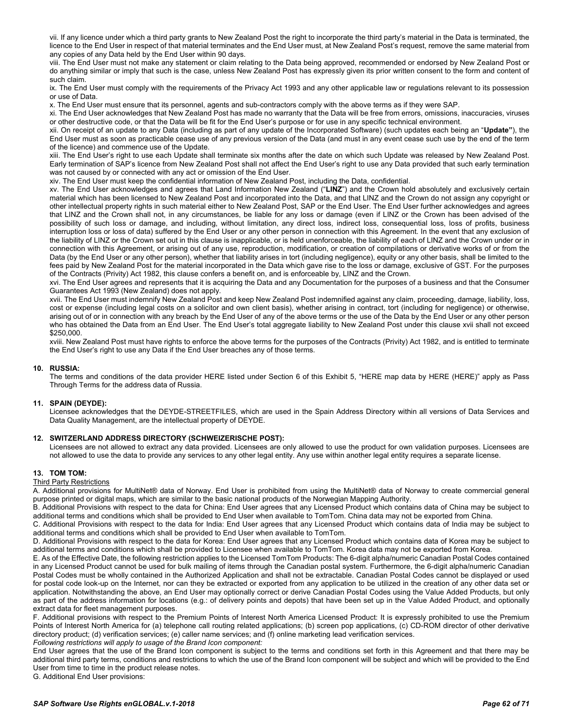vii. If any licence under which a third party grants to New Zealand Post the right to incorporate the third party's material in the Data is terminated, the licence to the End User in respect of that material terminates and the End User must, at New Zealand Post's request, remove the same material from any copies of any Data held by the End User within 90 days.

viii. The End User must not make any statement or claim relating to the Data being approved, recommended or endorsed by New Zealand Post or do anything similar or imply that such is the case, unless New Zealand Post has expressly given its prior written consent to the form and content of such claim.

ix. The End User must comply with the requirements of the Privacy Act 1993 and any other applicable law or regulations relevant to its possession or use of Data.

x. The End User must ensure that its personnel, agents and sub-contractors comply with the above terms as if they were SAP.

xi. The End User acknowledges that New Zealand Post has made no warranty that the Data will be free from errors, omissions, inaccuracies, viruses or other destructive code, or that the Data will be fit for the End User's purpose or for use in any specific technical environment.

xii. On receipt of an update to any Data (including as part of any update of the Incorporated Software) (such updates each being an "**Update"**), the End User must as soon as practicable cease use of any previous version of the Data (and must in any event cease such use by the end of the term of the licence) and commence use of the Update.

xiii. The End User's right to use each Update shall terminate six months after the date on which such Update was released by New Zealand Post. Early termination of SAP's licence from New Zealand Post shall not affect the End User's right to use any Data provided that such early termination was not caused by or connected with any act or omission of the End User.

xiv. The End User must keep the confidential information of New Zealand Post, including the Data, confidential.

xv. The End User acknowledges and agrees that Land Information New Zealand ("**LINZ**") and the Crown hold absolutely and exclusively certain material which has been licensed to New Zealand Post and incorporated into the Data, and that LINZ and the Crown do not assign any copyright or other intellectual property rights in such material either to New Zealand Post, SAP or the End User. The End User further acknowledges and agrees that LINZ and the Crown shall not, in any circumstances, be liable for any loss or damage (even if LINZ or the Crown has been advised of the possibility of such loss or damage, and including, without limitation, any direct loss, indirect loss, consequential loss, loss of profits, business interruption loss or loss of data) suffered by the End User or any other person in connection with this Agreement. In the event that any exclusion of the liability of LINZ or the Crown set out in this clause is inapplicable, or is held unenforceable, the liability of each of LINZ and the Crown under or in connection with this Agreement, or arising out of any use, reproduction, modification, or creation of compilations or derivative works of or from the Data (by the End User or any other person), whether that liability arises in tort (including negligence), equity or any other basis, shall be limited to the fees paid by New Zealand Post for the material incorporated in the Data which gave rise to the loss or damage, exclusive of GST. For the purposes of the Contracts (Privity) Act 1982, this clause confers a benefit on, and is enforceable by, LINZ and the Crown.

xvi. The End User agrees and represents that it is acquiring the Data and any Documentation for the purposes of a business and that the Consumer Guarantees Act 1993 (New Zealand) does not apply.

xvii. The End User must indemnify New Zealand Post and keep New Zealand Post indemnified against any claim, proceeding, damage, liability, loss, cost or expense (including legal costs on a solicitor and own client basis), whether arising in contract, tort (including for negligence) or otherwise, arising out of or in connection with any breach by the End User of any of the above terms or the use of the Data by the End User or any other person who has obtained the Data from an End User. The End User's total aggregate liability to New Zealand Post under this clause xvii shall not exceed \$250,000.

xviii. New Zealand Post must have rights to enforce the above terms for the purposes of the Contracts (Privity) Act 1982, and is entitled to terminate the End User's right to use any Data if the End User breaches any of those terms.

#### **10. RUSSIA:**

The terms and conditions of the data provider HERE listed under Section 6 of this Exhibit 5, "HERE map data by HERE (HERE)" apply as Pass Through Terms for the address data of Russia.

#### **11. SPAIN (DEYDE):**

Licensee acknowledges that the DEYDE-STREETFILES, which are used in the Spain Address Directory within all versions of Data Services and Data Quality Management, are the intellectual property of DEYDE.

#### **12. SWITZERLAND ADDRESS DIRECTORY (SCHWEIZERISCHE POST):**

Licensees are not allowed to extract any data provided. Licensees are only allowed to use the product for own validation purposes. Licensees are not allowed to use the data to provide any services to any other legal entity. Any use within another legal entity requires a separate license.

#### **13. TOM TOM:**

#### Third Party Restrictions

A. Additional provisions for MultiNet® data of Norway. End User is prohibited from using the MultiNet® data of Norway to create commercial general purpose printed or digital maps, which are similar to the basic national products of the Norwegian Mapping Authority.

B. Additional Provisions with respect to the data for China: End User agrees that any Licensed Product which contains data of China may be subject to additional terms and conditions which shall be provided to End User when available to TomTom. China data may not be exported from China.

C. Additional Provisions with respect to the data for India: End User agrees that any Licensed Product which contains data of India may be subject to additional terms and conditions which shall be provided to End User when available to TomTom.

D. Additional Provisions with respect to the data for Korea: End User agrees that any Licensed Product which contains data of Korea may be subject to additional terms and conditions which shall be provided to Licensee when available to TomTom. Korea data may not be exported from Korea.

E. As of the Effective Date, the following restriction applies to the Licensed TomTom Products: The 6-digit alpha/numeric Canadian Postal Codes contained in any Licensed Product cannot be used for bulk mailing of items through the Canadian postal system. Furthermore, the 6-digit alpha/numeric Canadian Postal Codes must be wholly contained in the Authorized Application and shall not be extractable. Canadian Postal Codes cannot be displayed or used for postal code look-up on the Internet, nor can they be extracted or exported from any application to be utilized in the creation of any other data set or application. Notwithstanding the above, an End User may optionally correct or derive Canadian Postal Codes using the Value Added Products, but only as part of the address information for locations (e.g.: of delivery points and depots) that have been set up in the Value Added Product, and optionally extract data for fleet management purposes.

F. Additional provisions with respect to the Premium Points of Interest North America Licensed Product: It is expressly prohibited to use the Premium Points of Interest North America for (a) telephone call routing related applications; (b) screen pop applications, (c) CD-ROM director of other derivative directory product; (d) verification services; (e) caller name services; and (f) online marketing lead verification services. *Following restrictions will apply to usage of the Brand Icon component:*

End User agrees that the use of the Brand Icon component is subject to the terms and conditions set forth in this Agreement and that there may be additional third party terms, conditions and restrictions to which the use of the Brand Icon component will be subject and which will be provided to the End User from time to time in the product release notes.

G. Additional End User provisions: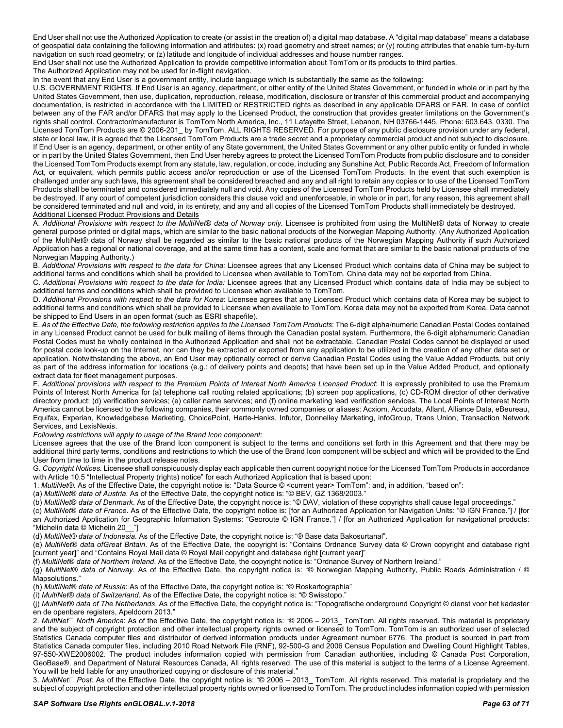End User shall not use the Authorized Application to create (or assist in the creation of) a digital map database. A "digital map database" means a database of geospatial data containing the following information and attributes: (x) road geometry and street names; or (y) routing attributes that enable turn-by-turn navigation on such road geometry; or (z) latitude and longitude of individual addresses and house number ranges.

End User shall not use the Authorized Application to provide competitive information about TomTom or its products to third parties.

The Authorized Application may not be used for in-flight navigation.

In the event that any End User is a government entity, include language which is substantially the same as the following:

U.S. GOVERNMENT RIGHTS. If End User is an agency, department, or other entity of the United States Government, or funded in whole or in part by the United States Government, then use, duplication, reproduction, release, modification, disclosure or transfer of this commercial product and accompanying documentation, is restricted in accordance with the LIMITED or RESTRICTED rights as described in any applicable DFARS or FAR. In case of conflict between any of the FAR and/or DFARS that may apply to the Licensed Product, the construction that provides greater limitations on the Government's rights shall control. Contractor/manufacturer is TomTom North America, Inc., 11 Lafayette Street, Lebanon, NH 03766-1445. Phone: 603.643. 0330. The Licensed TomTom Products are © 2006-201\_ by TomTom. ALL RIGHTS RESERVED. For purpose of any public disclosure provision under any federal, state or local law, it is agreed that the Licensed TomTom Products are a trade secret and a proprietary commercial product and not subject to disclosure. If End User is an agency, department, or other entity of any State government, the United States Government or any other public entity or funded in whole or in part by the United States Government, then End User hereby agrees to protect the Licensed TomTom Products from public disclosure and to consider the Licensed TomTom Products exempt from any statute, law, regulation, or code, including any Sunshine Act, Public Records Act, Freedom of Information Act, or equivalent, which permits public access and/or reproduction or use of the Licensed TomTom Products. In the event that such exemption is challenged under any such laws, this agreement shall be considered breached and any and all right to retain any copies or to use of the Licensed TomTom Products shall be terminated and considered immediately null and void. Any copies of the Licensed TomTom Products held by Licensee shall immediately be destroyed. If any court of competent jurisdiction considers this clause void and unenforceable, in whole or in part, for any reason, this agreement shall be considered terminated and null and void, in its entirety, and any and all copies of the Licensed TomTom Products shall immediately be destroyed. Additional Licensed Product Provisions and Details

A. *Additional Provisions with respect to the MultiNet*® *data of Norway only.* Licensee is prohibited from using the MultiNet® data of Norway to create general purpose printed or digital maps, which are similar to the basic national products of the Norwegian Mapping Authority. (Any Authorized Application of the MultiNet® data of Norway shall be regarded as similar to the basic national products of the Norwegian Mapping Authority if such Authorized Application has a regional or national coverage, and at the same time has a content, scale and format that are similar to the basic national products of the Norwegian Mapping Authority.)

B. Additional Provisions with respect to the data for China: Licensee agrees that any Licensed Product which contains data of China may be subject to additional terms and conditions which shall be provided to Licensee when available to TomTom. China data may not be exported from China.

C. Additional Provisions with respect to the data for India: Licensee agrees that any Licensed Product which contains data of India may be subject to additional terms and conditions which shall be provided to Licensee when available to TomTom.

D. *Additional Provisions with respect to the data for Korea*: Licensee agrees that any Licensed Product which contains data of Korea may be subject to additional terms and conditions which shall be provided to Licensee when available to TomTom. Korea data may not be exported from Korea. Data cannot be shipped to End Users in an open format (such as ESRI shapefile).

E. *As of the Effective Date, the following restriction applies to the Licensed TomTom Products*: The 6-digit alpha/numeric Canadian Postal Codes contained in any Licensed Product cannot be used for bulk mailing of items through the Canadian postal system. Furthermore, the 6-digit alpha/numeric Canadian Postal Codes must be wholly contained in the Authorized Application and shall not be extractable. Canadian Postal Codes cannot be displayed or used for postal code look-up on the Internet, nor can they be extracted or exported from any application to be utilized in the creation of any other data set or application. Notwithstanding the above, an End User may optionally correct or derive Canadian Postal Codes using the Value Added Products, but only as part of the address information for locations (e.g.: of delivery points and depots) that have been set up in the Value Added Product, and optionally extract data for fleet management purposes.

F. *Additional provisions with respect to the Premium Points of Interest North America Licensed Product*: It is expressly prohibited to use the Premium Points of Interest North America for (a) telephone call routing related applications; (b) screen pop applications, (c) CD-ROM director of other derivative directory product; (d) verification services; (e) caller name services; and (f) online marketing lead verification services. The Local Points of Interest North America cannot be licensed to the following companies, their commonly owned companies or aliases: Acxiom, Accudata, Allant, Alliance Data, eBeureau, Equifax, Experian, Knowledgebase Marketing, ChoicePoint, Harte-Hanks, Infutor, Donnelley Marketing, infoGroup, Trans Union, Transaction Network Services, and LexisNexis.

*Following restrictions will apply to usage of the Brand Icon component:*

Licensee agrees that the use of the Brand Icon component is subject to the terms and conditions set forth in this Agreement and that there may be additional third party terms, conditions and restrictions to which the use of the Brand Icon component will be subject and which will be provided to the End User from time to time in the product release notes.

G. *Copyright Notices.* Licensee shall conspicuously display each applicable then current copyright notice for the Licensed TomTom Products in accordance with Article 10.5 "Intellectual Property (rights) notice" for each Authorized Application that is based upon:

1. MultiNet<sup>®</sup>. As of the Effective Date, the copyright notice is: "Data Source © <current year> TomTom"; and, in addition, "based on":

(a) *MultiNet*® *data of Austria*. As of the Effective Date, the copyright notice is: "© BEV, GZ 1368/2003."

(b) *MultiNet*® *data of Denmark*. As of the Effective Date, the copyright notice is: "© DAV, violation of these copyrights shall cause legal proceedings."

(c) *MultiNet*® *data of France*. As of the Effective Date, the copyright notice is: [for an Authorized Application for Navigation Units: "© IGN France."] / [for an Authorized Application for Geographic Information Systems: "Georoute © IGN France."] / [for an Authorized Application for navigational products: "Michelin data © Michelin 20\_\_"]

(d) *MultiNet® data of Indonesia*. As of the Effective Date, the copyright notice is: "® Base data Bakosurtanal".

(e) *MultiNet*® *data ofGreat Britain*. As of the Effective Date, the copyright is: "Contains Ordnance Survey data © Crown copyright and database right [current year]" and "Contains Royal Mail data © Royal Mail copyright and database right [current year]"

(f) *MultiNet*® *data of Northern Ireland*. As of the Effective Date, the copyright notice is: "Ordnance Survey of Northern Ireland."

(g) *MultiNet*® *data of Norway*. As of the Effective Date, the copyright notice is: "© Norwegian Mapping Authority, Public Roads Administration / © Mapsolutions."

(h) *MultiNet*® *data of Russia*: As of the Effective Date, the copyright notice is: "© Roskartographia"

(i) *MultiNet*® *data of Switzerland*. As of the Effective Date, the copyright notice is: "© Swisstopo."

(j) *MultiNet*® *data of The Netherlands*. As of the Effective Date, the copyright notice is: "Topografische onderground Copyright © dienst voor het kadaster en de openbare registers, Apeldoorn 2013."

2. MultiNet□ North America: As of the Effective Date, the copyright notice is: "© 2006 - 2013\_ TomTom. All rights reserved. This material is proprietary and the subject of copyright protection and other intellectual property rights owned or licensed to TomTom. TomTom is an authorized user of selected Statistics Canada computer files and distributor of derived information products under Agreement number 6776. The product is sourced in part from Statistics Canada computer files, including 2010 Road Network File (RNF), 92-500-G and 2006 Census Population and Dwelling Count Highlight Tables, 97-550-XWE2006002. The product includes information copied with permission from Canadian authorities, including © Canada Post Corporation, GeoBase®, and Department of Natural Resources Canada, All rights reserved. The use of this material is subject to the terms of a License Agreement. You will be held liable for any unauthorized copying or disclosure of this material."

3. MultiNet<sup>1</sup> Post: As of the Effective Date, the copyright notice is: "© 2006 - 2013\_ TomTom. All rights reserved. This material is proprietary and the subject of copyright protection and other intellectual property rights owned or licensed to TomTom. The product includes information copied with permission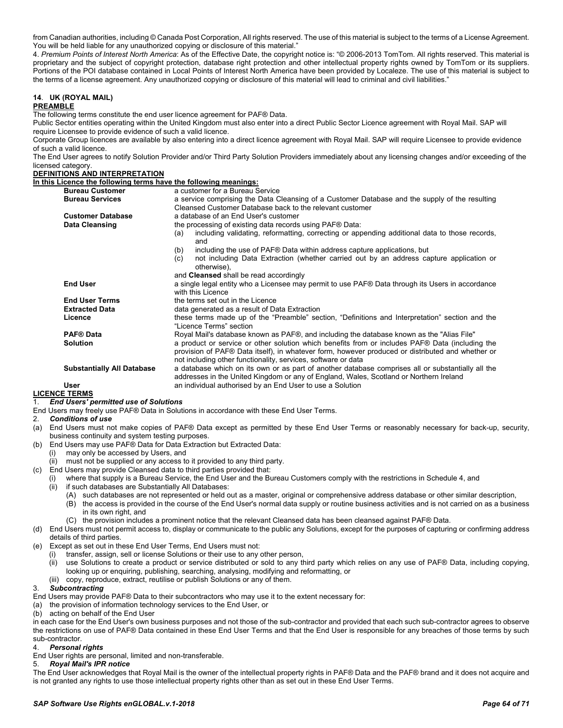from Canadian authorities, including © Canada Post Corporation, All rights reserved. The use of this material is subject to the terms of a License Agreement. You will be held liable for any unauthorized copying or disclosure of this material."

4. *Premium Points of Interest North America*: As of the Effective Date, the copyright notice is: "© 2006-2013 TomTom. All rights reserved. This material is proprietary and the subject of copyright protection, database right protection and other intellectual property rights owned by TomTom or its suppliers. Portions of the POI database contained in Local Points of Interest North America have been provided by Localeze. The use of this material is subject to the terms of a license agreement. Any unauthorized copying or disclosure of this material will lead to criminal and civil liabilities."

#### **14**. **UK (ROYAL MAIL) PREAMBLE**

The following terms constitute the end user licence agreement for PAF® Data.

Public Sector entities operating within the United Kingdom must also enter into a direct Public Sector Licence agreement with Royal Mail. SAP will require Licensee to provide evidence of such a valid licence.

Corporate Group licences are available by also entering into a direct licence agreement with Royal Mail. SAP will require Licensee to provide evidence of such a valid licence.

The End User agrees to notify Solution Provider and/or Third Party Solution Providers immediately about any licensing changes and/or exceeding of the licensed category.

**DEFINITIONS AND INTERPRETATION**

#### **In this Licence the following terms have the following meanings:**

| <b>Bureau Customer</b>            | a customer for a Bureau Service                                                                                                                                                                                                                                      |
|-----------------------------------|----------------------------------------------------------------------------------------------------------------------------------------------------------------------------------------------------------------------------------------------------------------------|
| <b>Bureau Services</b>            | a service comprising the Data Cleansing of a Customer Database and the supply of the resulting                                                                                                                                                                       |
|                                   | Cleansed Customer Database back to the relevant customer                                                                                                                                                                                                             |
| <b>Customer Database</b>          | a database of an End User's customer                                                                                                                                                                                                                                 |
| Data Cleansing                    | the processing of existing data records using PAF® Data:                                                                                                                                                                                                             |
|                                   | including validating, reformatting, correcting or appending additional data to those records,<br>(a)<br>and                                                                                                                                                          |
|                                   | including the use of PAF® Data within address capture applications, but<br>(b)                                                                                                                                                                                       |
|                                   | not including Data Extraction (whether carried out by an address capture application or<br>(c)<br>otherwise),                                                                                                                                                        |
|                                   | and Cleansed shall be read accordingly                                                                                                                                                                                                                               |
| <b>End User</b>                   | a single legal entity who a Licensee may permit to use PAF® Data through its Users in accordance<br>with this Licence                                                                                                                                                |
| <b>End User Terms</b>             | the terms set out in the Licence                                                                                                                                                                                                                                     |
| <b>Extracted Data</b>             | data generated as a result of Data Extraction                                                                                                                                                                                                                        |
| Licence                           | these terms made up of the "Preamble" section, "Definitions and Interpretation" section and the<br>"Licence Terms" section                                                                                                                                           |
| <b>PAF®</b> Data                  | Royal Mail's database known as PAF®, and including the database known as the "Alias File"                                                                                                                                                                            |
| <b>Solution</b>                   | a product or service or other solution which benefits from or includes PAF® Data (including the<br>provision of PAF® Data itself), in whatever form, however produced or distributed and whether or<br>not including other functionality, services, software or data |
| <b>Substantially All Database</b> | a database which on its own or as part of another database comprises all or substantially all the<br>addresses in the United Kingdom or any of England, Wales, Scotland or Northern Ireland                                                                          |
| User                              | an individual authorised by an End User to use a Solution                                                                                                                                                                                                            |
| <b>LICENCE TERMS</b>              |                                                                                                                                                                                                                                                                      |

#### 1. *End Users' permitted use of Solutions*

End Users may freely use PAF® Data in Solutions in accordance with these End User Terms.

#### 2. *Conditions of use*

- (a) End Users must not make copies of PAF® Data except as permitted by these End User Terms or reasonably necessary for back-up, security, business continuity and system testing purposes.
- (b) End Users may use PAF® Data for Data Extraction but Extracted Data:
	- (i) may only be accessed by Users, and
	- (ii) must not be supplied or any access to it provided to any third party.
- (c) End Users may provide Cleansed data to third parties provided that:
	- (i) where that supply is a Bureau Service, the End User and the Bureau Customers comply with the restrictions in Schedule 4, and
		- (ii) if such databases are Substantially All Databases:
			- (A) such databases are not represented or held out as a master, original or comprehensive address database or other similar description,
			- (B) the access is provided in the course of the End User's normal data supply or routine business activities and is not carried on as a business in its own right, and
			- (C) the provision includes a prominent notice that the relevant Cleansed data has been cleansed against PAF® Data.
- (d) End Users must not permit access to, display or communicate to the public any Solutions, except for the purposes of capturing or confirming address details of third parties.
- (e) Except as set out in these End User Terms, End Users must not:
	- transfer, assign, sell or license Solutions or their use to any other person,
	- (ii) use Solutions to create a product or service distributed or sold to any third party which relies on any use of PAF® Data, including copying, looking up or enquiring, publishing, searching, analysing, modifying and reformatting, or
	- (iii) copy, reproduce, extract, reutilise or publish Solutions or any of them.

# 3. *Subcontracting*

End Users may provide PAF® Data to their subcontractors who may use it to the extent necessary for:

- (a) the provision of information technology services to the End User, or
- (b) acting on behalf of the End User

in each case for the End User's own business purposes and not those of the sub-contractor and provided that each such sub-contractor agrees to observe the restrictions on use of PAF® Data contained in these End User Terms and that the End User is responsible for any breaches of those terms by such sub-contractor.

# 4. *Personal rights*

End User rights are personal, limited and non-transferable.

#### 5. *Royal Mail's IPR notice*

The End User acknowledges that Royal Mail is the owner of the intellectual property rights in PAF® Data and the PAF® brand and it does not acquire and is not granted any rights to use those intellectual property rights other than as set out in these End User Terms.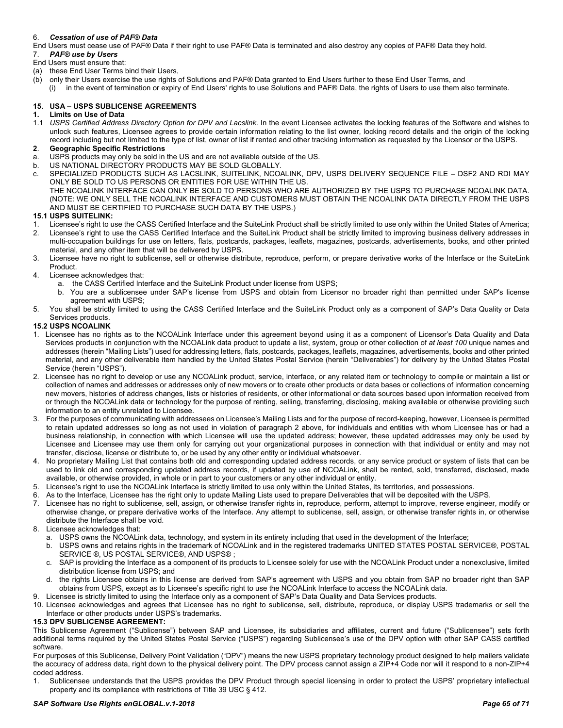### 6. *Cessation of use of PAF® Data*

- End Users must cease use of PAF® Data if their right to use PAF® Data is terminated and also destroy any copies of PAF® Data they hold.<br>7 PAF® use by Users
- 7. *PAF® use by Users*
- End Users must ensure that:
- (a) these End User Terms bind their Users,
- (b) only their Users exercise the use rights of Solutions and PAF® Data granted to End Users further to these End User Terms, and
- (i) in the event of termination or expiry of End Users' rights to use Solutions and PAF® Data, the rights of Users to use them also terminate.

### **15. USA – USPS SUBLICENSE AGREEMENTS**

- **1. Limits on Use of Data**
- 1.1 *USPS Certified Address Directory Option for DPV and Lacslink*. In the event Licensee activates the locking features of the Software and wishes to unlock such features, Licensee agrees to provide certain information relating to the list owner, locking record details and the origin of the locking record including but not limited to the type of list, owner of list if rented and other tracking information as requested by the Licensor or the USPS.

### **2**. **Geographic Specific Restrictions**

- a. USPS products may only be sold in the US and are not available outside of the US.
- b. US NATIONAL DIRECTORY PRODUCTS MAY BE SOLD GLOBALLY.
- c. SPECIALIZED PRODUCTS SUCH AS LACSLINK, SUITELINK, NCOALINK, DPV, USPS DELIVERY SEQUENCE FILE DSF2 AND RDI MAY ONLY BE SOLD TO US PERSONS OR ENTITIES FOR USE WITHIN THE US.

THE NCOALINK INTERFACE CAN ONLY BE SOLD TO PERSONS WHO ARE AUTHORIZED BY THE USPS TO PURCHASE NCOALINK DATA. (NOTE: WE ONLY SELL THE NCOALINK INTERFACE AND CUSTOMERS MUST OBTAIN THE NCOALINK DATA DIRECTLY FROM THE USPS AND MUST BE CERTIFIED TO PURCHASE SUCH DATA BY THE USPS.)

#### **15.1 USPS SUITELINK:**

- 1. Licensee's right to use the CASS Certified Interface and the SuiteLink Product shall be strictly limited to use only within the United States of America;
- 2. Licensee's right to use the CASS Certified Interface and the SuiteLink Product shall be strictly limited to improving business delivery addresses in multi-occupation buildings for use on letters, flats, postcards, packages, leaflets, magazines, postcards, advertisements, books, and other printed material, and any other item that will be delivered by USPS.
- 3. Licensee have no right to sublicense, sell or otherwise distribute, reproduce, perform, or prepare derivative works of the Interface or the SuiteLink Product.
- 4. Licensee acknowledges that:
	- a. the CASS Certified Interface and the SuiteLink Product under license from USPS;
	- b. You are a sublicensee under SAP's license from USPS and obtain from Licensor no broader right than permitted under SAP's license agreement with USPS;
- 5. You shall be strictly limited to using the CASS Certified Interface and the SuiteLink Product only as a component of SAP's Data Quality or Data Services products.

#### **15.2 USPS NCOALINK**

- 1. Licensee has no rights as to the NCOALink Interface under this agreement beyond using it as a component of Licensor's Data Quality and Data Services products in conjunction with the NCOALink data product to update a list, system, group or other collection of *at least 100* unique names and addresses (herein "Mailing Lists") used for addressing letters, flats, postcards, packages, leaflets, magazines, advertisements, books and other printed material, and any other deliverable item handled by the United States Postal Service (herein "Deliverables") for delivery by the United States Postal Service (herein "USPS").
- 2. Licensee has no right to develop or use any NCOALink product, service, interface, or any related item or technology to compile or maintain a list or collection of names and addresses or addresses only of new movers or to create other products or data bases or collections of information concerning new movers, histories of address changes, lists or histories of residents, or other informational or data sources based upon information received from or through the NCOALink data or technology for the purpose of renting, selling, transferring, disclosing, making available or otherwise providing such information to an entity unrelated to Licensee.
- 3. For the purposes of communicating with addressees on Licensee's Mailing Lists and for the purpose of record-keeping, however, Licensee is permitted to retain updated addresses so long as not used in violation of paragraph 2 above, for individuals and entities with whom Licensee has or had a business relationship, in connection with which Licensee will use the updated address; however, these updated addresses may only be used by Licensee and Licensee may use them only for carrying out your organizational purposes in connection with that individual or entity and may not transfer, disclose, license or distribute to, or be used by any other entity or individual whatsoever.
- 4. No proprietary Mailing List that contains both old and corresponding updated address records, or any service product or system of lists that can be used to link old and corresponding updated address records, if updated by use of NCOALink, shall be rented, sold, transferred, disclosed, made available, or otherwise provided, in whole or in part to your customers or any other individual or entity.
- 5. Licensee's right to use the NCOALink Interface is strictly limited to use only within the United States, its territories, and possessions.
- 6. As to the Interface, Licensee has the right only to update Mailing Lists used to prepare Deliverables that will be deposited with the USPS.
- 7. Licensee has no right to sublicense, sell, assign, or otherwise transfer rights in, reproduce, perform, attempt to improve, reverse engineer, modify or otherwise change, or prepare derivative works of the Interface. Any attempt to sublicense, sell, assign, or otherwise transfer rights in, or otherwise distribute the Interface shall be void.
- 8. Licensee acknowledges that:
	- a. USPS owns the NCOALink data, technology, and system in its entirety including that used in the development of the Interface;
	- b. USPS owns and retains rights in the trademark of NCOALink and in the registered trademarks UNITED STATES POSTAL SERVICE®, POSTAL SERVICE ®, US POSTAL SERVICE®, AND USPS® ;
	- c. SAP is providing the Interface as a component of its products to Licensee solely for use with the NCOALink Product under a nonexclusive, limited distribution license from USPS; and
	- d. the rights Licensee obtains in this license are derived from SAP's agreement with USPS and you obtain from SAP no broader right than SAP obtains from USPS, except as to Licensee's specific right to use the NCOALink Interface to access the NCOALink data.
- 9. Licensee is strictly limited to using the Interface only as a component of SAP's Data Quality and Data Services products.
- 10. Licensee acknowledges and agrees that Licensee has no right to sublicense, sell, distribute, reproduce, or display USPS trademarks or sell the Interface or other products under USPS's trademarks.

#### **15.3 DPV SUBLICENSE AGREEMENT:**

This Sublicense Agreement ("Sublicense") between SAP and Licensee, its subsidiaries and affiliates, current and future ("Sublicensee") sets forth additional terms required by the United States Postal Service ("USPS") regarding Sublicensee's use of the DPV option with other SAP CASS certified software.

For purposes of this Sublicense, Delivery Point Validation ("DPV") means the new USPS proprietary technology product designed to help mailers validate the accuracy of address data, right down to the physical delivery point. The DPV process cannot assign a ZIP+4 Code nor will it respond to a non-ZIP+4 coded address.

1. Sublicensee understands that the USPS provides the DPV Product through special licensing in order to protect the USPS' proprietary intellectual property and its compliance with restrictions of Title 39 USC § 412.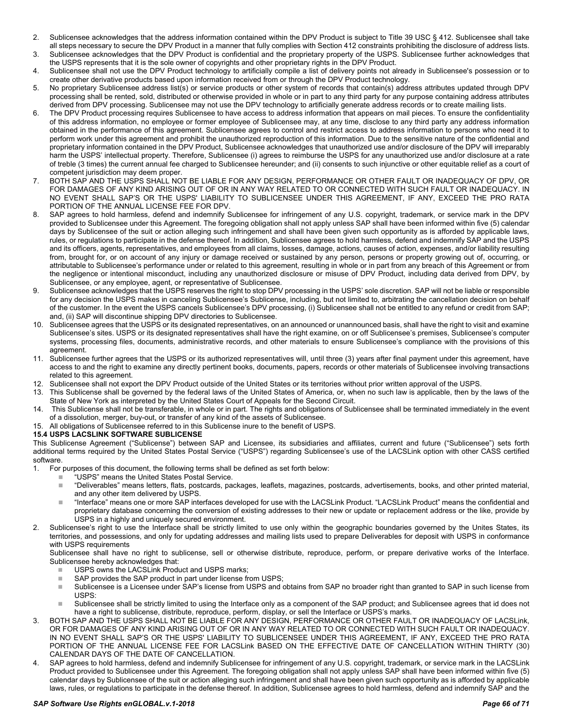- 2. Sublicensee acknowledges that the address information contained within the DPV Product is subject to Title 39 USC § 412. Sublicensee shall take all steps necessary to secure the DPV Product in a manner that fully complies with Section 412 constraints prohibiting the disclosure of address lists.
- 3. Sublicensee acknowledges that the DPV Product is confidential and the proprietary property of the USPS. Sublicensee further acknowledges that the USPS represents that it is the sole owner of copyrights and other proprietary rights in the DPV Product.
- 4. Sublicensee shall not use the DPV Product technology to artificially compile a list of delivery points not already in Sublicensee's possession or to create other derivative products based upon information received from or through the DPV Product technology.
- 5. No proprietary Sublicensee address list(s) or service products or other system of records that contain(s) address attributes updated through DPV processing shall be rented, sold, distributed or otherwise provided in whole or in part to any third party for any purpose containing address attributes derived from DPV processing. Sublicensee may not use the DPV technology to artificially generate address records or to create mailing lists.
- 6. The DPV Product processing requires Sublicensee to have access to address information that appears on mail pieces. To ensure the confidentiality of this address information, no employee or former employee of Sublicensee may, at any time, disclose to any third party any address information obtained in the performance of this agreement. Sublicensee agrees to control and restrict access to address information to persons who need it to perform work under this agreement and prohibit the unauthorized reproduction of this information. Due to the sensitive nature of the confidential and proprietary information contained in the DPV Product, Sublicensee acknowledges that unauthorized use and/or disclosure of the DPV will irreparably harm the USPS' intellectual property. Therefore, Sublicensee (i) agrees to reimburse the USPS for any unauthorized use and/or disclosure at a rate of treble (3 times) the current annual fee charged to Sublicensee hereunder; and (ii) consents to such injunctive or other equitable relief as a court of competent jurisdiction may deem proper.
- 7. BOTH SAP AND THE USPS SHALL NOT BE LIABLE FOR ANY DESIGN, PERFORMANCE OR OTHER FAULT OR INADEQUACY OF DPV, OR FOR DAMAGES OF ANY KIND ARISING OUT OF OR IN ANY WAY RELATED TO OR CONNECTED WITH SUCH FAULT OR INADEQUACY. IN NO EVENT SHALL SAP'S OR THE USPS' LIABILITY TO SUBLICENSEE UNDER THIS AGREEMENT, IF ANY, EXCEED THE PRO RATA PORTION OF THE ANNUAL LICENSE FEE FOR DPV.
- 8. SAP agrees to hold harmless, defend and indemnify Sublicensee for infringement of any U.S. copyright, trademark, or service mark in the DPV provided to Sublicensee under this Agreement. The foregoing obligation shall not apply unless SAP shall have been informed within five (5) calendar days by Sublicensee of the suit or action alleging such infringement and shall have been given such opportunity as is afforded by applicable laws, rules, or regulations to participate in the defense thereof. In addition, Sublicensee agrees to hold harmless, defend and indemnify SAP and the USPS and its officers, agents, representatives, and employees from all claims, losses, damage, actions, causes of action, expenses, and/or liability resulting from, brought for, or on account of any injury or damage received or sustained by any person, persons or property growing out of, occurring, or attributable to Sublicensee's performance under or related to this agreement, resulting in whole or in part from any breach of this Agreement or from the negligence or intentional misconduct, including any unauthorized disclosure or misuse of DPV Product, including data derived from DPV, by Sublicensee, or any employee, agent, or representative of Sublicensee.
- 9. Sublicensee acknowledges that the USPS reserves the right to stop DPV processing in the USPS' sole discretion. SAP will not be liable or responsible for any decision the USPS makes in canceling Sublicensee's Sublicense, including, but not limited to, arbitrating the cancellation decision on behalf of the customer. In the event the USPS cancels Sublicensee's DPV processing, (i) Sublicensee shall not be entitled to any refund or credit from SAP; and, (ii) SAP will discontinue shipping DPV directories to Sublicensee.
- Sublicensee agrees that the USPS or its designated representatives, on an announced or unannounced basis, shall have the right to visit and examine Sublicensee's sites. USPS or its designated representatives shall have the right examine, on or off Sublicensee's premises, Sublicensee's computer systems, processing files, documents, administrative records, and other materials to ensure Sublicensee's compliance with the provisions of this agreement.
- 11. Sublicensee further agrees that the USPS or its authorized representatives will, until three (3) years after final payment under this agreement, have access to and the right to examine any directly pertinent books, documents, papers, records or other materials of Sublicensee involving transactions related to this agreement.
- 12. Sublicensee shall not export the DPV Product outside of the United States or its territories without prior written approval of the USPS.
- 13. This Sublicense shall be governed by the federal laws of the United States of America, or, when no such law is applicable, then by the laws of the State of New York as interpreted by the United States Court of Appeals for the Second Circuit.
- 14. This Sublicense shall not be transferable, in whole or in part. The rights and obligations of Sublicensee shall be terminated immediately in the event of a dissolution, merger, buy-out, or transfer of any kind of the assets of Sublicensee.
- 15. All obligations of Sublicensee referred to in this Sublicense inure to the benefit of USPS.

#### **15.4 USPS LACSLINK SOFTWARE SUBLICENSE**

This Sublicense Agreement ("Sublicense") between SAP and Licensee, its subsidiaries and affiliates, current and future ("Sublicensee") sets forth additional terms required by the United States Postal Service ("USPS") regarding Sublicensee's use of the LACSLink option with other CASS certified software.<br>1 For

- 1. For purposes of this document, the following terms shall be defined as set forth below:
	- "USPS" means the United States Postal Service.<br>■ "Deliverables" means letters flats\_postcards\_pa
		- "Deliverables" means letters, flats, postcards, packages, leaflets, magazines, postcards, advertisements, books, and other printed material, and any other item delivered by USPS.
	- "Interface" means one or more SAP interfaces developed for use with the LACSLink Product. "LACSLink Product" means the confidential and proprietary database concerning the conversion of existing addresses to their new or update or replacement address or the like, provide by USPS in a highly and uniquely secured environment.
- Sublicensee's right to use the Interface shall be strictly limited to use only within the geographic boundaries governed by the Unites States, its territories, and possessions, and only for updating addresses and mailing lists used to prepare Deliverables for deposit with USPS in conformance with USPS requirements

Sublicensee shall have no right to sublicense, sell or otherwise distribute, reproduce, perform, or prepare derivative works of the Interface. Sublicensee hereby acknowledges that:

- USPS owns the LACSLink Product and USPS marks;
- SAP provides the SAP product in part under license from USPS;
- Sublicensee is a Licensee under SAP's license from USPS and obtains from SAP no broader right than granted to SAP in such license from USPS:
- Sublicensee shall be strictly limited to using the Interface only as a component of the SAP product; and Sublicensee agrees that id does not have a right to sublicense, distribute, reproduce, perform, display, or sell the Interface or USPS's marks.
- 3. BOTH SAP AND THE USPS SHALL NOT BE LIABLE FOR ANY DESIGN, PERFORMANCE OR OTHER FAULT OR INADEQUACY OF LACSLink, OR FOR DAMAGES OF ANY KIND ARISING OUT OF OR IN ANY WAY RELATED TO OR CONNECTED WITH SUCH FAULT OR INADEQUACY. IN NO EVENT SHALL SAP'S OR THE USPS' LIABILITY TO SUBLICENSEE UNDER THIS AGREEMENT, IF ANY, EXCEED THE PRO RATA PORTION OF THE ANNUAL LICENSE FEE FOR LACSLink BASED ON THE EFFECTIVE DATE OF CANCELLATION WITHIN THIRTY (30) CALENDAR DAYS OF THE DATE OF CANCELLATION.
- 4. SAP agrees to hold harmless, defend and indemnify Sublicensee for infringement of any U.S. copyright, trademark, or service mark in the LACSLink Product provided to Sublicensee under this Agreement. The foregoing obligation shall not apply unless SAP shall have been informed within five (5) calendar days by Sublicensee of the suit or action alleging such infringement and shall have been given such opportunity as is afforded by applicable laws, rules, or regulations to participate in the defense thereof. In addition, Sublicensee agrees to hold harmless, defend and indemnify SAP and the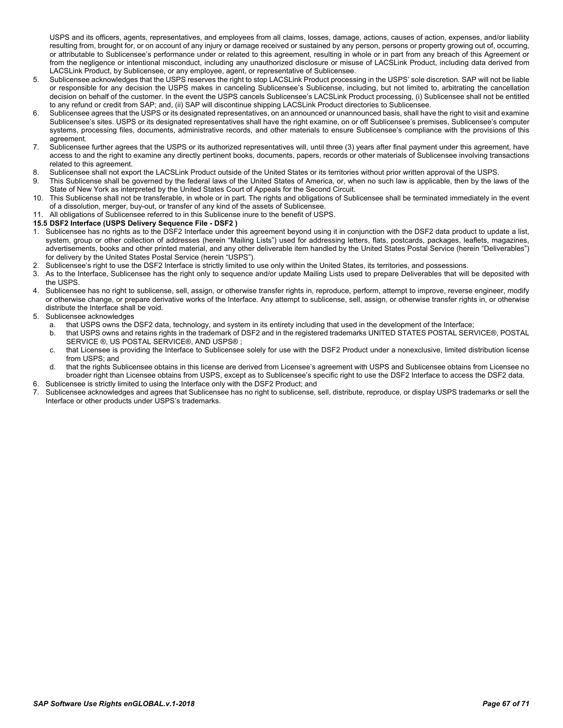USPS and its officers, agents, representatives, and employees from all claims, losses, damage, actions, causes of action, expenses, and/or liability resulting from, brought for, or on account of any injury or damage received or sustained by any person, persons or property growing out of, occurring, or attributable to Sublicensee's performance under or related to this agreement, resulting in whole or in part from any breach of this Agreement or from the negligence or intentional misconduct, including any unauthorized disclosure or misuse of LACSLink Product, including data derived from LACSLink Product, by Sublicensee, or any employee, agent, or representative of Sublicensee.

- 5. Sublicensee acknowledges that the USPS reserves the right to stop LACSLink Product processing in the USPS' sole discretion. SAP will not be liable or responsible for any decision the USPS makes in canceling Sublicensee's Sublicense, including, but not limited to, arbitrating the cancellation decision on behalf of the customer. In the event the USPS cancels Sublicensee's LACSLink Product processing, (i) Sublicensee shall not be entitled to any refund or credit from SAP; and, (ii) SAP will discontinue shipping LACSLink Product directories to Sublicensee.
- 6. Sublicensee agrees that the USPS or its designated representatives, on an announced or unannounced basis, shall have the right to visit and examine Sublicensee's sites. USPS or its designated representatives shall have the right examine, on or off Sublicensee's premises, Sublicensee's computer systems, processing files, documents, administrative records, and other materials to ensure Sublicensee's compliance with the provisions of this agreement.
- 7. Sublicensee further agrees that the USPS or its authorized representatives will, until three (3) years after final payment under this agreement, have access to and the right to examine any directly pertinent books, documents, papers, records or other materials of Sublicensee involving transactions related to this agreement.
- 8. Sublicensee shall not export the LACSLink Product outside of the United States or its territories without prior written approval of the USPS.
- 9. This Sublicense shall be governed by the federal laws of the United States of America, or, when no such law is applicable, then by the laws of the State of New York as interpreted by the United States Court of Appeals for the Second Circuit.
- 10. This Sublicense shall not be transferable, in whole or in part. The rights and obligations of Sublicensee shall be terminated immediately in the event of a dissolution, merger, buy-out, or transfer of any kind of the assets of Sublicensee.
- 11. All obligations of Sublicensee referred to in this Sublicense inure to the benefit of USPS.

#### **15.5 DSF2 Interface (USPS Delivery Sequence File - DSF2 )**

- 1. Sublicensee has no rights as to the DSF2 Interface under this agreement beyond using it in conjunction with the DSF2 data product to update a list, system, group or other collection of addresses (herein "Mailing Lists") used for addressing letters, flats, postcards, packages, leaflets, magazines, advertisements, books and other printed material, and any other deliverable item handled by the United States Postal Service (herein "Deliverables") for delivery by the United States Postal Service (herein "USPS").
- 2. Sublicensee's right to use the DSF2 Interface is strictly limited to use only within the United States, its territories, and possessions.
- As to the Interface, Sublicensee has the right only to sequence and/or update Mailing Lists used to prepare Deliverables that will be deposited with the USPS.
- 4. Sublicensee has no right to sublicense, sell, assign, or otherwise transfer rights in, reproduce, perform, attempt to improve, reverse engineer, modify or otherwise change, or prepare derivative works of the Interface. Any attempt to sublicense, sell, assign, or otherwise transfer rights in, or otherwise distribute the Interface shall be void.
- 5. Sublicensee acknowledges
	- a. that USPS owns the DSF2 data, technology, and system in its entirety including that used in the development of the Interface;<br>b. that USPS owns and retains rights in the trademark of DSF2 and in the registered trademark
	- b. that USPS owns and retains rights in the trademark of DSF2 and in the registered trademarks UNITED STATES POSTAL SERVICE®, POSTAL SERVICE ®, US POSTAL SERVICE®, AND USPS® ;
	- c. that Licensee is providing the Interface to Sublicensee solely for use with the DSF2 Product under a nonexclusive, limited distribution license from USPS; and
	- d. that the rights Sublicensee obtains in this license are derived from Licensee's agreement with USPS and Sublicensee obtains from Licensee no broader right than Licensee obtains from USPS, except as to Sublicensee's specific right to use the DSF2 Interface to access the DSF2 data.
- 6. Sublicensee is strictly limited to using the Interface only with the DSF2 Product; and 3. Sublicense is strictly limited to and agrees that Sublicense is strictly being the Sublicense.
- Sublicensee acknowledges and agrees that Sublicensee has no right to sublicense, sell, distribute, reproduce, or display USPS trademarks or sell the Interface or other products under USPS's trademarks.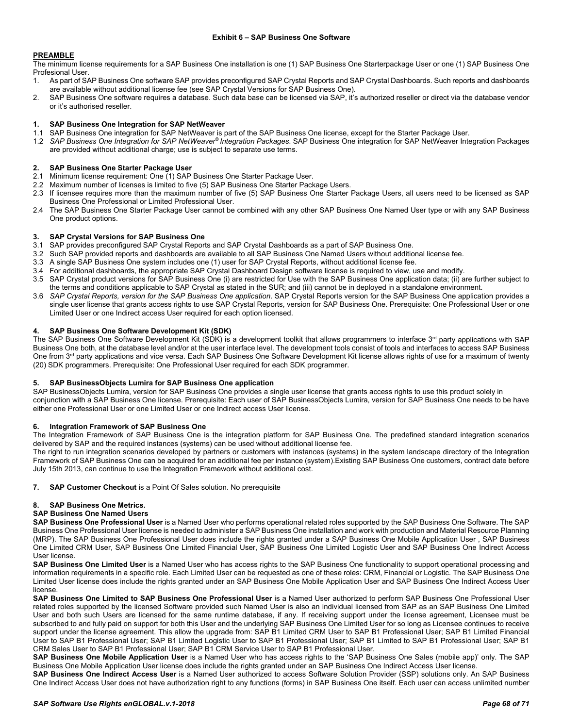#### <span id="page-67-0"></span>**PREAMBLE**

The minimum license requirements for a SAP Business One installation is one (1) SAP Business One Starterpackage User or one (1) SAP Business One Profesional User.

- 1. As part of SAP Business One software SAP provides preconfigured SAP Crystal Reports and SAP Crystal Dashboards. Such reports and dashboards are available without additional license fee (see SAP Crystal Versions for SAP Business One).
- 2. SAP Business One software requires a database. Such data base can be licensed via SAP, it's authorized reseller or direct via the database vendor or it's authorised reseller.

#### **1. SAP Business One Integration for SAP NetWeaver**

- 1.1 SAP Business One integration for SAP NetWeaver is part of the SAP Business One license, except for the Starter Package User.
- 1.2 *SAP Business One Integration for SAP NetWeaver® Integration Packages*. SAP Business One integration for SAP NetWeaver Integration Packages are provided without additional charge; use is subject to separate use terms.

#### **2. SAP Business One Starter Package User**

- 2.1 Minimum license requirement: One (1) SAP Business One Starter Package User.
- 2.2 Maximum number of licenses is limited to five (5) SAP Business One Starter Package Users.
- 2.3 If licensee requires more than the maximum number of five (5) SAP Business One Starter Package Users, all users need to be licensed as SAP Business One Professional or Limited Professional User.
- 2.4 The SAP Business One Starter Package User cannot be combined with any other SAP Business One Named User type or with any SAP Business One product options.

#### **3. SAP Crystal Versions for SAP Business One**

- 3.1 SAP provides preconfigured SAP Crystal Reports and SAP Crystal Dashboards as a part of SAP Business One.
- 3.2 Such SAP provided reports and dashboards are available to all SAP Business One Named Users without additional license fee.
- 3.3 A single SAP Business One system includes one (1) user for SAP Crystal Reports, without additional license fee.
- 3.4 For additional dashboards, the appropriate SAP Crystal Dashboard Design software license is required to view, use and modify.
- 3.5 SAP Crystal product versions for SAP Business One (i) are restricted for Use with the SAP Business One application data; (ii) are further subject to the terms and conditions applicable to SAP Crystal as stated in the SUR; and (iii) cannot be in deployed in a standalone environment.
- 3.6 *SAP Crystal Reports, version for the SAP Business One application*. SAP Crystal Reports version for the SAP Business One application provides a single user license that grants access rights to use SAP Crystal Reports, version for SAP Business One. Prerequisite: One Professional User or one Limited User or one Indirect access User required for each option licensed.

#### **4. SAP Business One Software Development Kit (SDK)**

The SAP Business One Software Development Kit (SDK) is a development toolkit that allows programmers to interface 3<sup>rd</sup> party applications with SAP Business One both, at the database level and/or at the user interface level. The development tools consist of tools and interfaces to access SAP Business One from 3<sup>rd</sup> party applications and vice versa. Each SAP Business One Software Development Kit license allows rights of use for a maximum of twenty (20) SDK programmers. Prerequisite: One Professional User required for each SDK programmer.

#### **5. SAP BusinessObjects Lumira for SAP Business One application**

SAP BusinessObjects Lumira, version for SAP Business One provides a single user license that grants access rights to use this product solely in conjunction with a SAP Business One license. Prerequisite: Each user of SAP BusinessObjects Lumira, version for SAP Business One needs to be have either one Professional User or one Limited User or one Indirect access User license.

#### **6. Integration Framework of SAP Business One**

The Integration Framework of SAP Business One is the integration platform for SAP Business One. The predefined standard integration scenarios delivered by SAP and the required instances (systems) can be used without additional license fee.

The right to run integration scenarios developed by partners or customers with instances (systems) in the system landscape directory of the Integration Framework of SAP Business One can be acquired for an additional fee per instance (system).Existing SAP Business One customers, contract date before July 15th 2013, can continue to use the Integration Framework without additional cost.

**7. SAP Customer Checkout** is a Point Of Sales solution. No prerequisite

### **8. SAP Business One Metrics.**

#### **SAP Business One Named Users**

**SAP Business One Professional User** is a Named User who performs operational related roles supported by the SAP Business One Software. The SAP Business One Professional User license is needed to administer a SAP Business One installation and work with production and Material Resource Planning (MRP). The SAP Business One Professional User does include the rights granted under a SAP Business One Mobile Application User , SAP Business One Limited CRM User, SAP Business One Limited Financial User, SAP Business One Limited Logistic User and SAP Business One Indirect Access User license.

**SAP Business One Limited User** is a Named User who has access rights to the SAP Business One functionality to support operational processing and information requirements in a specific role. Each Limited User can be requested as one of these roles: CRM, Financial or Logistic. The SAP Business One Limited User license does include the rights granted under an SAP Business One Mobile Application User and SAP Business One Indirect Access User license.

**SAP Business One Limited to SAP Business One Professional User** is a Named User authorized to perform SAP Business One Professional User related roles supported by the licensed Software provided such Named User is also an individual licensed from SAP as an SAP Business One Limited User and both such Users are licensed for the same runtime database, if any. If receiving support under the license agreement, Licensee must be subscribed to and fully paid on support for both this User and the underlying SAP Business One Limited User for so long as Licensee continues to receive support under the license agreement. This allow the upgrade from: SAP B1 Limited CRM User to SAP B1 Professional User; SAP B1 Limited Financial User to SAP B1 Professional User; SAP B1 Limited Logistic User to SAP B1 Professional User; SAP B1 Limited to SAP B1 Professional User; SAP B1 CRM Sales User to SAP B1 Professional User; SAP B1 CRM Service User to SAP B1 Professional User.

**SAP Business One Mobile Application User** is a Named User who has access rights to the 'SAP Business One Sales (mobile app)' only. The SAP Business One Mobile Application User license does include the rights granted under an SAP Business One Indirect Access User license.

**SAP Business One Indirect Access User** is a Named User authorized to access Software Solution Provider (SSP) solutions only. An SAP Business One Indirect Access User does not have authorization right to any functions (forms) in SAP Business One itself. Each user can access unlimited number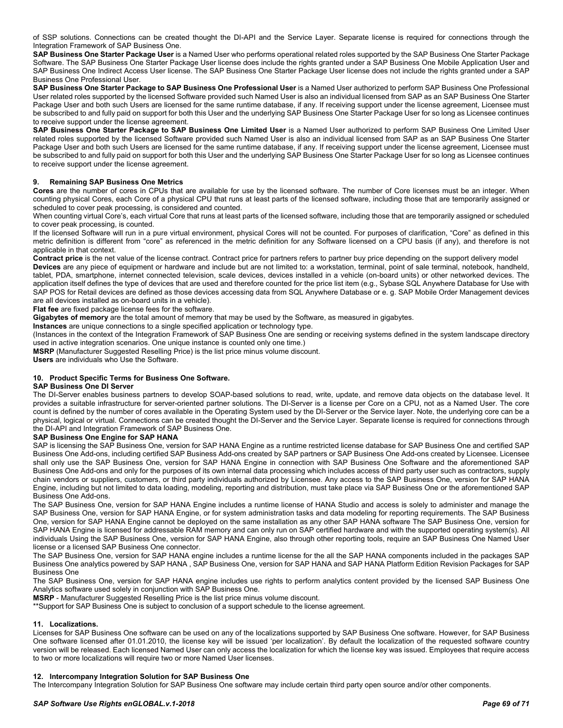of SSP solutions. Connections can be created thought the DI-API and the Service Layer. Separate license is required for connections through the Integration Framework of SAP Business One.

**SAP Business One Starter Package User** is a Named User who performs operational related roles supported by the SAP Business One Starter Package Software. The SAP Business One Starter Package User license does include the rights granted under a SAP Business One Mobile Application User and SAP Business One Indirect Access User license. The SAP Business One Starter Package User license does not include the rights granted under a SAP Business One Professional User.

**SAP Business One Starter Package to SAP Business One Professional User** is a Named User authorized to perform SAP Business One Professional User related roles supported by the licensed Software provided such Named User is also an individual licensed from SAP as an SAP Business One Starter Package User and both such Users are licensed for the same runtime database, if any. If receiving support under the license agreement, Licensee must be subscribed to and fully paid on support for both this User and the underlying SAP Business One Starter Package User for so long as Licensee continues to receive support under the license agreement.

**SAP Business One Starter Package to SAP Business One Limited User** is a Named User authorized to perform SAP Business One Limited User related roles supported by the licensed Software provided such Named User is also an individual licensed from SAP as an SAP Business One Starter Package User and both such Users are licensed for the same runtime database, if any. If receiving support under the license agreement, Licensee must be subscribed to and fully paid on support for both this User and the underlying SAP Business One Starter Package User for so long as Licensee continues to receive support under the license agreement.

### **9. Remaining SAP Business One Metrics**

**Cores** are the number of cores in CPUs that are available for use by the licensed software. The number of Core licenses must be an integer. When counting physical Cores, each Core of a physical CPU that runs at least parts of the licensed software, including those that are temporarily assigned or scheduled to cover peak processing, is considered and counted.

When counting virtual Core's, each virtual Core that runs at least parts of the licensed software, including those that are temporarily assigned or scheduled to cover peak processing, is counted.

If the licensed Software will run in a pure virtual environment, physical Cores will not be counted. For purposes of clarification, "Core" as defined in this metric definition is different from "core" as referenced in the metric definition for any Software licensed on a CPU basis (if any), and therefore is not applicable in that context.

Contract price is the net value of the license contract. Contract price for partners refers to partner buy price depending on the support delivery model **Devices** are any piece of equipment or hardware and include but are not limited to: a workstation, terminal, point of sale terminal, notebook, handheld, tablet, PDA, smartphone, internet connected television, scale devices, devices installed in a vehicle (on-board units) or other networked devices. The application itself defines the type of devices that are used and therefore counted for the price list item (e.g., Sybase SQL Anywhere Database for Use with SAP POS for Retail devices are defined as those devices accessing data from SQL Anywhere Database or e. g. SAP Mobile Order Management devices are all devices installed as on-board units in a vehicle).

**Flat fee** are fixed package license fees for the software.

**Gigabytes of memory** are the total amount of memory that may be used by the Software, as measured in gigabytes.

**Instances** are unique connections to a single specified application or technology type.

(Instances in the context of the Integration Framework of SAP Business One are sending or receiving systems defined in the system landscape directory used in active integration scenarios. One unique instance is counted only one time.)

**MSRP** (Manufacturer Suggested Reselling Price) is the list price minus volume discount.

**Users** are individuals who Use the Software.

#### **10. Product Specific Terms for Business One Software.**

#### **SAP Business One DI Server**

The DI-Server enables business partners to develop SOAP-based solutions to read, write, update, and remove data objects on the database level. It provides a suitable infrastructure for server-oriented partner solutions. The DI-Server is a license per Core on a CPU, not as a Named User. The core count is defined by the number of cores available in the Operating System used by the DI-Server or the Service layer. Note, the underlying core can be a physical, logical or virtual. Connections can be created thought the DI-Server and the Service Layer. Separate license is required for connections through the DI-API and Integration Framework of SAP Business One.

#### **SAP Business One Engine for SAP HANA**

SAP is licensing the SAP Business One, version for SAP HANA Engine as a runtime restricted license database for SAP Business One and certified SAP Business One Add-ons, including certified SAP Business Add-ons created by SAP partners or SAP Business One Add-ons created by Licensee. Licensee shall only use the SAP Business One, version for SAP HANA Engine in connection with SAP Business One Software and the aforementioned SAP Business One Add-ons and only for the purposes of its own internal data processing which includes access of third party user such as contractors, supply chain vendors or suppliers, customers, or third party individuals authorized by Licensee. Any access to the SAP Business One, version for SAP HANA Engine, including but not limited to data loading, modeling, reporting and distribution, must take place via SAP Business One or the aforementioned SAP Business One Add-ons.

The SAP Business One, version for SAP HANA Engine includes a runtime license of HANA Studio and access is solely to administer and manage the SAP Business One, version for SAP HANA Engine, or for system administration tasks and data modeling for reporting requirements. The SAP Business One, version for SAP HANA Engine cannot be deployed on the same installation as any other SAP HANA software The SAP Business One, version for SAP HANA Engine is licensed for addressable RAM memory and can only run on SAP certified hardware and with the supported operating system(s). All individuals Using the SAP Business One, version for SAP HANA Engine, also through other reporting tools, require an SAP Business One Named User license or a licensed SAP Business One connector.

The SAP Business One, version for SAP HANA engine includes a runtime license for the all the SAP HANA components included in the packages SAP Business One analytics powered by SAP HANA , SAP Business One, version for SAP HANA and SAP HANA Platform Edition Revision Packages for SAP Business One

The SAP Business One, version for SAP HANA engine includes use rights to perform analytics content provided by the licensed SAP Business One Analytics software used solely in conjunction with SAP Business One.

**MSRP** - Manufacturer Suggested Reselling Price is the list price minus volume discount.

\*\*Support for SAP Business One is subject to conclusion of a support schedule to the license agreement.

### **11. Localizations.**

Licenses for SAP Business One software can be used on any of the localizations supported by SAP Business One software. However, for SAP Business One software licensed after 01.01.2010, the license key will be issued 'per localization'. By default the localization of the requested software country version will be released. Each licensed Named User can only access the localization for which the license key was issued. Employees that require access to two or more localizations will require two or more Named User licenses.

#### **12. Intercompany Integration Solution for SAP Business One**

The Intercompany Integration Solution for SAP Business One software may include certain third party open source and/or other components.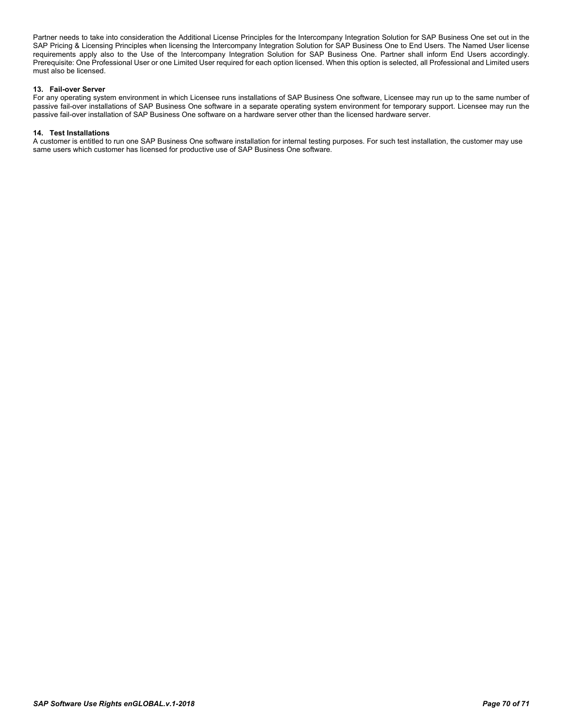Partner needs to take into consideration the Additional License Principles for the Intercompany Integration Solution for SAP Business One set out in the SAP Pricing & Licensing Principles when licensing the Intercompany Integration Solution for SAP Business One to End Users. The Named User license requirements apply also to the Use of the Intercompany Integration Solution for SAP Business One. Partner shall inform End Users accordingly. Prerequisite: One Professional User or one Limited User required for each option licensed. When this option is selected, all Professional and Limited users must also be licensed.

#### **13. Fail-over Server**

For any operating system environment in which Licensee runs installations of SAP Business One software, Licensee may run up to the same number of passive fail-over installations of SAP Business One software in a separate operating system environment for temporary support. Licensee may run the passive fail-over installation of SAP Business One software on a hardware server other than the licensed hardware server.

#### **14. Test Installations**

A customer is entitled to run one SAP Business One software installation for internal testing purposes. For such test installation, the customer may use same users which customer has licensed for productive use of SAP Business One software.